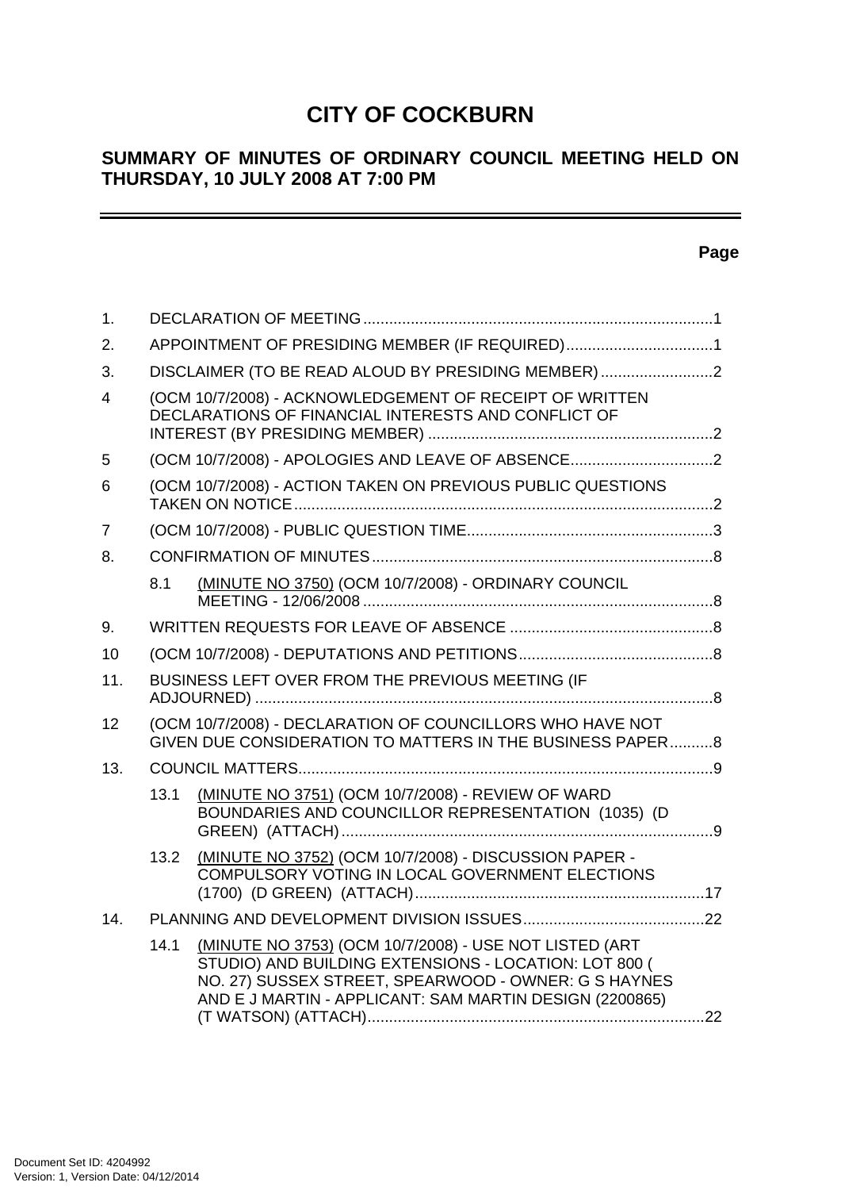# **CITY OF COCKBURN**

# **SUMMARY OF MINUTES OF ORDINARY COUNCIL MEETING HELD ON THURSDAY, 10 JULY 2008 AT 7:00 PM**

# **Page**

| 1.  |      |                                                                                                                                                                                                                                    |  |
|-----|------|------------------------------------------------------------------------------------------------------------------------------------------------------------------------------------------------------------------------------------|--|
| 2.  |      | APPOINTMENT OF PRESIDING MEMBER (IF REQUIRED)1                                                                                                                                                                                     |  |
| 3.  |      | DISCLAIMER (TO BE READ ALOUD BY PRESIDING MEMBER) 2                                                                                                                                                                                |  |
| 4   |      | (OCM 10/7/2008) - ACKNOWLEDGEMENT OF RECEIPT OF WRITTEN<br>DECLARATIONS OF FINANCIAL INTERESTS AND CONFLICT OF                                                                                                                     |  |
| 5   |      | (OCM 10/7/2008) - APOLOGIES AND LEAVE OF ABSENCE2                                                                                                                                                                                  |  |
| 6   |      | (OCM 10/7/2008) - ACTION TAKEN ON PREVIOUS PUBLIC QUESTIONS                                                                                                                                                                        |  |
| 7   |      |                                                                                                                                                                                                                                    |  |
| 8.  |      |                                                                                                                                                                                                                                    |  |
|     | 8.1  | (MINUTE NO 3750) (OCM 10/7/2008) - ORDINARY COUNCIL                                                                                                                                                                                |  |
| 9.  |      |                                                                                                                                                                                                                                    |  |
| 10  |      |                                                                                                                                                                                                                                    |  |
| 11. |      | BUSINESS LEFT OVER FROM THE PREVIOUS MEETING (IF                                                                                                                                                                                   |  |
| 12  |      | (OCM 10/7/2008) - DECLARATION OF COUNCILLORS WHO HAVE NOT<br>GIVEN DUE CONSIDERATION TO MATTERS IN THE BUSINESS PAPER8                                                                                                             |  |
| 13. |      |                                                                                                                                                                                                                                    |  |
|     | 13.1 | (MINUTE NO 3751) (OCM 10/7/2008) - REVIEW OF WARD<br>BOUNDARIES AND COUNCILLOR REPRESENTATION (1035) (D                                                                                                                            |  |
|     | 13.2 | (MINUTE NO 3752) (OCM 10/7/2008) - DISCUSSION PAPER -<br>COMPULSORY VOTING IN LOCAL GOVERNMENT ELECTIONS                                                                                                                           |  |
| 14. |      |                                                                                                                                                                                                                                    |  |
|     | 14.1 | (MINUTE NO 3753) (OCM 10/7/2008) - USE NOT LISTED (ART<br>STUDIO) AND BUILDING EXTENSIONS - LOCATION: LOT 800 (<br>NO. 27) SUSSEX STREET, SPEARWOOD - OWNER: G S HAYNES<br>AND E J MARTIN - APPLICANT: SAM MARTIN DESIGN (2200865) |  |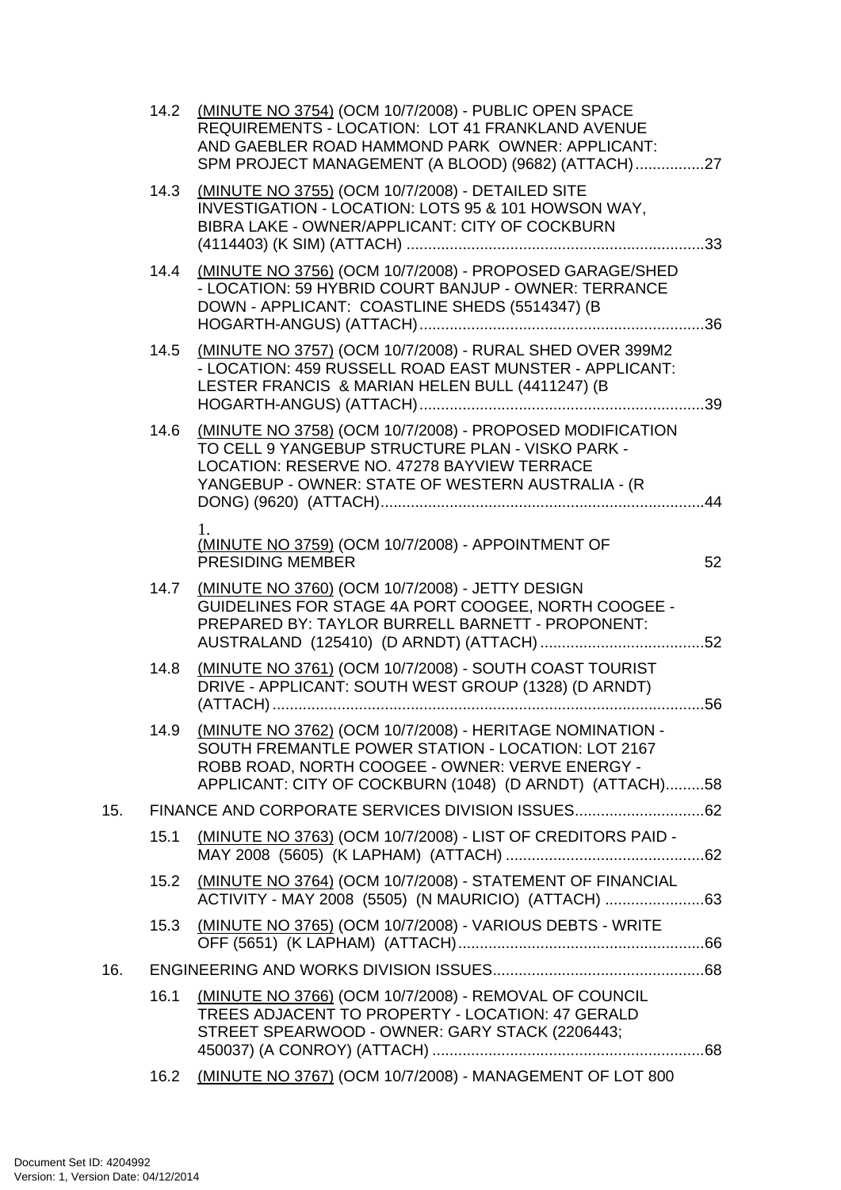|     |      | 14.2 (MINUTE NO 3754) (OCM 10/7/2008) - PUBLIC OPEN SPACE<br>REQUIREMENTS - LOCATION: LOT 41 FRANKLAND AVENUE<br>AND GAEBLER ROAD HAMMOND PARK OWNER: APPLICANT:<br>SPM PROJECT MANAGEMENT (A BLOOD) (9682) (ATTACH)27       |    |
|-----|------|------------------------------------------------------------------------------------------------------------------------------------------------------------------------------------------------------------------------------|----|
|     | 14.3 | (MINUTE NO 3755) (OCM 10/7/2008) - DETAILED SITE<br>INVESTIGATION - LOCATION: LOTS 95 & 101 HOWSON WAY,<br>BIBRA LAKE - OWNER/APPLICANT: CITY OF COCKBURN                                                                    |    |
|     | 14.4 | (MINUTE NO 3756) (OCM 10/7/2008) - PROPOSED GARAGE/SHED<br>- LOCATION: 59 HYBRID COURT BANJUP - OWNER: TERRANCE<br>DOWN - APPLICANT: COASTLINE SHEDS (5514347) (B                                                            |    |
|     | 14.5 | (MINUTE NO 3757) (OCM 10/7/2008) - RURAL SHED OVER 399M2<br>- LOCATION: 459 RUSSELL ROAD EAST MUNSTER - APPLICANT:<br>LESTER FRANCIS & MARIAN HELEN BULL (4411247) (B                                                        |    |
|     | 14.6 | (MINUTE NO 3758) (OCM 10/7/2008) - PROPOSED MODIFICATION<br>TO CELL 9 YANGEBUP STRUCTURE PLAN - VISKO PARK -<br>LOCATION: RESERVE NO. 47278 BAYVIEW TERRACE<br>YANGEBUP - OWNER: STATE OF WESTERN AUSTRALIA - (R             |    |
|     |      | 1.<br>(MINUTE NO 3759) (OCM 10/7/2008) - APPOINTMENT OF<br><b>PRESIDING MEMBER</b>                                                                                                                                           | 52 |
|     | 14.7 | (MINUTE NO 3760) (OCM 10/7/2008) - JETTY DESIGN<br>GUIDELINES FOR STAGE 4A PORT COOGEE, NORTH COOGEE -<br>PREPARED BY: TAYLOR BURRELL BARNETT - PROPONENT:                                                                   |    |
|     | 14.8 | (MINUTE NO 3761) (OCM 10/7/2008) - SOUTH COAST TOURIST<br>DRIVE - APPLICANT: SOUTH WEST GROUP (1328) (D ARNDT)                                                                                                               |    |
|     | 14.9 | (MINUTE NO 3762) (OCM 10/7/2008) - HERITAGE NOMINATION -<br>SOUTH FREMANTLE POWER STATION - LOCATION: LOT 2167<br>ROBB ROAD, NORTH COOGEE - OWNER: VERVE ENERGY -<br>APPLICANT: CITY OF COCKBURN (1048) (D ARNDT) (ATTACH)58 |    |
| 15. |      |                                                                                                                                                                                                                              |    |
|     | 15.1 | (MINUTE NO 3763) (OCM 10/7/2008) - LIST OF CREDITORS PAID -                                                                                                                                                                  |    |
|     | 15.2 | (MINUTE NO 3764) (OCM 10/7/2008) - STATEMENT OF FINANCIAL                                                                                                                                                                    |    |
|     |      | 15.3 (MINUTE NO 3765) (OCM 10/7/2008) - VARIOUS DEBTS - WRITE                                                                                                                                                                |    |
| 16. |      |                                                                                                                                                                                                                              |    |
|     | 16.1 | (MINUTE NO 3766) (OCM 10/7/2008) - REMOVAL OF COUNCIL<br>TREES ADJACENT TO PROPERTY - LOCATION: 47 GERALD<br>STREET SPEARWOOD - OWNER: GARY STACK (2206443;                                                                  |    |
|     | 16.2 | (MINUTE NO 3767) (OCM 10/7/2008) - MANAGEMENT OF LOT 800                                                                                                                                                                     |    |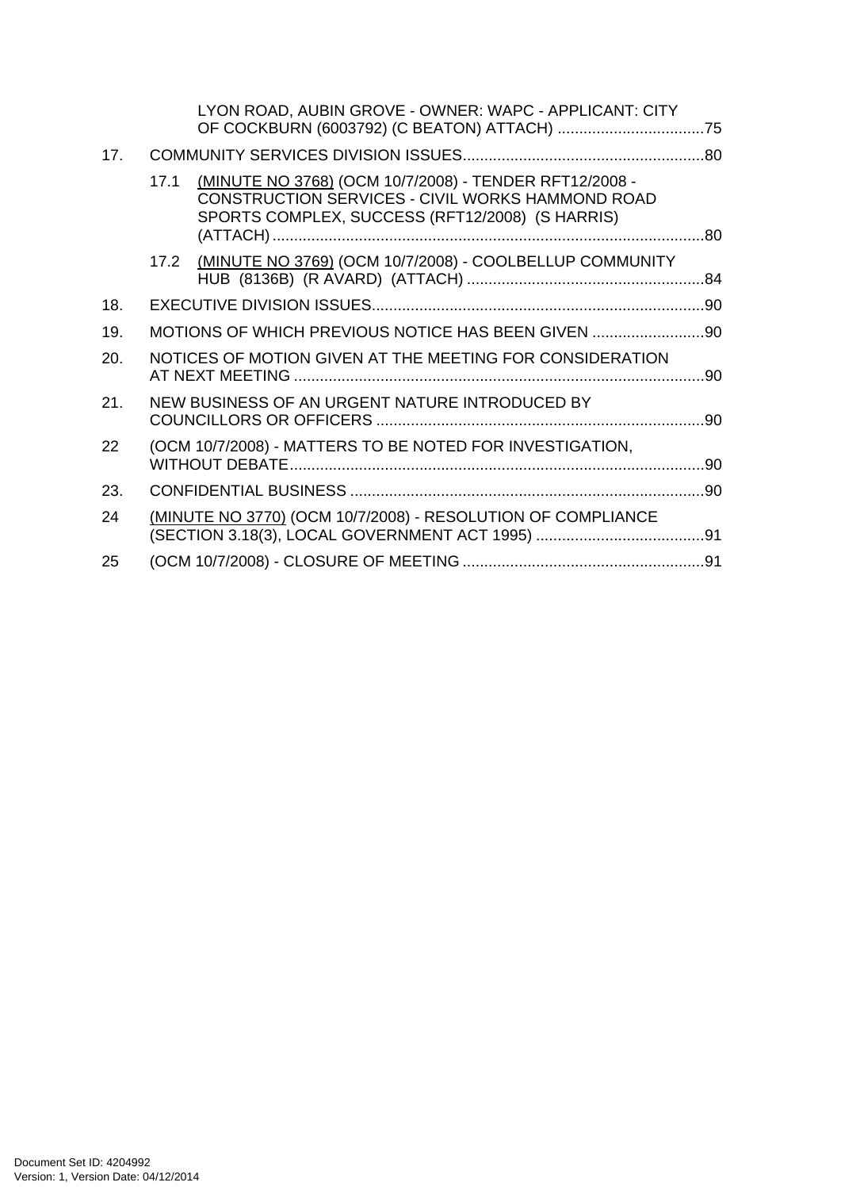|     |      | LYON ROAD, AUBIN GROVE - OWNER: WAPC - APPLICANT: CITY                                                                                                        |  |
|-----|------|---------------------------------------------------------------------------------------------------------------------------------------------------------------|--|
| 17. |      |                                                                                                                                                               |  |
|     | 17.1 | (MINUTE NO 3768) (OCM 10/7/2008) - TENDER RFT12/2008 -<br>CONSTRUCTION SERVICES - CIVIL WORKS HAMMOND ROAD<br>SPORTS COMPLEX, SUCCESS (RFT12/2008) (S HARRIS) |  |
|     | 17.2 | (MINUTE NO 3769) (OCM 10/7/2008) - COOLBELLUP COMMUNITY                                                                                                       |  |
| 18. |      |                                                                                                                                                               |  |
| 19. |      | MOTIONS OF WHICH PREVIOUS NOTICE HAS BEEN GIVEN 90                                                                                                            |  |
| 20. |      | NOTICES OF MOTION GIVEN AT THE MEETING FOR CONSIDERATION                                                                                                      |  |
| 21. |      | NEW BUSINESS OF AN URGENT NATURE INTRODUCED BY                                                                                                                |  |
| 22  |      | (OCM 10/7/2008) - MATTERS TO BE NOTED FOR INVESTIGATION,                                                                                                      |  |
| 23. |      |                                                                                                                                                               |  |
| 24  |      | (MINUTE NO 3770) (OCM 10/7/2008) - RESOLUTION OF COMPLIANCE                                                                                                   |  |
| 25  |      |                                                                                                                                                               |  |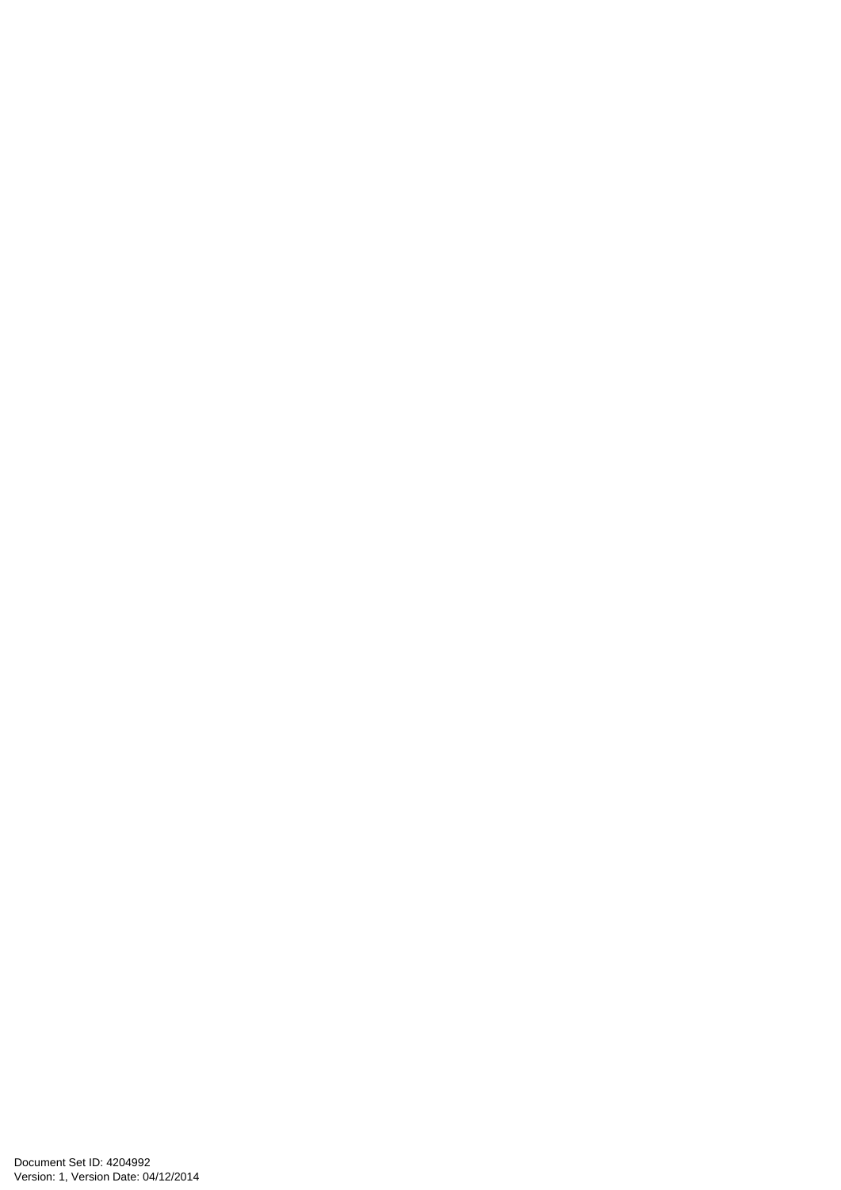Document Set ID: 4204992<br>Version: 1, Version Date: 04/12/2014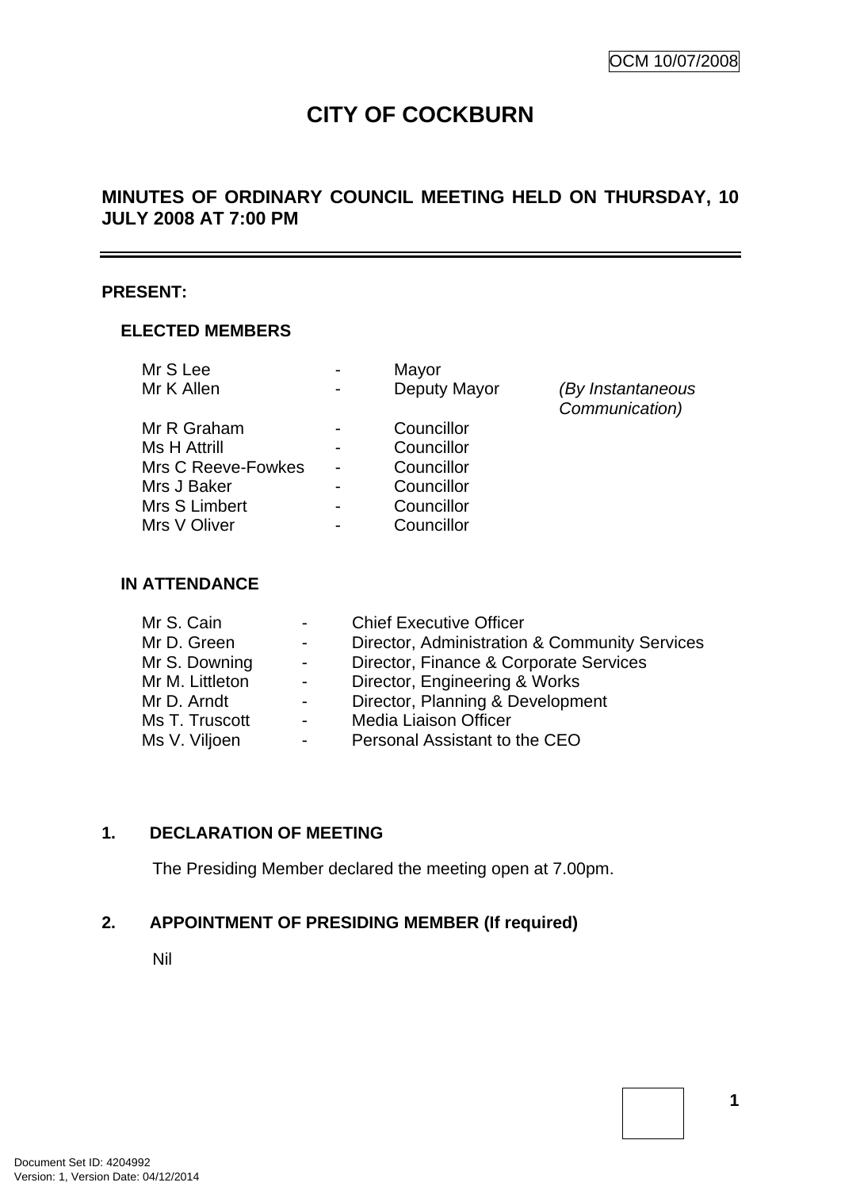# **CITY OF COCKBURN**

# <span id="page-4-0"></span>**MINUTES OF ORDINARY COUNCIL MEETING HELD ON THURSDAY, 10 JULY 2008 AT 7:00 PM**

### **PRESENT:**

#### **ELECTED MEMBERS**

| $\blacksquare$           | Mayor        |                                     |
|--------------------------|--------------|-------------------------------------|
| $\blacksquare$           | Deputy Mayor | (By Instantaneous<br>Communication) |
| $\blacksquare$           | Councillor   |                                     |
| $\overline{\phantom{0}}$ | Councillor   |                                     |
| $\blacksquare$           | Councillor   |                                     |
| $\blacksquare$           | Councillor   |                                     |
| $\blacksquare$           | Councillor   |                                     |
| -                        | Councillor   |                                     |
|                          |              |                                     |

### **IN ATTENDANCE**

| Mr S. Cain      | $\sim 100$       | <b>Chief Executive Officer</b>                |
|-----------------|------------------|-----------------------------------------------|
| Mr D. Green     | $\sim$ 100 $\mu$ | Director, Administration & Community Services |
| Mr S. Downing   | $\sim$ 100 $\mu$ | Director, Finance & Corporate Services        |
| Mr M. Littleton | $\sim 100$       | Director, Engineering & Works                 |
| Mr D. Arndt     | $\sim 100$       | Director, Planning & Development              |
| Ms T. Truscott  | $\sim 100$       | <b>Media Liaison Officer</b>                  |
| Ms V. Viljoen   | $\sim 100$       | Personal Assistant to the CEO                 |

# **1. DECLARATION OF MEETING**

The Presiding Member declared the meeting open at 7.00pm.

# **2. APPOINTMENT OF PRESIDING MEMBER (If required)**

Nil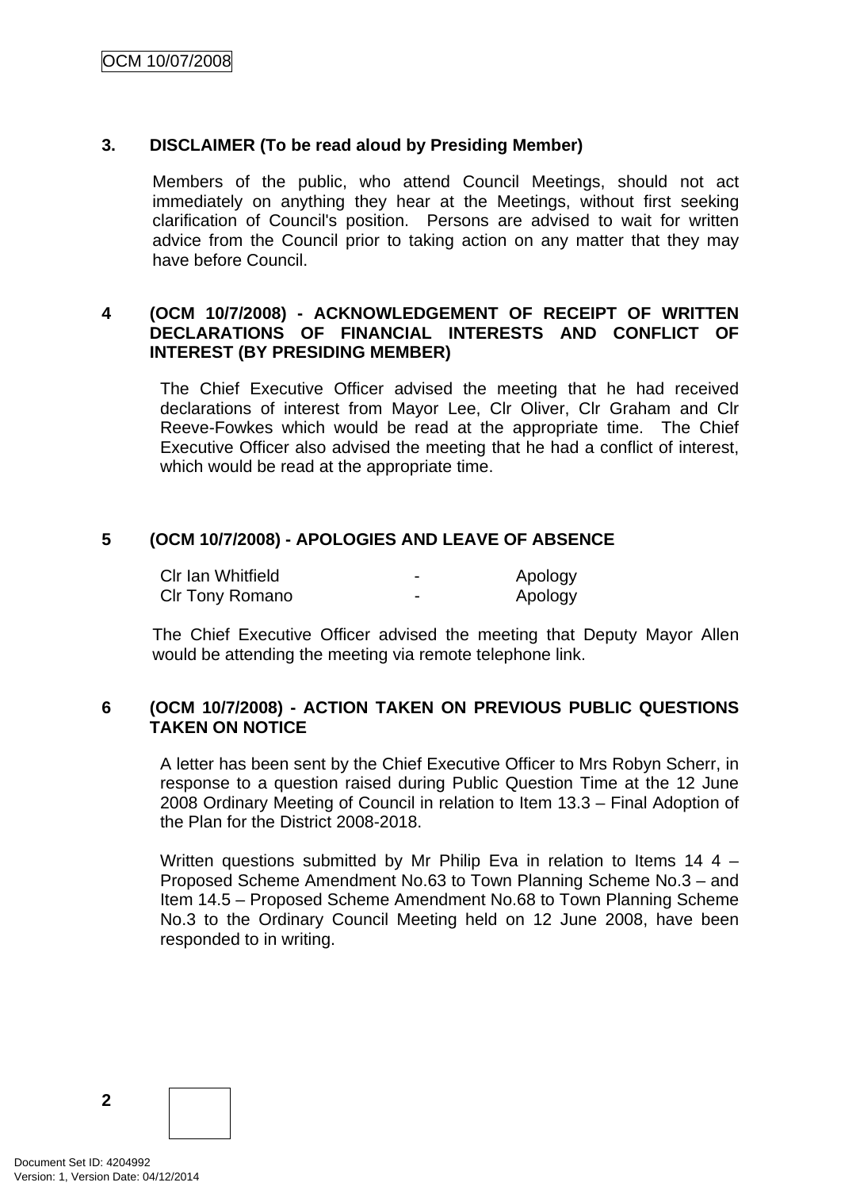# <span id="page-5-0"></span>**3. DISCLAIMER (To be read aloud by Presiding Member)**

Members of the public, who attend Council Meetings, should not act immediately on anything they hear at the Meetings, without first seeking clarification of Council's position. Persons are advised to wait for written advice from the Council prior to taking action on any matter that they may have before Council.

### **4 (OCM 10/7/2008) - ACKNOWLEDGEMENT OF RECEIPT OF WRITTEN DECLARATIONS OF FINANCIAL INTERESTS AND CONFLICT OF INTEREST (BY PRESIDING MEMBER)**

The Chief Executive Officer advised the meeting that he had received declarations of interest from Mayor Lee, Clr Oliver, Clr Graham and Clr Reeve-Fowkes which would be read at the appropriate time. The Chief Executive Officer also advised the meeting that he had a conflict of interest, which would be read at the appropriate time.

# **5 (OCM 10/7/2008) - APOLOGIES AND LEAVE OF ABSENCE**

| CIr Ian Whitfield      | - | Apology |
|------------------------|---|---------|
| <b>CIr Tony Romano</b> | - | Apology |

The Chief Executive Officer advised the meeting that Deputy Mayor Allen would be attending the meeting via remote telephone link.

# **6 (OCM 10/7/2008) - ACTION TAKEN ON PREVIOUS PUBLIC QUESTIONS TAKEN ON NOTICE**

A letter has been sent by the Chief Executive Officer to Mrs Robyn Scherr, in response to a question raised during Public Question Time at the 12 June 2008 Ordinary Meeting of Council in relation to Item 13.3 – Final Adoption of the Plan for the District 2008-2018.

Written questions submitted by Mr Philip Eva in relation to Items 14 4 – Proposed Scheme Amendment No.63 to Town Planning Scheme No.3 – and Item 14.5 – Proposed Scheme Amendment No.68 to Town Planning Scheme No.3 to the Ordinary Council Meeting held on 12 June 2008, have been responded to in writing.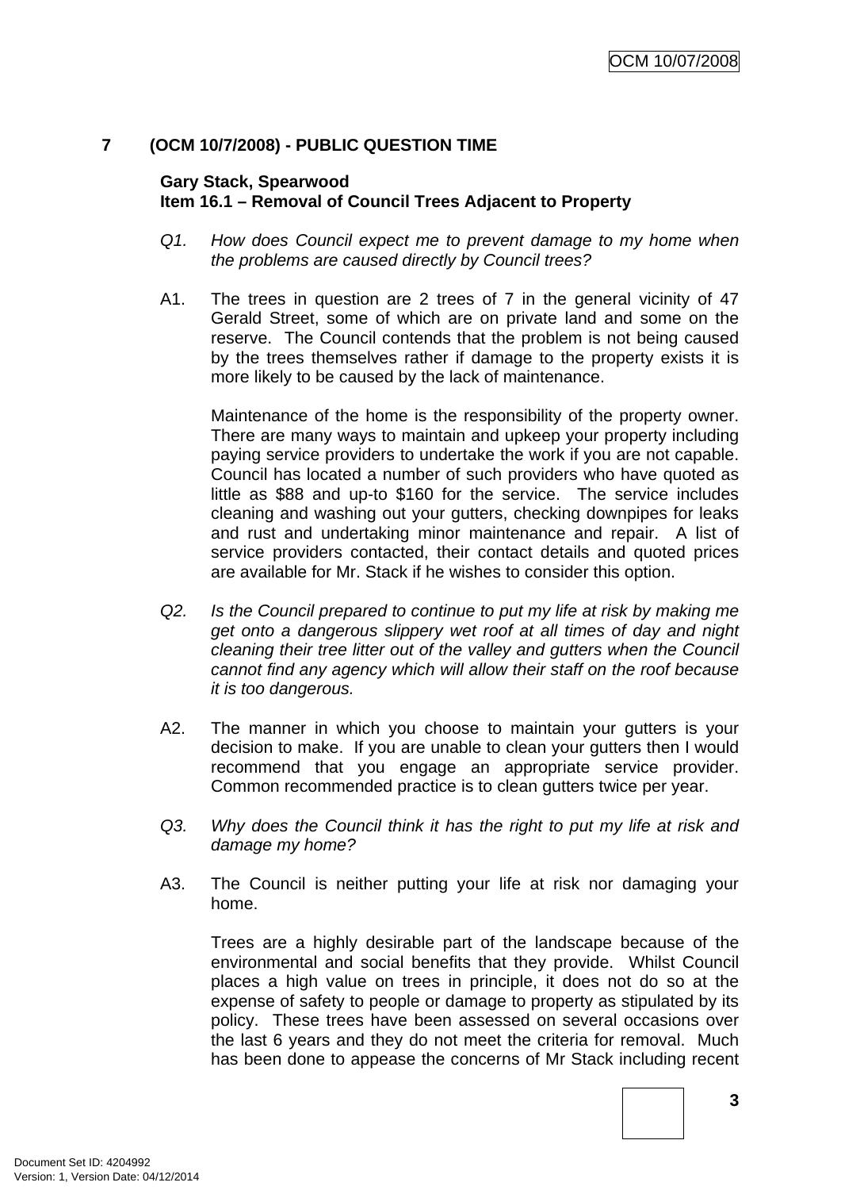# <span id="page-6-0"></span>**7 (OCM 10/7/2008) - PUBLIC QUESTION TIME**

### **Gary Stack, Spearwood Item 16.1 – Removal of Council Trees Adjacent to Property**

- *Q1. How does Council expect me to prevent damage to my home when the problems are caused directly by Council trees?*
- A1. The trees in question are 2 trees of 7 in the general vicinity of 47 Gerald Street, some of which are on private land and some on the reserve. The Council contends that the problem is not being caused by the trees themselves rather if damage to the property exists it is more likely to be caused by the lack of maintenance.

Maintenance of the home is the responsibility of the property owner. There are many ways to maintain and upkeep your property including paying service providers to undertake the work if you are not capable. Council has located a number of such providers who have quoted as little as \$88 and up-to \$160 for the service. The service includes cleaning and washing out your gutters, checking downpipes for leaks and rust and undertaking minor maintenance and repair. A list of service providers contacted, their contact details and quoted prices are available for Mr. Stack if he wishes to consider this option.

- *Q2. Is the Council prepared to continue to put my life at risk by making me get onto a dangerous slippery wet roof at all times of day and night cleaning their tree litter out of the valley and gutters when the Council cannot find any agency which will allow their staff on the roof because it is too dangerous.*
- A2. The manner in which you choose to maintain your gutters is your decision to make. If you are unable to clean your gutters then I would recommend that you engage an appropriate service provider. Common recommended practice is to clean gutters twice per year.
- *Q3. Why does the Council think it has the right to put my life at risk and damage my home?*
- A3. The Council is neither putting your life at risk nor damaging your home.

Trees are a highly desirable part of the landscape because of the environmental and social benefits that they provide. Whilst Council places a high value on trees in principle, it does not do so at the expense of safety to people or damage to property as stipulated by its policy. These trees have been assessed on several occasions over the last 6 years and they do not meet the criteria for removal. Much has been done to appease the concerns of Mr Stack including recent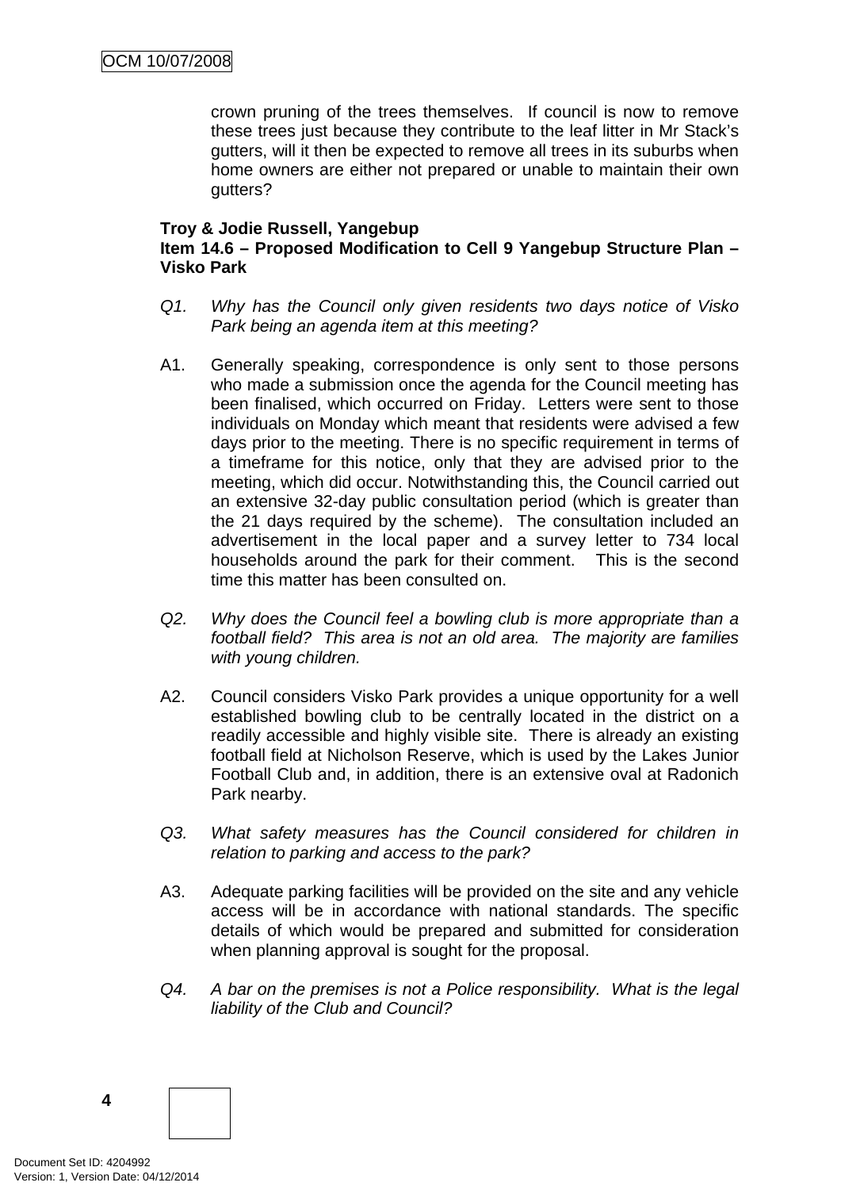crown pruning of the trees themselves. If council is now to remove these trees just because they contribute to the leaf litter in Mr Stack's gutters, will it then be expected to remove all trees in its suburbs when home owners are either not prepared or unable to maintain their own gutters?

#### **Troy & Jodie Russell, Yangebup**

# **Item 14.6 – Proposed Modification to Cell 9 Yangebup Structure Plan – Visko Park**

- *Q1. Why has the Council only given residents two days notice of Visko Park being an agenda item at this meeting?*
- A1. Generally speaking, correspondence is only sent to those persons who made a submission once the agenda for the Council meeting has been finalised, which occurred on Friday. Letters were sent to those individuals on Monday which meant that residents were advised a few days prior to the meeting. There is no specific requirement in terms of a timeframe for this notice, only that they are advised prior to the meeting, which did occur. Notwithstanding this, the Council carried out an extensive 32-day public consultation period (which is greater than the 21 days required by the scheme). The consultation included an advertisement in the local paper and a survey letter to 734 local households around the park for their comment. This is the second time this matter has been consulted on.
- *Q2. Why does the Council feel a bowling club is more appropriate than a football field? This area is not an old area. The majority are families with young children.*
- A2. Council considers Visko Park provides a unique opportunity for a well established bowling club to be centrally located in the district on a readily accessible and highly visible site. There is already an existing football field at Nicholson Reserve, which is used by the Lakes Junior Football Club and, in addition, there is an extensive oval at Radonich Park nearby.
- *Q3. What safety measures has the Council considered for children in relation to parking and access to the park?*
- A3. Adequate parking facilities will be provided on the site and any vehicle access will be in accordance with national standards. The specific details of which would be prepared and submitted for consideration when planning approval is sought for the proposal.
- *Q4. A bar on the premises is not a Police responsibility. What is the legal liability of the Club and Council?*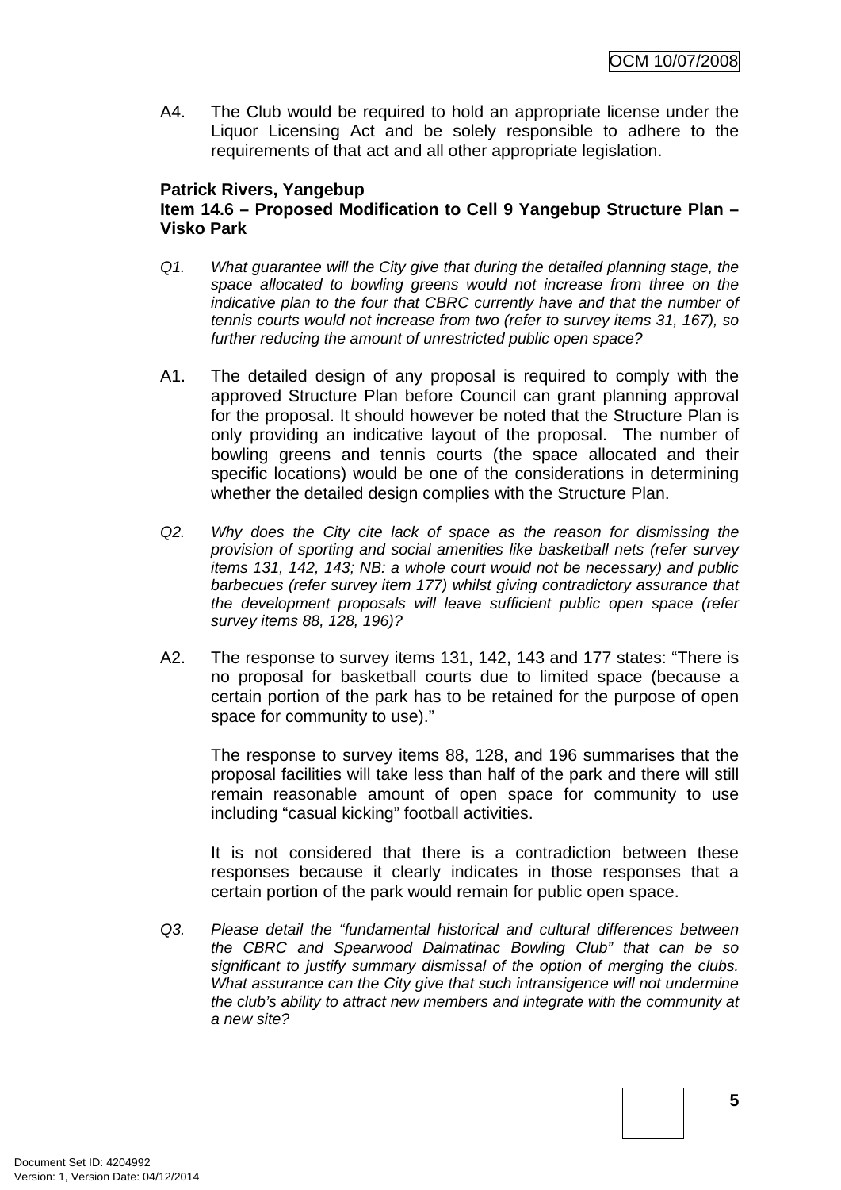A4. The Club would be required to hold an appropriate license under the Liquor Licensing Act and be solely responsible to adhere to the requirements of that act and all other appropriate legislation.

#### **Patrick Rivers, Yangebup**

### **Item 14.6 – Proposed Modification to Cell 9 Yangebup Structure Plan – Visko Park**

- *Q1. What guarantee will the City give that during the detailed planning stage, the space allocated to bowling greens would not increase from three on the indicative plan to the four that CBRC currently have and that the number of tennis courts would not increase from two (refer to survey items 31, 167), so further reducing the amount of unrestricted public open space?*
- A1. The detailed design of any proposal is required to comply with the approved Structure Plan before Council can grant planning approval for the proposal. It should however be noted that the Structure Plan is only providing an indicative layout of the proposal. The number of bowling greens and tennis courts (the space allocated and their specific locations) would be one of the considerations in determining whether the detailed design complies with the Structure Plan.
- *Q2. Why does the City cite lack of space as the reason for dismissing the provision of sporting and social amenities like basketball nets (refer survey items 131, 142, 143; NB: a whole court would not be necessary) and public barbecues (refer survey item 177) whilst giving contradictory assurance that the development proposals will leave sufficient public open space (refer survey items 88, 128, 196)?*
- A2. The response to survey items 131, 142, 143 and 177 states: "There is no proposal for basketball courts due to limited space (because a certain portion of the park has to be retained for the purpose of open space for community to use)."

 The response to survey items 88, 128, and 196 summarises that the proposal facilities will take less than half of the park and there will still remain reasonable amount of open space for community to use including "casual kicking" football activities.

 It is not considered that there is a contradiction between these responses because it clearly indicates in those responses that a certain portion of the park would remain for public open space.

*Q3. Please detail the "fundamental historical and cultural differences between the CBRC and Spearwood Dalmatinac Bowling Club" that can be so significant to justify summary dismissal of the option of merging the clubs. What assurance can the City give that such intransigence will not undermine the club's ability to attract new members and integrate with the community at a new site?*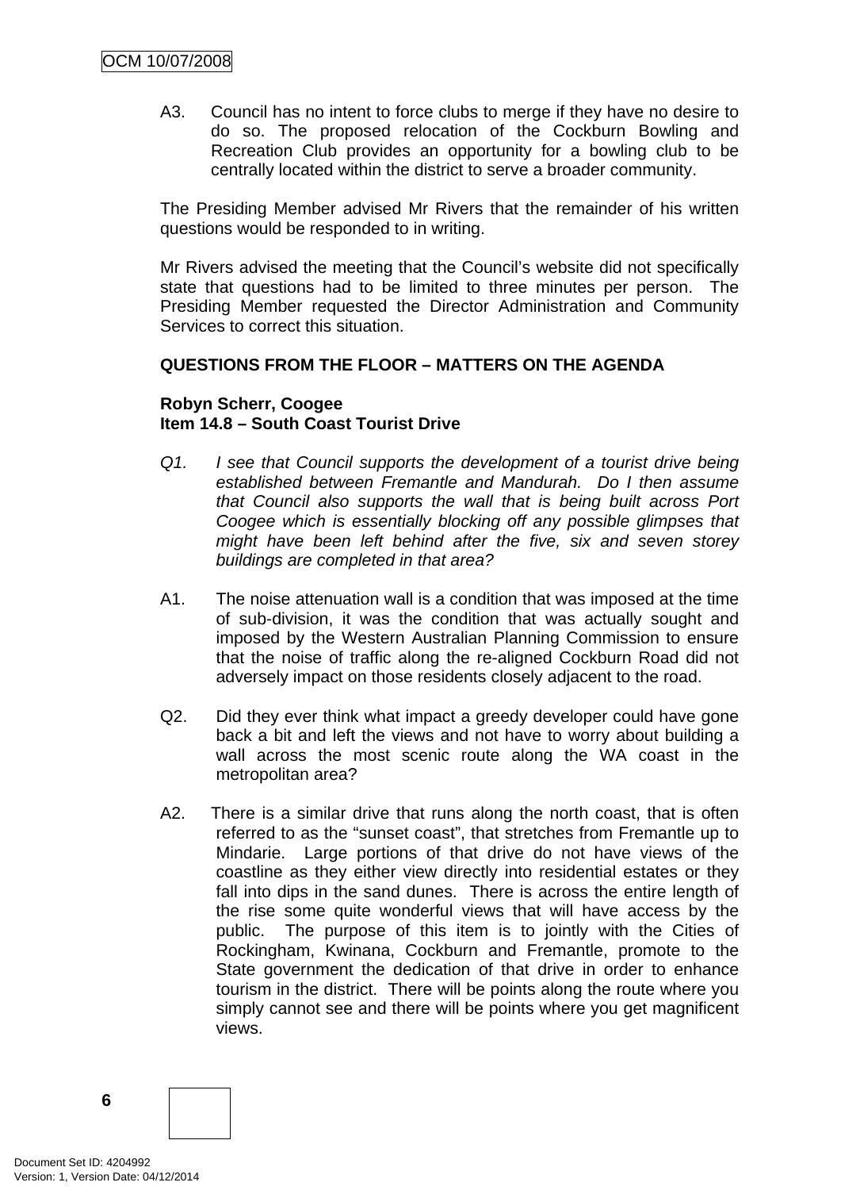A3. Council has no intent to force clubs to merge if they have no desire to do so. The proposed relocation of the Cockburn Bowling and Recreation Club provides an opportunity for a bowling club to be centrally located within the district to serve a broader community.

The Presiding Member advised Mr Rivers that the remainder of his written questions would be responded to in writing.

Mr Rivers advised the meeting that the Council's website did not specifically state that questions had to be limited to three minutes per person. The Presiding Member requested the Director Administration and Community Services to correct this situation.

### **QUESTIONS FROM THE FLOOR – MATTERS ON THE AGENDA**

### **Robyn Scherr, Coogee Item 14.8 – South Coast Tourist Drive**

- *Q1. I see that Council supports the development of a tourist drive being established between Fremantle and Mandurah. Do I then assume that Council also supports the wall that is being built across Port Coogee which is essentially blocking off any possible glimpses that might have been left behind after the five, six and seven storey buildings are completed in that area?*
- A1. The noise attenuation wall is a condition that was imposed at the time of sub-division, it was the condition that was actually sought and imposed by the Western Australian Planning Commission to ensure that the noise of traffic along the re-aligned Cockburn Road did not adversely impact on those residents closely adjacent to the road.
- Q2. Did they ever think what impact a greedy developer could have gone back a bit and left the views and not have to worry about building a wall across the most scenic route along the WA coast in the metropolitan area?
- A2. There is a similar drive that runs along the north coast, that is often referred to as the "sunset coast", that stretches from Fremantle up to Mindarie. Large portions of that drive do not have views of the coastline as they either view directly into residential estates or they fall into dips in the sand dunes. There is across the entire length of the rise some quite wonderful views that will have access by the public. The purpose of this item is to jointly with the Cities of Rockingham, Kwinana, Cockburn and Fremantle, promote to the State government the dedication of that drive in order to enhance tourism in the district. There will be points along the route where you simply cannot see and there will be points where you get magnificent views.

Document Set ID: 4204992<br>Version: 1, Version Date: 04/12/2014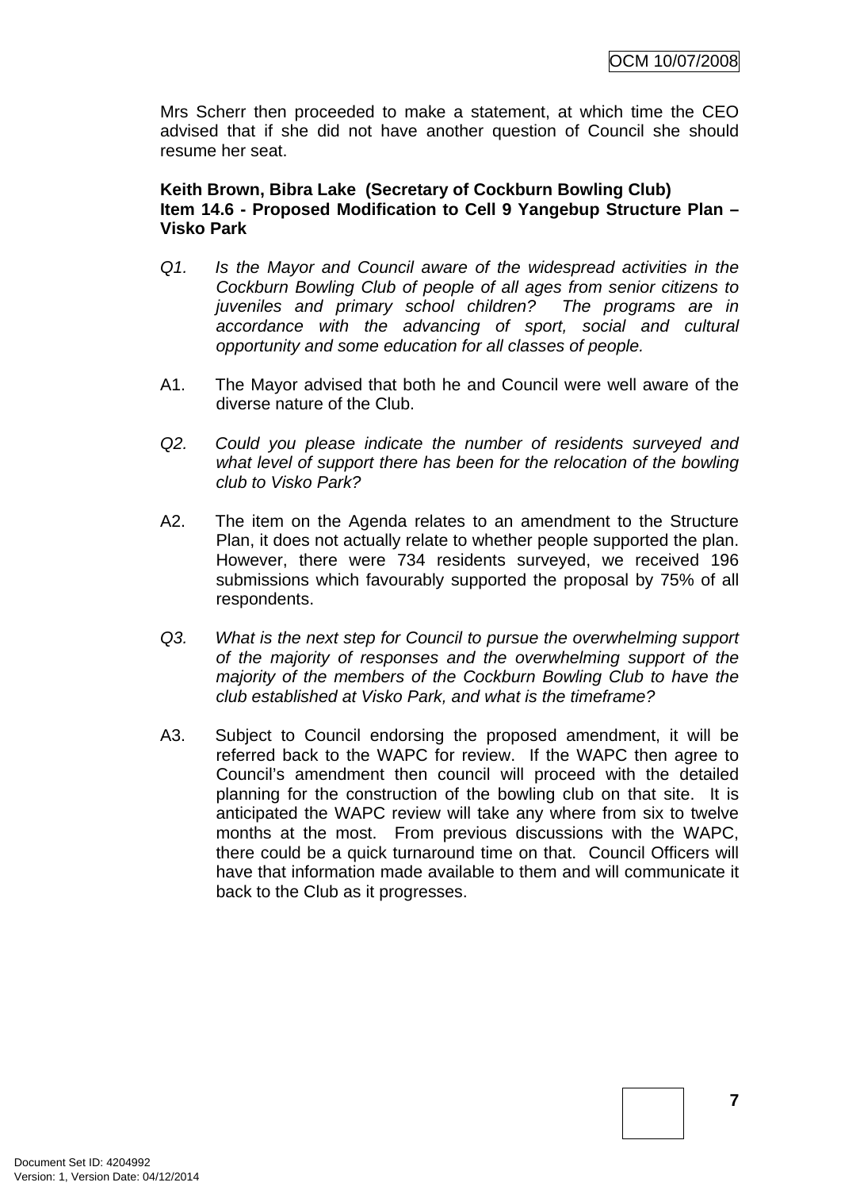Mrs Scherr then proceeded to make a statement, at which time the CEO advised that if she did not have another question of Council she should resume her seat.

#### **Keith Brown, Bibra Lake (Secretary of Cockburn Bowling Club) Item 14.6 - Proposed Modification to Cell 9 Yangebup Structure Plan – Visko Park**

- *Q1. Is the Mayor and Council aware of the widespread activities in the Cockburn Bowling Club of people of all ages from senior citizens to juveniles and primary school children? The programs are in accordance with the advancing of sport, social and cultural opportunity and some education for all classes of people.*
- A1. The Mayor advised that both he and Council were well aware of the diverse nature of the Club.
- *Q2. Could you please indicate the number of residents surveyed and what level of support there has been for the relocation of the bowling club to Visko Park?*
- A2. The item on the Agenda relates to an amendment to the Structure Plan, it does not actually relate to whether people supported the plan. However, there were 734 residents surveyed, we received 196 submissions which favourably supported the proposal by 75% of all respondents.
- *Q3. What is the next step for Council to pursue the overwhelming support of the majority of responses and the overwhelming support of the majority of the members of the Cockburn Bowling Club to have the club established at Visko Park, and what is the timeframe?*
- A3. Subject to Council endorsing the proposed amendment, it will be referred back to the WAPC for review. If the WAPC then agree to Council's amendment then council will proceed with the detailed planning for the construction of the bowling club on that site. It is anticipated the WAPC review will take any where from six to twelve months at the most. From previous discussions with the WAPC, there could be a quick turnaround time on that. Council Officers will have that information made available to them and will communicate it back to the Club as it progresses.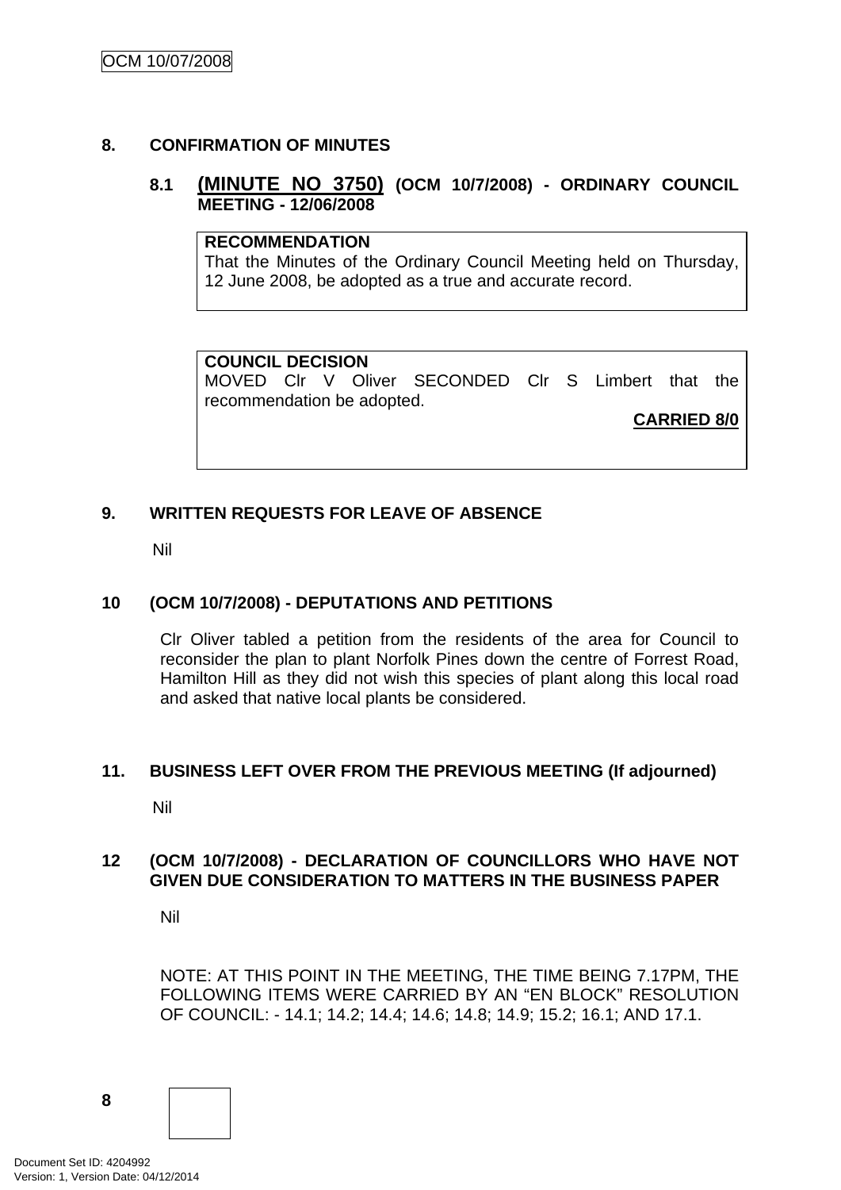# <span id="page-11-0"></span>**8. CONFIRMATION OF MINUTES**

# **8.1 (MINUTE NO 3750) (OCM 10/7/2008) - ORDINARY COUNCIL MEETING - 12/06/2008**

### **RECOMMENDATION**

That the Minutes of the Ordinary Council Meeting held on Thursday, 12 June 2008, be adopted as a true and accurate record.

# **COUNCIL DECISION**

MOVED Clr V Oliver SECONDED Clr S Limbert that the recommendation be adopted.

**CARRIED 8/0**

# **9. WRITTEN REQUESTS FOR LEAVE OF ABSENCE**

Nil

### **10 (OCM 10/7/2008) - DEPUTATIONS AND PETITIONS**

Clr Oliver tabled a petition from the residents of the area for Council to reconsider the plan to plant Norfolk Pines down the centre of Forrest Road, Hamilton Hill as they did not wish this species of plant along this local road and asked that native local plants be considered.

### **11. BUSINESS LEFT OVER FROM THE PREVIOUS MEETING (If adjourned)**

Nil

# **12 (OCM 10/7/2008) - DECLARATION OF COUNCILLORS WHO HAVE NOT GIVEN DUE CONSIDERATION TO MATTERS IN THE BUSINESS PAPER**

Nil

NOTE: AT THIS POINT IN THE MEETING, THE TIME BEING 7.17PM, THE FOLLOWING ITEMS WERE CARRIED BY AN "EN BLOCK" RESOLUTION OF COUNCIL: - 14.1; 14.2; 14.4; 14.6; 14.8; 14.9; 15.2; 16.1; AND 17.1.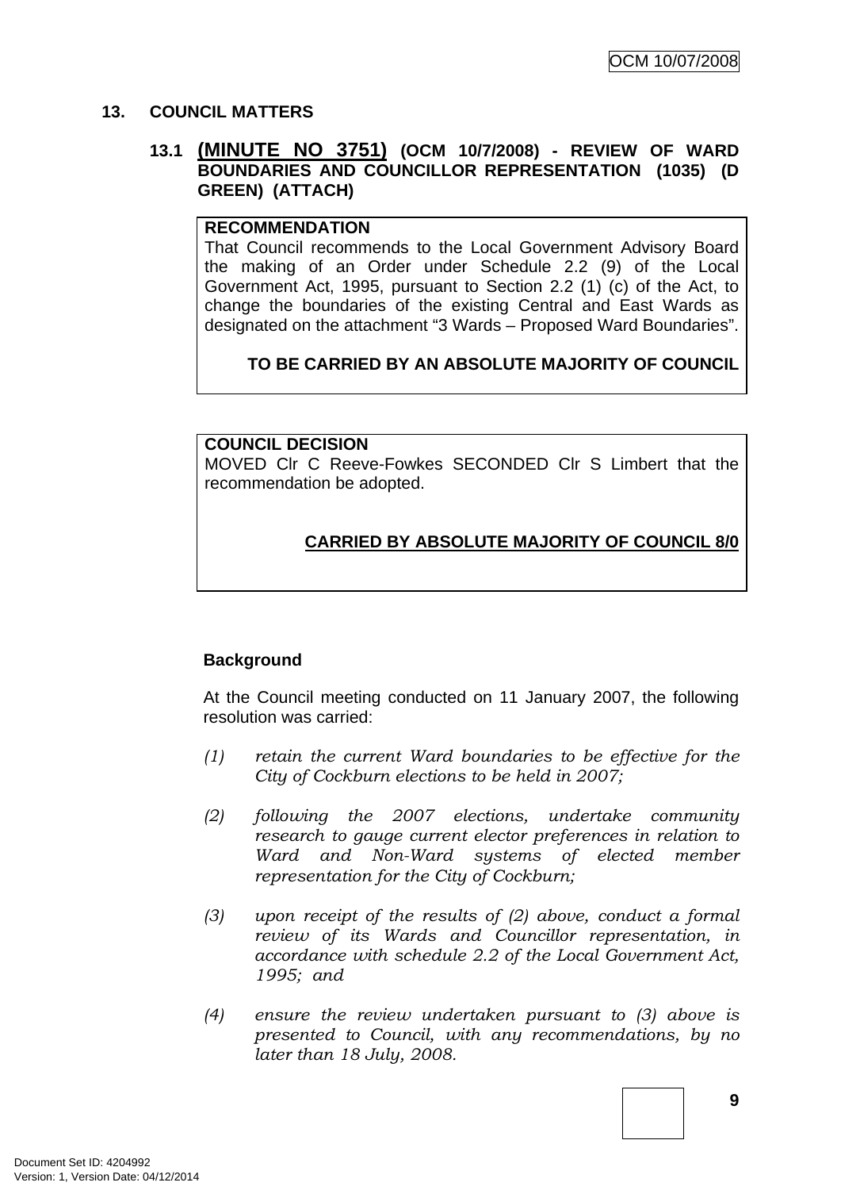### <span id="page-12-0"></span>**13. COUNCIL MATTERS**

### **13.1 (MINUTE NO 3751) (OCM 10/7/2008) - REVIEW OF WARD BOUNDARIES AND COUNCILLOR REPRESENTATION (1035) (D GREEN) (ATTACH)**

#### **RECOMMENDATION**

That Council recommends to the Local Government Advisory Board the making of an Order under Schedule 2.2 (9) of the Local Government Act, 1995, pursuant to Section 2.2 (1) (c) of the Act, to change the boundaries of the existing Central and East Wards as designated on the attachment "3 Wards – Proposed Ward Boundaries".

# **TO BE CARRIED BY AN ABSOLUTE MAJORITY OF COUNCIL**

# **COUNCIL DECISION**

MOVED Clr C Reeve-Fowkes SECONDED Clr S Limbert that the recommendation be adopted.

# **CARRIED BY ABSOLUTE MAJORITY OF COUNCIL 8/0**

# **Background**

At the Council meeting conducted on 11 January 2007, the following resolution was carried:

- *(1) retain the current Ward boundaries to be effective for the City of Cockburn elections to be held in 2007;*
- *(2) following the 2007 elections, undertake community research to gauge current elector preferences in relation to Ward and Non-Ward systems of elected member representation for the City of Cockburn;*
- *(3) upon receipt of the results of (2) above, conduct a formal review of its Wards and Councillor representation, in accordance with schedule 2.2 of the Local Government Act, 1995; and*
- *(4) ensure the review undertaken pursuant to (3) above is presented to Council, with any recommendations, by no later than 18 July, 2008.*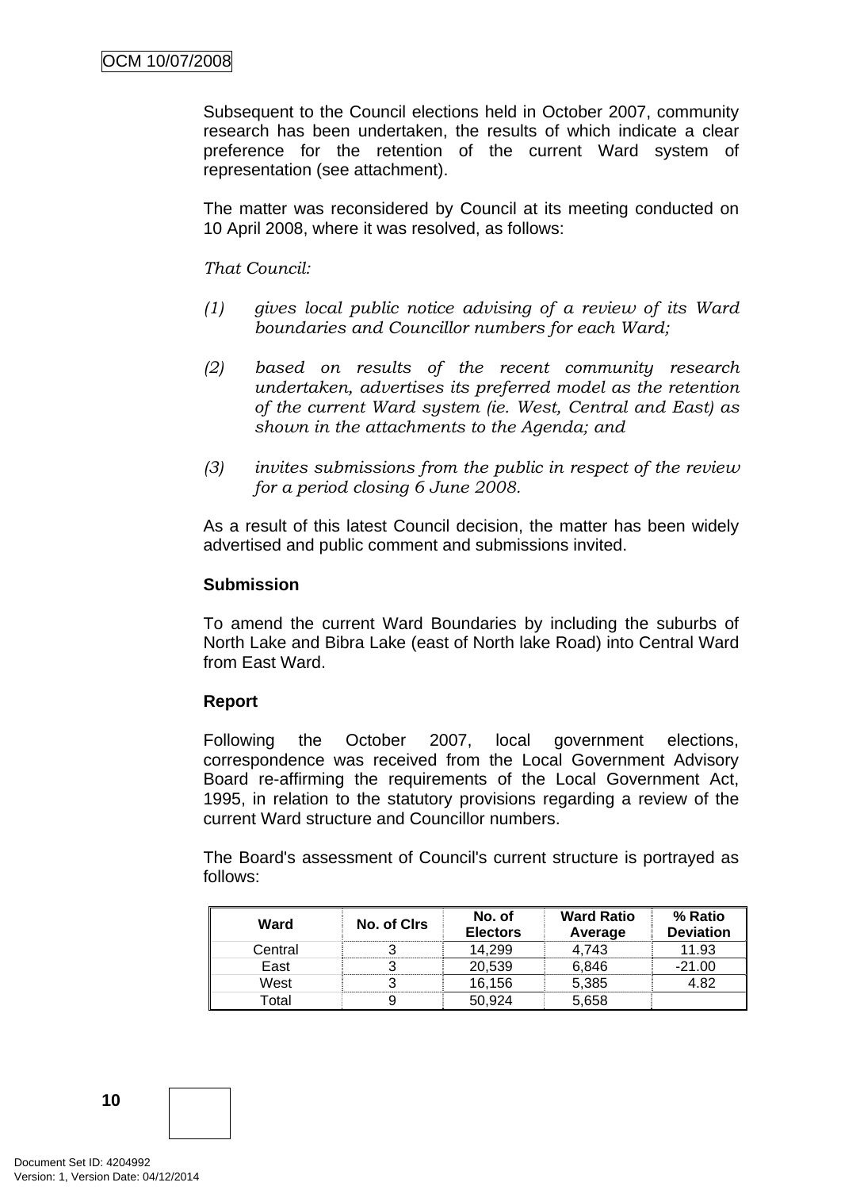Subsequent to the Council elections held in October 2007, community research has been undertaken, the results of which indicate a clear preference for the retention of the current Ward system of representation (see attachment).

The matter was reconsidered by Council at its meeting conducted on 10 April 2008, where it was resolved, as follows:

### *That Council:*

- *(1) gives local public notice advising of a review of its Ward boundaries and Councillor numbers for each Ward;*
- *(2) based on results of the recent community research undertaken, advertises its preferred model as the retention of the current Ward system (ie. West, Central and East) as shown in the attachments to the Agenda; and*
- *(3) invites submissions from the public in respect of the review for a period closing 6 June 2008.*

As a result of this latest Council decision, the matter has been widely advertised and public comment and submissions invited.

#### **Submission**

To amend the current Ward Boundaries by including the suburbs of North Lake and Bibra Lake (east of North lake Road) into Central Ward from East Ward.

### **Report**

Following the October 2007, local government elections, correspondence was received from the Local Government Advisory Board re-affirming the requirements of the Local Government Act, 1995, in relation to the statutory provisions regarding a review of the current Ward structure and Councillor numbers.

The Board's assessment of Council's current structure is portrayed as follows:

| Ward    | No. of Cirs | No. of<br><b>Electors</b> | <b>Ward Ratio</b><br>Average | % Ratio<br><b>Deviation</b> |
|---------|-------------|---------------------------|------------------------------|-----------------------------|
| Central |             | 14.299                    | 4.743                        | 11.93                       |
| East    |             | 20,539                    | 6.846                        | $-21.00$                    |
| West    |             | 16,156                    | 5,385                        | 4.82                        |
| otal    |             | 50.924                    | 5.658                        |                             |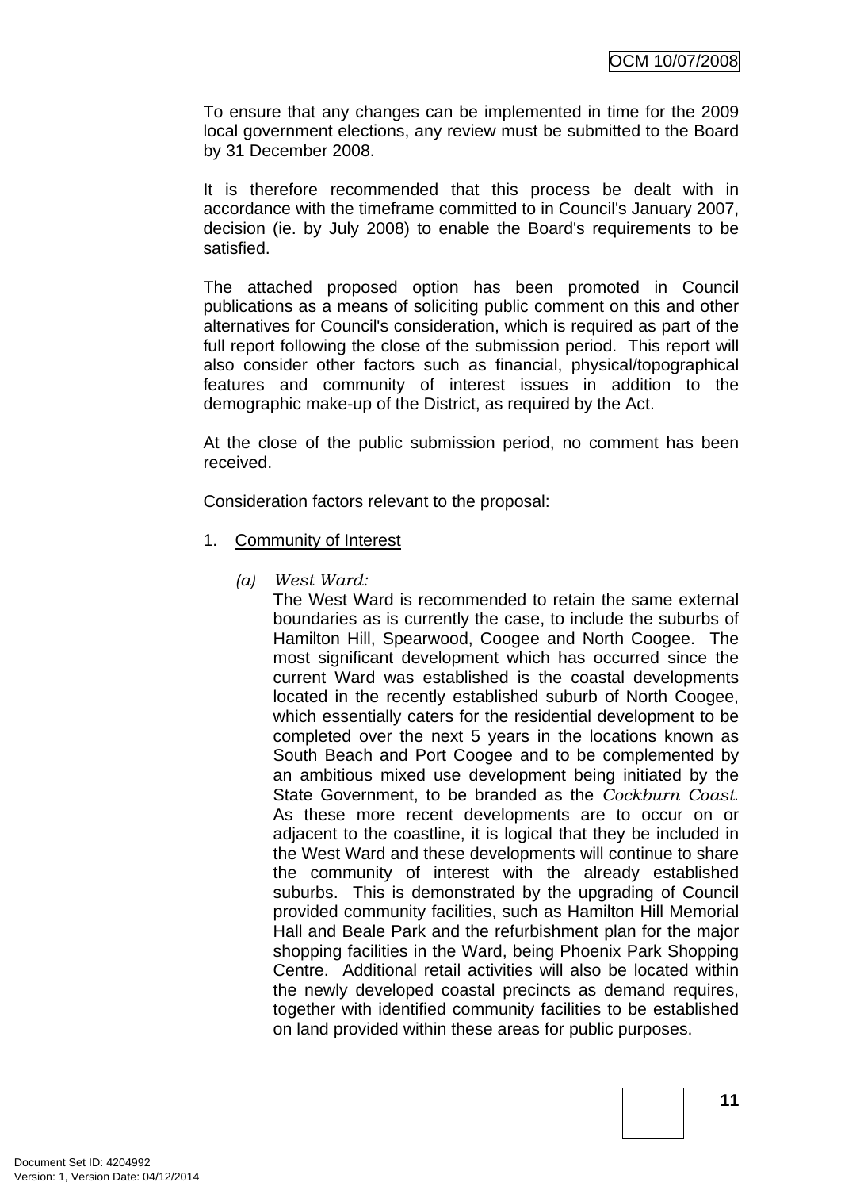To ensure that any changes can be implemented in time for the 2009 local government elections, any review must be submitted to the Board by 31 December 2008.

It is therefore recommended that this process be dealt with in accordance with the timeframe committed to in Council's January 2007, decision (ie. by July 2008) to enable the Board's requirements to be satisfied.

The attached proposed option has been promoted in Council publications as a means of soliciting public comment on this and other alternatives for Council's consideration, which is required as part of the full report following the close of the submission period. This report will also consider other factors such as financial, physical/topographical features and community of interest issues in addition to the demographic make-up of the District, as required by the Act.

At the close of the public submission period, no comment has been received.

Consideration factors relevant to the proposal:

- 1. Community of Interest
	- *(a) West Ward:*

The West Ward is recommended to retain the same external boundaries as is currently the case, to include the suburbs of Hamilton Hill, Spearwood, Coogee and North Coogee. The most significant development which has occurred since the current Ward was established is the coastal developments located in the recently established suburb of North Coogee, which essentially caters for the residential development to be completed over the next 5 years in the locations known as South Beach and Port Coogee and to be complemented by an ambitious mixed use development being initiated by the State Government, to be branded as the *Cockburn Coast*. As these more recent developments are to occur on or adjacent to the coastline, it is logical that they be included in the West Ward and these developments will continue to share the community of interest with the already established suburbs. This is demonstrated by the upgrading of Council provided community facilities, such as Hamilton Hill Memorial Hall and Beale Park and the refurbishment plan for the major shopping facilities in the Ward, being Phoenix Park Shopping Centre. Additional retail activities will also be located within the newly developed coastal precincts as demand requires, together with identified community facilities to be established on land provided within these areas for public purposes.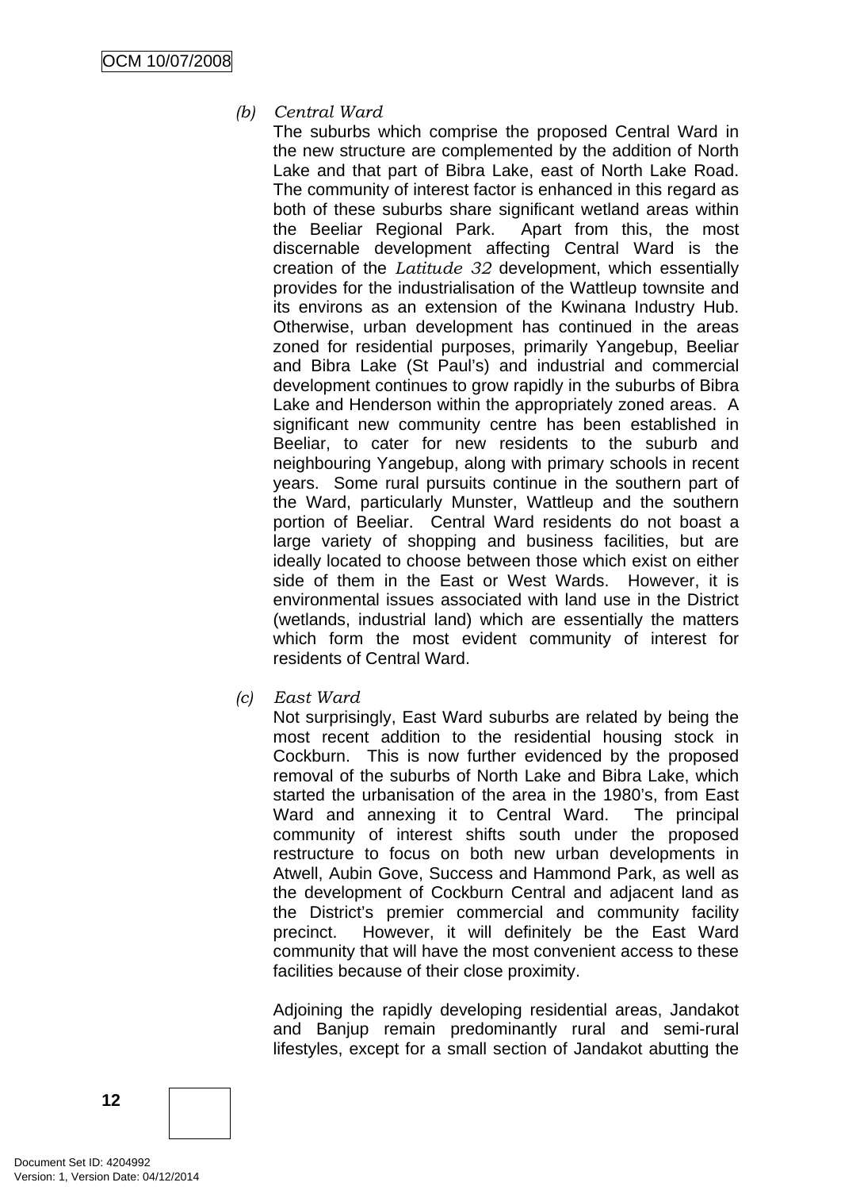*(b) Central Ward* 

The suburbs which comprise the proposed Central Ward in the new structure are complemented by the addition of North Lake and that part of Bibra Lake, east of North Lake Road. The community of interest factor is enhanced in this regard as both of these suburbs share significant wetland areas within the Beeliar Regional Park. Apart from this, the most discernable development affecting Central Ward is the creation of the *Latitude 32* development, which essentially provides for the industrialisation of the Wattleup townsite and its environs as an extension of the Kwinana Industry Hub. Otherwise, urban development has continued in the areas zoned for residential purposes, primarily Yangebup, Beeliar and Bibra Lake (St Paul's) and industrial and commercial development continues to grow rapidly in the suburbs of Bibra Lake and Henderson within the appropriately zoned areas. A significant new community centre has been established in Beeliar, to cater for new residents to the suburb and neighbouring Yangebup, along with primary schools in recent years. Some rural pursuits continue in the southern part of the Ward, particularly Munster, Wattleup and the southern portion of Beeliar. Central Ward residents do not boast a large variety of shopping and business facilities, but are ideally located to choose between those which exist on either side of them in the East or West Wards. However, it is environmental issues associated with land use in the District (wetlands, industrial land) which are essentially the matters which form the most evident community of interest for residents of Central Ward.

*(c) East Ward* 

Not surprisingly, East Ward suburbs are related by being the most recent addition to the residential housing stock in Cockburn. This is now further evidenced by the proposed removal of the suburbs of North Lake and Bibra Lake, which started the urbanisation of the area in the 1980's, from East Ward and annexing it to Central Ward. The principal community of interest shifts south under the proposed restructure to focus on both new urban developments in Atwell, Aubin Gove, Success and Hammond Park, as well as the development of Cockburn Central and adjacent land as the District's premier commercial and community facility precinct. However, it will definitely be the East Ward community that will have the most convenient access to these facilities because of their close proximity.

Adjoining the rapidly developing residential areas, Jandakot and Banjup remain predominantly rural and semi-rural lifestyles, except for a small section of Jandakot abutting the

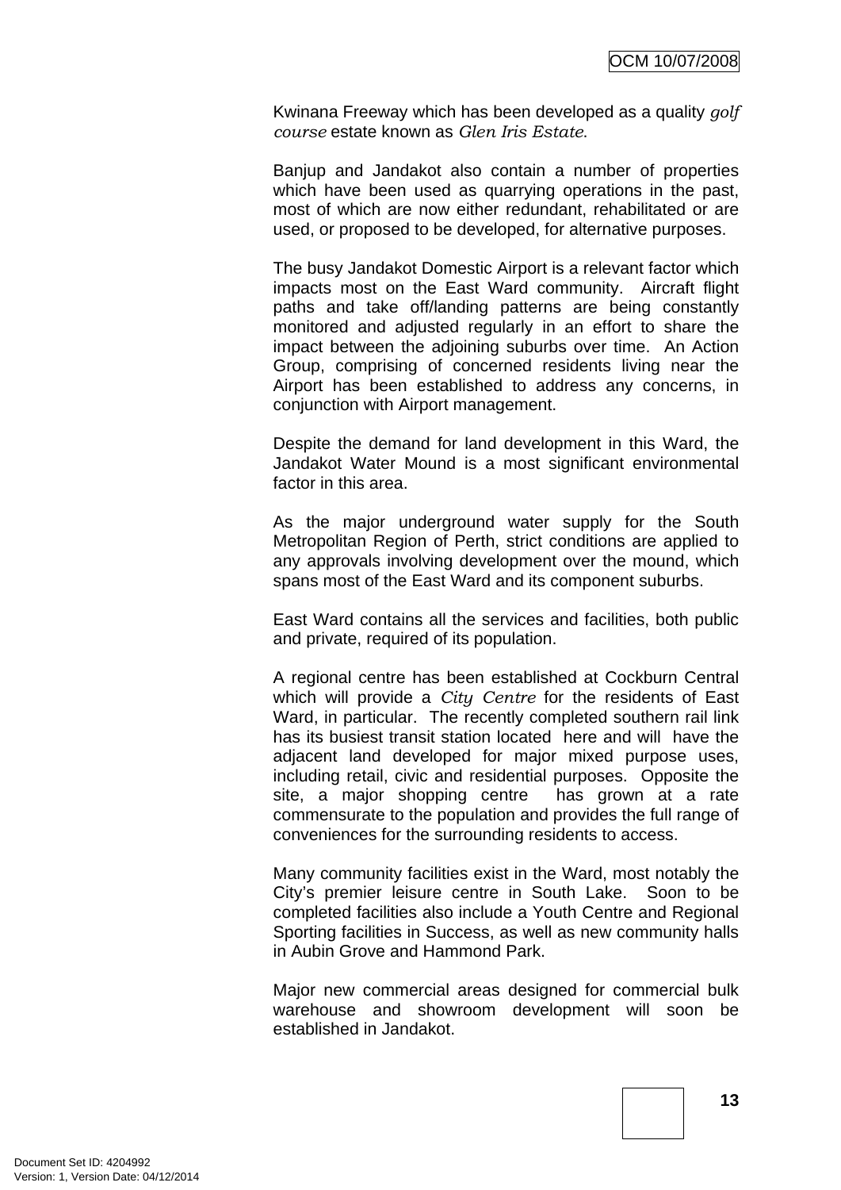Kwinana Freeway which has been developed as a quality *golf course* estate known as *Glen Iris Estate*.

Banjup and Jandakot also contain a number of properties which have been used as quarrying operations in the past, most of which are now either redundant, rehabilitated or are used, or proposed to be developed, for alternative purposes.

The busy Jandakot Domestic Airport is a relevant factor which impacts most on the East Ward community. Aircraft flight paths and take off/landing patterns are being constantly monitored and adjusted regularly in an effort to share the impact between the adjoining suburbs over time. An Action Group, comprising of concerned residents living near the Airport has been established to address any concerns, in conjunction with Airport management.

Despite the demand for land development in this Ward, the Jandakot Water Mound is a most significant environmental factor in this area.

As the major underground water supply for the South Metropolitan Region of Perth, strict conditions are applied to any approvals involving development over the mound, which spans most of the East Ward and its component suburbs.

East Ward contains all the services and facilities, both public and private, required of its population.

A regional centre has been established at Cockburn Central which will provide a *City Centre* for the residents of East Ward, in particular. The recently completed southern rail link has its busiest transit station located here and will have the adjacent land developed for major mixed purpose uses, including retail, civic and residential purposes. Opposite the site, a major shopping centre has grown at a rate commensurate to the population and provides the full range of conveniences for the surrounding residents to access.

Many community facilities exist in the Ward, most notably the City's premier leisure centre in South Lake. Soon to be completed facilities also include a Youth Centre and Regional Sporting facilities in Success, as well as new community halls in Aubin Grove and Hammond Park.

Major new commercial areas designed for commercial bulk warehouse and showroom development will soon be established in Jandakot.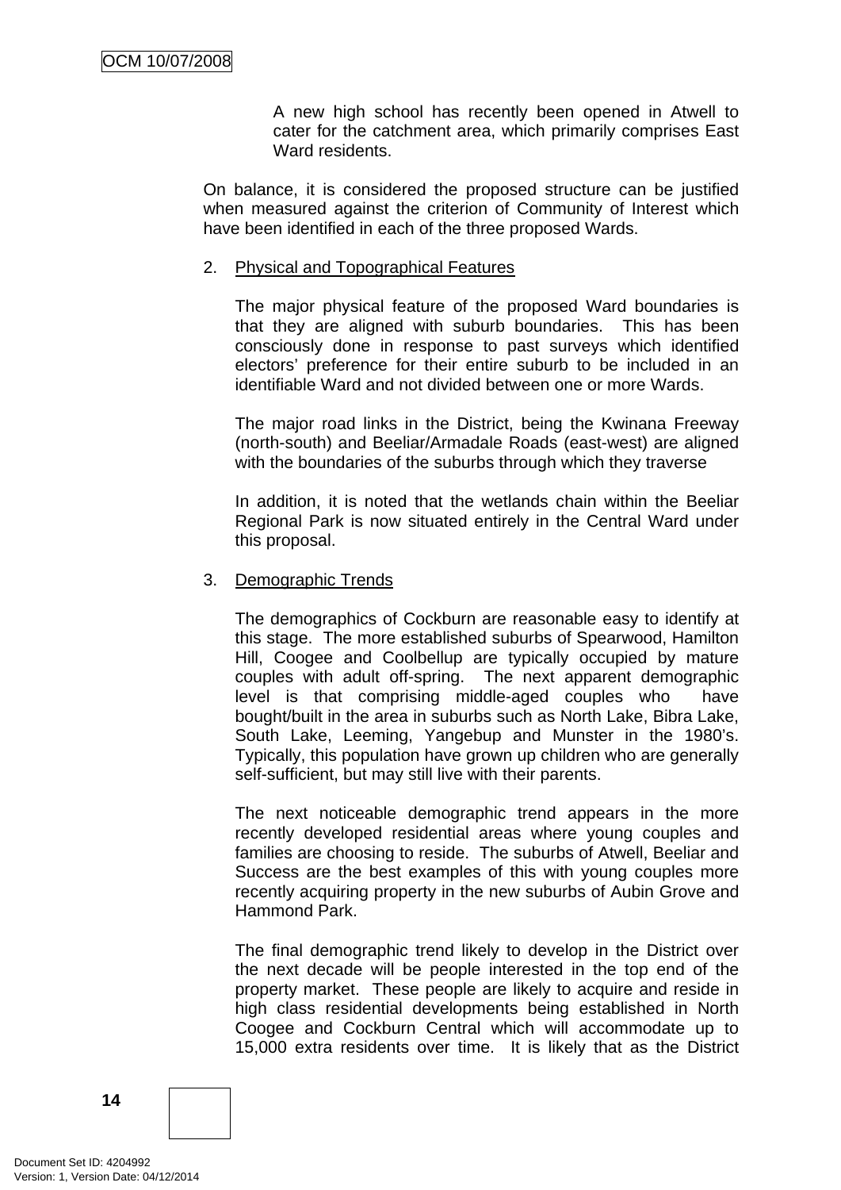A new high school has recently been opened in Atwell to cater for the catchment area, which primarily comprises East Ward residents.

On balance, it is considered the proposed structure can be justified when measured against the criterion of Community of Interest which have been identified in each of the three proposed Wards.

### 2. Physical and Topographical Features

The major physical feature of the proposed Ward boundaries is that they are aligned with suburb boundaries. This has been consciously done in response to past surveys which identified electors' preference for their entire suburb to be included in an identifiable Ward and not divided between one or more Wards.

The major road links in the District, being the Kwinana Freeway (north-south) and Beeliar/Armadale Roads (east-west) are aligned with the boundaries of the suburbs through which they traverse

In addition, it is noted that the wetlands chain within the Beeliar Regional Park is now situated entirely in the Central Ward under this proposal.

#### 3. Demographic Trends

The demographics of Cockburn are reasonable easy to identify at this stage. The more established suburbs of Spearwood, Hamilton Hill, Coogee and Coolbellup are typically occupied by mature couples with adult off-spring. The next apparent demographic level is that comprising middle-aged couples who have bought/built in the area in suburbs such as North Lake, Bibra Lake, South Lake, Leeming, Yangebup and Munster in the 1980's. Typically, this population have grown up children who are generally self-sufficient, but may still live with their parents.

The next noticeable demographic trend appears in the more recently developed residential areas where young couples and families are choosing to reside. The suburbs of Atwell, Beeliar and Success are the best examples of this with young couples more recently acquiring property in the new suburbs of Aubin Grove and Hammond Park.

The final demographic trend likely to develop in the District over the next decade will be people interested in the top end of the property market. These people are likely to acquire and reside in high class residential developments being established in North Coogee and Cockburn Central which will accommodate up to 15,000 extra residents over time. It is likely that as the District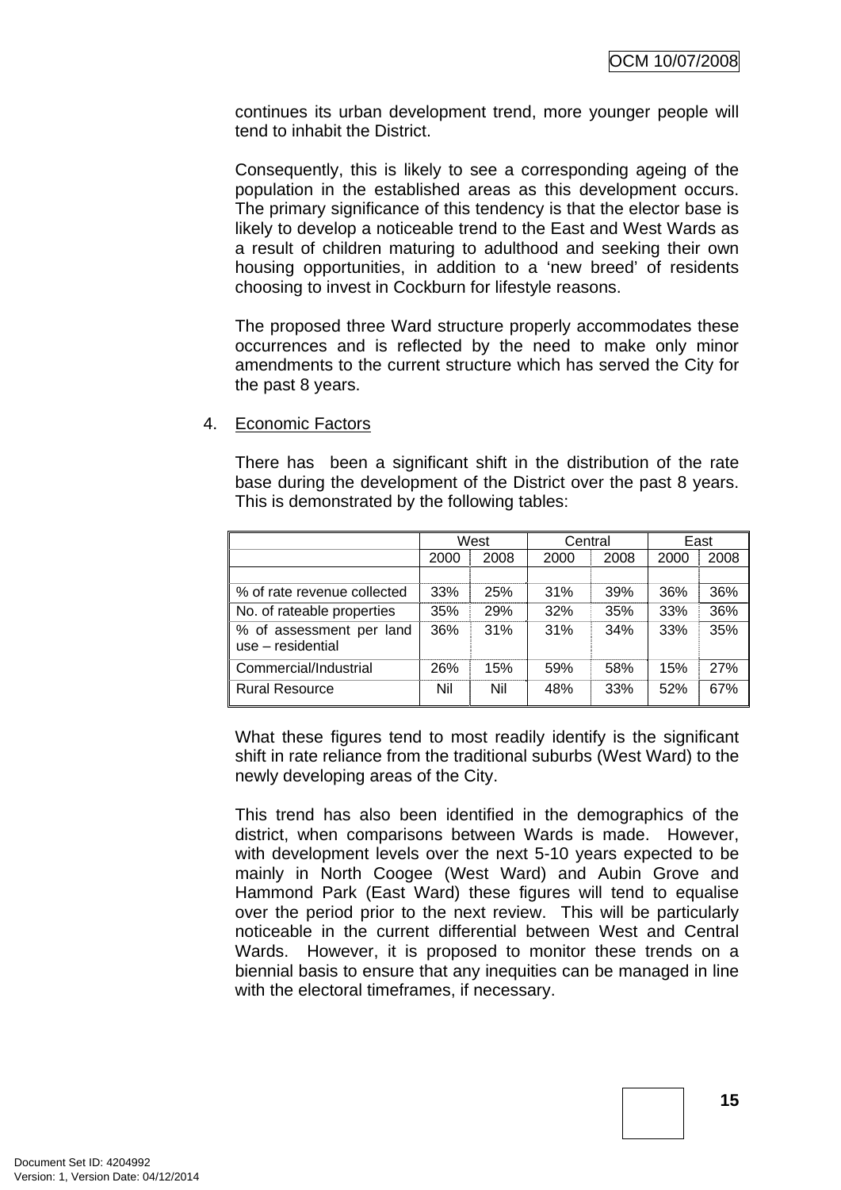continues its urban development trend, more younger people will tend to inhabit the District.

Consequently, this is likely to see a corresponding ageing of the population in the established areas as this development occurs. The primary significance of this tendency is that the elector base is likely to develop a noticeable trend to the East and West Wards as a result of children maturing to adulthood and seeking their own housing opportunities, in addition to a 'new breed' of residents choosing to invest in Cockburn for lifestyle reasons.

The proposed three Ward structure properly accommodates these occurrences and is reflected by the need to make only minor amendments to the current structure which has served the City for the past 8 years.

#### 4. Economic Factors

There has been a significant shift in the distribution of the rate base during the development of the District over the past 8 years. This is demonstrated by the following tables:

|                                               | West |            | Central |      | East |      |
|-----------------------------------------------|------|------------|---------|------|------|------|
|                                               | 2000 | 2008       | 2000    | 2008 | 2000 | 2008 |
|                                               |      |            |         |      |      |      |
| % of rate revenue collected                   | 33%  | 25%        | 31%     | 39%  | 36%  | 36%  |
| No. of rateable properties                    | 35%  | <b>29%</b> | 32%     | 35%  | 33%  | 36%  |
| % of assessment per land<br>use - residential | 36%  | 31%        | 31%     | 34%  | 33%  | 35%  |
| Commercial/Industrial                         | 26%  | 15%        | 59%     | 58%  | 15%  | 27%  |
| <b>Rural Resource</b>                         | Nil  | Nil        | 48%     | 33%  | 52%  | 67%  |

What these figures tend to most readily identify is the significant shift in rate reliance from the traditional suburbs (West Ward) to the newly developing areas of the City.

This trend has also been identified in the demographics of the district, when comparisons between Wards is made. However, with development levels over the next 5-10 years expected to be mainly in North Coogee (West Ward) and Aubin Grove and Hammond Park (East Ward) these figures will tend to equalise over the period prior to the next review. This will be particularly noticeable in the current differential between West and Central Wards. However, it is proposed to monitor these trends on a biennial basis to ensure that any inequities can be managed in line with the electoral timeframes, if necessary.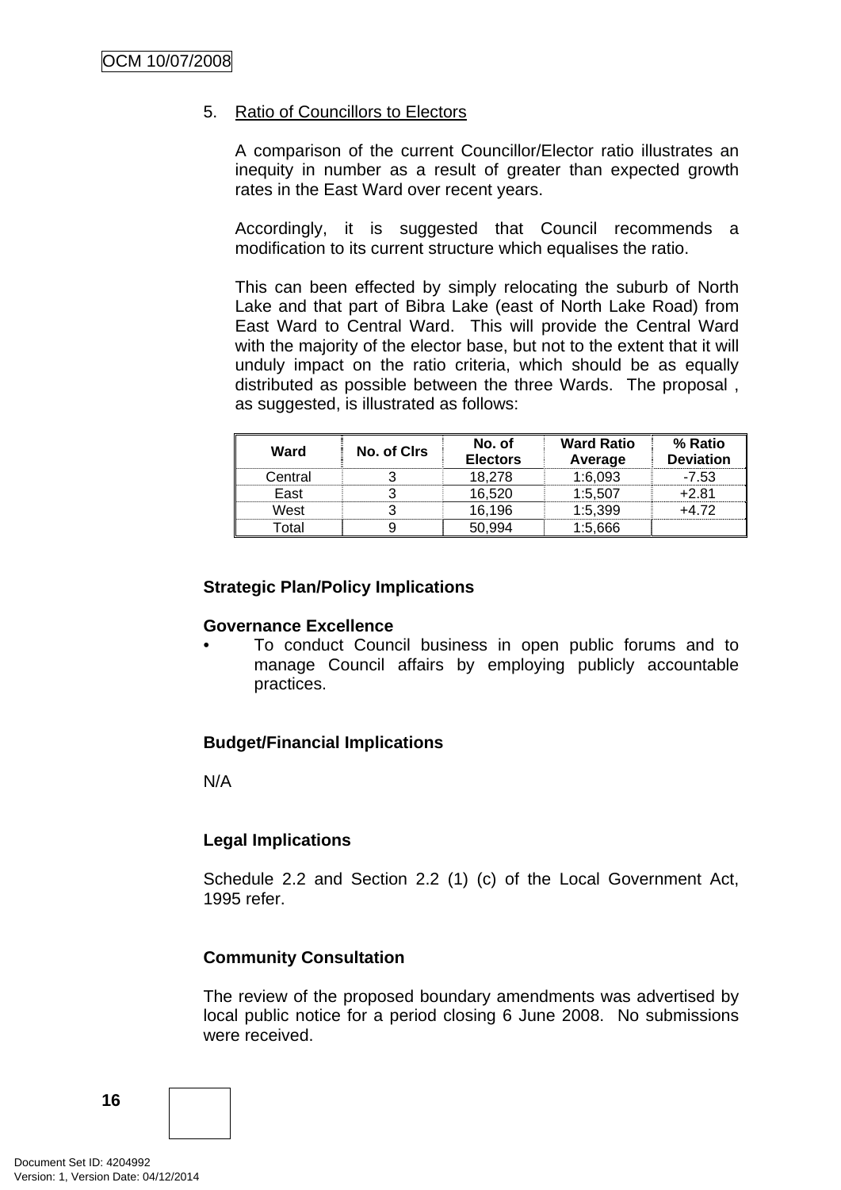# 5. Ratio of Councillors to Electors

A comparison of the current Councillor/Elector ratio illustrates an inequity in number as a result of greater than expected growth rates in the East Ward over recent years.

Accordingly, it is suggested that Council recommends a modification to its current structure which equalises the ratio.

This can been effected by simply relocating the suburb of North Lake and that part of Bibra Lake (east of North Lake Road) from East Ward to Central Ward. This will provide the Central Ward with the majority of the elector base, but not to the extent that it will unduly impact on the ratio criteria, which should be as equally distributed as possible between the three Wards. The proposal , as suggested, is illustrated as follows:

| Ward    | No. of Cirs | No. of<br><b>Electors</b> | <b>Ward Ratio</b><br>Average | % Ratio<br><b>Deviation</b> |
|---------|-------------|---------------------------|------------------------------|-----------------------------|
| Central |             | 18,278                    | 1:6.093                      | $-7.53$                     |
| East    |             | 16,520                    | 1:5.507                      | $+2.81$                     |
| West    |             | 16,196                    | 1:5.399                      | +4.72                       |
| Гоtal   |             | 50.994                    | 1:5.666                      |                             |

### **Strategic Plan/Policy Implications**

### **Governance Excellence**

• To conduct Council business in open public forums and to manage Council affairs by employing publicly accountable practices.

# **Budget/Financial Implications**

N/A

# **Legal Implications**

Schedule 2.2 and Section 2.2 (1) (c) of the Local Government Act, 1995 refer.

# **Community Consultation**

The review of the proposed boundary amendments was advertised by local public notice for a period closing 6 June 2008. No submissions were received.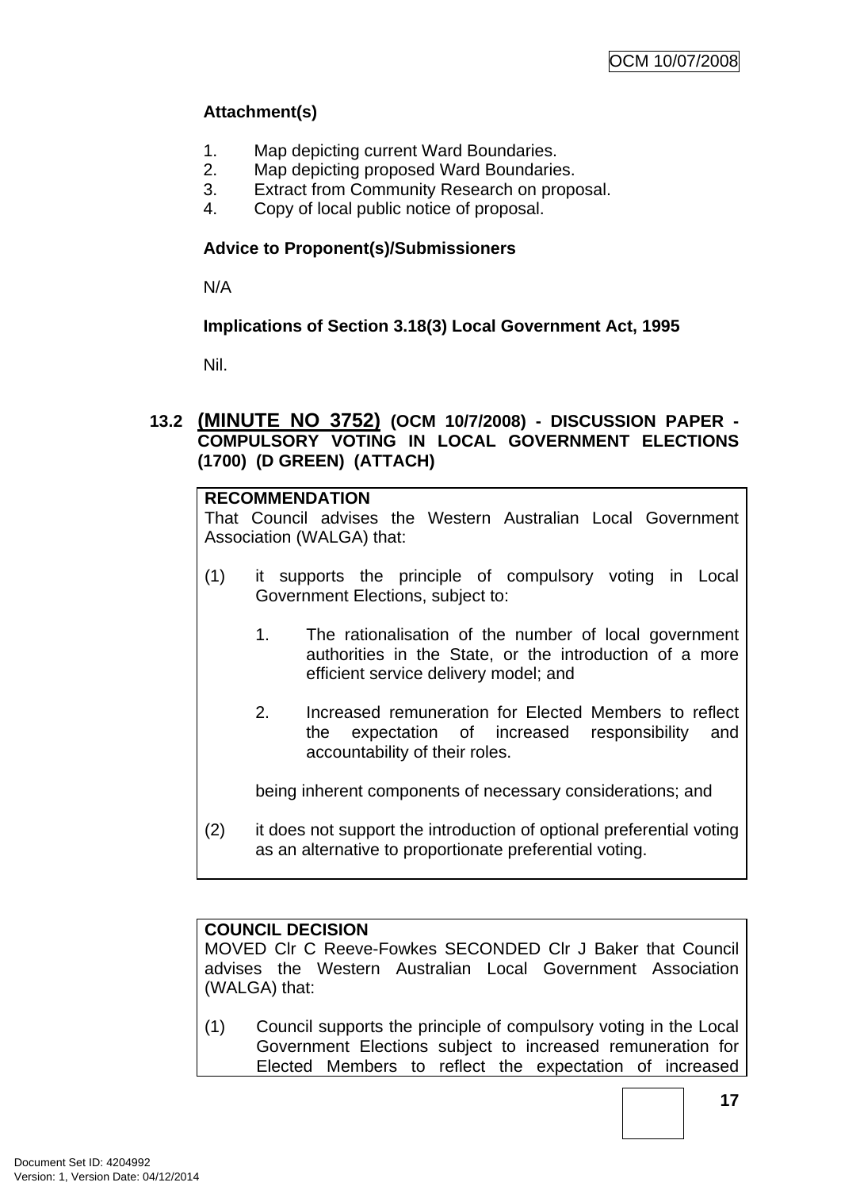# <span id="page-20-0"></span>**Attachment(s)**

- 1. Map depicting current Ward Boundaries.
- 2. Map depicting proposed Ward Boundaries.
- 3. Extract from Community Research on proposal.
- 4. Copy of local public notice of proposal.

# **Advice to Proponent(s)/Submissioners**

N/A

# **Implications of Section 3.18(3) Local Government Act, 1995**

Nil.

# **13.2 (MINUTE NO 3752) (OCM 10/7/2008) - DISCUSSION PAPER - COMPULSORY VOTING IN LOCAL GOVERNMENT ELECTIONS (1700) (D GREEN) (ATTACH)**

# **RECOMMENDATION**

That Council advises the Western Australian Local Government Association (WALGA) that:

- (1) it supports the principle of compulsory voting in Local Government Elections, subject to:
	- 1. The rationalisation of the number of local government authorities in the State, or the introduction of a more efficient service delivery model; and
	- 2. Increased remuneration for Elected Members to reflect the expectation of increased responsibility and accountability of their roles.

being inherent components of necessary considerations; and

(2) it does not support the introduction of optional preferential voting as an alternative to proportionate preferential voting.

# **COUNCIL DECISION**

MOVED Clr C Reeve-Fowkes SECONDED Clr J Baker that Council advises the Western Australian Local Government Association (WALGA) that:

(1) Council supports the principle of compulsory voting in the Local Government Elections subject to increased remuneration for Elected Members to reflect the expectation of increased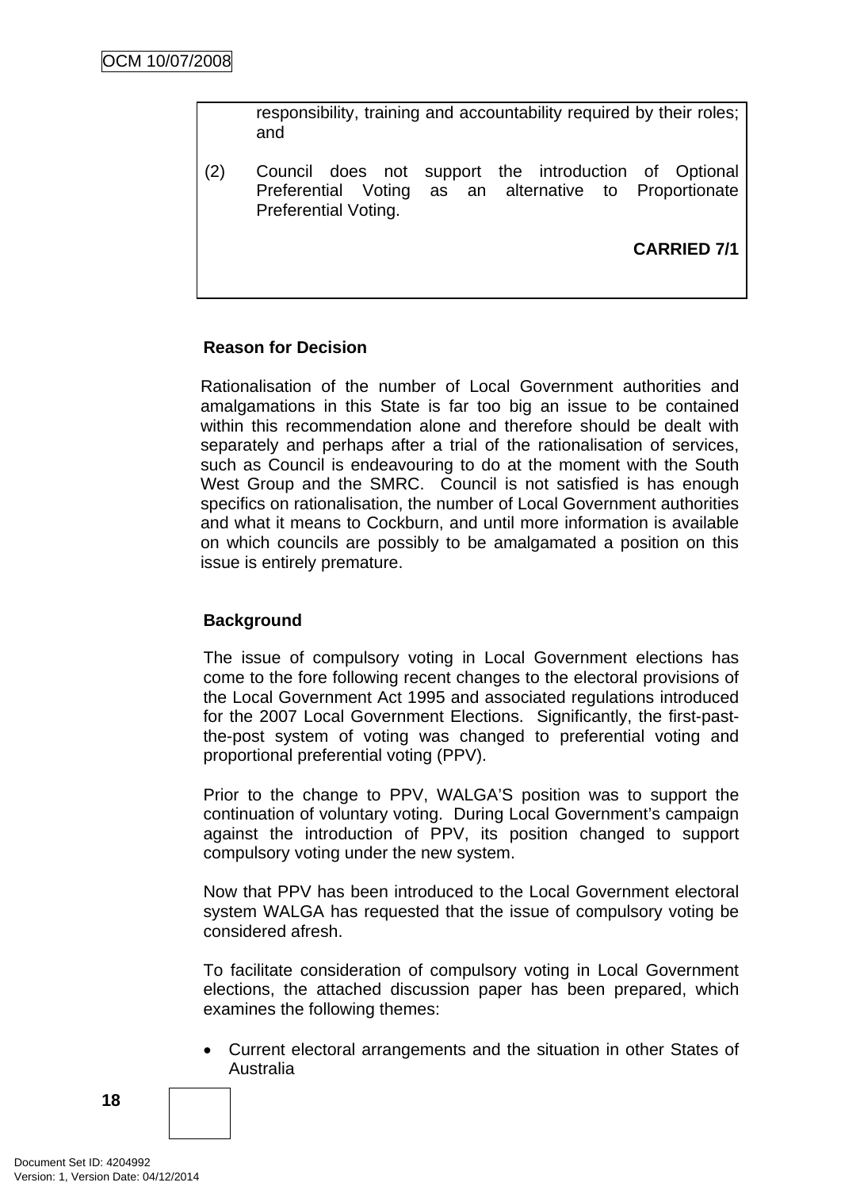responsibility, training and accountability required by their roles; and

(2) Council does not support the introduction of Optional Preferential Voting as an alternative to Proportionate Preferential Voting.

# **CARRIED 7/1**

# **Reason for Decision**

Rationalisation of the number of Local Government authorities and amalgamations in this State is far too big an issue to be contained within this recommendation alone and therefore should be dealt with separately and perhaps after a trial of the rationalisation of services, such as Council is endeavouring to do at the moment with the South West Group and the SMRC. Council is not satisfied is has enough specifics on rationalisation, the number of Local Government authorities and what it means to Cockburn, and until more information is available on which councils are possibly to be amalgamated a position on this issue is entirely premature.

# **Background**

The issue of compulsory voting in Local Government elections has come to the fore following recent changes to the electoral provisions of the Local Government Act 1995 and associated regulations introduced for the 2007 Local Government Elections. Significantly, the first-pastthe-post system of voting was changed to preferential voting and proportional preferential voting (PPV).

Prior to the change to PPV, WALGA'S position was to support the continuation of voluntary voting. During Local Government's campaign against the introduction of PPV, its position changed to support compulsory voting under the new system.

Now that PPV has been introduced to the Local Government electoral system WALGA has requested that the issue of compulsory voting be considered afresh.

To facilitate consideration of compulsory voting in Local Government elections, the attached discussion paper has been prepared, which examines the following themes:

• Current electoral arrangements and the situation in other States of Australia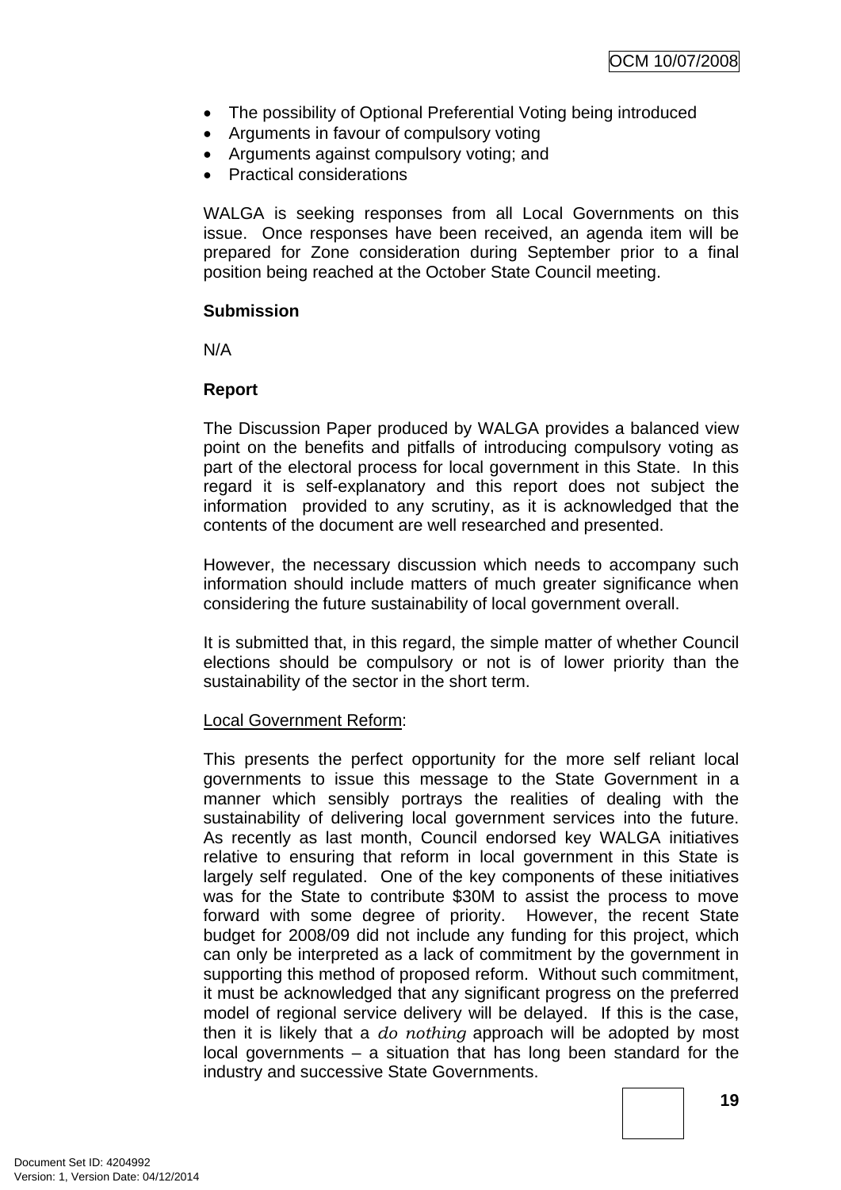- The possibility of Optional Preferential Voting being introduced
- Arguments in favour of compulsory voting
- Arguments against compulsory voting; and
- Practical considerations

WALGA is seeking responses from all Local Governments on this issue. Once responses have been received, an agenda item will be prepared for Zone consideration during September prior to a final position being reached at the October State Council meeting.

### **Submission**

N/A

### **Report**

The Discussion Paper produced by WALGA provides a balanced view point on the benefits and pitfalls of introducing compulsory voting as part of the electoral process for local government in this State. In this regard it is self-explanatory and this report does not subject the information provided to any scrutiny, as it is acknowledged that the contents of the document are well researched and presented.

However, the necessary discussion which needs to accompany such information should include matters of much greater significance when considering the future sustainability of local government overall.

It is submitted that, in this regard, the simple matter of whether Council elections should be compulsory or not is of lower priority than the sustainability of the sector in the short term.

#### Local Government Reform:

This presents the perfect opportunity for the more self reliant local governments to issue this message to the State Government in a manner which sensibly portrays the realities of dealing with the sustainability of delivering local government services into the future. As recently as last month, Council endorsed key WALGA initiatives relative to ensuring that reform in local government in this State is largely self regulated. One of the key components of these initiatives was for the State to contribute \$30M to assist the process to move forward with some degree of priority. However, the recent State budget for 2008/09 did not include any funding for this project, which can only be interpreted as a lack of commitment by the government in supporting this method of proposed reform. Without such commitment, it must be acknowledged that any significant progress on the preferred model of regional service delivery will be delayed. If this is the case, then it is likely that a *do nothing* approach will be adopted by most local governments – a situation that has long been standard for the industry and successive State Governments.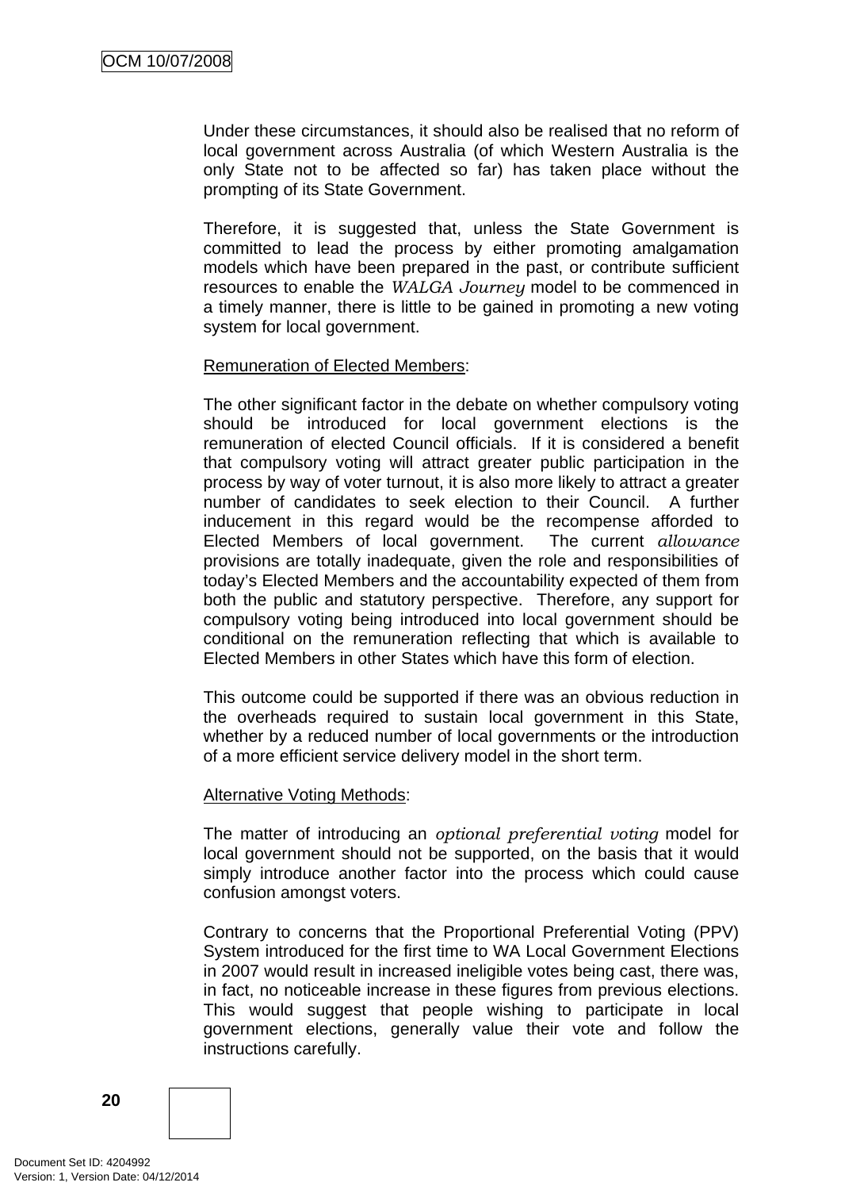Under these circumstances, it should also be realised that no reform of local government across Australia (of which Western Australia is the only State not to be affected so far) has taken place without the prompting of its State Government.

Therefore, it is suggested that, unless the State Government is committed to lead the process by either promoting amalgamation models which have been prepared in the past, or contribute sufficient resources to enable the *WALGA Journey* model to be commenced in a timely manner, there is little to be gained in promoting a new voting system for local government.

#### Remuneration of Elected Members:

The other significant factor in the debate on whether compulsory voting should be introduced for local government elections is the remuneration of elected Council officials. If it is considered a benefit that compulsory voting will attract greater public participation in the process by way of voter turnout, it is also more likely to attract a greater number of candidates to seek election to their Council. A further inducement in this regard would be the recompense afforded to Elected Members of local government. The current *allowance* provisions are totally inadequate, given the role and responsibilities of today's Elected Members and the accountability expected of them from both the public and statutory perspective. Therefore, any support for compulsory voting being introduced into local government should be conditional on the remuneration reflecting that which is available to Elected Members in other States which have this form of election.

This outcome could be supported if there was an obvious reduction in the overheads required to sustain local government in this State, whether by a reduced number of local governments or the introduction of a more efficient service delivery model in the short term.

#### Alternative Voting Methods:

The matter of introducing an *optional preferential voting* model for local government should not be supported, on the basis that it would simply introduce another factor into the process which could cause confusion amongst voters.

Contrary to concerns that the Proportional Preferential Voting (PPV) System introduced for the first time to WA Local Government Elections in 2007 would result in increased ineligible votes being cast, there was, in fact, no noticeable increase in these figures from previous elections. This would suggest that people wishing to participate in local government elections, generally value their vote and follow the instructions carefully.

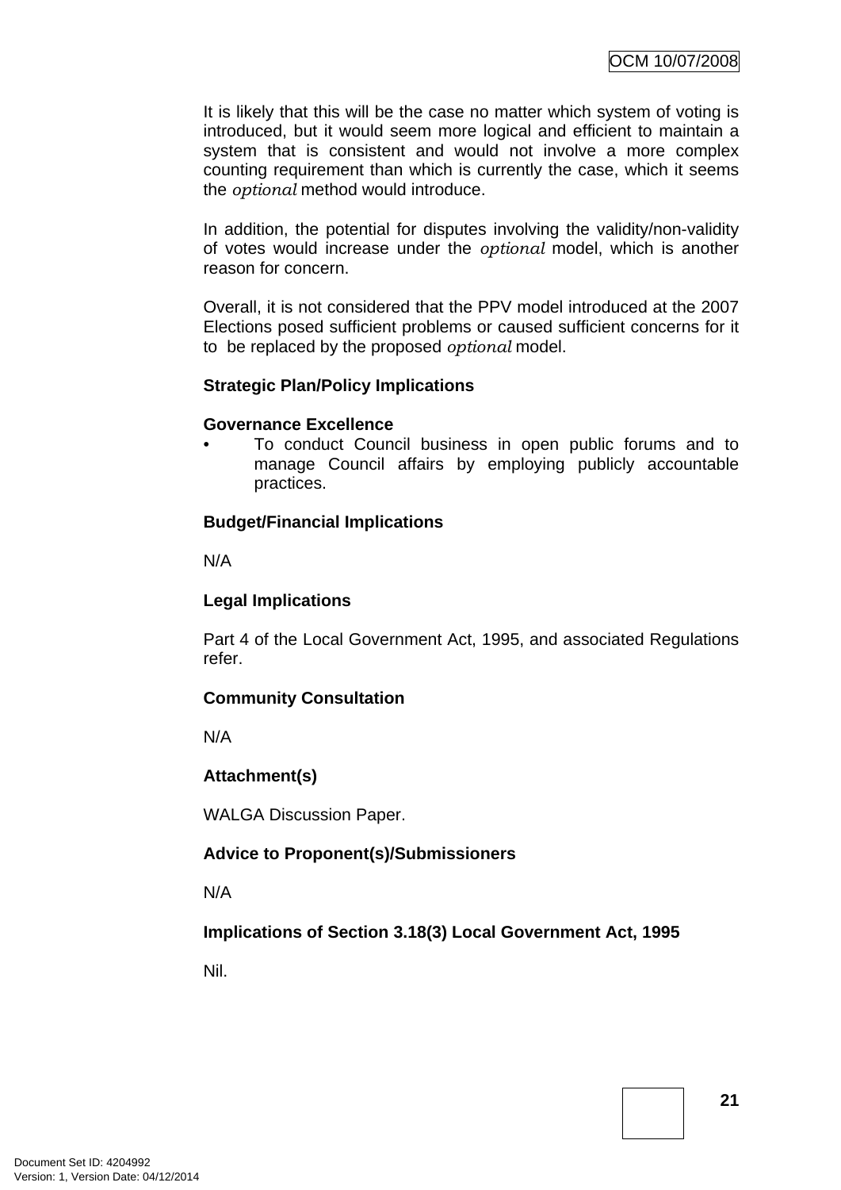It is likely that this will be the case no matter which system of voting is introduced, but it would seem more logical and efficient to maintain a system that is consistent and would not involve a more complex counting requirement than which is currently the case, which it seems the *optional* method would introduce.

In addition, the potential for disputes involving the validity/non-validity of votes would increase under the *optional* model, which is another reason for concern.

Overall, it is not considered that the PPV model introduced at the 2007 Elections posed sufficient problems or caused sufficient concerns for it to be replaced by the proposed *optional* model.

### **Strategic Plan/Policy Implications**

#### **Governance Excellence**

• To conduct Council business in open public forums and to manage Council affairs by employing publicly accountable practices.

#### **Budget/Financial Implications**

N/A

### **Legal Implications**

Part 4 of the Local Government Act, 1995, and associated Regulations refer.

#### **Community Consultation**

N/A

### **Attachment(s)**

WALGA Discussion Paper.

### **Advice to Proponent(s)/Submissioners**

N/A

### **Implications of Section 3.18(3) Local Government Act, 1995**

Nil.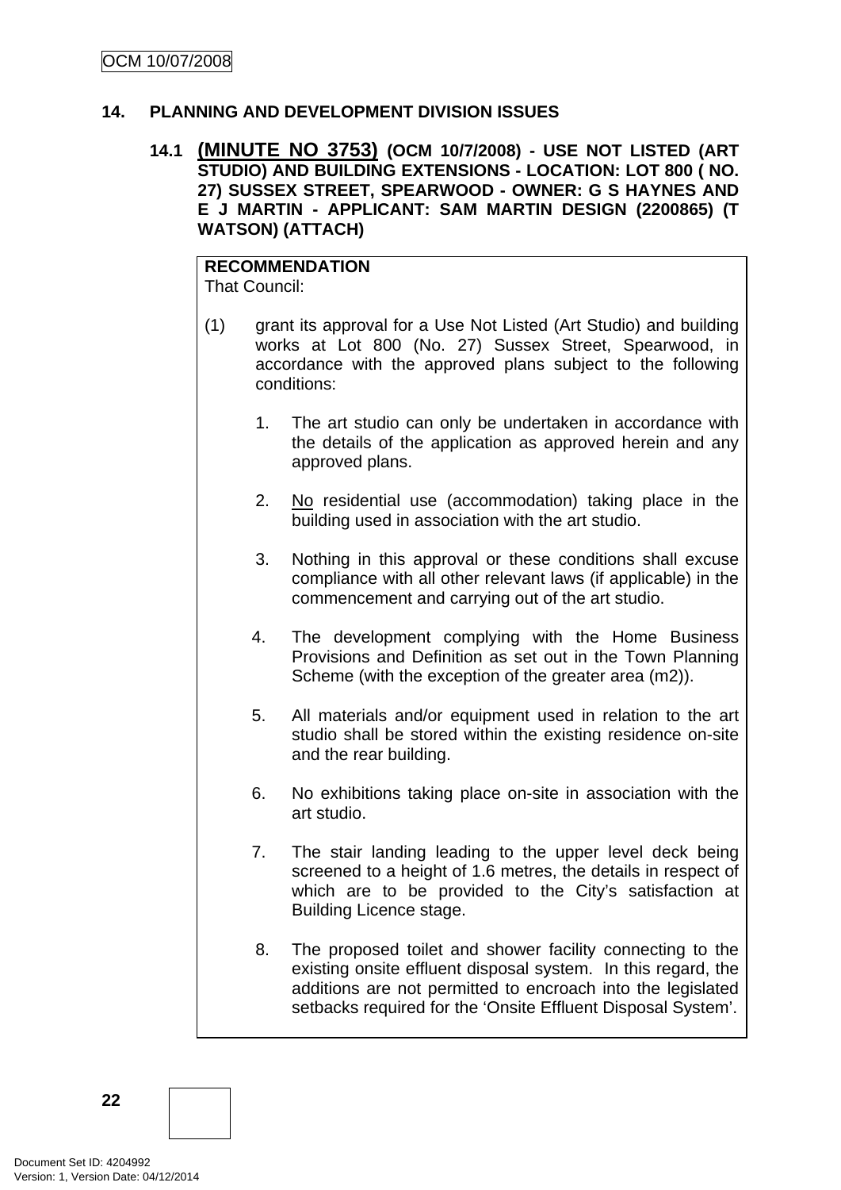# <span id="page-25-0"></span>**14. PLANNING AND DEVELOPMENT DIVISION ISSUES**

# **14.1 (MINUTE NO 3753) (OCM 10/7/2008) - USE NOT LISTED (ART STUDIO) AND BUILDING EXTENSIONS - LOCATION: LOT 800 ( NO. 27) SUSSEX STREET, SPEARWOOD - OWNER: G S HAYNES AND E J MARTIN - APPLICANT: SAM MARTIN DESIGN (2200865) (T WATSON) (ATTACH)**

### **RECOMMENDATION**

That Council:

- (1) grant its approval for a Use Not Listed (Art Studio) and building works at Lot 800 (No. 27) Sussex Street, Spearwood, in accordance with the approved plans subject to the following conditions:
	- 1. The art studio can only be undertaken in accordance with the details of the application as approved herein and any approved plans.
	- 2. No residential use (accommodation) taking place in the building used in association with the art studio.
	- 3. Nothing in this approval or these conditions shall excuse compliance with all other relevant laws (if applicable) in the commencement and carrying out of the art studio.
	- 4. The development complying with the Home Business Provisions and Definition as set out in the Town Planning Scheme (with the exception of the greater area (m2)).
	- 5. All materials and/or equipment used in relation to the art studio shall be stored within the existing residence on-site and the rear building.
	- 6. No exhibitions taking place on-site in association with the art studio.
	- 7. The stair landing leading to the upper level deck being screened to a height of 1.6 metres, the details in respect of which are to be provided to the City's satisfaction at Building Licence stage.
	- 8. The proposed toilet and shower facility connecting to the existing onsite effluent disposal system. In this regard, the additions are not permitted to encroach into the legislated setbacks required for the 'Onsite Effluent Disposal System'.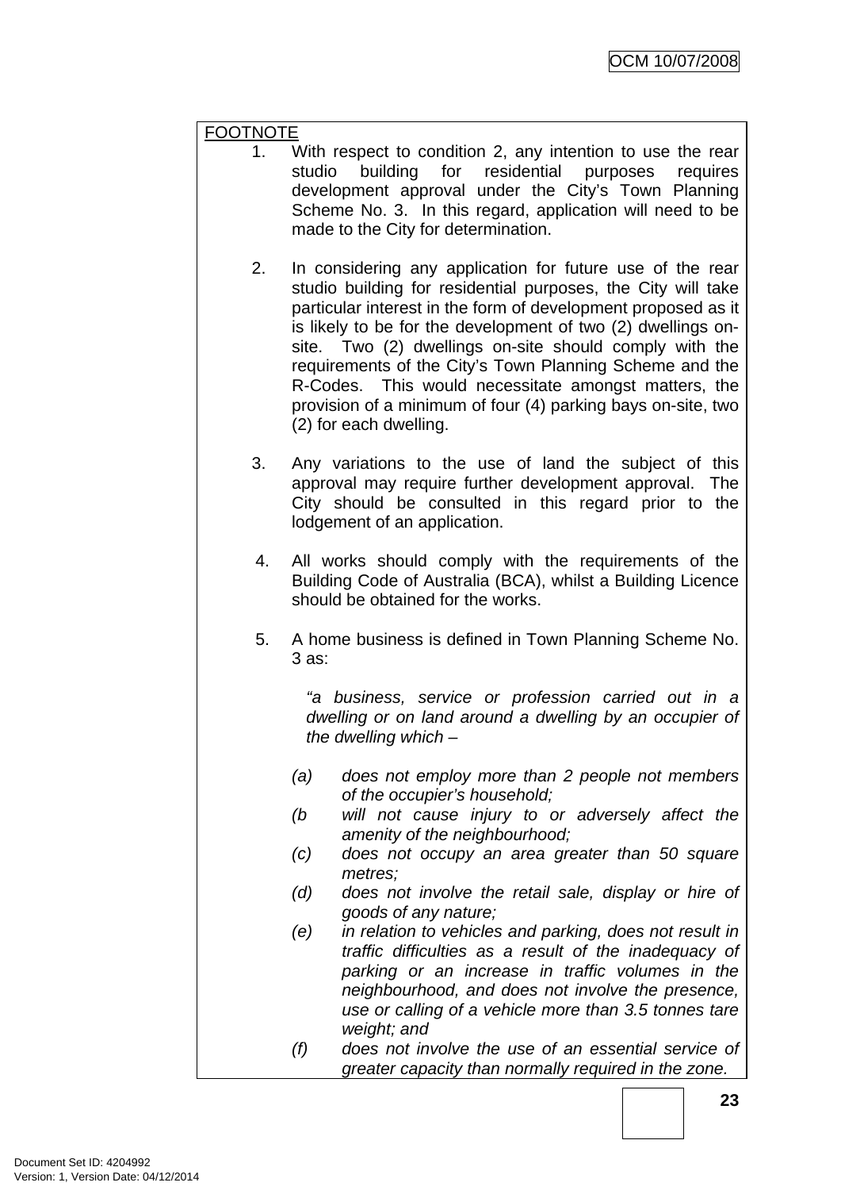### FOOTNOTE

- 1. With respect to condition 2, any intention to use the rear studio building for residential purposes requires development approval under the City's Town Planning Scheme No. 3. In this regard, application will need to be made to the City for determination.
- 2. In considering any application for future use of the rear studio building for residential purposes, the City will take particular interest in the form of development proposed as it is likely to be for the development of two (2) dwellings onsite. Two (2) dwellings on-site should comply with the requirements of the City's Town Planning Scheme and the R-Codes. This would necessitate amongst matters, the provision of a minimum of four (4) parking bays on-site, two (2) for each dwelling.
- 3. Any variations to the use of land the subject of this approval may require further development approval. The City should be consulted in this regard prior to the lodgement of an application.
- 4. All works should comply with the requirements of the Building Code of Australia (BCA), whilst a Building Licence should be obtained for the works.
- 5. A home business is defined in Town Planning Scheme No. 3 as:

*"a business, service or profession carried out in a dwelling or on land around a dwelling by an occupier of the dwelling which –* 

- *(a) does not employ more than 2 people not members of the occupier's household;*
- *(b will not cause injury to or adversely affect the amenity of the neighbourhood;*
- *(c) does not occupy an area greater than 50 square metres;*
- *(d) does not involve the retail sale, display or hire of goods of any nature;*
- *(e) in relation to vehicles and parking, does not result in traffic difficulties as a result of the inadequacy of parking or an increase in traffic volumes in the neighbourhood, and does not involve the presence, use or calling of a vehicle more than 3.5 tonnes tare weight; and*
- *(f) does not involve the use of an essential service of greater capacity than normally required in the zone.*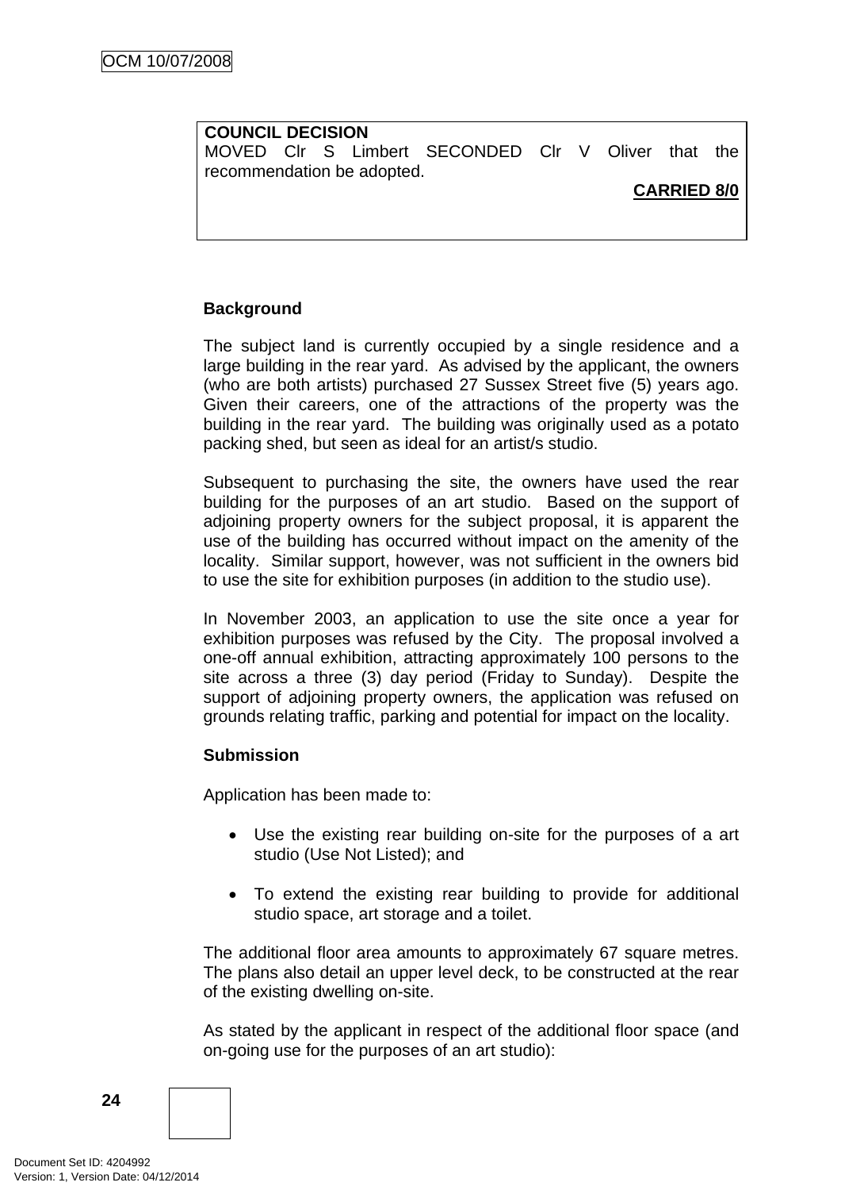**COUNCIL DECISION**  MOVED Clr S Limbert SECONDED Clr V Oliver that the recommendation be adopted. **CARRIED 8/0**

# **Background**

The subject land is currently occupied by a single residence and a large building in the rear yard. As advised by the applicant, the owners (who are both artists) purchased 27 Sussex Street five (5) years ago. Given their careers, one of the attractions of the property was the building in the rear yard. The building was originally used as a potato packing shed, but seen as ideal for an artist/s studio.

Subsequent to purchasing the site, the owners have used the rear building for the purposes of an art studio. Based on the support of adjoining property owners for the subject proposal, it is apparent the use of the building has occurred without impact on the amenity of the locality. Similar support, however, was not sufficient in the owners bid to use the site for exhibition purposes (in addition to the studio use).

In November 2003, an application to use the site once a year for exhibition purposes was refused by the City. The proposal involved a one-off annual exhibition, attracting approximately 100 persons to the site across a three (3) day period (Friday to Sunday). Despite the support of adjoining property owners, the application was refused on grounds relating traffic, parking and potential for impact on the locality.

### **Submission**

Application has been made to:

- Use the existing rear building on-site for the purposes of a art studio (Use Not Listed); and
- To extend the existing rear building to provide for additional studio space, art storage and a toilet.

The additional floor area amounts to approximately 67 square metres. The plans also detail an upper level deck, to be constructed at the rear of the existing dwelling on-site.

As stated by the applicant in respect of the additional floor space (and on-going use for the purposes of an art studio):

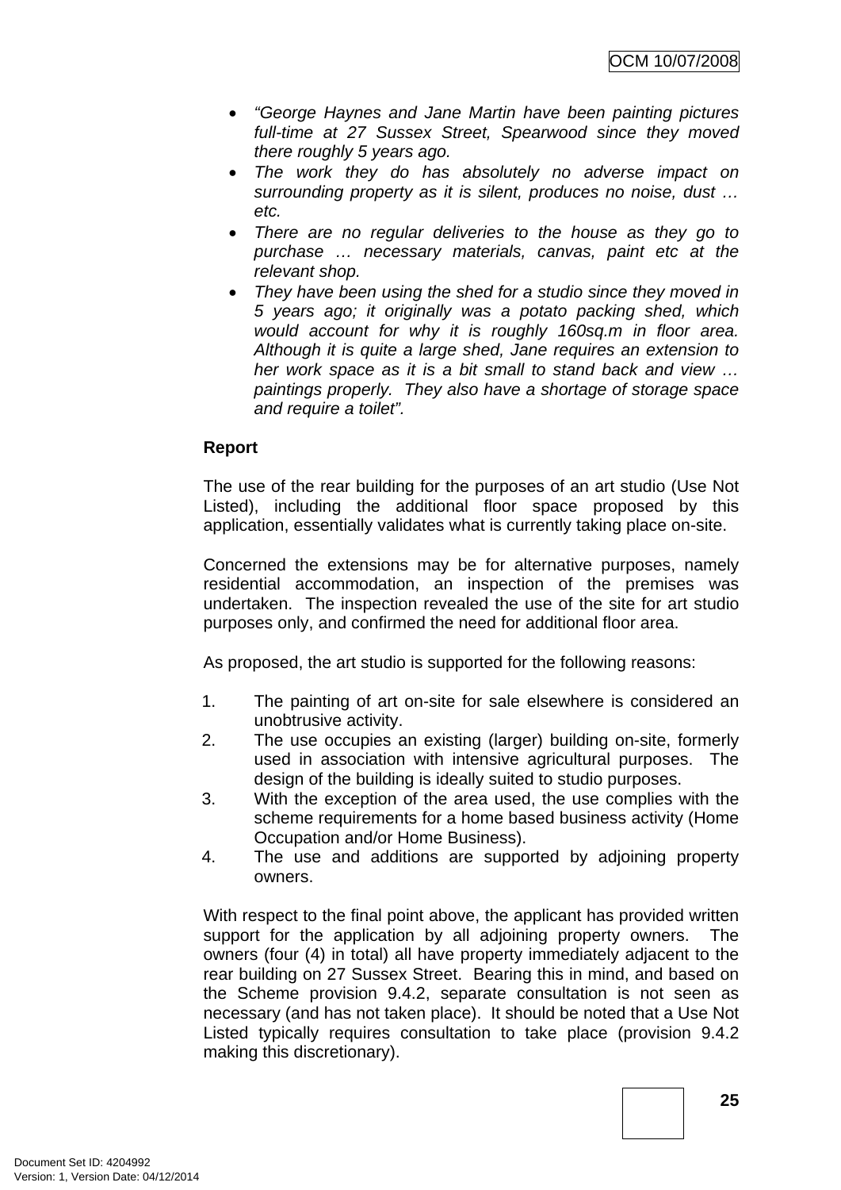- *"George Haynes and Jane Martin have been painting pictures full-time at 27 Sussex Street, Spearwood since they moved there roughly 5 years ago.*
- *The work they do has absolutely no adverse impact on surrounding property as it is silent, produces no noise, dust … etc.*
- *There are no regular deliveries to the house as they go to purchase … necessary materials, canvas, paint etc at the relevant shop.*
- *They have been using the shed for a studio since they moved in 5 years ago; it originally was a potato packing shed, which would account for why it is roughly 160sq.m in floor area. Although it is quite a large shed, Jane requires an extension to her work space as it is a bit small to stand back and view … paintings properly. They also have a shortage of storage space and require a toilet".*

# **Report**

The use of the rear building for the purposes of an art studio (Use Not Listed), including the additional floor space proposed by this application, essentially validates what is currently taking place on-site.

Concerned the extensions may be for alternative purposes, namely residential accommodation, an inspection of the premises was undertaken. The inspection revealed the use of the site for art studio purposes only, and confirmed the need for additional floor area.

As proposed, the art studio is supported for the following reasons:

- 1. The painting of art on-site for sale elsewhere is considered an unobtrusive activity.
- 2. The use occupies an existing (larger) building on-site, formerly used in association with intensive agricultural purposes. The design of the building is ideally suited to studio purposes.
- 3. With the exception of the area used, the use complies with the scheme requirements for a home based business activity (Home Occupation and/or Home Business).
- 4. The use and additions are supported by adjoining property owners.

With respect to the final point above, the applicant has provided written support for the application by all adjoining property owners. The owners (four (4) in total) all have property immediately adjacent to the rear building on 27 Sussex Street. Bearing this in mind, and based on the Scheme provision 9.4.2, separate consultation is not seen as necessary (and has not taken place). It should be noted that a Use Not Listed typically requires consultation to take place (provision 9.4.2 making this discretionary).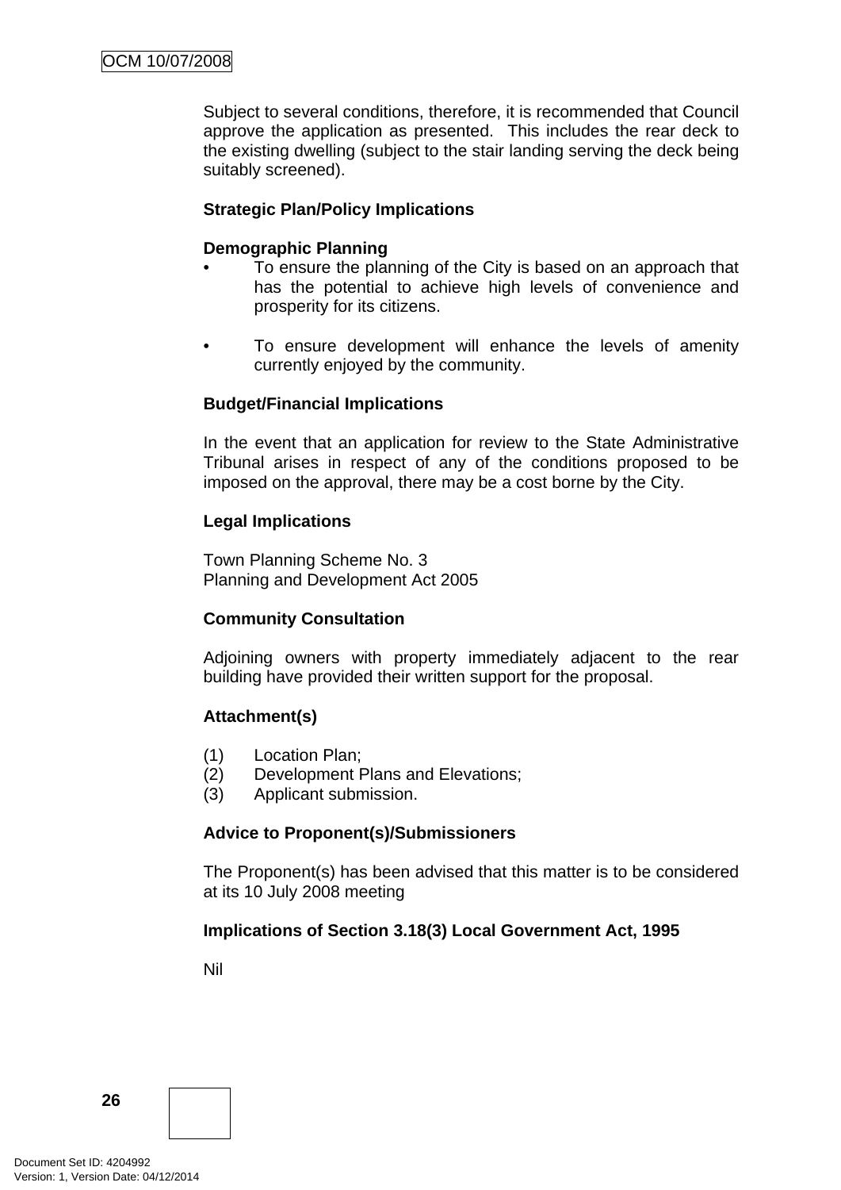Subject to several conditions, therefore, it is recommended that Council approve the application as presented. This includes the rear deck to the existing dwelling (subject to the stair landing serving the deck being suitably screened).

# **Strategic Plan/Policy Implications**

### **Demographic Planning**

- To ensure the planning of the City is based on an approach that has the potential to achieve high levels of convenience and prosperity for its citizens.
- To ensure development will enhance the levels of amenity currently enjoyed by the community.

# **Budget/Financial Implications**

In the event that an application for review to the State Administrative Tribunal arises in respect of any of the conditions proposed to be imposed on the approval, there may be a cost borne by the City.

# **Legal Implications**

Town Planning Scheme No. 3 Planning and Development Act 2005

# **Community Consultation**

Adjoining owners with property immediately adjacent to the rear building have provided their written support for the proposal.

# **Attachment(s)**

- (1) Location Plan;
- (2) Development Plans and Elevations;
- (3) Applicant submission.

### **Advice to Proponent(s)/Submissioners**

The Proponent(s) has been advised that this matter is to be considered at its 10 July 2008 meeting

# **Implications of Section 3.18(3) Local Government Act, 1995**

Nil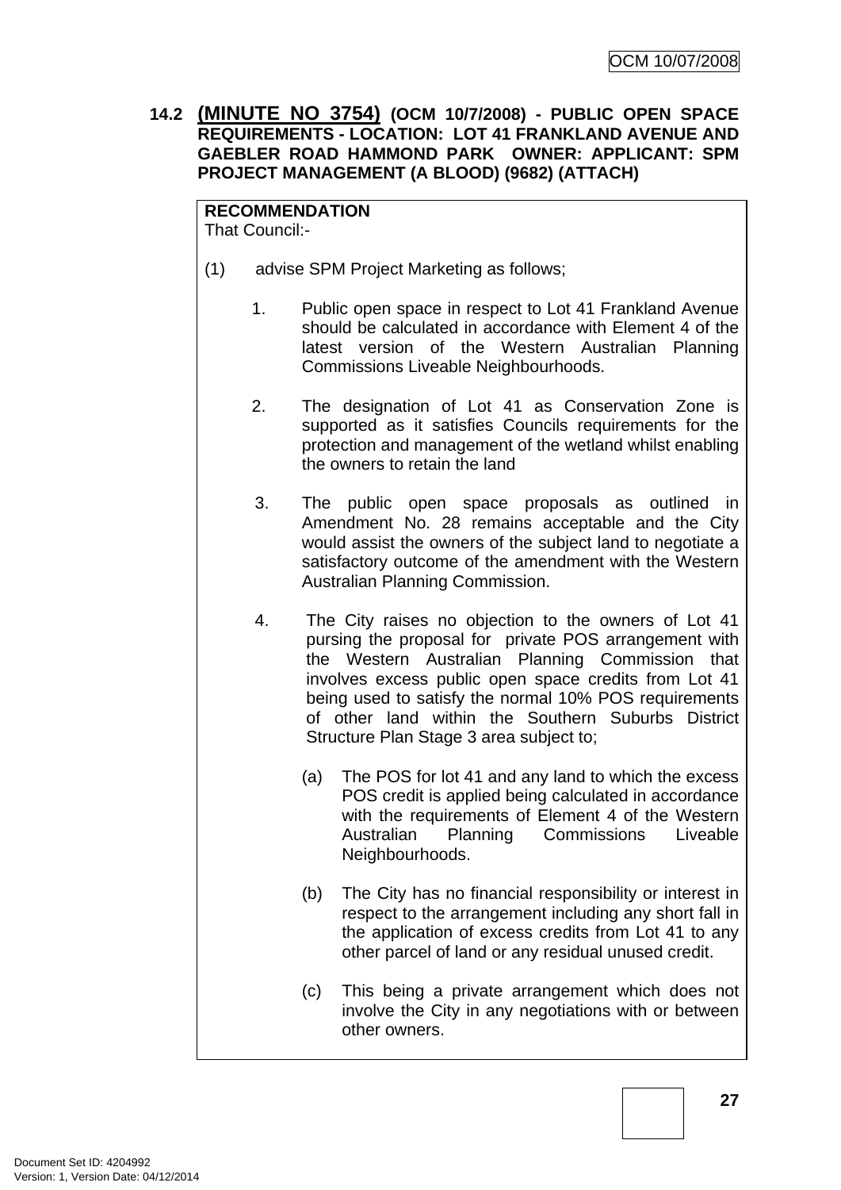# <span id="page-30-0"></span>**14.2 (MINUTE NO 3754) (OCM 10/7/2008) - PUBLIC OPEN SPACE REQUIREMENTS - LOCATION: LOT 41 FRANKLAND AVENUE AND GAEBLER ROAD HAMMOND PARK OWNER: APPLICANT: SPM PROJECT MANAGEMENT (A BLOOD) (9682) (ATTACH)**

# **RECOMMENDATION**

That Council:-

- (1) advise SPM Project Marketing as follows;
	- 1. Public open space in respect to Lot 41 Frankland Avenue should be calculated in accordance with Element 4 of the latest version of the Western Australian Planning Commissions Liveable Neighbourhoods.
	- 2. The designation of Lot 41 as Conservation Zone is supported as it satisfies Councils requirements for the protection and management of the wetland whilst enabling the owners to retain the land
	- 3. The public open space proposals as outlined in Amendment No. 28 remains acceptable and the City would assist the owners of the subject land to negotiate a satisfactory outcome of the amendment with the Western Australian Planning Commission.
	- 4. The City raises no objection to the owners of Lot 41 pursing the proposal for private POS arrangement with the Western Australian Planning Commission that involves excess public open space credits from Lot 41 being used to satisfy the normal 10% POS requirements of other land within the Southern Suburbs District Structure Plan Stage 3 area subject to;
		- (a) The POS for lot 41 and any land to which the excess POS credit is applied being calculated in accordance with the requirements of Element 4 of the Western Australian Planning Commissions Liveable Neighbourhoods.
		- (b) The City has no financial responsibility or interest in respect to the arrangement including any short fall in the application of excess credits from Lot 41 to any other parcel of land or any residual unused credit.
		- (c) This being a private arrangement which does not involve the City in any negotiations with or between other owners.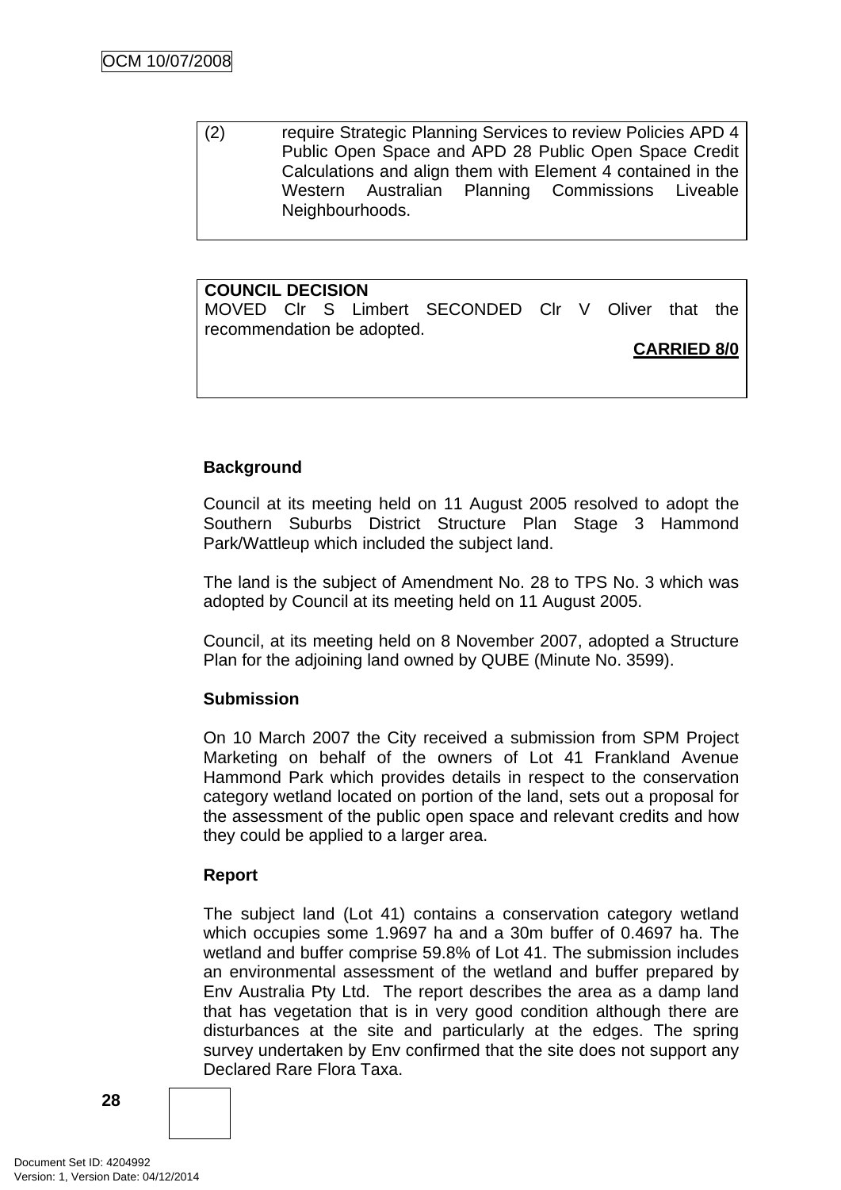(2) require Strategic Planning Services to review Policies APD 4 Public Open Space and APD 28 Public Open Space Credit Calculations and align them with Element 4 contained in the Western Australian Planning Commissions Liveable Neighbourhoods.

# **COUNCIL DECISION**

MOVED Clr S Limbert SECONDED Clr V Oliver that the recommendation be adopted.

**CARRIED 8/0**

# **Background**

Council at its meeting held on 11 August 2005 resolved to adopt the Southern Suburbs District Structure Plan Stage 3 Hammond Park/Wattleup which included the subject land.

The land is the subject of Amendment No. 28 to TPS No. 3 which was adopted by Council at its meeting held on 11 August 2005.

Council, at its meeting held on 8 November 2007, adopted a Structure Plan for the adjoining land owned by QUBE (Minute No. 3599).

### **Submission**

On 10 March 2007 the City received a submission from SPM Project Marketing on behalf of the owners of Lot 41 Frankland Avenue Hammond Park which provides details in respect to the conservation category wetland located on portion of the land, sets out a proposal for the assessment of the public open space and relevant credits and how they could be applied to a larger area.

#### **Report**

The subject land (Lot 41) contains a conservation category wetland which occupies some 1.9697 ha and a 30m buffer of 0.4697 ha. The wetland and buffer comprise 59.8% of Lot 41. The submission includes an environmental assessment of the wetland and buffer prepared by Env Australia Pty Ltd. The report describes the area as a damp land that has vegetation that is in very good condition although there are disturbances at the site and particularly at the edges. The spring survey undertaken by Env confirmed that the site does not support any Declared Rare Flora Taxa.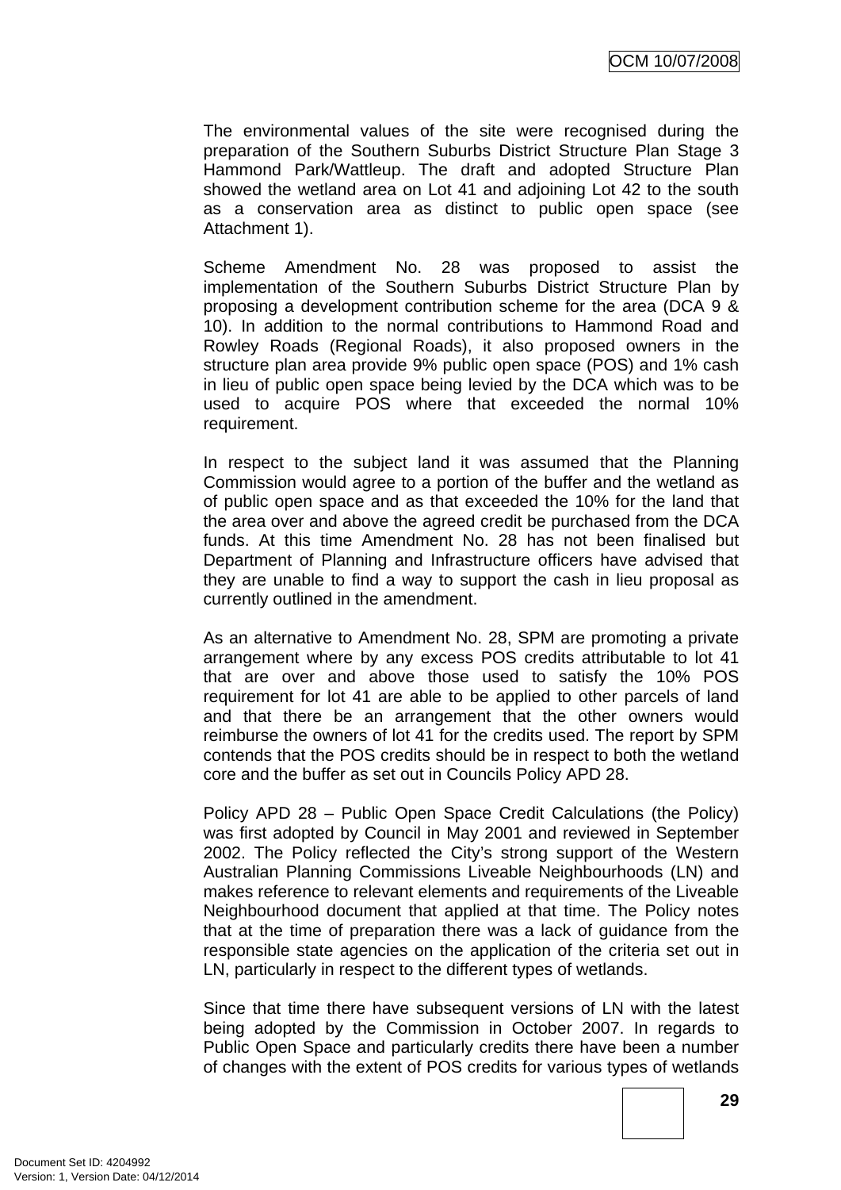The environmental values of the site were recognised during the preparation of the Southern Suburbs District Structure Plan Stage 3 Hammond Park/Wattleup. The draft and adopted Structure Plan showed the wetland area on Lot 41 and adjoining Lot 42 to the south as a conservation area as distinct to public open space (see Attachment 1).

Scheme Amendment No. 28 was proposed to assist the implementation of the Southern Suburbs District Structure Plan by proposing a development contribution scheme for the area (DCA 9 & 10). In addition to the normal contributions to Hammond Road and Rowley Roads (Regional Roads), it also proposed owners in the structure plan area provide 9% public open space (POS) and 1% cash in lieu of public open space being levied by the DCA which was to be used to acquire POS where that exceeded the normal 10% requirement.

In respect to the subject land it was assumed that the Planning Commission would agree to a portion of the buffer and the wetland as of public open space and as that exceeded the 10% for the land that the area over and above the agreed credit be purchased from the DCA funds. At this time Amendment No. 28 has not been finalised but Department of Planning and Infrastructure officers have advised that they are unable to find a way to support the cash in lieu proposal as currently outlined in the amendment.

As an alternative to Amendment No. 28, SPM are promoting a private arrangement where by any excess POS credits attributable to lot 41 that are over and above those used to satisfy the 10% POS requirement for lot 41 are able to be applied to other parcels of land and that there be an arrangement that the other owners would reimburse the owners of lot 41 for the credits used. The report by SPM contends that the POS credits should be in respect to both the wetland core and the buffer as set out in Councils Policy APD 28.

Policy APD 28 – Public Open Space Credit Calculations (the Policy) was first adopted by Council in May 2001 and reviewed in September 2002. The Policy reflected the City's strong support of the Western Australian Planning Commissions Liveable Neighbourhoods (LN) and makes reference to relevant elements and requirements of the Liveable Neighbourhood document that applied at that time. The Policy notes that at the time of preparation there was a lack of guidance from the responsible state agencies on the application of the criteria set out in LN, particularly in respect to the different types of wetlands.

Since that time there have subsequent versions of LN with the latest being adopted by the Commission in October 2007. In regards to Public Open Space and particularly credits there have been a number of changes with the extent of POS credits for various types of wetlands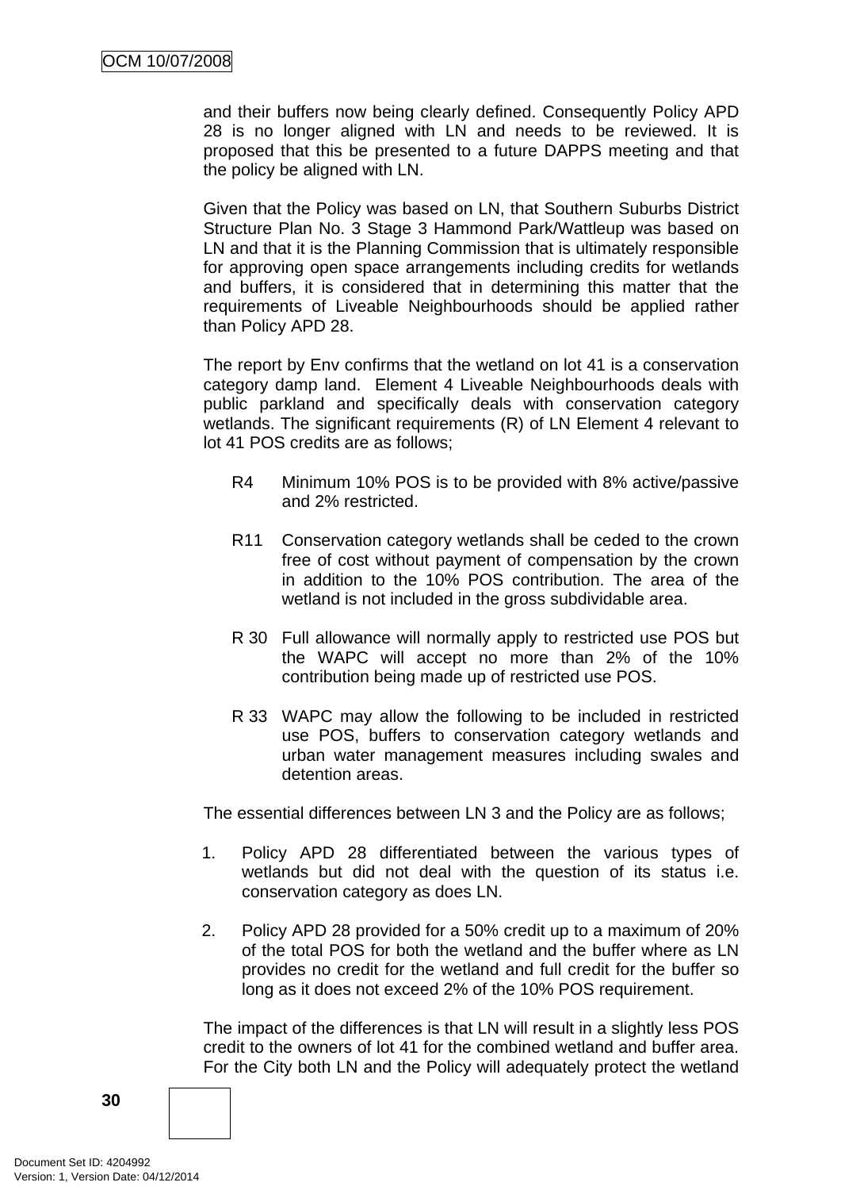and their buffers now being clearly defined. Consequently Policy APD 28 is no longer aligned with LN and needs to be reviewed. It is proposed that this be presented to a future DAPPS meeting and that the policy be aligned with LN.

Given that the Policy was based on LN, that Southern Suburbs District Structure Plan No. 3 Stage 3 Hammond Park/Wattleup was based on LN and that it is the Planning Commission that is ultimately responsible for approving open space arrangements including credits for wetlands and buffers, it is considered that in determining this matter that the requirements of Liveable Neighbourhoods should be applied rather than Policy APD 28.

The report by Env confirms that the wetland on lot 41 is a conservation category damp land. Element 4 Liveable Neighbourhoods deals with public parkland and specifically deals with conservation category wetlands. The significant requirements (R) of LN Element 4 relevant to lot 41 POS credits are as follows;

- R4 Minimum 10% POS is to be provided with 8% active/passive and 2% restricted.
- R11 Conservation category wetlands shall be ceded to the crown free of cost without payment of compensation by the crown in addition to the 10% POS contribution. The area of the wetland is not included in the gross subdividable area.
- R 30 Full allowance will normally apply to restricted use POS but the WAPC will accept no more than 2% of the 10% contribution being made up of restricted use POS.
- R 33 WAPC may allow the following to be included in restricted use POS, buffers to conservation category wetlands and urban water management measures including swales and detention areas.

The essential differences between LN 3 and the Policy are as follows;

- 1. Policy APD 28 differentiated between the various types of wetlands but did not deal with the question of its status i.e. conservation category as does LN.
- 2. Policy APD 28 provided for a 50% credit up to a maximum of 20% of the total POS for both the wetland and the buffer where as LN provides no credit for the wetland and full credit for the buffer so long as it does not exceed 2% of the 10% POS requirement.

The impact of the differences is that LN will result in a slightly less POS credit to the owners of lot 41 for the combined wetland and buffer area. For the City both LN and the Policy will adequately protect the wetland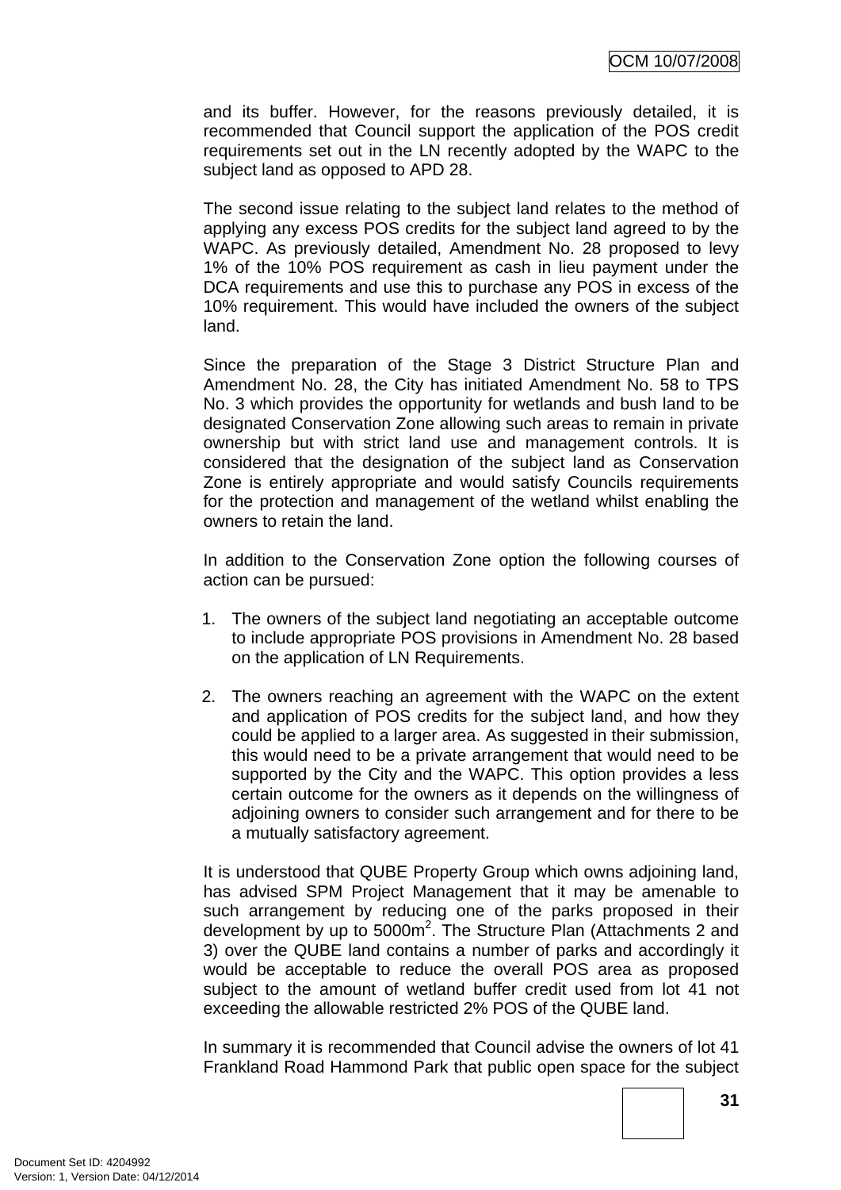and its buffer. However, for the reasons previously detailed, it is recommended that Council support the application of the POS credit requirements set out in the LN recently adopted by the WAPC to the subject land as opposed to APD 28.

The second issue relating to the subject land relates to the method of applying any excess POS credits for the subject land agreed to by the WAPC. As previously detailed, Amendment No. 28 proposed to levy 1% of the 10% POS requirement as cash in lieu payment under the DCA requirements and use this to purchase any POS in excess of the 10% requirement. This would have included the owners of the subject land.

Since the preparation of the Stage 3 District Structure Plan and Amendment No. 28, the City has initiated Amendment No. 58 to TPS No. 3 which provides the opportunity for wetlands and bush land to be designated Conservation Zone allowing such areas to remain in private ownership but with strict land use and management controls. It is considered that the designation of the subject land as Conservation Zone is entirely appropriate and would satisfy Councils requirements for the protection and management of the wetland whilst enabling the owners to retain the land.

In addition to the Conservation Zone option the following courses of action can be pursued:

- 1. The owners of the subject land negotiating an acceptable outcome to include appropriate POS provisions in Amendment No. 28 based on the application of LN Requirements.
- 2. The owners reaching an agreement with the WAPC on the extent and application of POS credits for the subject land, and how they could be applied to a larger area. As suggested in their submission, this would need to be a private arrangement that would need to be supported by the City and the WAPC. This option provides a less certain outcome for the owners as it depends on the willingness of adjoining owners to consider such arrangement and for there to be a mutually satisfactory agreement.

It is understood that QUBE Property Group which owns adjoining land, has advised SPM Project Management that it may be amenable to such arrangement by reducing one of the parks proposed in their development by up to 5000m<sup>2</sup>. The Structure Plan (Attachments 2 and 3) over the QUBE land contains a number of parks and accordingly it would be acceptable to reduce the overall POS area as proposed subject to the amount of wetland buffer credit used from lot 41 not exceeding the allowable restricted 2% POS of the QUBE land.

In summary it is recommended that Council advise the owners of lot 41 Frankland Road Hammond Park that public open space for the subject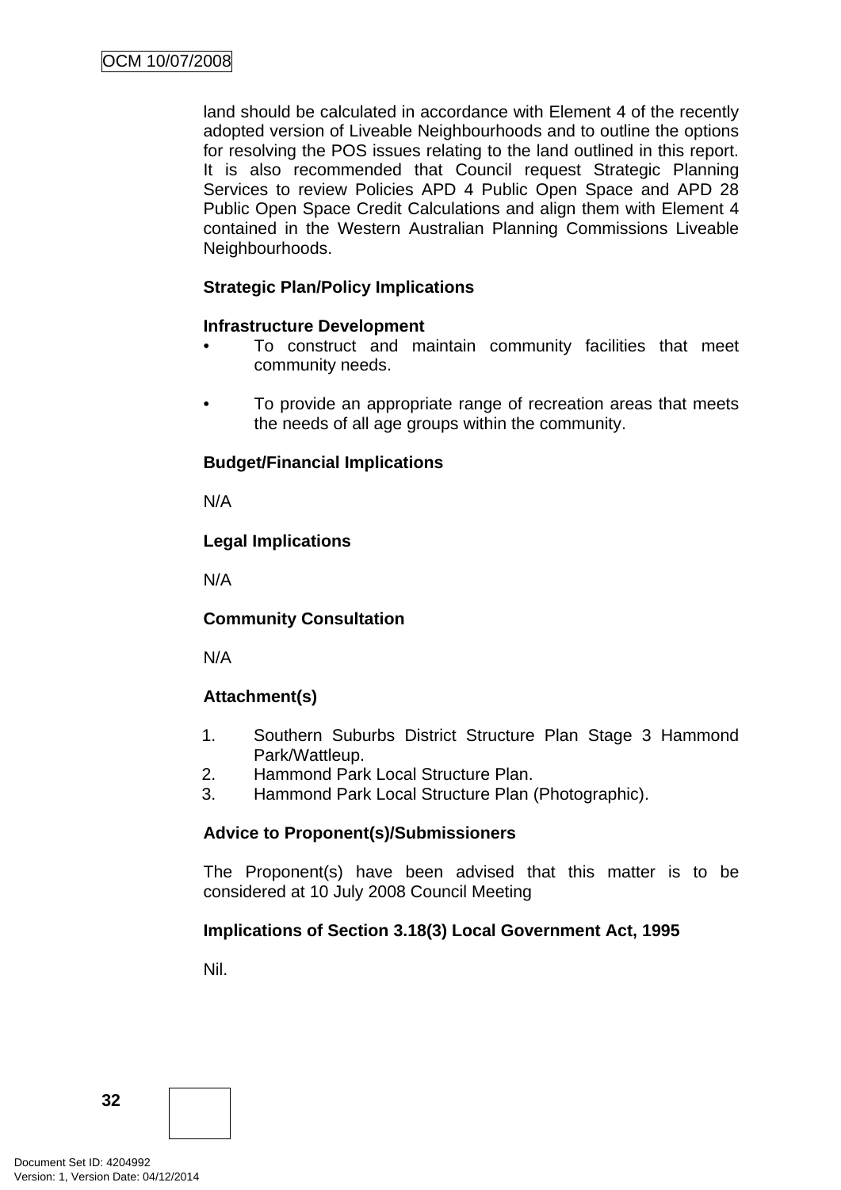land should be calculated in accordance with Element 4 of the recently adopted version of Liveable Neighbourhoods and to outline the options for resolving the POS issues relating to the land outlined in this report. It is also recommended that Council request Strategic Planning Services to review Policies APD 4 Public Open Space and APD 28 Public Open Space Credit Calculations and align them with Element 4 contained in the Western Australian Planning Commissions Liveable Neighbourhoods.

# **Strategic Plan/Policy Implications**

#### **Infrastructure Development**

- To construct and maintain community facilities that meet community needs.
- To provide an appropriate range of recreation areas that meets the needs of all age groups within the community.

### **Budget/Financial Implications**

N/A

### **Legal Implications**

N/A

### **Community Consultation**

N/A

### **Attachment(s)**

- 1. Southern Suburbs District Structure Plan Stage 3 Hammond Park/Wattleup.
- 2. Hammond Park Local Structure Plan.
- 3. Hammond Park Local Structure Plan (Photographic).

### **Advice to Proponent(s)/Submissioners**

The Proponent(s) have been advised that this matter is to be considered at 10 July 2008 Council Meeting

# **Implications of Section 3.18(3) Local Government Act, 1995**

Nil.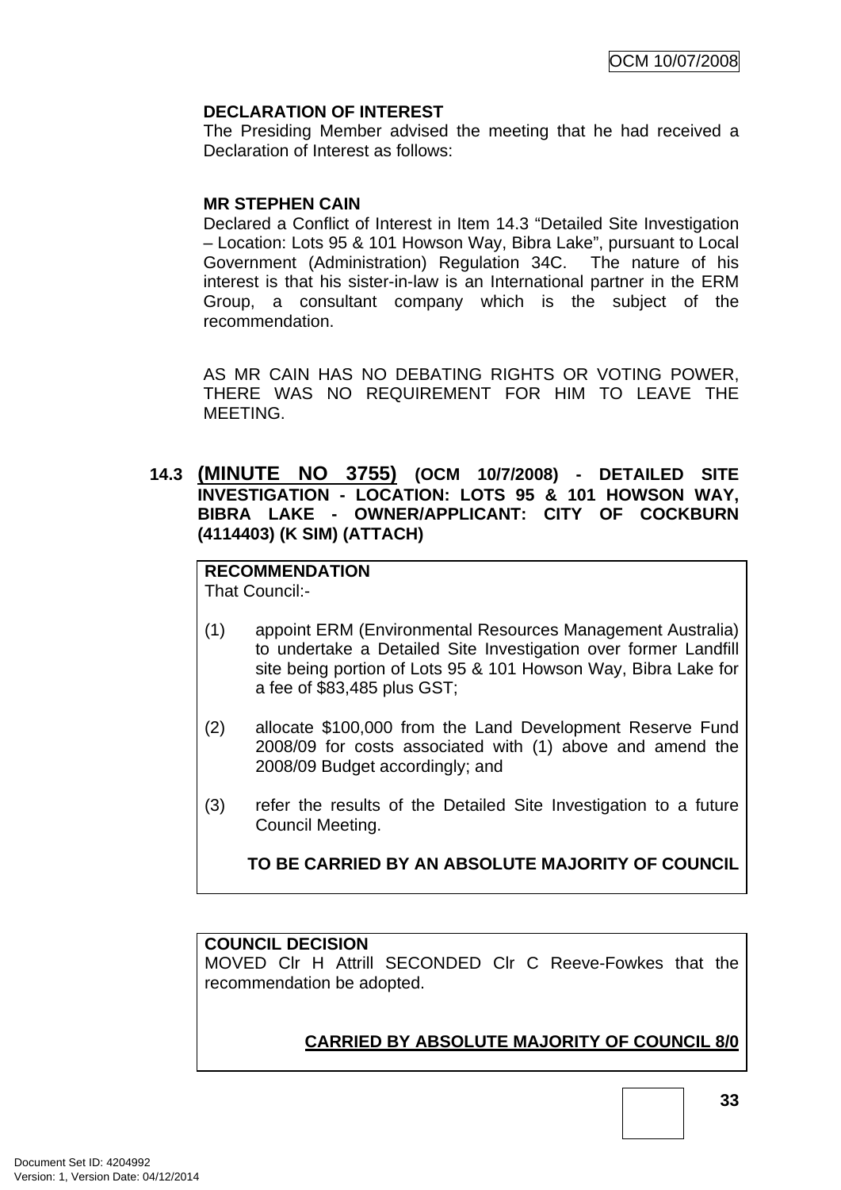# **DECLARATION OF INTEREST**

The Presiding Member advised the meeting that he had received a Declaration of Interest as follows:

# **MR STEPHEN CAIN**

Declared a Conflict of Interest in Item 14.3 "Detailed Site Investigation – Location: Lots 95 & 101 Howson Way, Bibra Lake", pursuant to Local Government (Administration) Regulation 34C. The nature of his interest is that his sister-in-law is an International partner in the ERM Group, a consultant company which is the subject of the recommendation.

AS MR CAIN HAS NO DEBATING RIGHTS OR VOTING POWER, THERE WAS NO REQUIREMENT FOR HIM TO LEAVE THE MEETING.

**14.3 (MINUTE NO 3755) (OCM 10/7/2008) - DETAILED SITE INVESTIGATION - LOCATION: LOTS 95 & 101 HOWSON WAY, BIBRA LAKE - OWNER/APPLICANT: CITY OF COCKBURN (4114403) (K SIM) (ATTACH)** 

#### **RECOMMENDATION** That Council:-

- (1) appoint ERM (Environmental Resources Management Australia) to undertake a Detailed Site Investigation over former Landfill site being portion of Lots 95 & 101 Howson Way, Bibra Lake for a fee of \$83,485 plus GST;
- (2) allocate \$100,000 from the Land Development Reserve Fund 2008/09 for costs associated with (1) above and amend the 2008/09 Budget accordingly; and
- (3) refer the results of the Detailed Site Investigation to a future Council Meeting.

# **TO BE CARRIED BY AN ABSOLUTE MAJORITY OF COUNCIL**

## **COUNCIL DECISION**

MOVED Clr H Attrill SECONDED Clr C Reeve-Fowkes that the recommendation be adopted.

# **CARRIED BY ABSOLUTE MAJORITY OF COUNCIL 8/0**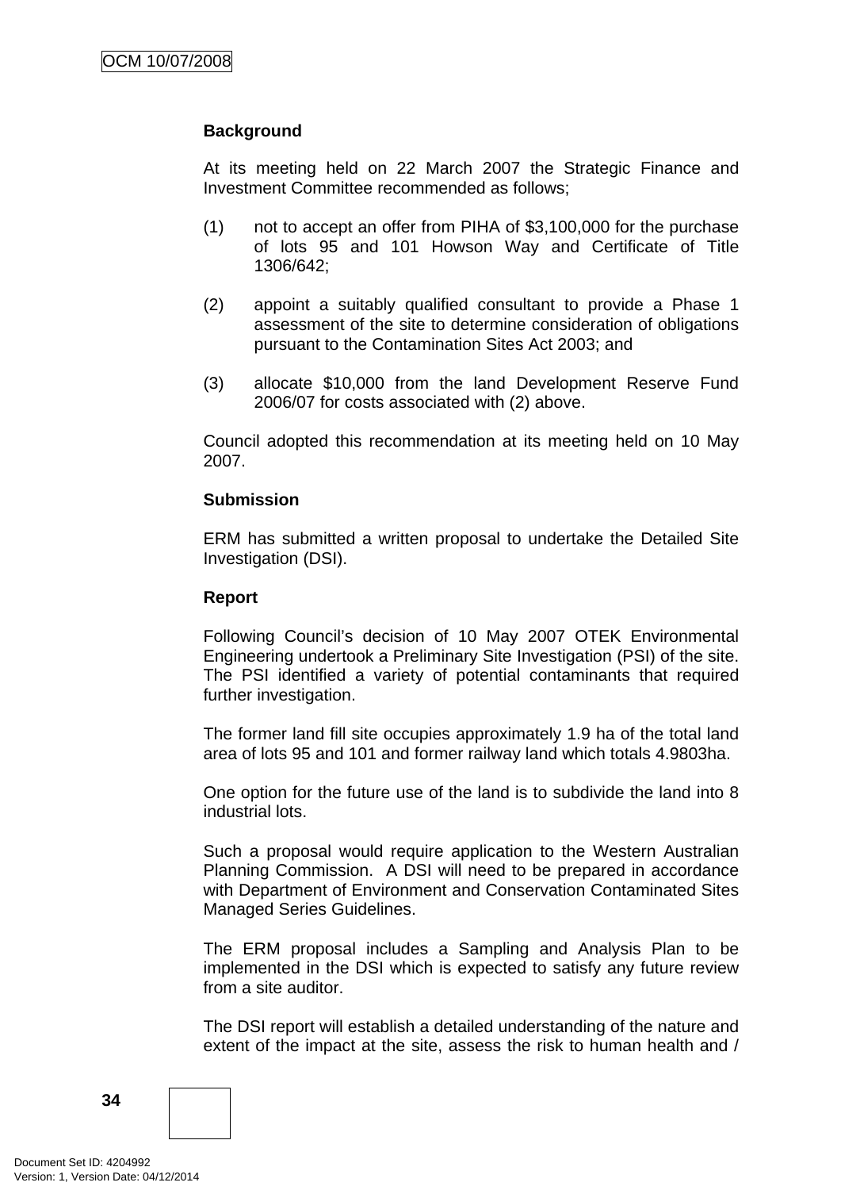# **Background**

At its meeting held on 22 March 2007 the Strategic Finance and Investment Committee recommended as follows;

- (1) not to accept an offer from PIHA of \$3,100,000 for the purchase of lots 95 and 101 Howson Way and Certificate of Title 1306/642;
- (2) appoint a suitably qualified consultant to provide a Phase 1 assessment of the site to determine consideration of obligations pursuant to the Contamination Sites Act 2003; and
- (3) allocate \$10,000 from the land Development Reserve Fund 2006/07 for costs associated with (2) above.

Council adopted this recommendation at its meeting held on 10 May 2007.

### **Submission**

ERM has submitted a written proposal to undertake the Detailed Site Investigation (DSI).

#### **Report**

Following Council's decision of 10 May 2007 OTEK Environmental Engineering undertook a Preliminary Site Investigation (PSI) of the site. The PSI identified a variety of potential contaminants that required further investigation.

The former land fill site occupies approximately 1.9 ha of the total land area of lots 95 and 101 and former railway land which totals 4.9803ha.

One option for the future use of the land is to subdivide the land into 8 industrial lots.

Such a proposal would require application to the Western Australian Planning Commission. A DSI will need to be prepared in accordance with Department of Environment and Conservation Contaminated Sites Managed Series Guidelines.

The ERM proposal includes a Sampling and Analysis Plan to be implemented in the DSI which is expected to satisfy any future review from a site auditor.

The DSI report will establish a detailed understanding of the nature and extent of the impact at the site, assess the risk to human health and /

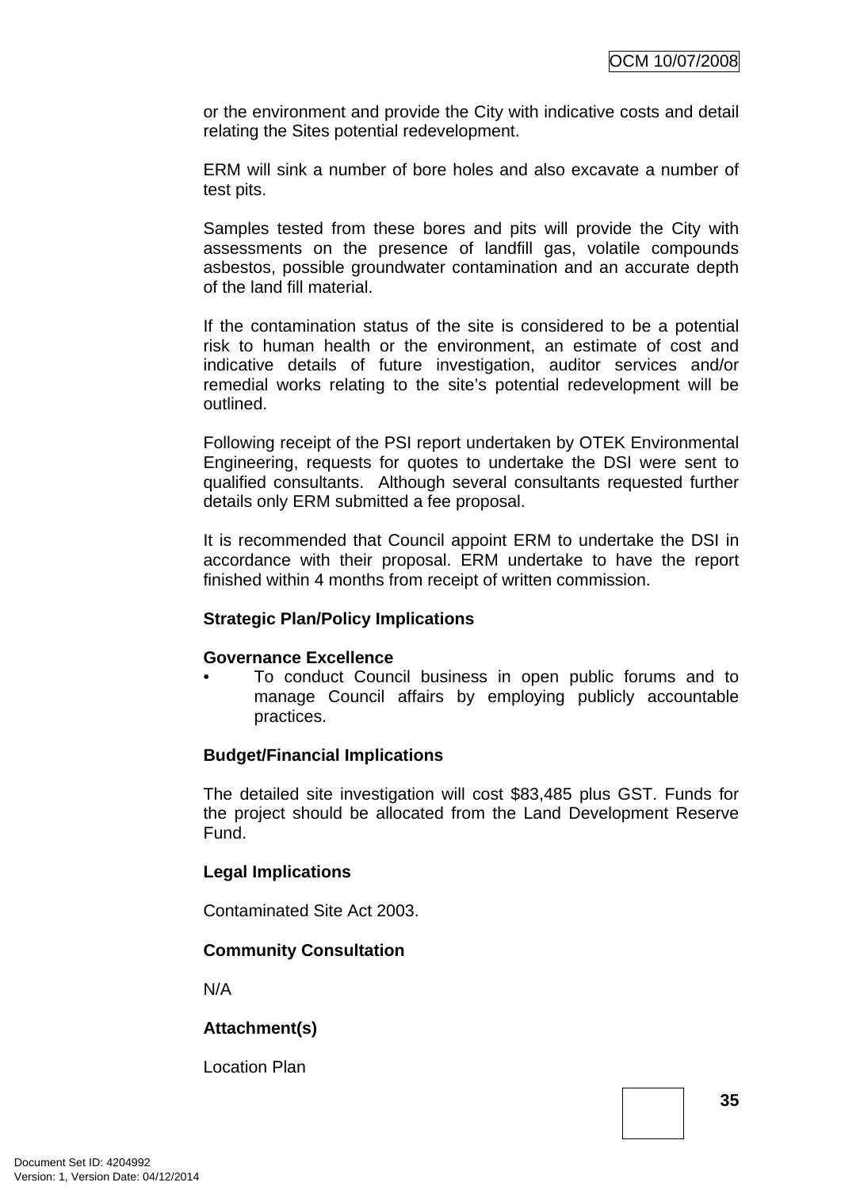or the environment and provide the City with indicative costs and detail relating the Sites potential redevelopment.

ERM will sink a number of bore holes and also excavate a number of test pits.

Samples tested from these bores and pits will provide the City with assessments on the presence of landfill gas, volatile compounds asbestos, possible groundwater contamination and an accurate depth of the land fill material.

If the contamination status of the site is considered to be a potential risk to human health or the environment, an estimate of cost and indicative details of future investigation, auditor services and/or remedial works relating to the site's potential redevelopment will be outlined.

Following receipt of the PSI report undertaken by OTEK Environmental Engineering, requests for quotes to undertake the DSI were sent to qualified consultants. Although several consultants requested further details only ERM submitted a fee proposal.

It is recommended that Council appoint ERM to undertake the DSI in accordance with their proposal. ERM undertake to have the report finished within 4 months from receipt of written commission.

## **Strategic Plan/Policy Implications**

#### **Governance Excellence**

• To conduct Council business in open public forums and to manage Council affairs by employing publicly accountable practices.

## **Budget/Financial Implications**

The detailed site investigation will cost \$83,485 plus GST. Funds for the project should be allocated from the Land Development Reserve Fund.

## **Legal Implications**

Contaminated Site Act 2003.

## **Community Consultation**

N/A

## **Attachment(s)**

Location Plan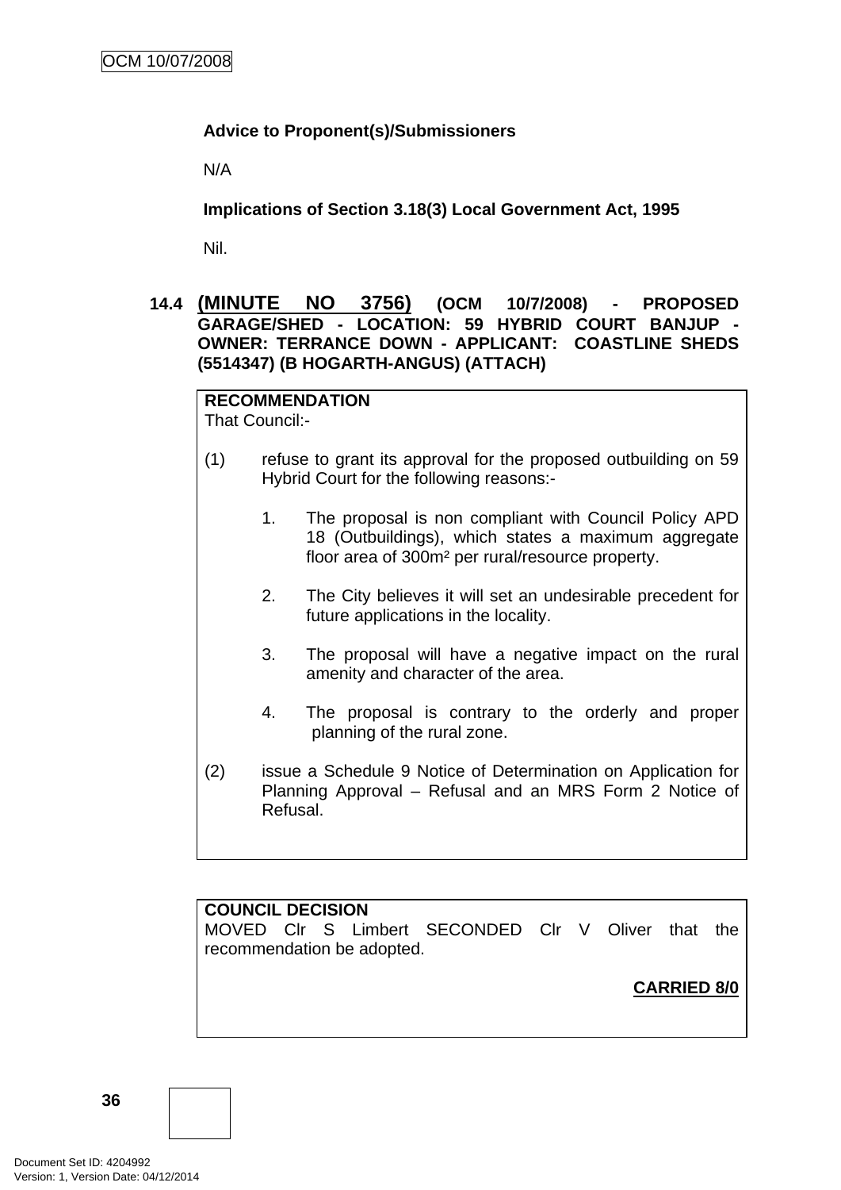# **Advice to Proponent(s)/Submissioners**

N/A

**Implications of Section 3.18(3) Local Government Act, 1995**

Nil.

# **14.4 (MINUTE NO 3756) (OCM 10/7/2008) - PROPOSED GARAGE/SHED - LOCATION: 59 HYBRID COURT BANJUP - OWNER: TERRANCE DOWN - APPLICANT: COASTLINE SHEDS (5514347) (B HOGARTH-ANGUS) (ATTACH)**

# **RECOMMENDATION**

That Council:-

- (1) refuse to grant its approval for the proposed outbuilding on 59 Hybrid Court for the following reasons:-
	- 1. The proposal is non compliant with Council Policy APD 18 (Outbuildings), which states a maximum aggregate floor area of 300m² per rural/resource property.
	- 2. The City believes it will set an undesirable precedent for future applications in the locality.
	- 3. The proposal will have a negative impact on the rural amenity and character of the area.
	- 4. The proposal is contrary to the orderly and proper planning of the rural zone.
- (2) issue a Schedule 9 Notice of Determination on Application for Planning Approval – Refusal and an MRS Form 2 Notice of Refusal.

# **COUNCIL DECISION**

MOVED Clr S Limbert SECONDED Clr V Oliver that the recommendation be adopted.

**CARRIED 8/0**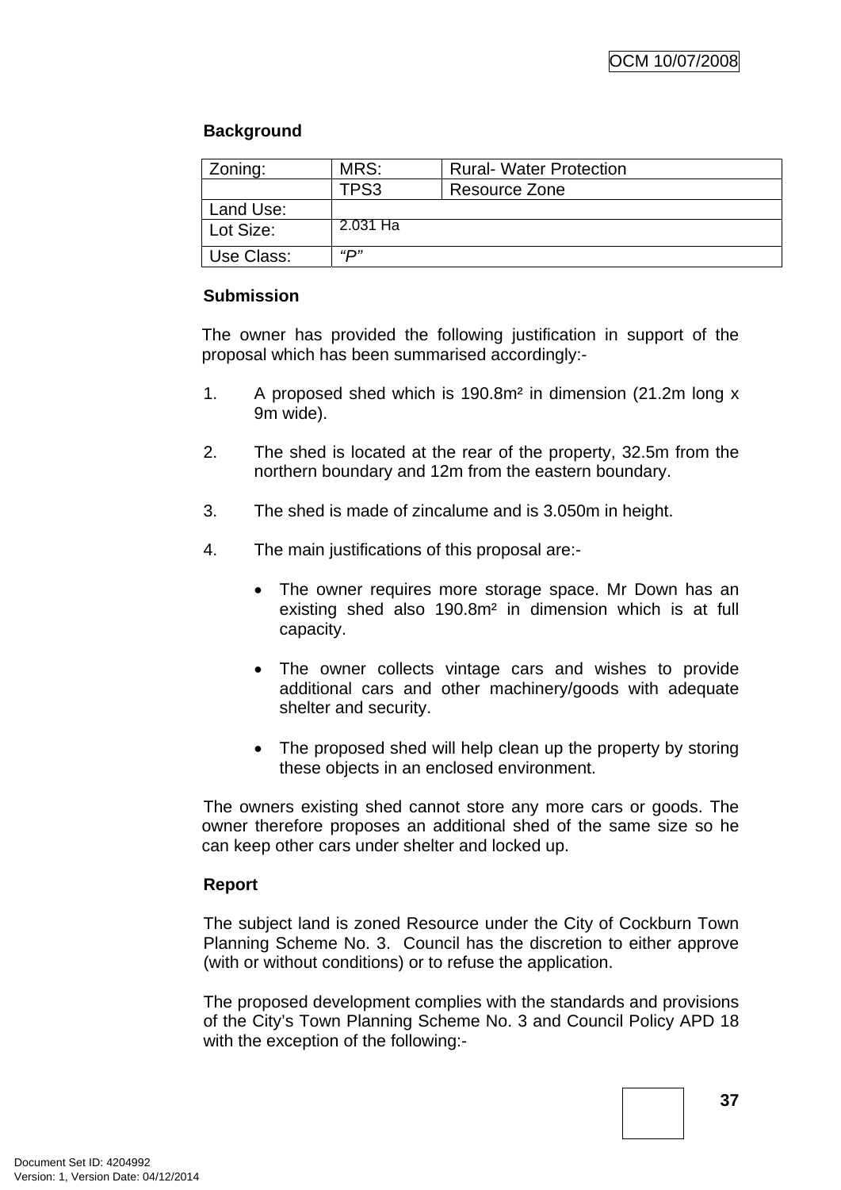# **Background**

| Zoning:    | MRS:     | <b>Rural- Water Protection</b> |
|------------|----------|--------------------------------|
|            | TPS3     | Resource Zone                  |
| Land Use:  |          |                                |
| Lot Size:  | 2.031 Ha |                                |
| Use Class: | "D"      |                                |

## **Submission**

The owner has provided the following justification in support of the proposal which has been summarised accordingly:-

- 1. A proposed shed which is 190.8m² in dimension (21.2m long x 9m wide).
- 2. The shed is located at the rear of the property, 32.5m from the northern boundary and 12m from the eastern boundary.
- 3. The shed is made of zincalume and is 3.050m in height.
- 4. The main justifications of this proposal are:-
	- The owner requires more storage space. Mr Down has an existing shed also 190.8m² in dimension which is at full capacity.
	- The owner collects vintage cars and wishes to provide additional cars and other machinery/goods with adequate shelter and security.
	- The proposed shed will help clean up the property by storing these objects in an enclosed environment.

The owners existing shed cannot store any more cars or goods. The owner therefore proposes an additional shed of the same size so he can keep other cars under shelter and locked up.

## **Report**

The subject land is zoned Resource under the City of Cockburn Town Planning Scheme No. 3. Council has the discretion to either approve (with or without conditions) or to refuse the application.

The proposed development complies with the standards and provisions of the City's Town Planning Scheme No. 3 and Council Policy APD 18 with the exception of the following:-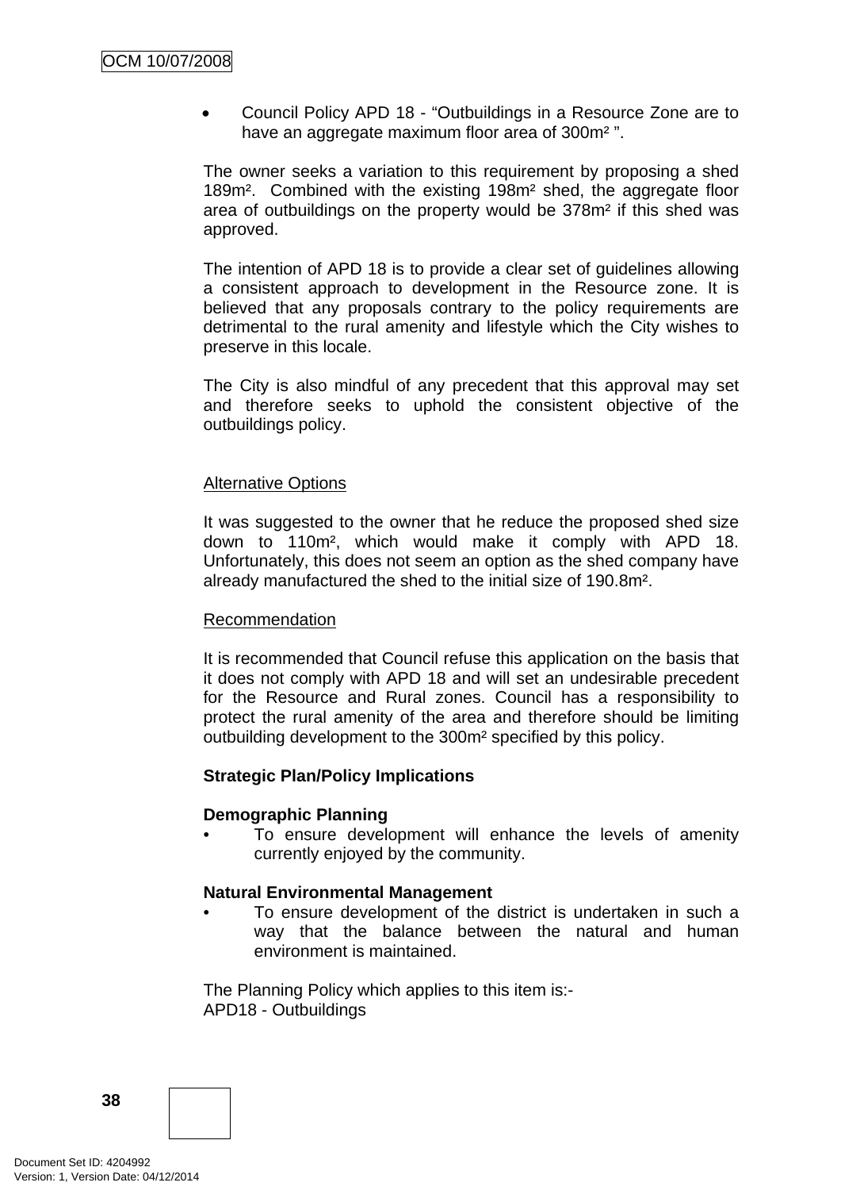• Council Policy APD 18 - "Outbuildings in a Resource Zone are to have an aggregate maximum floor area of 300m² ".

The owner seeks a variation to this requirement by proposing a shed 189m². Combined with the existing 198m² shed, the aggregate floor area of outbuildings on the property would be 378m² if this shed was approved.

The intention of APD 18 is to provide a clear set of guidelines allowing a consistent approach to development in the Resource zone. It is believed that any proposals contrary to the policy requirements are detrimental to the rural amenity and lifestyle which the City wishes to preserve in this locale.

The City is also mindful of any precedent that this approval may set and therefore seeks to uphold the consistent objective of the outbuildings policy.

## Alternative Options

It was suggested to the owner that he reduce the proposed shed size down to 110m², which would make it comply with APD 18. Unfortunately, this does not seem an option as the shed company have already manufactured the shed to the initial size of 190.8m².

## Recommendation

It is recommended that Council refuse this application on the basis that it does not comply with APD 18 and will set an undesirable precedent for the Resource and Rural zones. Council has a responsibility to protect the rural amenity of the area and therefore should be limiting outbuilding development to the 300m² specified by this policy.

## **Strategic Plan/Policy Implications**

## **Demographic Planning**

To ensure development will enhance the levels of amenity currently enjoyed by the community.

#### **Natural Environmental Management**

To ensure development of the district is undertaken in such a way that the balance between the natural and human environment is maintained.

The Planning Policy which applies to this item is:- APD18 - Outbuildings

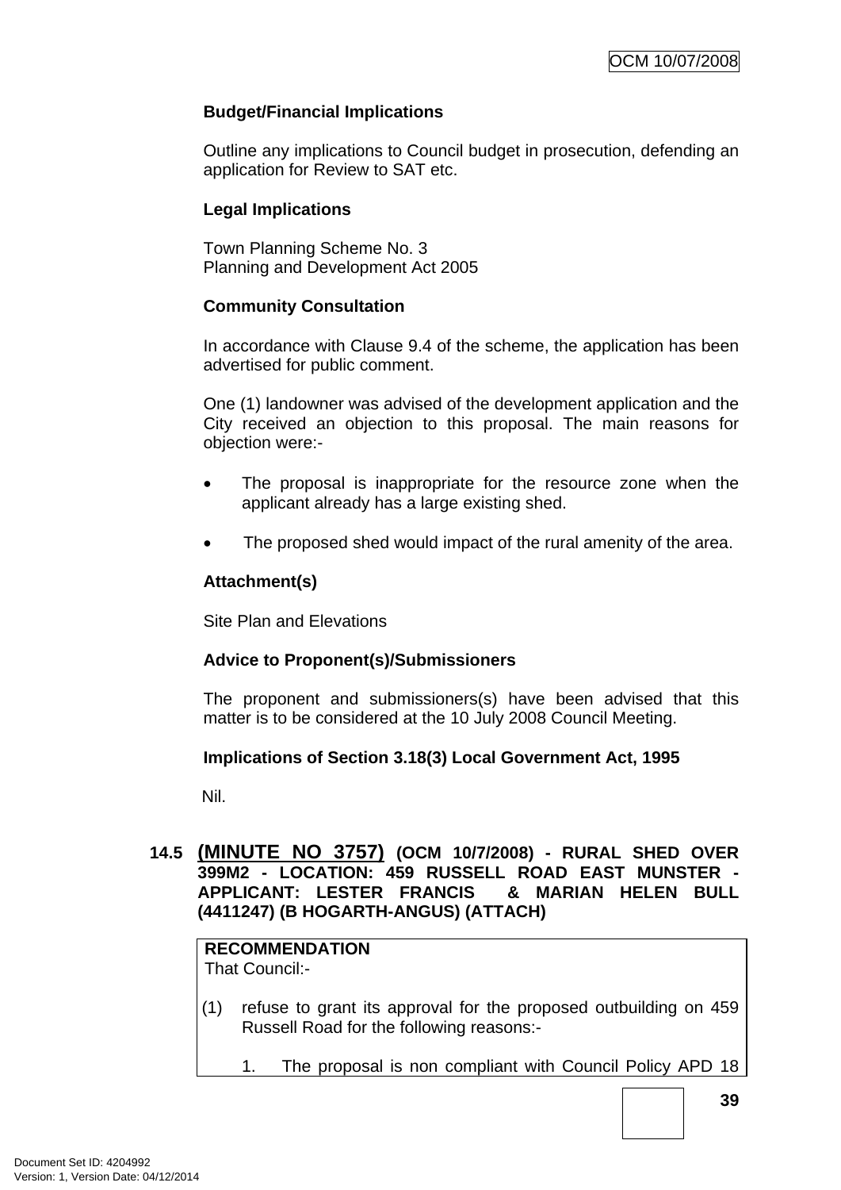# **Budget/Financial Implications**

Outline any implications to Council budget in prosecution, defending an application for Review to SAT etc.

# **Legal Implications**

Town Planning Scheme No. 3 Planning and Development Act 2005

# **Community Consultation**

In accordance with Clause 9.4 of the scheme, the application has been advertised for public comment.

One (1) landowner was advised of the development application and the City received an objection to this proposal. The main reasons for objection were:-

- The proposal is inappropriate for the resource zone when the applicant already has a large existing shed.
- The proposed shed would impact of the rural amenity of the area.

# **Attachment(s)**

Site Plan and Elevations

## **Advice to Proponent(s)/Submissioners**

The proponent and submissioners(s) have been advised that this matter is to be considered at the 10 July 2008 Council Meeting.

## **Implications of Section 3.18(3) Local Government Act, 1995**

Nil.

# **14.5 (MINUTE NO 3757) (OCM 10/7/2008) - RURAL SHED OVER 399M2 - LOCATION: 459 RUSSELL ROAD EAST MUNSTER - APPLICANT: LESTER FRANCIS & MARIAN HELEN BULL (4411247) (B HOGARTH-ANGUS) (ATTACH)**

# **RECOMMENDATION**

That Council:-

- (1) refuse to grant its approval for the proposed outbuilding on 459 Russell Road for the following reasons:-
	- 1. The proposal is non compliant with Council Policy APD 18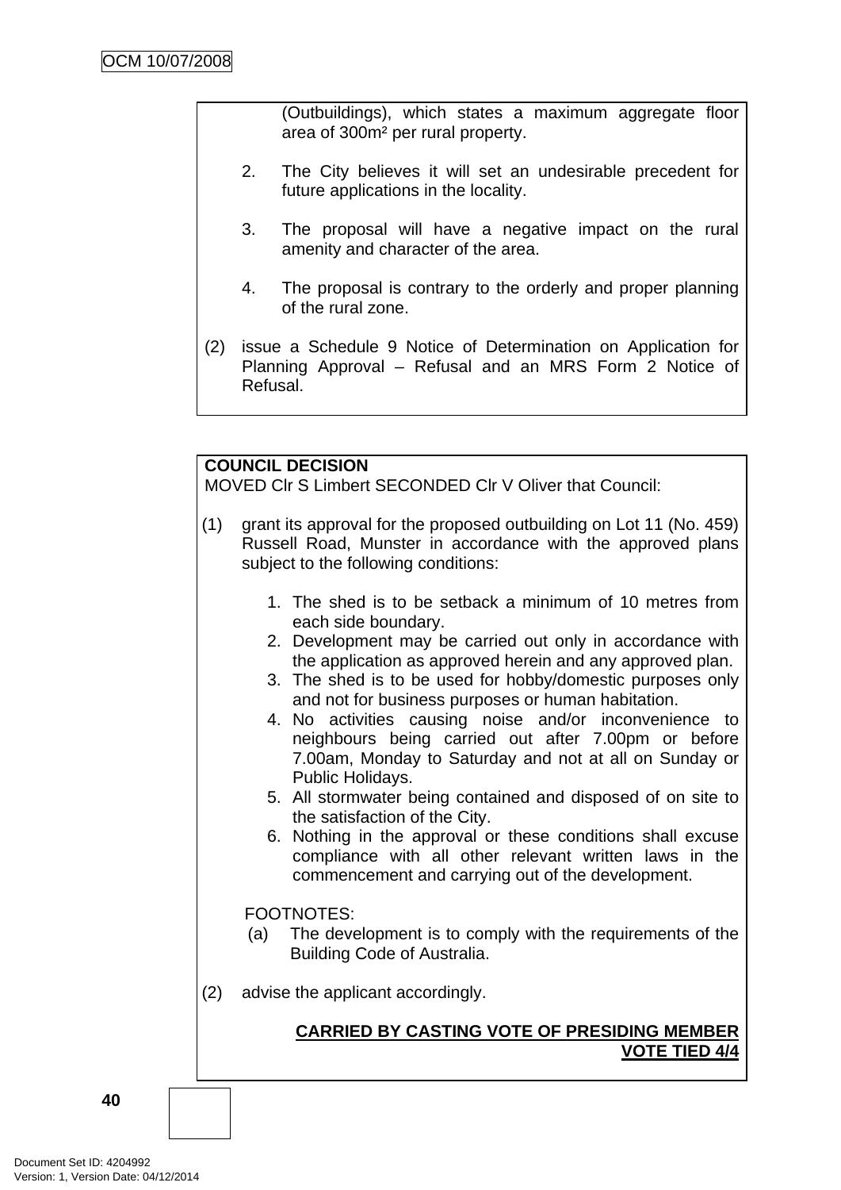(Outbuildings), which states a maximum aggregate floor area of 300m² per rural property.

- 2. The City believes it will set an undesirable precedent for future applications in the locality.
- 3. The proposal will have a negative impact on the rural amenity and character of the area.
- 4. The proposal is contrary to the orderly and proper planning of the rural zone.
- (2) issue a Schedule 9 Notice of Determination on Application for Planning Approval – Refusal and an MRS Form 2 Notice of Refusal.

# **COUNCIL DECISION**

MOVED Clr S Limbert SECONDED Clr V Oliver that Council:

- (1) grant its approval for the proposed outbuilding on Lot 11 (No. 459) Russell Road, Munster in accordance with the approved plans subject to the following conditions:
	- 1. The shed is to be setback a minimum of 10 metres from each side boundary.
	- 2. Development may be carried out only in accordance with the application as approved herein and any approved plan.
	- 3. The shed is to be used for hobby/domestic purposes only and not for business purposes or human habitation.
	- 4. No activities causing noise and/or inconvenience to neighbours being carried out after 7.00pm or before 7.00am, Monday to Saturday and not at all on Sunday or Public Holidays.
	- 5. All stormwater being contained and disposed of on site to the satisfaction of the City.
	- 6. Nothing in the approval or these conditions shall excuse compliance with all other relevant written laws in the commencement and carrying out of the development.

## FOOTNOTES:

- (a) The development is to comply with the requirements of the Building Code of Australia.
- (2) advise the applicant accordingly.

# **CARRIED BY CASTING VOTE OF PRESIDING MEMBER VOTE TIED 4/4**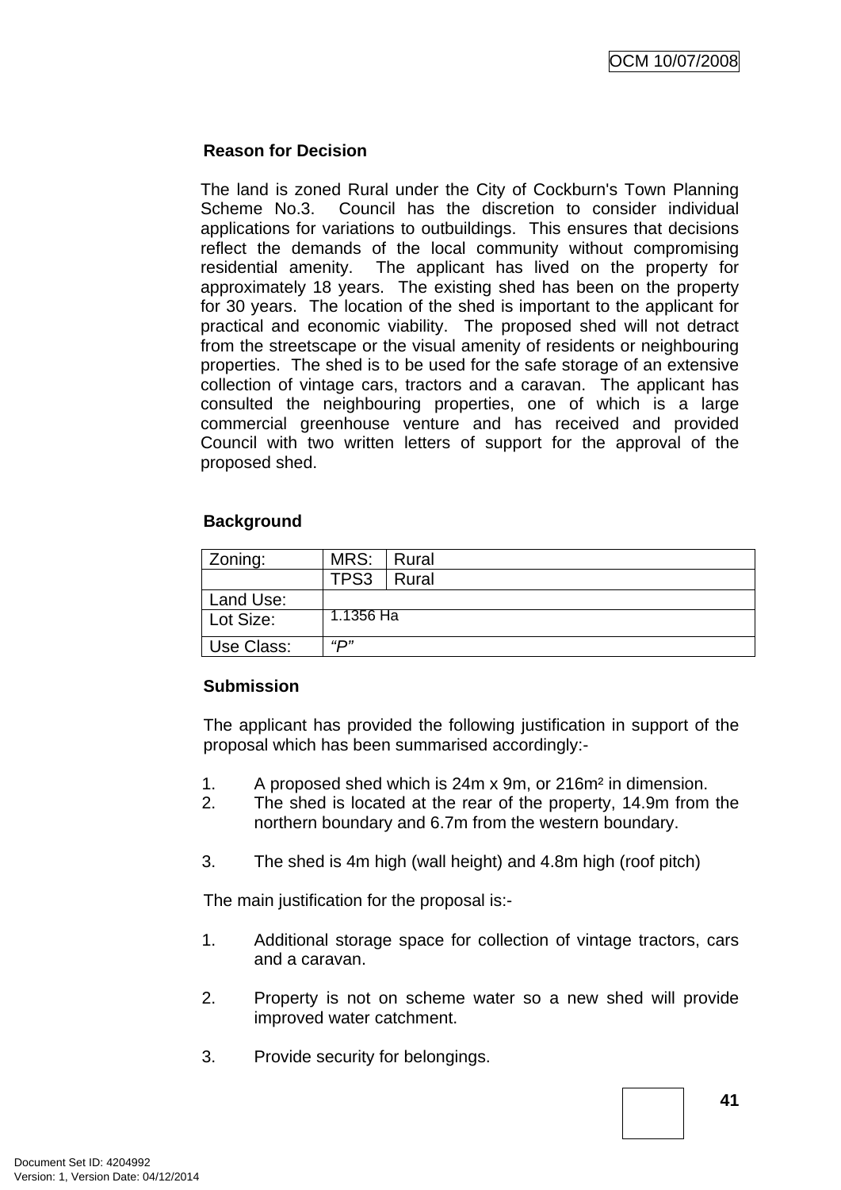# **Reason for Decision**

The land is zoned Rural under the City of Cockburn's Town Planning Scheme No.3. Council has the discretion to consider individual applications for variations to outbuildings. This ensures that decisions reflect the demands of the local community without compromising residential amenity. The applicant has lived on the property for approximately 18 years. The existing shed has been on the property for 30 years. The location of the shed is important to the applicant for practical and economic viability. The proposed shed will not detract from the streetscape or the visual amenity of residents or neighbouring properties. The shed is to be used for the safe storage of an extensive collection of vintage cars, tractors and a caravan. The applicant has consulted the neighbouring properties, one of which is a large commercial greenhouse venture and has received and provided Council with two written letters of support for the approval of the proposed shed.

# **Background**

| Zoning:    | MRS: Rural   |       |
|------------|--------------|-------|
|            | TPS3         | Rural |
| Land Use:  |              |       |
| Lot Size:  | 1.1356 Ha    |       |
| Use Class: | <i>יים</i> " |       |

## **Submission**

The applicant has provided the following justification in support of the proposal which has been summarised accordingly:-

- 1. A proposed shed which is 24m x 9m, or 216m² in dimension.
- 2. The shed is located at the rear of the property, 14.9m from the northern boundary and 6.7m from the western boundary.
- 3. The shed is 4m high (wall height) and 4.8m high (roof pitch)

The main justification for the proposal is:-

- 1. Additional storage space for collection of vintage tractors, cars and a caravan.
- 2. Property is not on scheme water so a new shed will provide improved water catchment.
- 3. Provide security for belongings.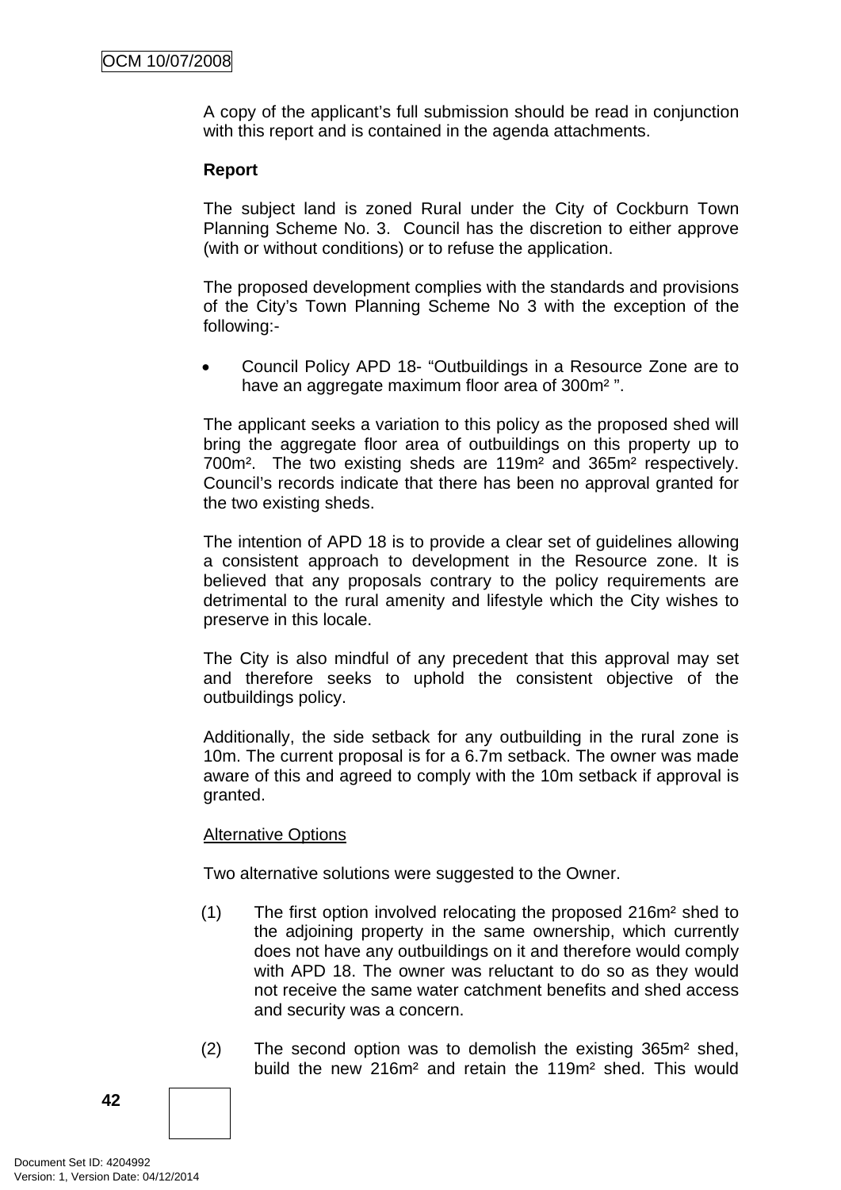A copy of the applicant's full submission should be read in conjunction with this report and is contained in the agenda attachments.

# **Report**

The subject land is zoned Rural under the City of Cockburn Town Planning Scheme No. 3. Council has the discretion to either approve (with or without conditions) or to refuse the application.

The proposed development complies with the standards and provisions of the City's Town Planning Scheme No 3 with the exception of the following:-

• Council Policy APD 18- "Outbuildings in a Resource Zone are to have an aggregate maximum floor area of 300m² ".

The applicant seeks a variation to this policy as the proposed shed will bring the aggregate floor area of outbuildings on this property up to 700m². The two existing sheds are 119m² and 365m² respectively. Council's records indicate that there has been no approval granted for the two existing sheds.

The intention of APD 18 is to provide a clear set of guidelines allowing a consistent approach to development in the Resource zone. It is believed that any proposals contrary to the policy requirements are detrimental to the rural amenity and lifestyle which the City wishes to preserve in this locale.

The City is also mindful of any precedent that this approval may set and therefore seeks to uphold the consistent objective of the outbuildings policy.

Additionally, the side setback for any outbuilding in the rural zone is 10m. The current proposal is for a 6.7m setback. The owner was made aware of this and agreed to comply with the 10m setback if approval is granted.

## Alternative Options

Two alternative solutions were suggested to the Owner.

- (1) The first option involved relocating the proposed 216m² shed to the adjoining property in the same ownership, which currently does not have any outbuildings on it and therefore would comply with APD 18. The owner was reluctant to do so as they would not receive the same water catchment benefits and shed access and security was a concern.
- (2) The second option was to demolish the existing 365m² shed, build the new 216m² and retain the 119m² shed. This would

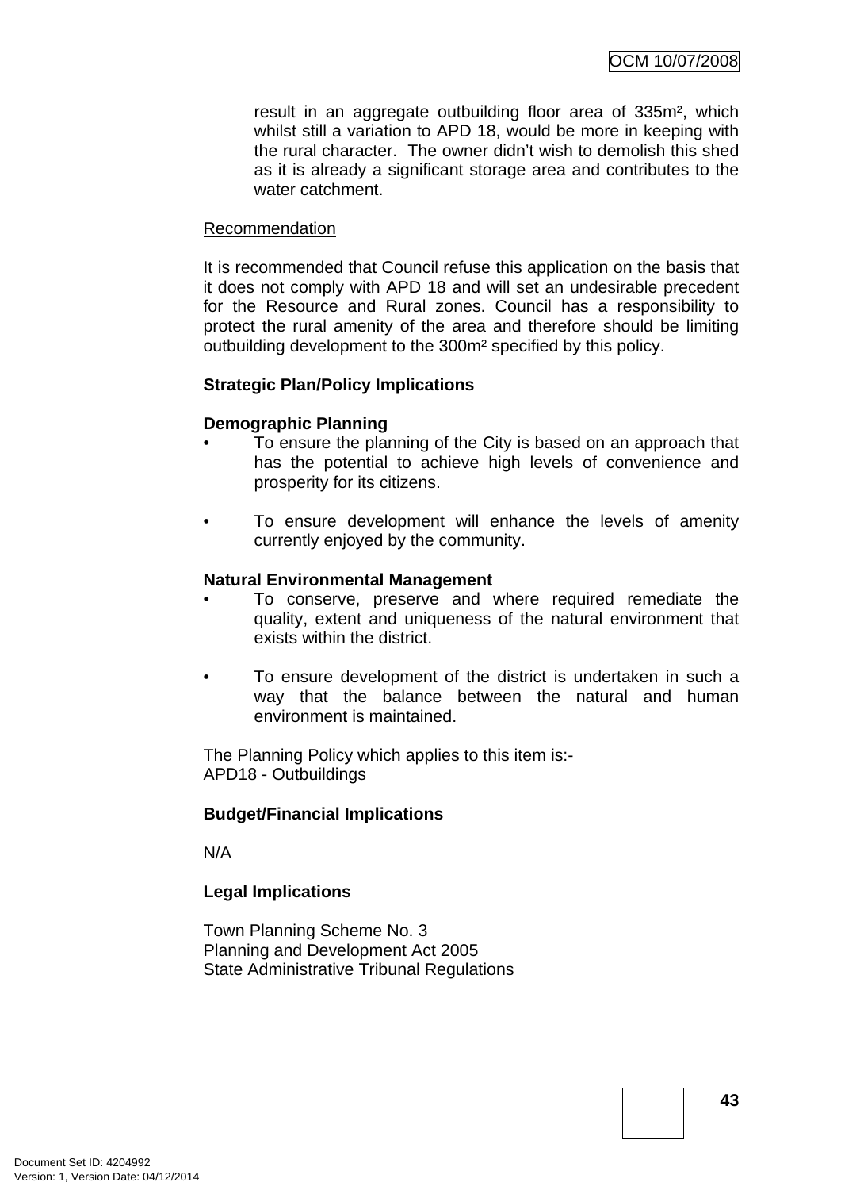result in an aggregate outbuilding floor area of 335m², which whilst still a variation to APD 18, would be more in keeping with the rural character. The owner didn't wish to demolish this shed as it is already a significant storage area and contributes to the water catchment.

### Recommendation

It is recommended that Council refuse this application on the basis that it does not comply with APD 18 and will set an undesirable precedent for the Resource and Rural zones. Council has a responsibility to protect the rural amenity of the area and therefore should be limiting outbuilding development to the 300m² specified by this policy.

### **Strategic Plan/Policy Implications**

#### **Demographic Planning**

- To ensure the planning of the City is based on an approach that has the potential to achieve high levels of convenience and prosperity for its citizens.
- To ensure development will enhance the levels of amenity currently enjoyed by the community.

### **Natural Environmental Management**

- To conserve, preserve and where required remediate the quality, extent and uniqueness of the natural environment that exists within the district.
- To ensure development of the district is undertaken in such a way that the balance between the natural and human environment is maintained.

The Planning Policy which applies to this item is:- APD18 - Outbuildings

## **Budget/Financial Implications**

N/A

## **Legal Implications**

Town Planning Scheme No. 3 Planning and Development Act 2005 State Administrative Tribunal Regulations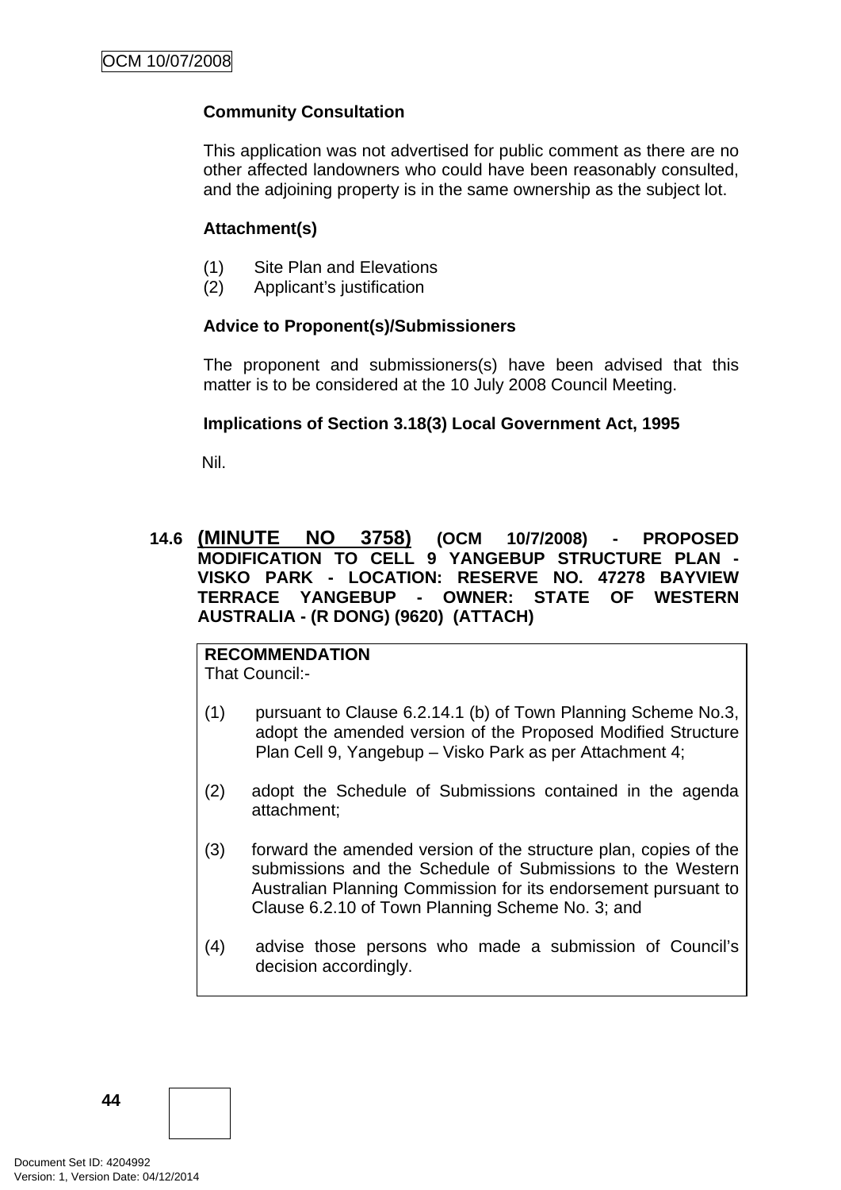# **Community Consultation**

This application was not advertised for public comment as there are no other affected landowners who could have been reasonably consulted, and the adjoining property is in the same ownership as the subject lot.

# **Attachment(s)**

- (1) Site Plan and Elevations
- (2) Applicant's justification

# **Advice to Proponent(s)/Submissioners**

The proponent and submissioners(s) have been advised that this matter is to be considered at the 10 July 2008 Council Meeting.

## **Implications of Section 3.18(3) Local Government Act, 1995**

Nil.

# **14.6 (MINUTE NO 3758) (OCM 10/7/2008) - PROPOSED MODIFICATION TO CELL 9 YANGEBUP STRUCTURE PLAN - VISKO PARK - LOCATION: RESERVE NO. 47278 BAYVIEW TERRACE YANGEBUP - OWNER: STATE OF WESTERN AUSTRALIA - (R DONG) (9620) (ATTACH)**

# **RECOMMENDATION**

That Council:-

- (1) pursuant to Clause 6.2.14.1 (b) of Town Planning Scheme No.3, adopt the amended version of the Proposed Modified Structure Plan Cell 9, Yangebup – Visko Park as per Attachment 4;
- (2) adopt the Schedule of Submissions contained in the agenda attachment;
- (3) forward the amended version of the structure plan, copies of the submissions and the Schedule of Submissions to the Western Australian Planning Commission for its endorsement pursuant to Clause 6.2.10 of Town Planning Scheme No. 3; and
- (4) advise those persons who made a submission of Council's decision accordingly.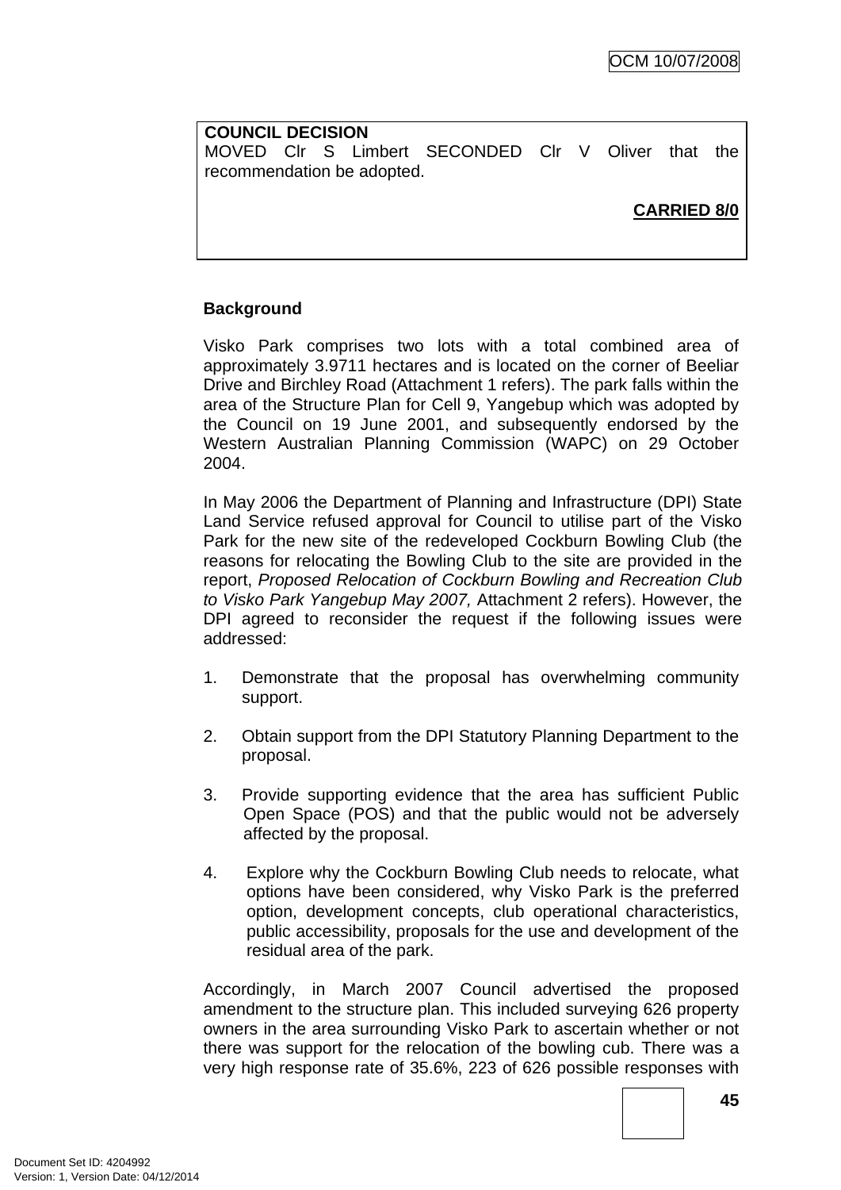**COUNCIL DECISION**  MOVED Clr S Limbert SECONDED Clr V Oliver that the recommendation be adopted.

**CARRIED 8/0**

# **Background**

Visko Park comprises two lots with a total combined area of approximately 3.9711 hectares and is located on the corner of Beeliar Drive and Birchley Road (Attachment 1 refers). The park falls within the area of the Structure Plan for Cell 9, Yangebup which was adopted by the Council on 19 June 2001, and subsequently endorsed by the Western Australian Planning Commission (WAPC) on 29 October 2004.

In May 2006 the Department of Planning and Infrastructure (DPI) State Land Service refused approval for Council to utilise part of the Visko Park for the new site of the redeveloped Cockburn Bowling Club (the reasons for relocating the Bowling Club to the site are provided in the report, *Proposed Relocation of Cockburn Bowling and Recreation Club to Visko Park Yangebup May 2007,* Attachment 2 refers). However, the DPI agreed to reconsider the request if the following issues were addressed:

- 1. Demonstrate that the proposal has overwhelming community support.
- 2. Obtain support from the DPI Statutory Planning Department to the proposal.
- 3. Provide supporting evidence that the area has sufficient Public Open Space (POS) and that the public would not be adversely affected by the proposal.
- 4. Explore why the Cockburn Bowling Club needs to relocate, what options have been considered, why Visko Park is the preferred option, development concepts, club operational characteristics, public accessibility, proposals for the use and development of the residual area of the park.

Accordingly, in March 2007 Council advertised the proposed amendment to the structure plan. This included surveying 626 property owners in the area surrounding Visko Park to ascertain whether or not there was support for the relocation of the bowling cub. There was a very high response rate of 35.6%, 223 of 626 possible responses with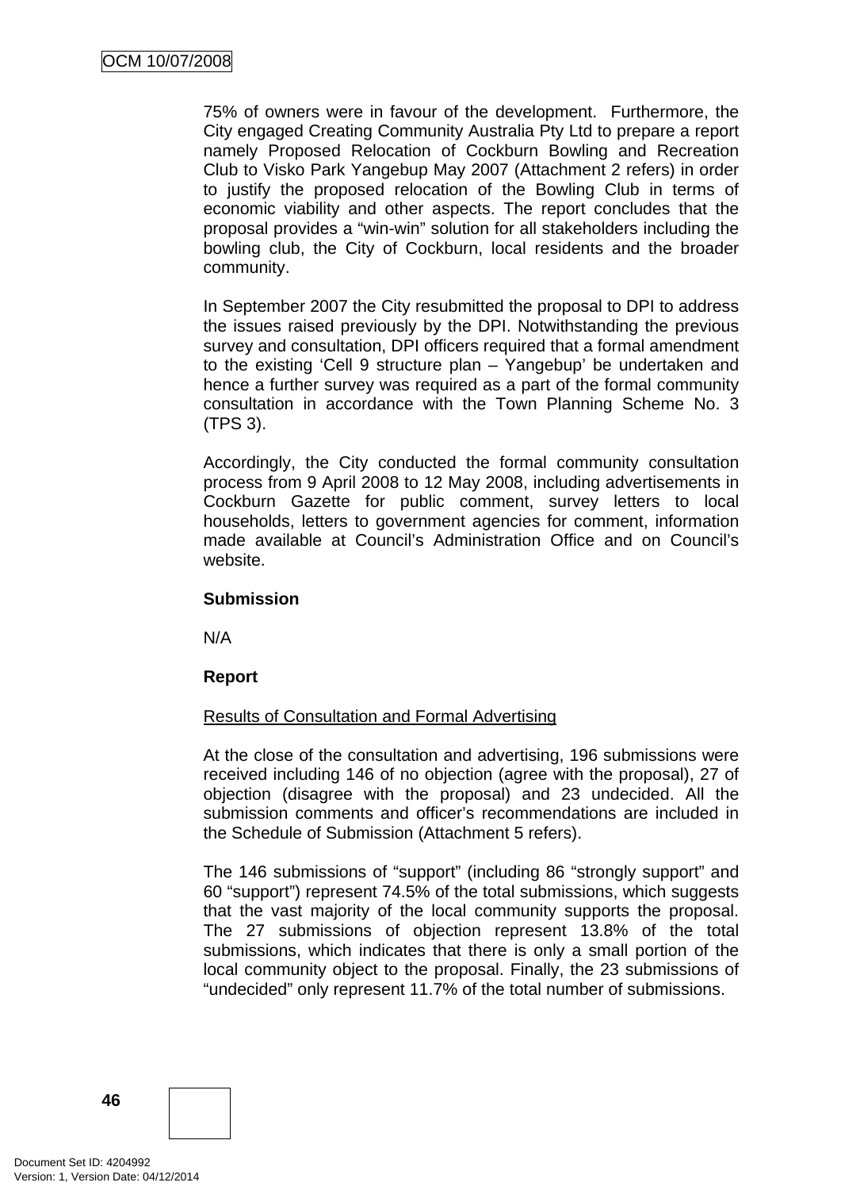75% of owners were in favour of the development. Furthermore, the City engaged Creating Community Australia Pty Ltd to prepare a report namely Proposed Relocation of Cockburn Bowling and Recreation Club to Visko Park Yangebup May 2007 (Attachment 2 refers) in order to justify the proposed relocation of the Bowling Club in terms of economic viability and other aspects. The report concludes that the proposal provides a "win-win" solution for all stakeholders including the bowling club, the City of Cockburn, local residents and the broader community.

In September 2007 the City resubmitted the proposal to DPI to address the issues raised previously by the DPI. Notwithstanding the previous survey and consultation, DPI officers required that a formal amendment to the existing 'Cell 9 structure plan – Yangebup' be undertaken and hence a further survey was required as a part of the formal community consultation in accordance with the Town Planning Scheme No. 3 (TPS 3).

Accordingly, the City conducted the formal community consultation process from 9 April 2008 to 12 May 2008, including advertisements in Cockburn Gazette for public comment, survey letters to local households, letters to government agencies for comment, information made available at Council's Administration Office and on Council's website.

## **Submission**

N/A

## **Report**

## Results of Consultation and Formal Advertising

At the close of the consultation and advertising, 196 submissions were received including 146 of no objection (agree with the proposal), 27 of objection (disagree with the proposal) and 23 undecided. All the submission comments and officer's recommendations are included in the Schedule of Submission (Attachment 5 refers).

The 146 submissions of "support" (including 86 "strongly support" and 60 "support") represent 74.5% of the total submissions, which suggests that the vast majority of the local community supports the proposal. The 27 submissions of objection represent 13.8% of the total submissions, which indicates that there is only a small portion of the local community object to the proposal. Finally, the 23 submissions of "undecided" only represent 11.7% of the total number of submissions.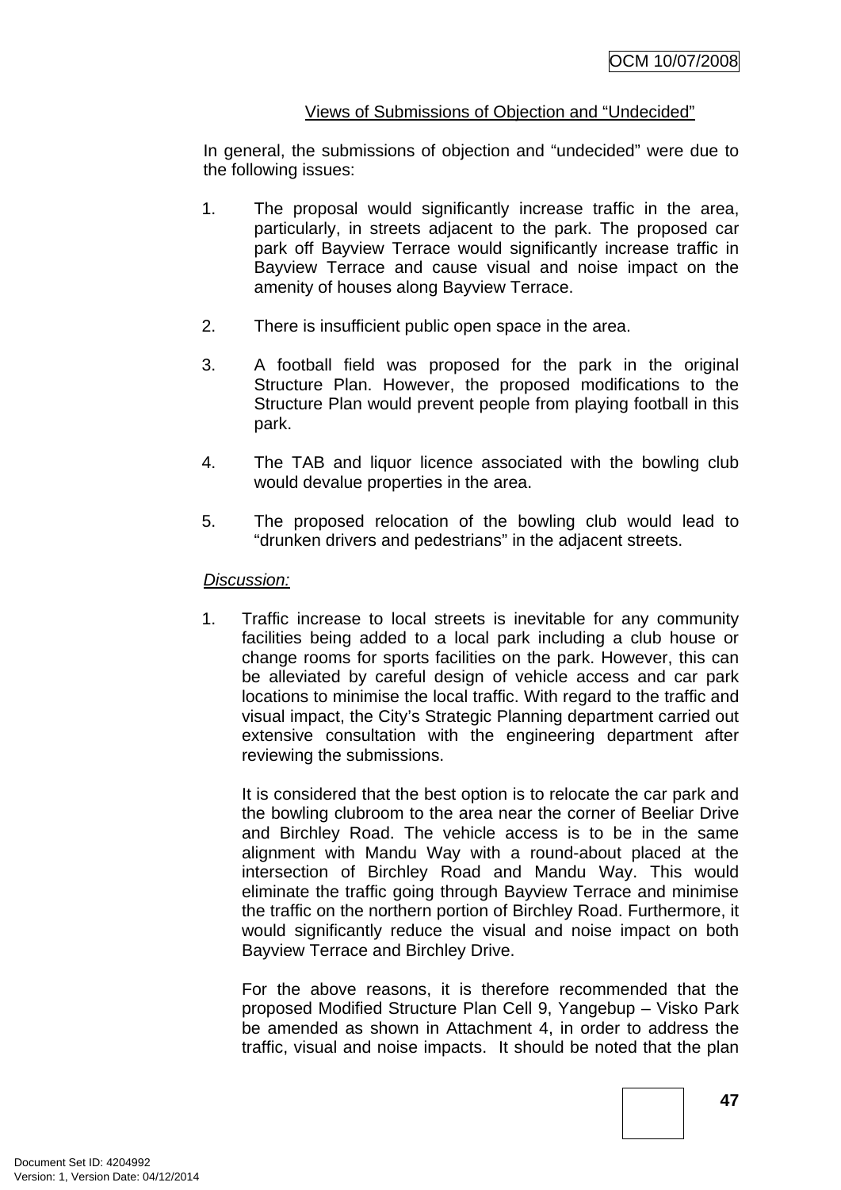# Views of Submissions of Objection and "Undecided"

In general, the submissions of objection and "undecided" were due to the following issues:

- 1. The proposal would significantly increase traffic in the area, particularly, in streets adjacent to the park. The proposed car park off Bayview Terrace would significantly increase traffic in Bayview Terrace and cause visual and noise impact on the amenity of houses along Bayview Terrace.
- 2. There is insufficient public open space in the area.
- 3. A football field was proposed for the park in the original Structure Plan. However, the proposed modifications to the Structure Plan would prevent people from playing football in this park.
- 4. The TAB and liquor licence associated with the bowling club would devalue properties in the area.
- 5. The proposed relocation of the bowling club would lead to "drunken drivers and pedestrians" in the adjacent streets.

## *Discussion:*

1. Traffic increase to local streets is inevitable for any community facilities being added to a local park including a club house or change rooms for sports facilities on the park. However, this can be alleviated by careful design of vehicle access and car park locations to minimise the local traffic. With regard to the traffic and visual impact, the City's Strategic Planning department carried out extensive consultation with the engineering department after reviewing the submissions.

It is considered that the best option is to relocate the car park and the bowling clubroom to the area near the corner of Beeliar Drive and Birchley Road. The vehicle access is to be in the same alignment with Mandu Way with a round-about placed at the intersection of Birchley Road and Mandu Way. This would eliminate the traffic going through Bayview Terrace and minimise the traffic on the northern portion of Birchley Road. Furthermore, it would significantly reduce the visual and noise impact on both Bayview Terrace and Birchley Drive.

For the above reasons, it is therefore recommended that the proposed Modified Structure Plan Cell 9, Yangebup – Visko Park be amended as shown in Attachment 4, in order to address the traffic, visual and noise impacts. It should be noted that the plan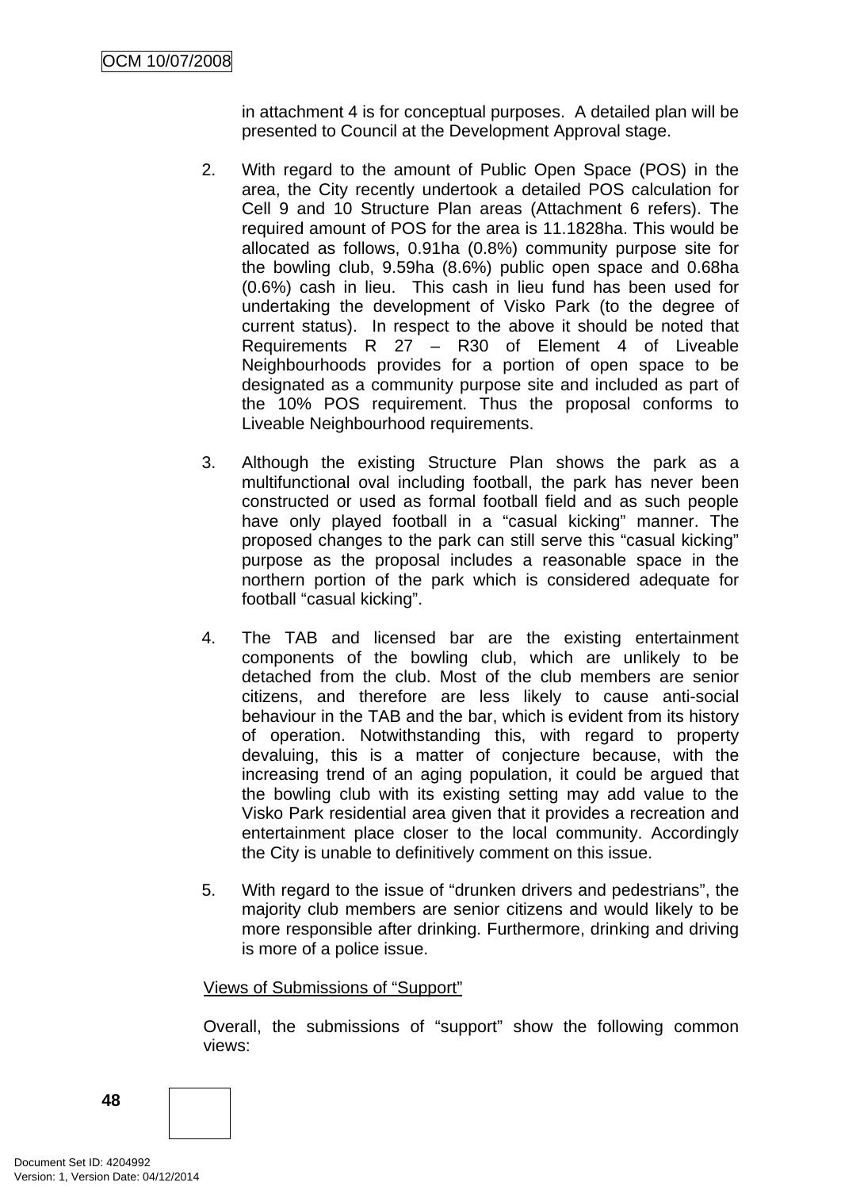in attachment 4 is for conceptual purposes. A detailed plan will be presented to Council at the Development Approval stage.

- 2. With regard to the amount of Public Open Space (POS) in the area, the City recently undertook a detailed POS calculation for Cell 9 and 10 Structure Plan areas (Attachment 6 refers). The required amount of POS for the area is 11.1828ha. This would be allocated as follows, 0.91ha (0.8%) community purpose site for the bowling club, 9.59ha (8.6%) public open space and 0.68ha (0.6%) cash in lieu. This cash in lieu fund has been used for undertaking the development of Visko Park (to the degree of current status). In respect to the above it should be noted that Requirements R 27 – R30 of Element 4 of Liveable Neighbourhoods provides for a portion of open space to be designated as a community purpose site and included as part of the 10% POS requirement. Thus the proposal conforms to Liveable Neighbourhood requirements.
- 3. Although the existing Structure Plan shows the park as a multifunctional oval including football, the park has never been constructed or used as formal football field and as such people have only played football in a "casual kicking" manner. The proposed changes to the park can still serve this "casual kicking" purpose as the proposal includes a reasonable space in the northern portion of the park which is considered adequate for football "casual kicking".
- 4. The TAB and licensed bar are the existing entertainment components of the bowling club, which are unlikely to be detached from the club. Most of the club members are senior citizens, and therefore are less likely to cause anti-social behaviour in the TAB and the bar, which is evident from its history of operation. Notwithstanding this, with regard to property devaluing, this is a matter of conjecture because, with the increasing trend of an aging population, it could be argued that the bowling club with its existing setting may add value to the Visko Park residential area given that it provides a recreation and entertainment place closer to the local community. Accordingly the City is unable to definitively comment on this issue.
- 5. With regard to the issue of "drunken drivers and pedestrians", the majority club members are senior citizens and would likely to be more responsible after drinking. Furthermore, drinking and driving is more of a police issue.

## Views of Submissions of "Support"

Overall, the submissions of "support" show the following common views: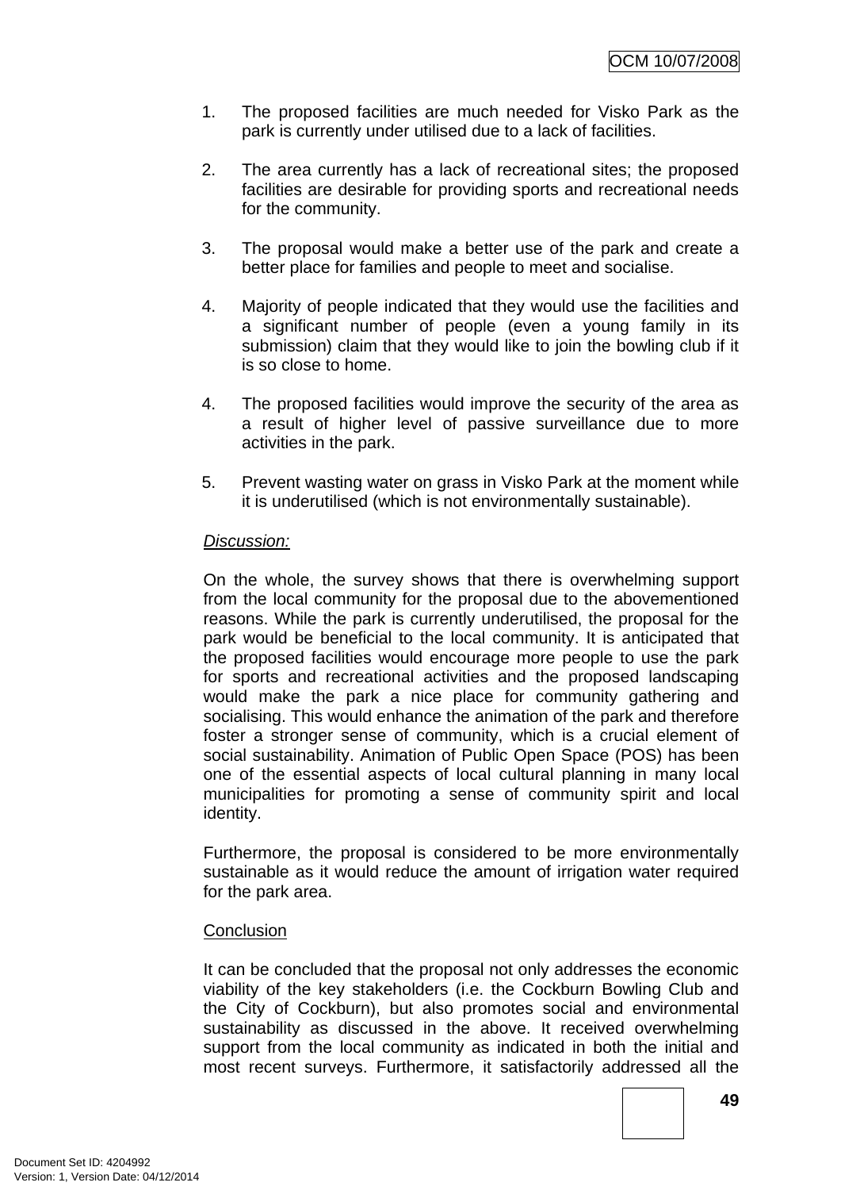- 1. The proposed facilities are much needed for Visko Park as the park is currently under utilised due to a lack of facilities.
- 2. The area currently has a lack of recreational sites; the proposed facilities are desirable for providing sports and recreational needs for the community.
- 3. The proposal would make a better use of the park and create a better place for families and people to meet and socialise.
- 4. Majority of people indicated that they would use the facilities and a significant number of people (even a young family in its submission) claim that they would like to join the bowling club if it is so close to home.
- 4. The proposed facilities would improve the security of the area as a result of higher level of passive surveillance due to more activities in the park.
- 5. Prevent wasting water on grass in Visko Park at the moment while it is underutilised (which is not environmentally sustainable).

# *Discussion:*

On the whole, the survey shows that there is overwhelming support from the local community for the proposal due to the abovementioned reasons. While the park is currently underutilised, the proposal for the park would be beneficial to the local community. It is anticipated that the proposed facilities would encourage more people to use the park for sports and recreational activities and the proposed landscaping would make the park a nice place for community gathering and socialising. This would enhance the animation of the park and therefore foster a stronger sense of community, which is a crucial element of social sustainability. Animation of Public Open Space (POS) has been one of the essential aspects of local cultural planning in many local municipalities for promoting a sense of community spirit and local identity.

Furthermore, the proposal is considered to be more environmentally sustainable as it would reduce the amount of irrigation water required for the park area.

## **Conclusion**

It can be concluded that the proposal not only addresses the economic viability of the key stakeholders (i.e. the Cockburn Bowling Club and the City of Cockburn), but also promotes social and environmental sustainability as discussed in the above. It received overwhelming support from the local community as indicated in both the initial and most recent surveys. Furthermore, it satisfactorily addressed all the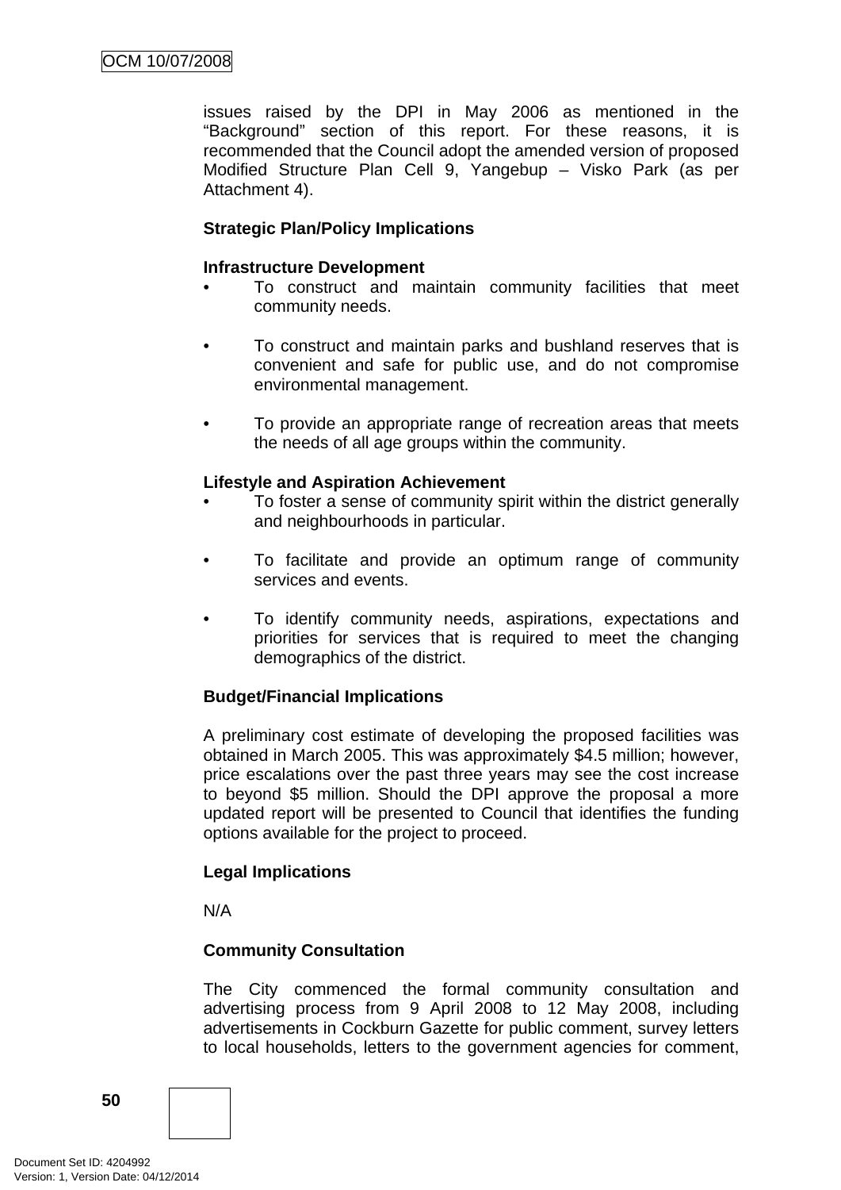issues raised by the DPI in May 2006 as mentioned in the "Background" section of this report. For these reasons, it is recommended that the Council adopt the amended version of proposed Modified Structure Plan Cell 9, Yangebup – Visko Park (as per Attachment 4).

# **Strategic Plan/Policy Implications**

# **Infrastructure Development**

- To construct and maintain community facilities that meet community needs.
- To construct and maintain parks and bushland reserves that is convenient and safe for public use, and do not compromise environmental management.
- To provide an appropriate range of recreation areas that meets the needs of all age groups within the community.

## **Lifestyle and Aspiration Achievement**

- To foster a sense of community spirit within the district generally and neighbourhoods in particular.
- To facilitate and provide an optimum range of community services and events.
- To identify community needs, aspirations, expectations and priorities for services that is required to meet the changing demographics of the district.

## **Budget/Financial Implications**

A preliminary cost estimate of developing the proposed facilities was obtained in March 2005. This was approximately \$4.5 million; however, price escalations over the past three years may see the cost increase to beyond \$5 million. Should the DPI approve the proposal a more updated report will be presented to Council that identifies the funding options available for the project to proceed.

## **Legal Implications**

N/A

# **Community Consultation**

The City commenced the formal community consultation and advertising process from 9 April 2008 to 12 May 2008, including advertisements in Cockburn Gazette for public comment, survey letters to local households, letters to the government agencies for comment,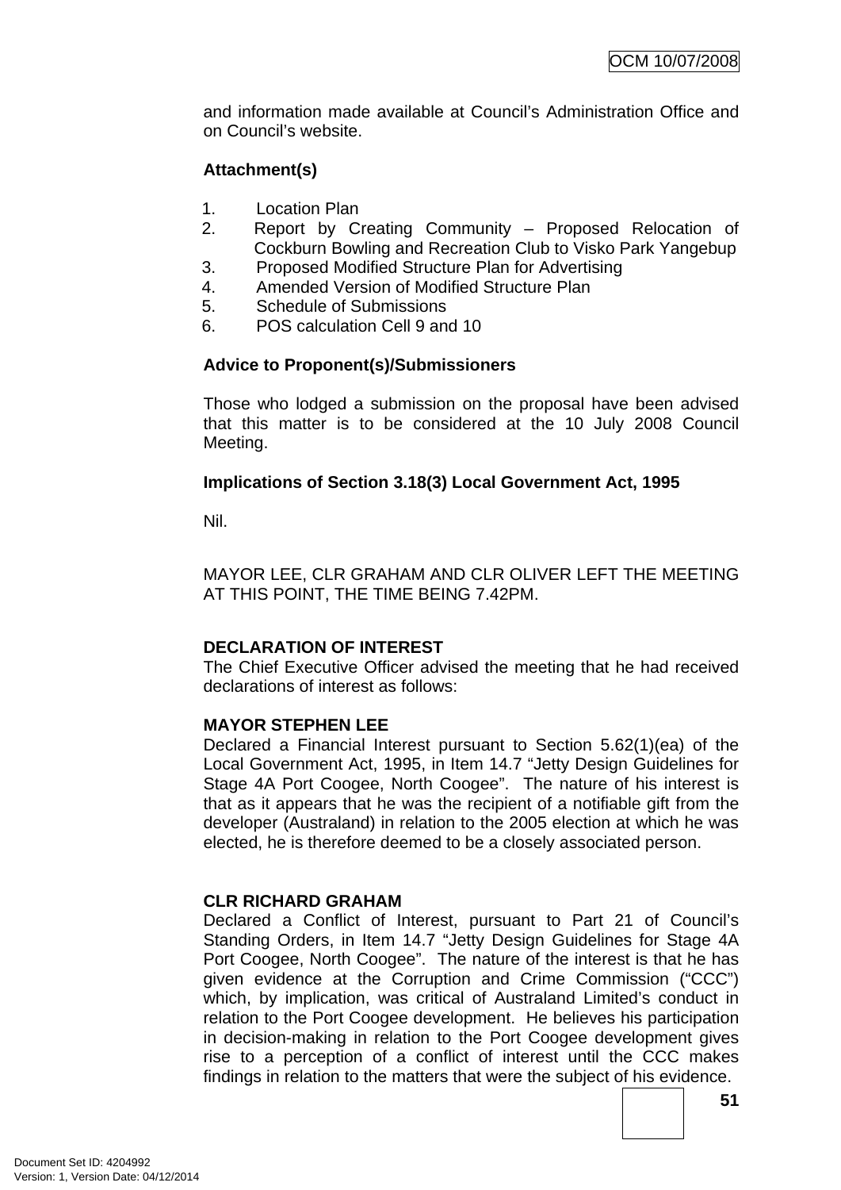and information made available at Council's Administration Office and on Council's website.

# **Attachment(s)**

- 1. Location Plan
- 2. Report by Creating Community Proposed Relocation of Cockburn Bowling and Recreation Club to Visko Park Yangebup
- 3. Proposed Modified Structure Plan for Advertising
- 4. Amended Version of Modified Structure Plan
- 5. Schedule of Submissions
- 6. POS calculation Cell 9 and 10

# **Advice to Proponent(s)/Submissioners**

Those who lodged a submission on the proposal have been advised that this matter is to be considered at the 10 July 2008 Council Meeting.

## **Implications of Section 3.18(3) Local Government Act, 1995**

Nil.

MAYOR LEE, CLR GRAHAM AND CLR OLIVER LEFT THE MEETING AT THIS POINT, THE TIME BEING 7.42PM.

## **DECLARATION OF INTEREST**

The Chief Executive Officer advised the meeting that he had received declarations of interest as follows:

## **MAYOR STEPHEN LEE**

Declared a Financial Interest pursuant to Section 5.62(1)(ea) of the Local Government Act, 1995, in Item 14.7 "Jetty Design Guidelines for Stage 4A Port Coogee, North Coogee". The nature of his interest is that as it appears that he was the recipient of a notifiable gift from the developer (Australand) in relation to the 2005 election at which he was elected, he is therefore deemed to be a closely associated person.

#### **CLR RICHARD GRAHAM**

Declared a Conflict of Interest, pursuant to Part 21 of Council's Standing Orders, in Item 14.7 "Jetty Design Guidelines for Stage 4A Port Coogee, North Coogee". The nature of the interest is that he has given evidence at the Corruption and Crime Commission ("CCC") which, by implication, was critical of Australand Limited's conduct in relation to the Port Coogee development. He believes his participation in decision-making in relation to the Port Coogee development gives rise to a perception of a conflict of interest until the CCC makes findings in relation to the matters that were the subject of his evidence.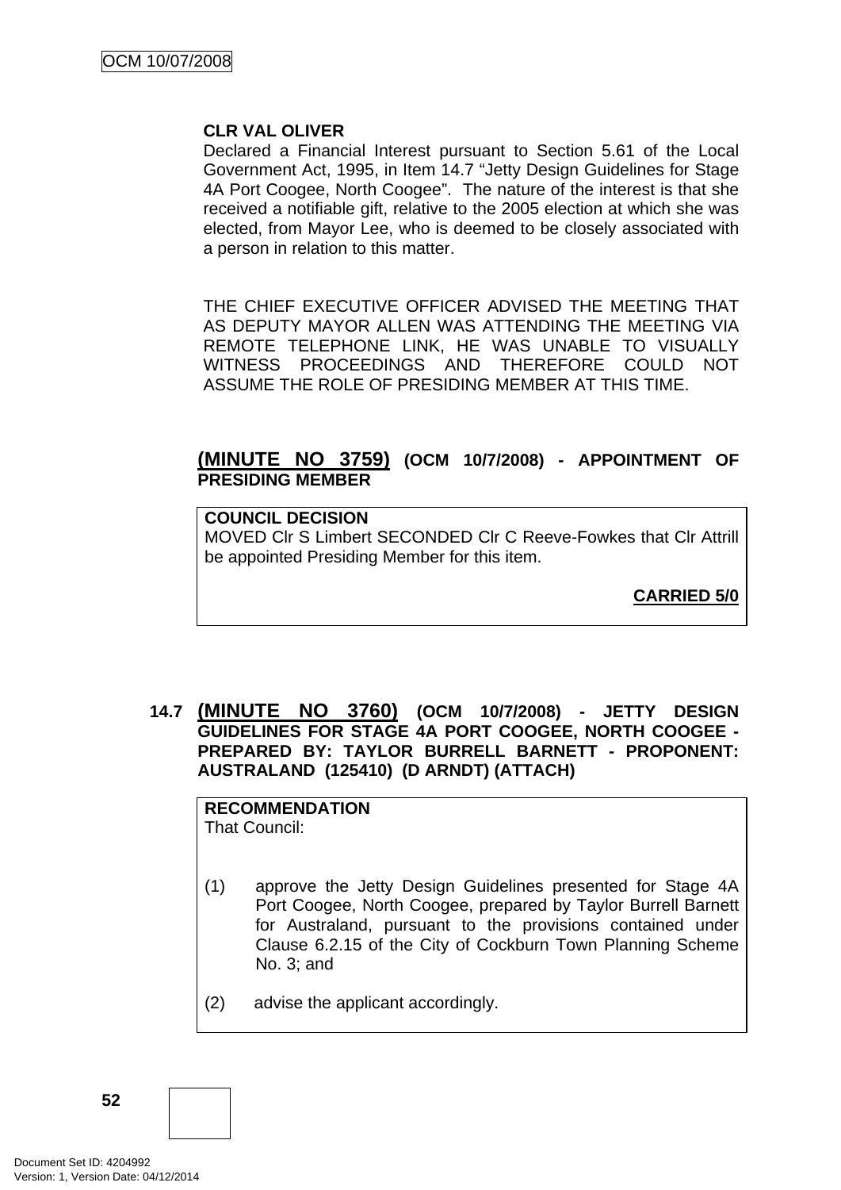#### **CLR VAL OLIVER**

Declared a Financial Interest pursuant to Section 5.61 of the Local Government Act, 1995, in Item 14.7 "Jetty Design Guidelines for Stage 4A Port Coogee, North Coogee". The nature of the interest is that she received a notifiable gift, relative to the 2005 election at which she was elected, from Mayor Lee, who is deemed to be closely associated with a person in relation to this matter.

THE CHIEF EXECUTIVE OFFICER ADVISED THE MEETING THAT AS DEPUTY MAYOR ALLEN WAS ATTENDING THE MEETING VIA REMOTE TELEPHONE LINK, HE WAS UNABLE TO VISUALLY WITNESS PROCEEDINGS AND THEREFORE COULD NOT ASSUME THE ROLE OF PRESIDING MEMBER AT THIS TIME.

# **(MINUTE NO 3759) (OCM 10/7/2008) - APPOINTMENT OF PRESIDING MEMBER**

#### **COUNCIL DECISION**

MOVED Clr S Limbert SECONDED Clr C Reeve-Fowkes that Clr Attrill be appointed Presiding Member for this item.

**CARRIED 5/0**

**14.7 (MINUTE NO 3760) (OCM 10/7/2008) - JETTY DESIGN GUIDELINES FOR STAGE 4A PORT COOGEE, NORTH COOGEE - PREPARED BY: TAYLOR BURRELL BARNETT - PROPONENT: AUSTRALAND (125410) (D ARNDT) (ATTACH)** 

**RECOMMENDATION** That Council:

- (1) approve the Jetty Design Guidelines presented for Stage 4A Port Coogee, North Coogee, prepared by Taylor Burrell Barnett for Australand, pursuant to the provisions contained under Clause 6.2.15 of the City of Cockburn Town Planning Scheme No. 3; and
- (2) advise the applicant accordingly.

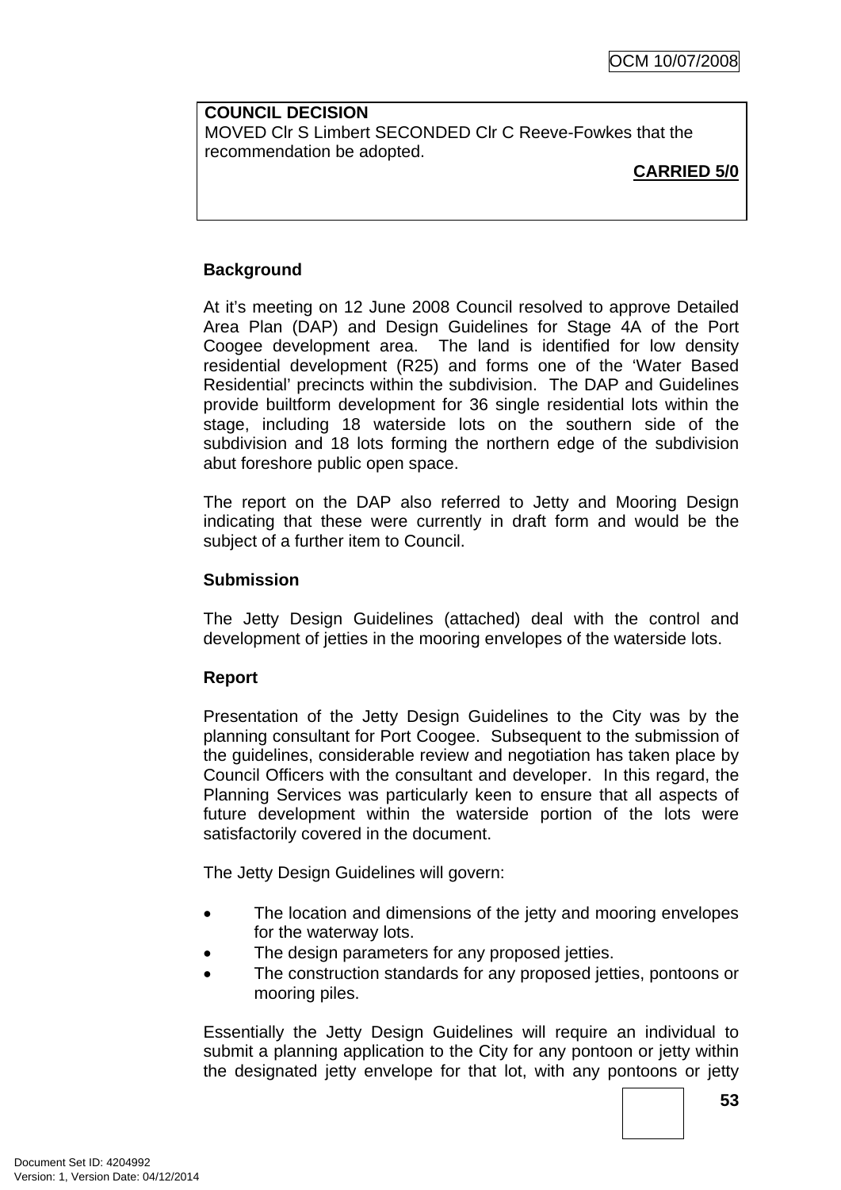**COUNCIL DECISION**  MOVED Clr S Limbert SECONDED Clr C Reeve-Fowkes that the recommendation be adopted.

# **CARRIED 5/0**

# **Background**

At it's meeting on 12 June 2008 Council resolved to approve Detailed Area Plan (DAP) and Design Guidelines for Stage 4A of the Port Coogee development area. The land is identified for low density residential development (R25) and forms one of the 'Water Based Residential' precincts within the subdivision. The DAP and Guidelines provide builtform development for 36 single residential lots within the stage, including 18 waterside lots on the southern side of the subdivision and 18 lots forming the northern edge of the subdivision abut foreshore public open space.

The report on the DAP also referred to Jetty and Mooring Design indicating that these were currently in draft form and would be the subject of a further item to Council.

## **Submission**

The Jetty Design Guidelines (attached) deal with the control and development of jetties in the mooring envelopes of the waterside lots.

## **Report**

Presentation of the Jetty Design Guidelines to the City was by the planning consultant for Port Coogee. Subsequent to the submission of the guidelines, considerable review and negotiation has taken place by Council Officers with the consultant and developer. In this regard, the Planning Services was particularly keen to ensure that all aspects of future development within the waterside portion of the lots were satisfactorily covered in the document.

The Jetty Design Guidelines will govern:

- The location and dimensions of the jetty and mooring envelopes for the waterway lots.
- The design parameters for any proposed jetties.
- The construction standards for any proposed jetties, pontoons or mooring piles.

Essentially the Jetty Design Guidelines will require an individual to submit a planning application to the City for any pontoon or jetty within the designated jetty envelope for that lot, with any pontoons or jetty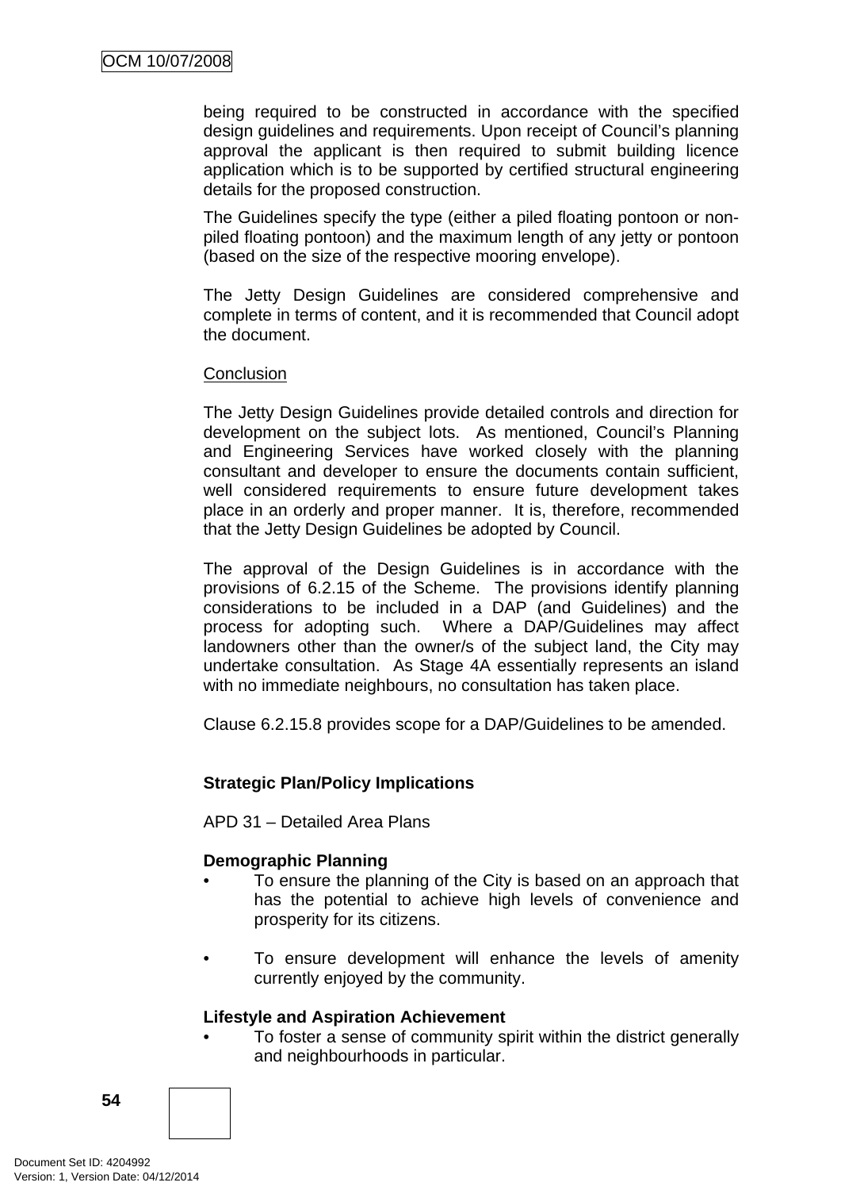being required to be constructed in accordance with the specified design guidelines and requirements. Upon receipt of Council's planning approval the applicant is then required to submit building licence application which is to be supported by certified structural engineering details for the proposed construction.

The Guidelines specify the type (either a piled floating pontoon or nonpiled floating pontoon) and the maximum length of any jetty or pontoon (based on the size of the respective mooring envelope).

The Jetty Design Guidelines are considered comprehensive and complete in terms of content, and it is recommended that Council adopt the document.

### **Conclusion**

The Jetty Design Guidelines provide detailed controls and direction for development on the subject lots. As mentioned, Council's Planning and Engineering Services have worked closely with the planning consultant and developer to ensure the documents contain sufficient, well considered requirements to ensure future development takes place in an orderly and proper manner. It is, therefore, recommended that the Jetty Design Guidelines be adopted by Council.

The approval of the Design Guidelines is in accordance with the provisions of 6.2.15 of the Scheme. The provisions identify planning considerations to be included in a DAP (and Guidelines) and the process for adopting such. Where a DAP/Guidelines may affect landowners other than the owner/s of the subject land, the City may undertake consultation. As Stage 4A essentially represents an island with no immediate neighbours, no consultation has taken place.

Clause 6.2.15.8 provides scope for a DAP/Guidelines to be amended.

## **Strategic Plan/Policy Implications**

APD 31 – Detailed Area Plans

## **Demographic Planning**

- To ensure the planning of the City is based on an approach that has the potential to achieve high levels of convenience and prosperity for its citizens.
- To ensure development will enhance the levels of amenity currently enjoyed by the community.

## **Lifestyle and Aspiration Achievement**

• To foster a sense of community spirit within the district generally and neighbourhoods in particular.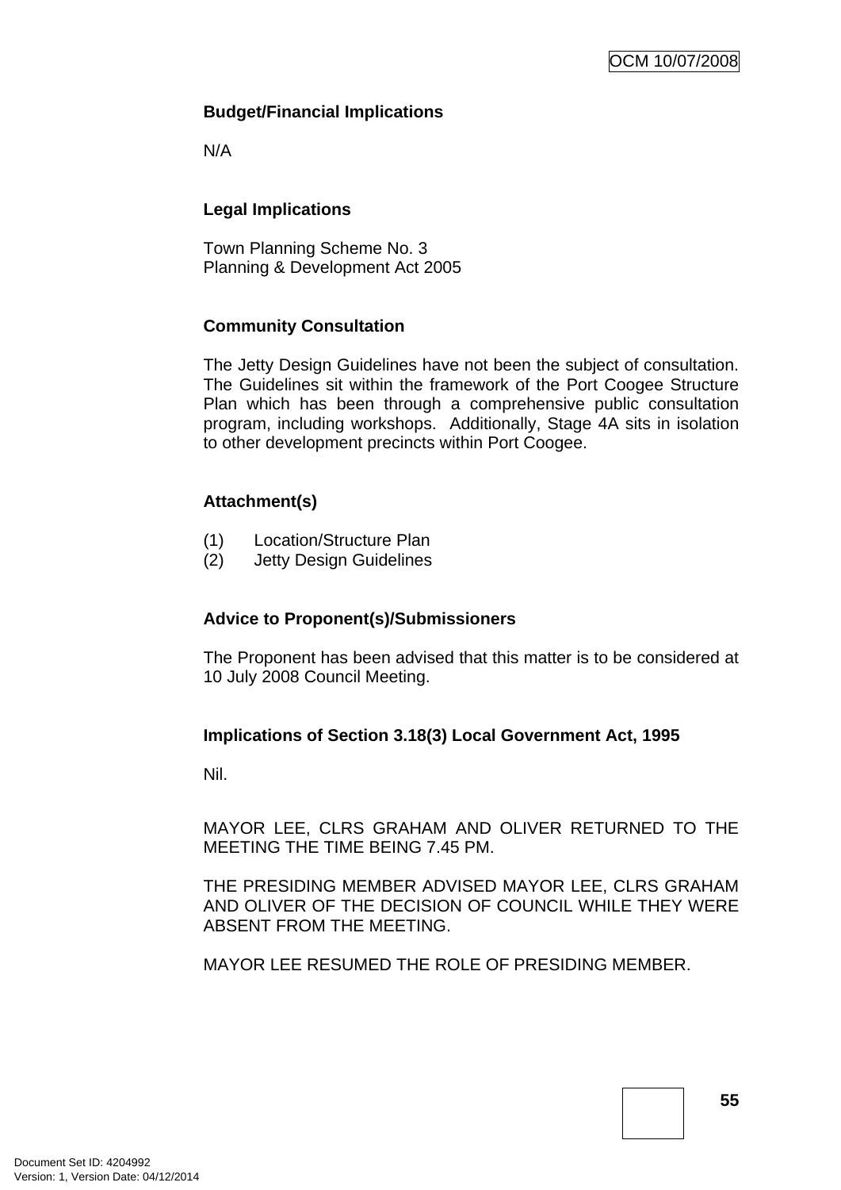# **Budget/Financial Implications**

N/A

# **Legal Implications**

Town Planning Scheme No. 3 Planning & Development Act 2005

# **Community Consultation**

The Jetty Design Guidelines have not been the subject of consultation. The Guidelines sit within the framework of the Port Coogee Structure Plan which has been through a comprehensive public consultation program, including workshops. Additionally, Stage 4A sits in isolation to other development precincts within Port Coogee.

# **Attachment(s)**

- (1) Location/Structure Plan
- (2) Jetty Design Guidelines

# **Advice to Proponent(s)/Submissioners**

The Proponent has been advised that this matter is to be considered at 10 July 2008 Council Meeting.

## **Implications of Section 3.18(3) Local Government Act, 1995**

Nil.

MAYOR LEE, CLRS GRAHAM AND OLIVER RETURNED TO THE MEETING THE TIME BEING 7.45 PM.

THE PRESIDING MEMBER ADVISED MAYOR LEE, CLRS GRAHAM AND OLIVER OF THE DECISION OF COUNCIL WHILE THEY WERE ABSENT FROM THE MEETING.

MAYOR LEE RESUMED THE ROLE OF PRESIDING MEMBER.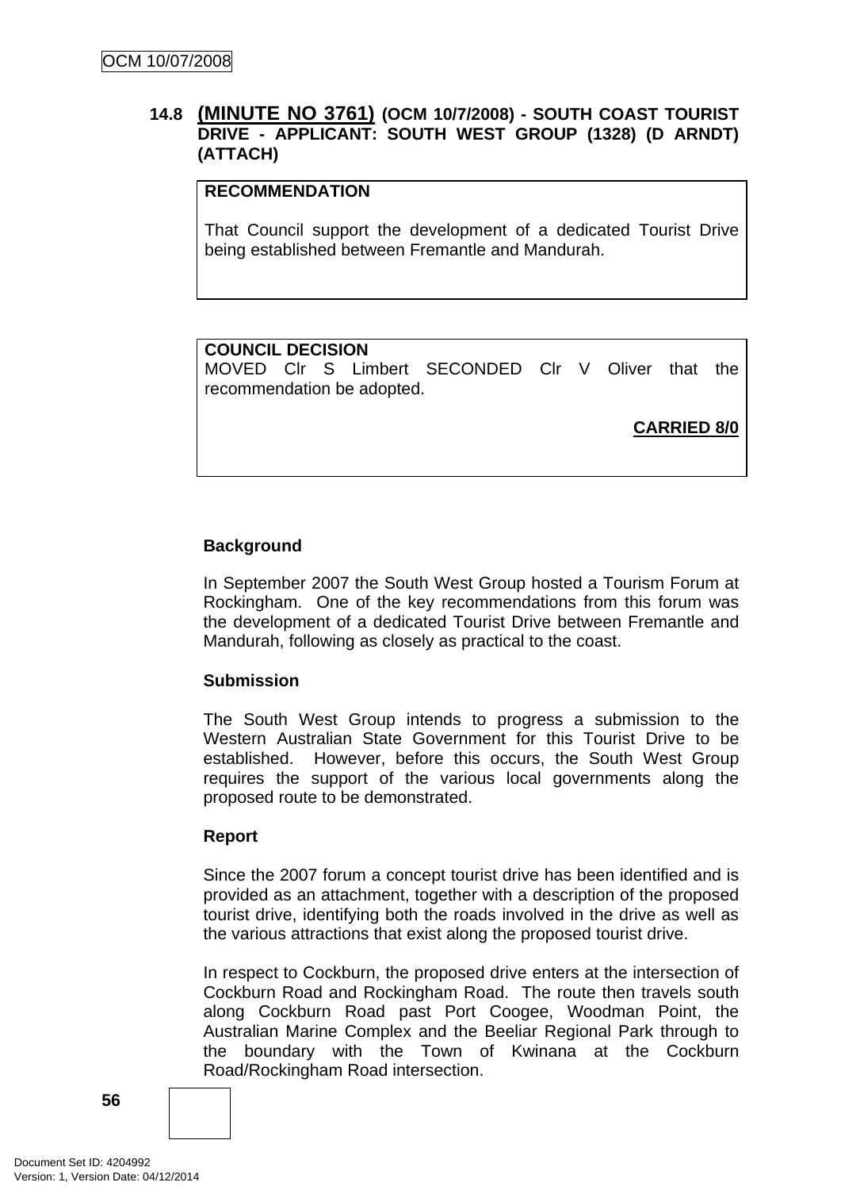# **14.8 (MINUTE NO 3761) (OCM 10/7/2008) - SOUTH COAST TOURIST DRIVE - APPLICANT: SOUTH WEST GROUP (1328) (D ARNDT) (ATTACH)**

### **RECOMMENDATION**

That Council support the development of a dedicated Tourist Drive being established between Fremantle and Mandurah.

## **COUNCIL DECISION**

MOVED Clr S Limbert SECONDED Clr V Oliver that the recommendation be adopted.

**CARRIED 8/0**

## **Background**

In September 2007 the South West Group hosted a Tourism Forum at Rockingham. One of the key recommendations from this forum was the development of a dedicated Tourist Drive between Fremantle and Mandurah, following as closely as practical to the coast.

#### **Submission**

The South West Group intends to progress a submission to the Western Australian State Government for this Tourist Drive to be established. However, before this occurs, the South West Group requires the support of the various local governments along the proposed route to be demonstrated.

#### **Report**

Since the 2007 forum a concept tourist drive has been identified and is provided as an attachment, together with a description of the proposed tourist drive, identifying both the roads involved in the drive as well as the various attractions that exist along the proposed tourist drive.

In respect to Cockburn, the proposed drive enters at the intersection of Cockburn Road and Rockingham Road. The route then travels south along Cockburn Road past Port Coogee, Woodman Point, the Australian Marine Complex and the Beeliar Regional Park through to the boundary with the Town of Kwinana at the Cockburn Road/Rockingham Road intersection.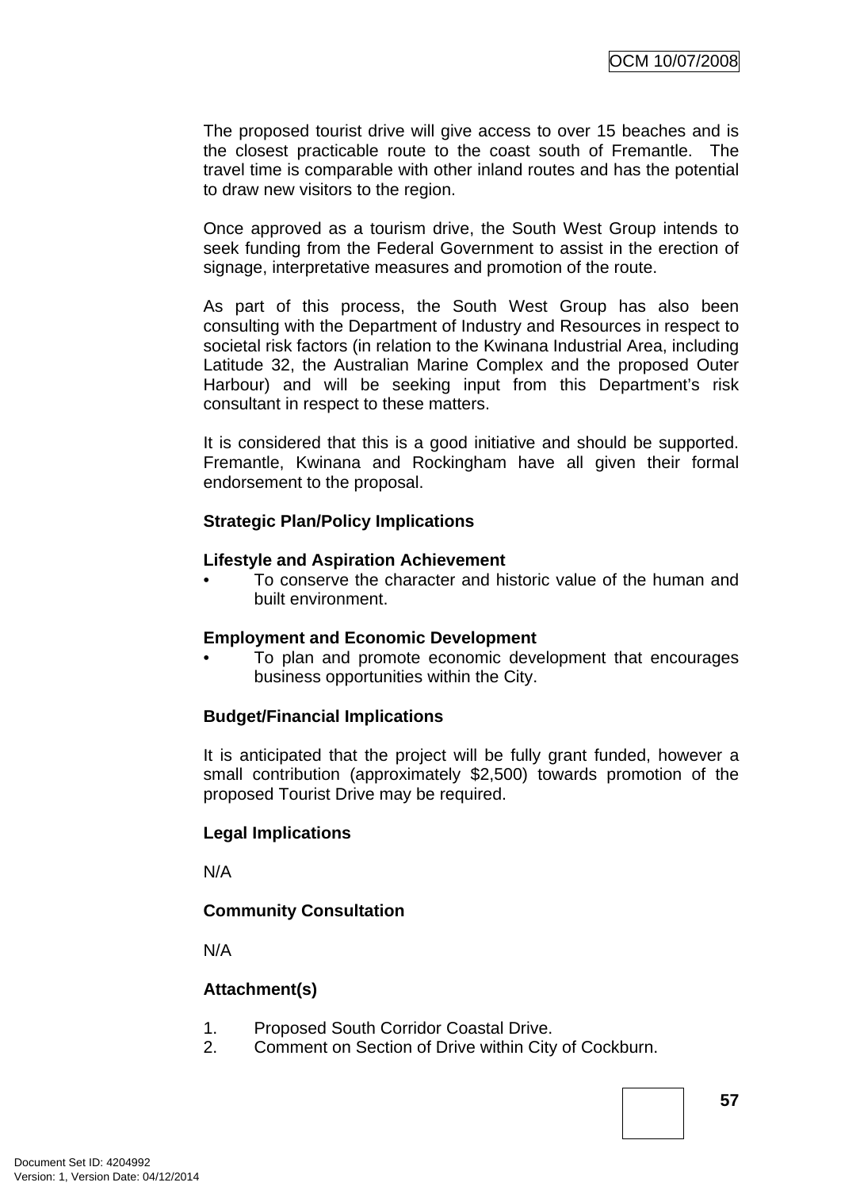The proposed tourist drive will give access to over 15 beaches and is the closest practicable route to the coast south of Fremantle. The travel time is comparable with other inland routes and has the potential to draw new visitors to the region.

Once approved as a tourism drive, the South West Group intends to seek funding from the Federal Government to assist in the erection of signage, interpretative measures and promotion of the route.

As part of this process, the South West Group has also been consulting with the Department of Industry and Resources in respect to societal risk factors (in relation to the Kwinana Industrial Area, including Latitude 32, the Australian Marine Complex and the proposed Outer Harbour) and will be seeking input from this Department's risk consultant in respect to these matters.

It is considered that this is a good initiative and should be supported. Fremantle, Kwinana and Rockingham have all given their formal endorsement to the proposal.

## **Strategic Plan/Policy Implications**

#### **Lifestyle and Aspiration Achievement**

• To conserve the character and historic value of the human and built environment.

#### **Employment and Economic Development**

• To plan and promote economic development that encourages business opportunities within the City.

#### **Budget/Financial Implications**

It is anticipated that the project will be fully grant funded, however a small contribution (approximately \$2,500) towards promotion of the proposed Tourist Drive may be required.

#### **Legal Implications**

N/A

#### **Community Consultation**

N/A

#### **Attachment(s)**

- 1. Proposed South Corridor Coastal Drive.
- 2. Comment on Section of Drive within City of Cockburn.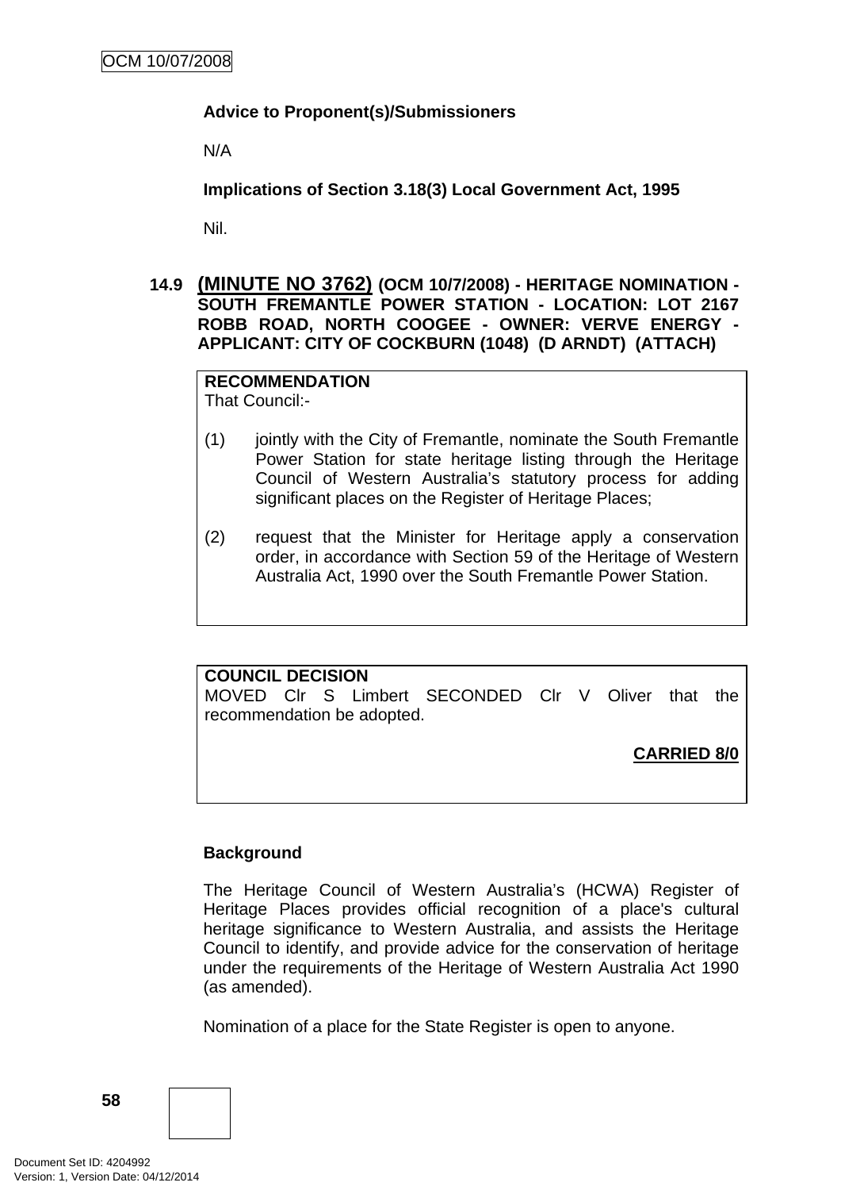# **Advice to Proponent(s)/Submissioners**

N/A

**Implications of Section 3.18(3) Local Government Act, 1995**

Nil.

**14.9 (MINUTE NO 3762) (OCM 10/7/2008) - HERITAGE NOMINATION - SOUTH FREMANTLE POWER STATION - LOCATION: LOT 2167 ROBB ROAD, NORTH COOGEE - OWNER: VERVE ENERGY - APPLICANT: CITY OF COCKBURN (1048) (D ARNDT) (ATTACH)** 

**RECOMMENDATION** That Council:-

- (1) jointly with the City of Fremantle, nominate the South Fremantle Power Station for state heritage listing through the Heritage Council of Western Australia's statutory process for adding significant places on the Register of Heritage Places;
- (2) request that the Minister for Heritage apply a conservation order, in accordance with Section 59 of the Heritage of Western Australia Act, 1990 over the South Fremantle Power Station.

## **COUNCIL DECISION**

MOVED Clr S Limbert SECONDED Clr V Oliver that the recommendation be adopted.

**CARRIED 8/0**

# **Background**

The Heritage Council of Western Australia's (HCWA) Register of Heritage Places provides official recognition of a place's cultural heritage significance to Western Australia, and assists the Heritage Council to identify, and provide advice for the conservation of heritage under the requirements of the Heritage of Western Australia Act 1990 (as amended).

Nomination of a place for the State Register is open to anyone.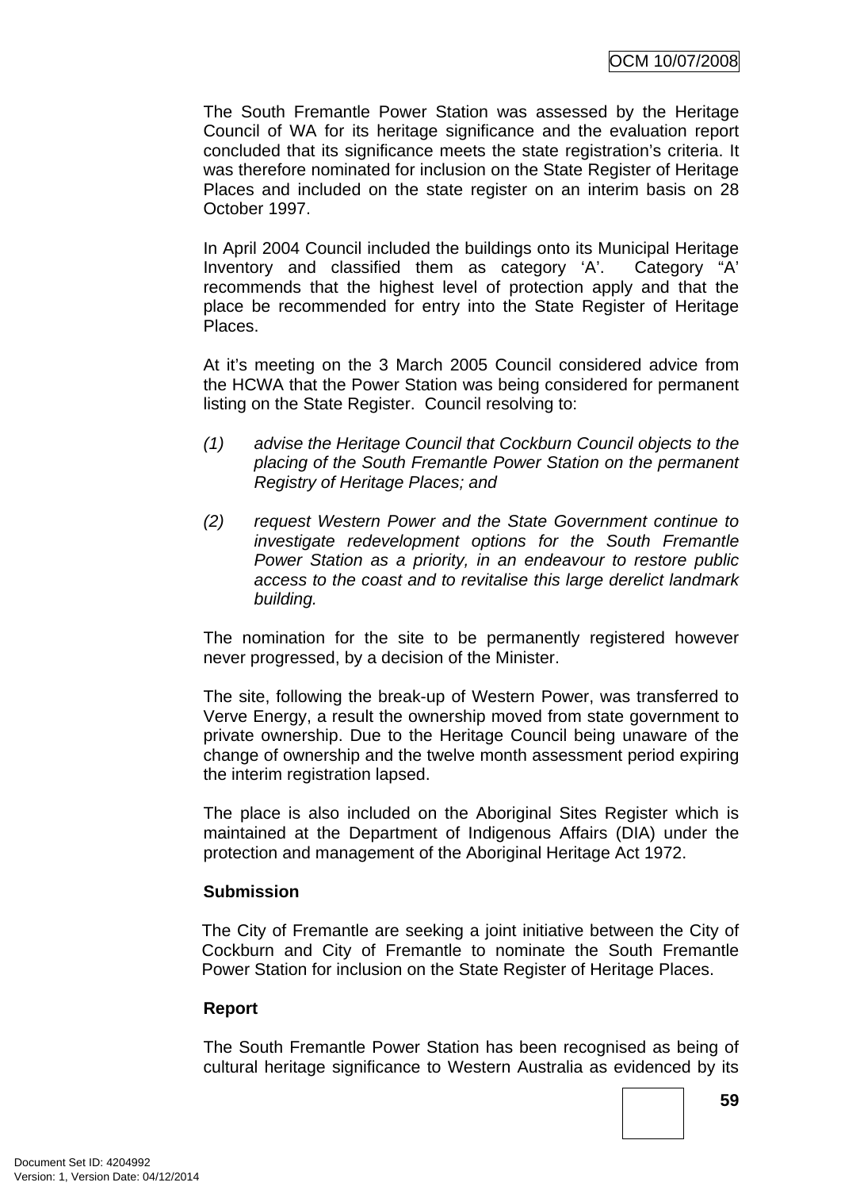The South Fremantle Power Station was assessed by the Heritage Council of WA for its heritage significance and the evaluation report concluded that its significance meets the state registration's criteria. It was therefore nominated for inclusion on the State Register of Heritage Places and included on the state register on an interim basis on 28 October 1997.

In April 2004 Council included the buildings onto its Municipal Heritage Inventory and classified them as category 'A'. Category "A' recommends that the highest level of protection apply and that the place be recommended for entry into the State Register of Heritage Places.

At it's meeting on the 3 March 2005 Council considered advice from the HCWA that the Power Station was being considered for permanent listing on the State Register. Council resolving to:

- *(1) advise the Heritage Council that Cockburn Council objects to the placing of the South Fremantle Power Station on the permanent Registry of Heritage Places; and*
- *(2) request Western Power and the State Government continue to investigate redevelopment options for the South Fremantle Power Station as a priority, in an endeavour to restore public access to the coast and to revitalise this large derelict landmark building.*

The nomination for the site to be permanently registered however never progressed, by a decision of the Minister.

The site, following the break-up of Western Power, was transferred to Verve Energy, a result the ownership moved from state government to private ownership. Due to the Heritage Council being unaware of the change of ownership and the twelve month assessment period expiring the interim registration lapsed.

The place is also included on the Aboriginal Sites Register which is maintained at the Department of Indigenous Affairs (DIA) under the protection and management of the Aboriginal Heritage Act 1972.

# **Submission**

The City of Fremantle are seeking a joint initiative between the City of Cockburn and City of Fremantle to nominate the South Fremantle Power Station for inclusion on the State Register of Heritage Places.

## **Report**

The South Fremantle Power Station has been recognised as being of cultural heritage significance to Western Australia as evidenced by its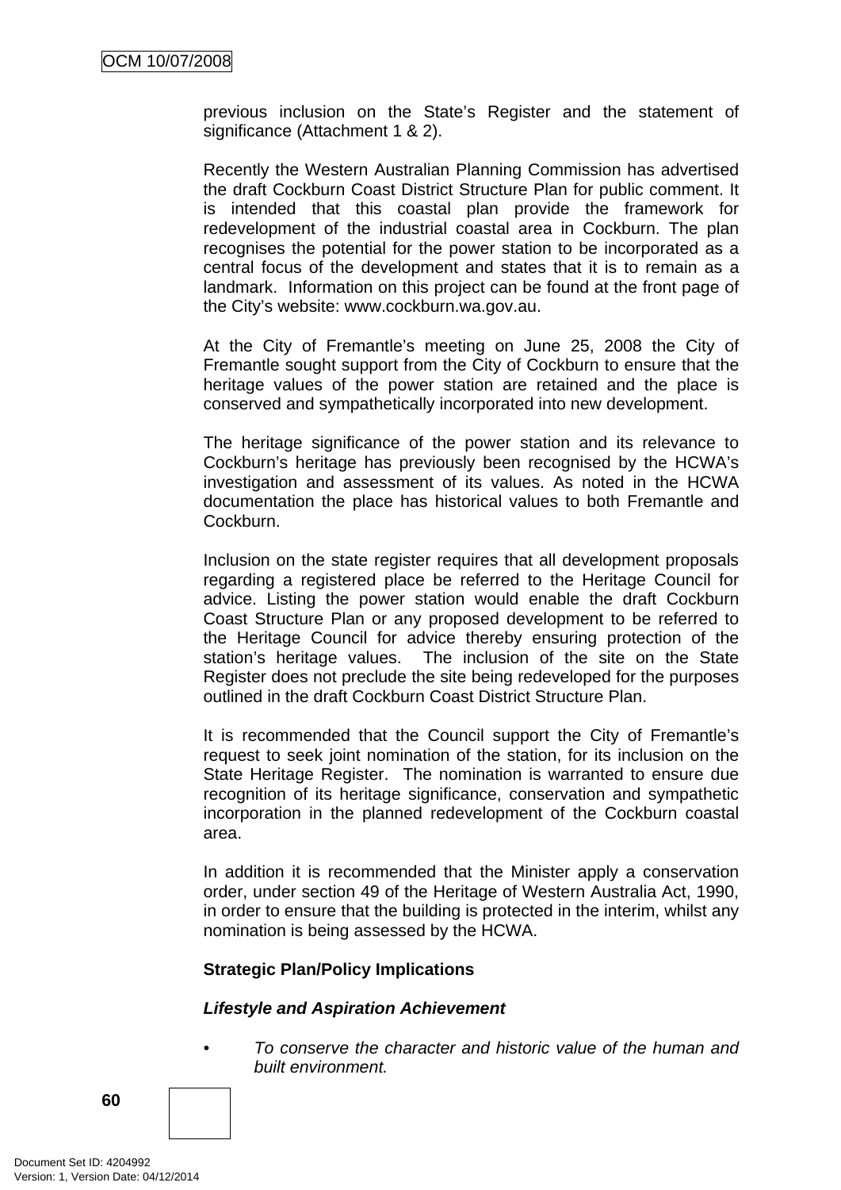previous inclusion on the State's Register and the statement of significance (Attachment 1 & 2).

Recently the Western Australian Planning Commission has advertised the draft Cockburn Coast District Structure Plan for public comment. It is intended that this coastal plan provide the framework for redevelopment of the industrial coastal area in Cockburn. The plan recognises the potential for the power station to be incorporated as a central focus of the development and states that it is to remain as a landmark. Information on this project can be found at the front page of the City's website: www.cockburn.wa.gov.au.

At the City of Fremantle's meeting on June 25, 2008 the City of Fremantle sought support from the City of Cockburn to ensure that the heritage values of the power station are retained and the place is conserved and sympathetically incorporated into new development.

The heritage significance of the power station and its relevance to Cockburn's heritage has previously been recognised by the HCWA's investigation and assessment of its values. As noted in the HCWA documentation the place has historical values to both Fremantle and Cockburn.

Inclusion on the state register requires that all development proposals regarding a registered place be referred to the Heritage Council for advice. Listing the power station would enable the draft Cockburn Coast Structure Plan or any proposed development to be referred to the Heritage Council for advice thereby ensuring protection of the station's heritage values. The inclusion of the site on the State Register does not preclude the site being redeveloped for the purposes outlined in the draft Cockburn Coast District Structure Plan.

It is recommended that the Council support the City of Fremantle's request to seek joint nomination of the station, for its inclusion on the State Heritage Register. The nomination is warranted to ensure due recognition of its heritage significance, conservation and sympathetic incorporation in the planned redevelopment of the Cockburn coastal area.

In addition it is recommended that the Minister apply a conservation order, under section 49 of the Heritage of Western Australia Act, 1990, in order to ensure that the building is protected in the interim, whilst any nomination is being assessed by the HCWA.

## **Strategic Plan/Policy Implications**

## *Lifestyle and Aspiration Achievement*

*• To conserve the character and historic value of the human and built environment.* 

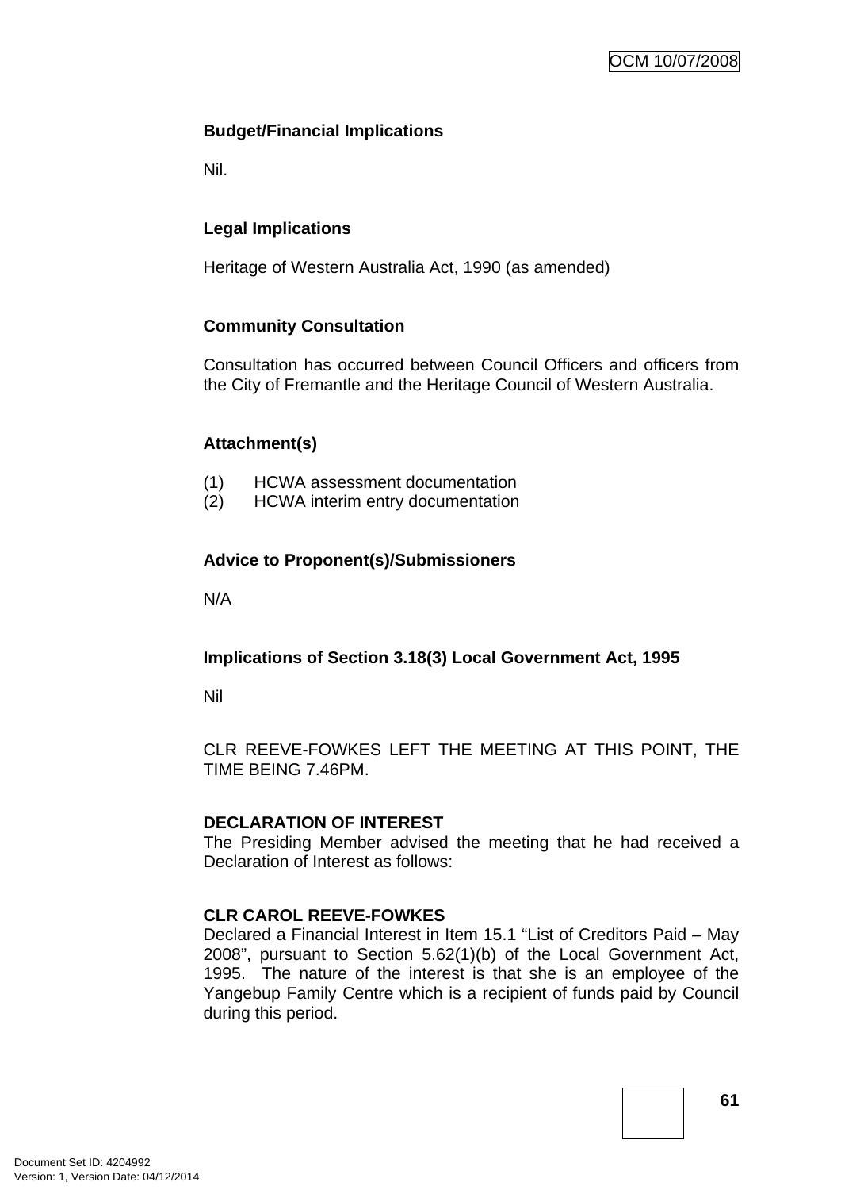# **Budget/Financial Implications**

Nil.

# **Legal Implications**

Heritage of Western Australia Act, 1990 (as amended)

# **Community Consultation**

Consultation has occurred between Council Officers and officers from the City of Fremantle and the Heritage Council of Western Australia.

# **Attachment(s)**

- (1) HCWA assessment documentation
- (2) HCWA interim entry documentation

# **Advice to Proponent(s)/Submissioners**

N/A

## **Implications of Section 3.18(3) Local Government Act, 1995**

Nil

CLR REEVE-FOWKES LEFT THE MEETING AT THIS POINT, THE TIME BEING 7.46PM.

## **DECLARATION OF INTEREST**

The Presiding Member advised the meeting that he had received a Declaration of Interest as follows:

## **CLR CAROL REEVE-FOWKES**

Declared a Financial Interest in Item 15.1 "List of Creditors Paid – May 2008", pursuant to Section 5.62(1)(b) of the Local Government Act, 1995. The nature of the interest is that she is an employee of the Yangebup Family Centre which is a recipient of funds paid by Council during this period.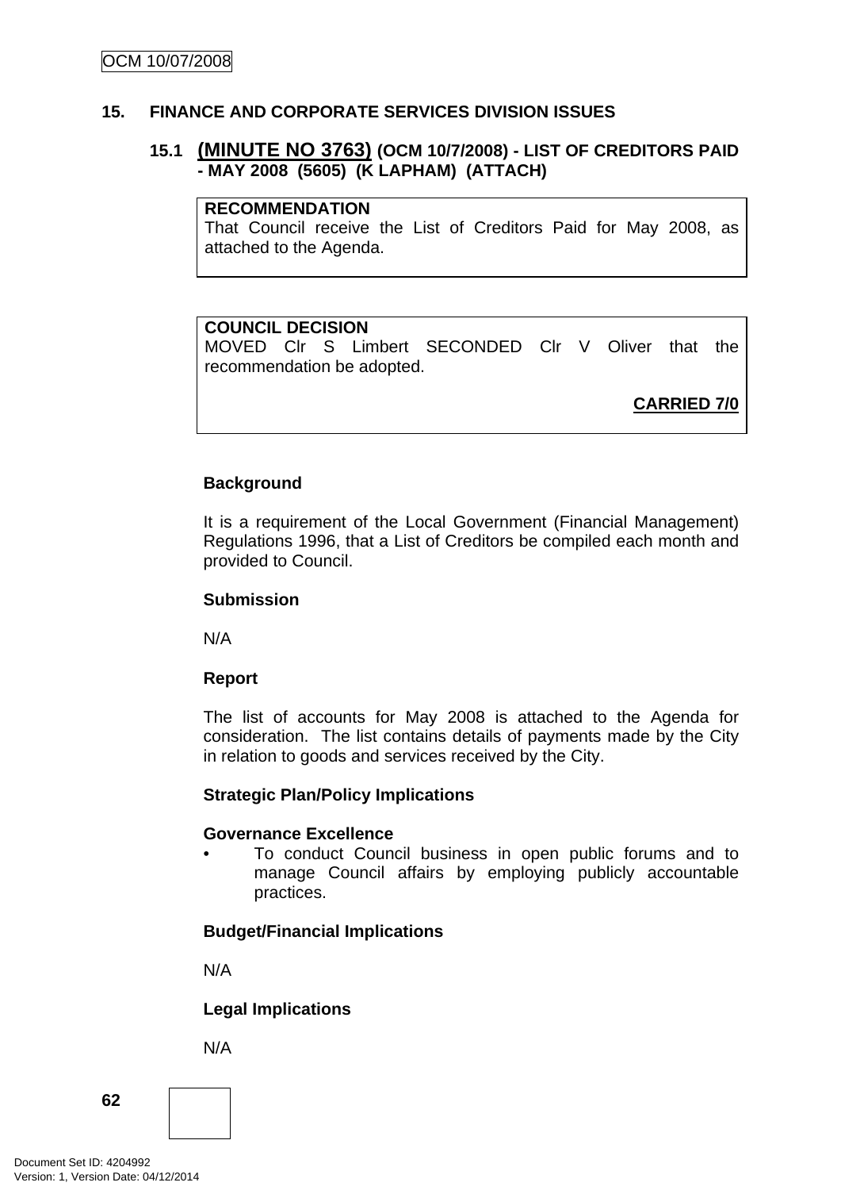### **15. FINANCE AND CORPORATE SERVICES DIVISION ISSUES**

## **15.1 (MINUTE NO 3763) (OCM 10/7/2008) - LIST OF CREDITORS PAID - MAY 2008 (5605) (K LAPHAM) (ATTACH)**

#### **RECOMMENDATION**

That Council receive the List of Creditors Paid for May 2008, as attached to the Agenda.

### **COUNCIL DECISION**

MOVED Clr S Limbert SECONDED Clr V Oliver that the recommendation be adopted.

**CARRIED 7/0**

### **Background**

It is a requirement of the Local Government (Financial Management) Regulations 1996, that a List of Creditors be compiled each month and provided to Council.

#### **Submission**

N/A

#### **Report**

The list of accounts for May 2008 is attached to the Agenda for consideration. The list contains details of payments made by the City in relation to goods and services received by the City.

#### **Strategic Plan/Policy Implications**

#### **Governance Excellence**

• To conduct Council business in open public forums and to manage Council affairs by employing publicly accountable practices.

#### **Budget/Financial Implications**

N/A

## **Legal Implications**

N/A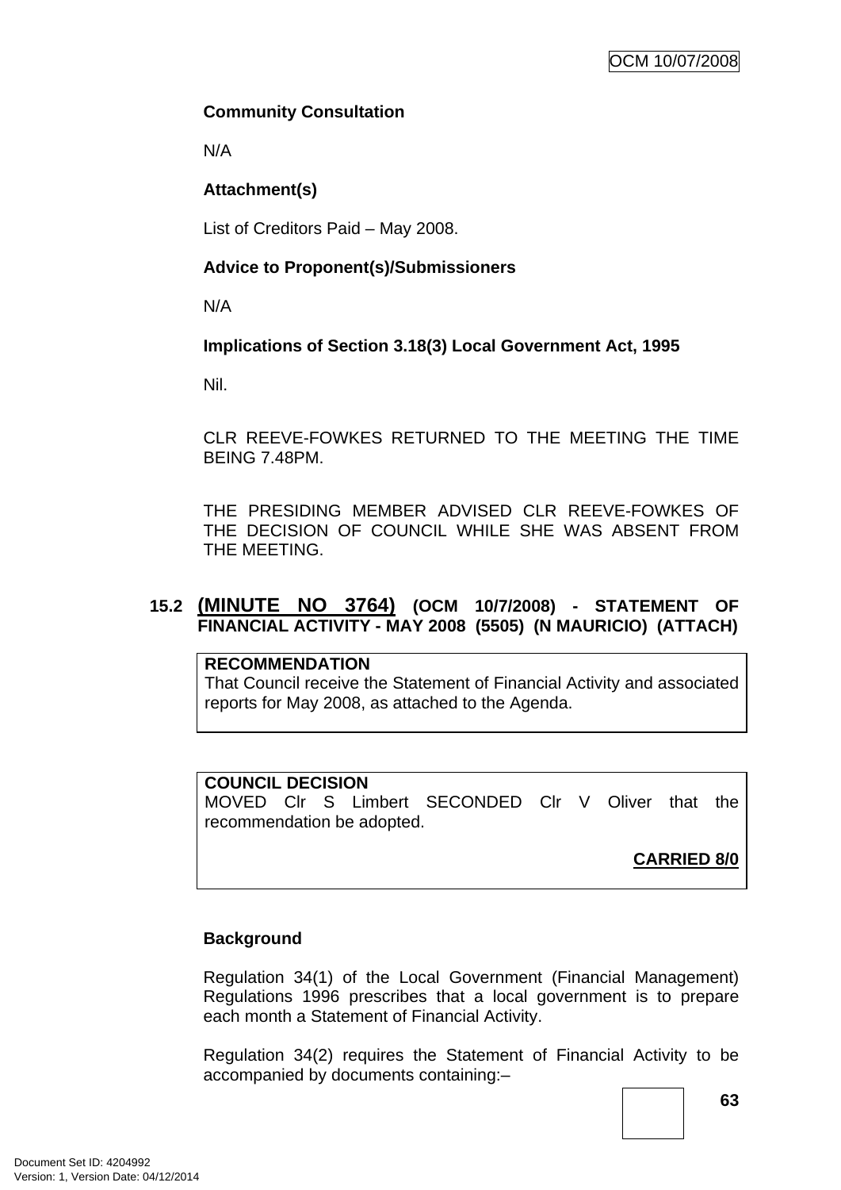# **Community Consultation**

N/A

# **Attachment(s)**

List of Creditors Paid – May 2008.

# **Advice to Proponent(s)/Submissioners**

N/A

# **Implications of Section 3.18(3) Local Government Act, 1995**

Nil.

CLR REEVE-FOWKES RETURNED TO THE MEETING THE TIME BEING 7.48PM.

THE PRESIDING MEMBER ADVISED CLR REEVE-FOWKES OF THE DECISION OF COUNCIL WHILE SHE WAS ABSENT FROM THE MEETING.

# **15.2 (MINUTE NO 3764) (OCM 10/7/2008) - STATEMENT OF FINANCIAL ACTIVITY - MAY 2008 (5505) (N MAURICIO) (ATTACH)**

## **RECOMMENDATION**

That Council receive the Statement of Financial Activity and associated reports for May 2008, as attached to the Agenda.

# **COUNCIL DECISION**

MOVED Clr S Limbert SECONDED Clr V Oliver that the recommendation be adopted.

**CARRIED 8/0**

# **Background**

Regulation 34(1) of the Local Government (Financial Management) Regulations 1996 prescribes that a local government is to prepare each month a Statement of Financial Activity.

Regulation 34(2) requires the Statement of Financial Activity to be accompanied by documents containing:–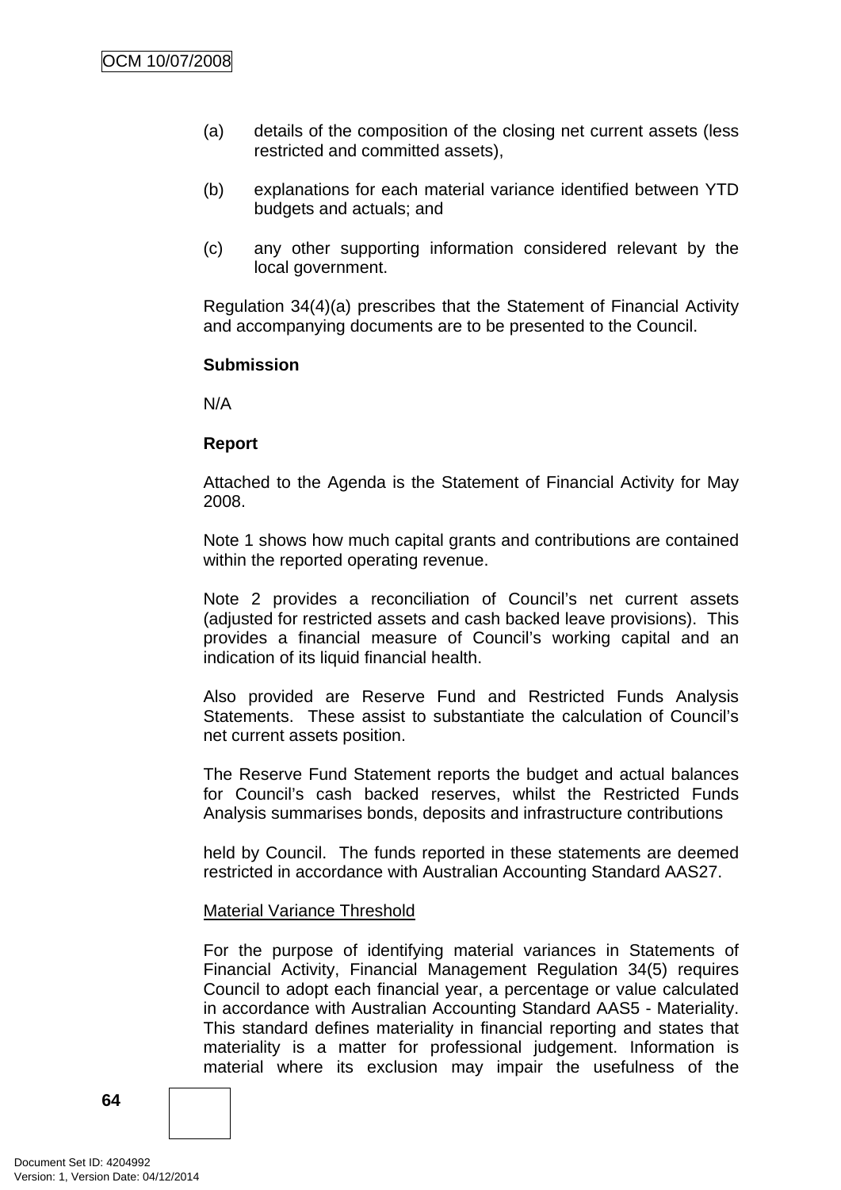- (a) details of the composition of the closing net current assets (less restricted and committed assets),
- (b) explanations for each material variance identified between YTD budgets and actuals; and
- (c) any other supporting information considered relevant by the local government.

Regulation 34(4)(a) prescribes that the Statement of Financial Activity and accompanying documents are to be presented to the Council.

### **Submission**

N/A

## **Report**

Attached to the Agenda is the Statement of Financial Activity for May 2008.

Note 1 shows how much capital grants and contributions are contained within the reported operating revenue.

Note 2 provides a reconciliation of Council's net current assets (adjusted for restricted assets and cash backed leave provisions). This provides a financial measure of Council's working capital and an indication of its liquid financial health.

Also provided are Reserve Fund and Restricted Funds Analysis Statements. These assist to substantiate the calculation of Council's net current assets position.

The Reserve Fund Statement reports the budget and actual balances for Council's cash backed reserves, whilst the Restricted Funds Analysis summarises bonds, deposits and infrastructure contributions

held by Council. The funds reported in these statements are deemed restricted in accordance with Australian Accounting Standard AAS27.

## Material Variance Threshold

For the purpose of identifying material variances in Statements of Financial Activity, Financial Management Regulation 34(5) requires Council to adopt each financial year, a percentage or value calculated in accordance with Australian Accounting Standard AAS5 - Materiality. This standard defines materiality in financial reporting and states that materiality is a matter for professional judgement. Information is material where its exclusion may impair the usefulness of the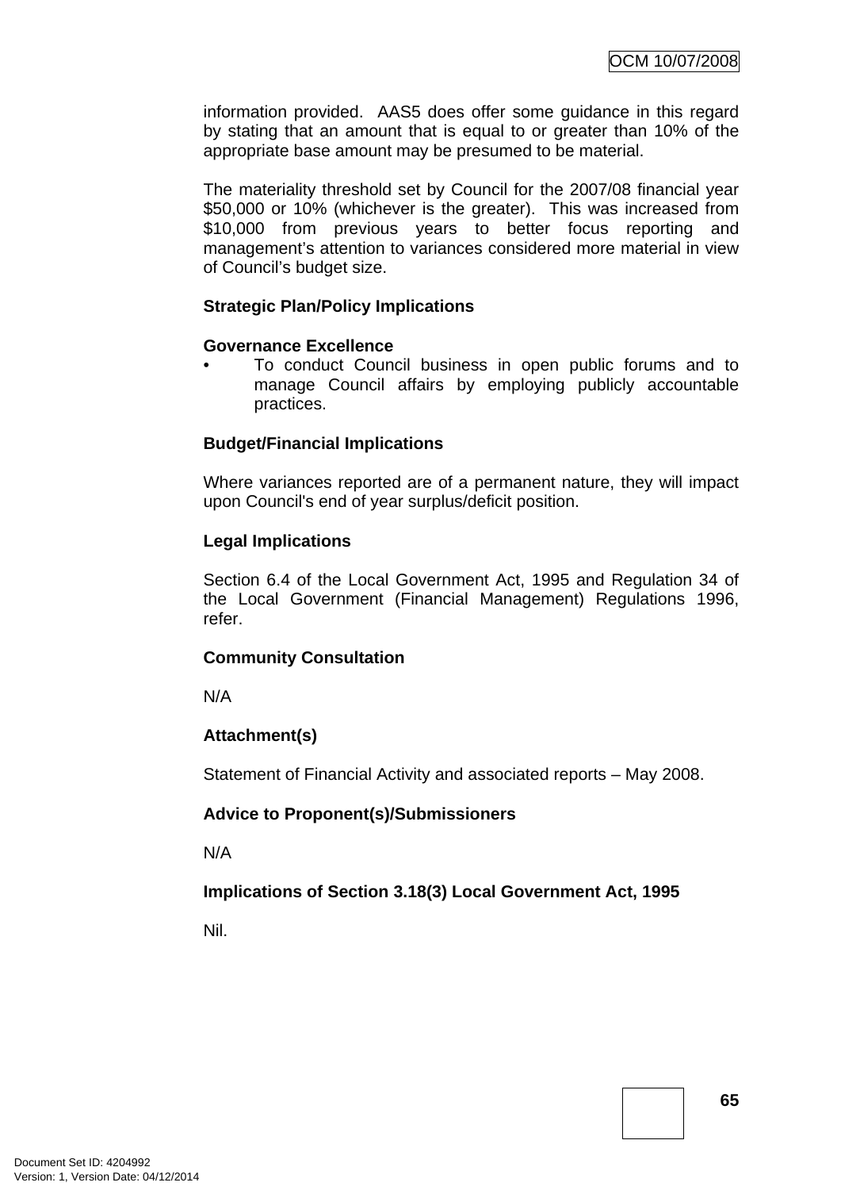information provided. AAS5 does offer some guidance in this regard by stating that an amount that is equal to or greater than 10% of the appropriate base amount may be presumed to be material.

The materiality threshold set by Council for the 2007/08 financial year \$50,000 or 10% (whichever is the greater). This was increased from \$10,000 from previous years to better focus reporting and management's attention to variances considered more material in view of Council's budget size.

# **Strategic Plan/Policy Implications**

## **Governance Excellence**

• To conduct Council business in open public forums and to manage Council affairs by employing publicly accountable practices.

# **Budget/Financial Implications**

Where variances reported are of a permanent nature, they will impact upon Council's end of year surplus/deficit position.

# **Legal Implications**

Section 6.4 of the Local Government Act, 1995 and Regulation 34 of the Local Government (Financial Management) Regulations 1996, refer.

# **Community Consultation**

N/A

# **Attachment(s)**

Statement of Financial Activity and associated reports – May 2008.

# **Advice to Proponent(s)/Submissioners**

N/A

# **Implications of Section 3.18(3) Local Government Act, 1995**

Nil.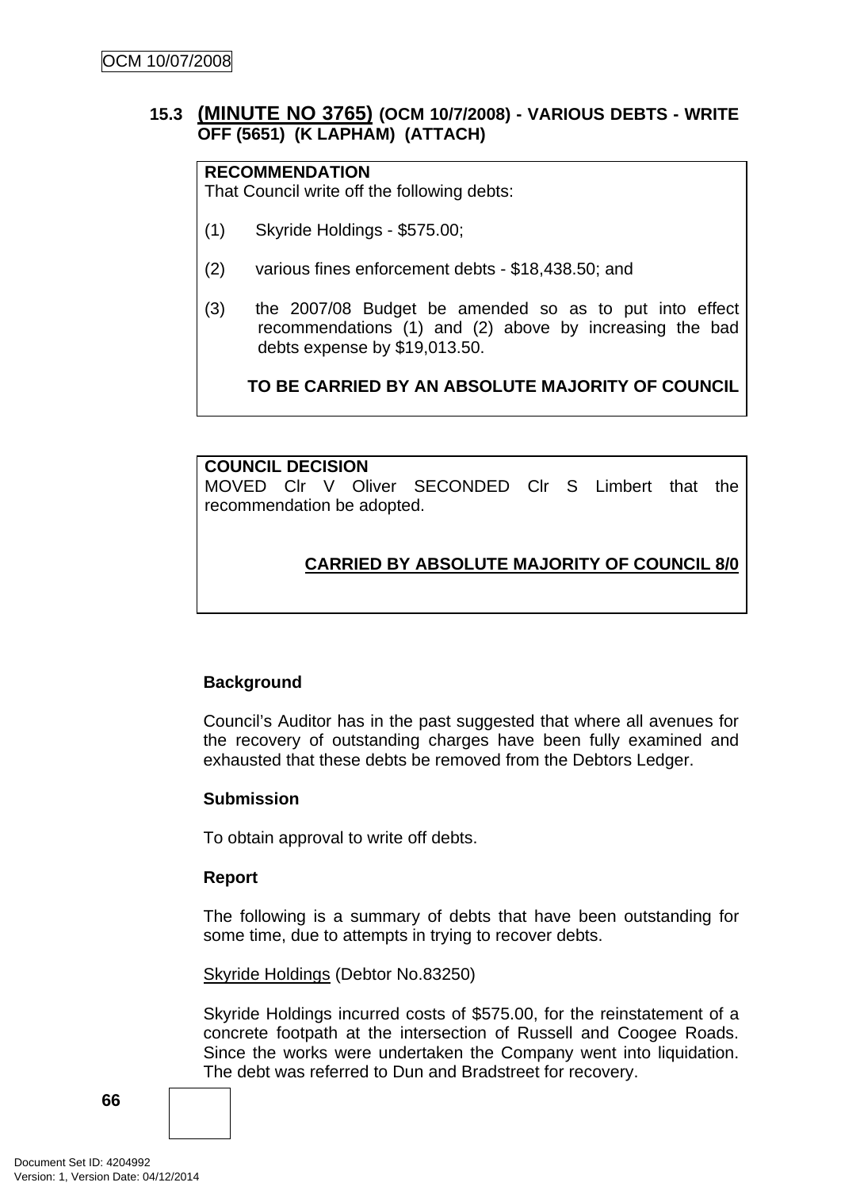# **15.3 (MINUTE NO 3765) (OCM 10/7/2008) - VARIOUS DEBTS - WRITE OFF (5651) (K LAPHAM) (ATTACH)**

# **RECOMMENDATION**

That Council write off the following debts:

- (1) Skyride Holdings \$575.00;
- (2) various fines enforcement debts \$18,438.50; and
- (3) the 2007/08 Budget be amended so as to put into effect recommendations (1) and (2) above by increasing the bad debts expense by \$19,013.50.

**TO BE CARRIED BY AN ABSOLUTE MAJORITY OF COUNCIL**

# **COUNCIL DECISION**

MOVED Clr V Oliver SECONDED Clr S Limbert that the recommendation be adopted.

# **CARRIED BY ABSOLUTE MAJORITY OF COUNCIL 8/0**

# **Background**

Council's Auditor has in the past suggested that where all avenues for the recovery of outstanding charges have been fully examined and exhausted that these debts be removed from the Debtors Ledger.

## **Submission**

To obtain approval to write off debts.

## **Report**

The following is a summary of debts that have been outstanding for some time, due to attempts in trying to recover debts.

Skyride Holdings (Debtor No.83250)

Skyride Holdings incurred costs of \$575.00, for the reinstatement of a concrete footpath at the intersection of Russell and Coogee Roads. Since the works were undertaken the Company went into liquidation. The debt was referred to Dun and Bradstreet for recovery.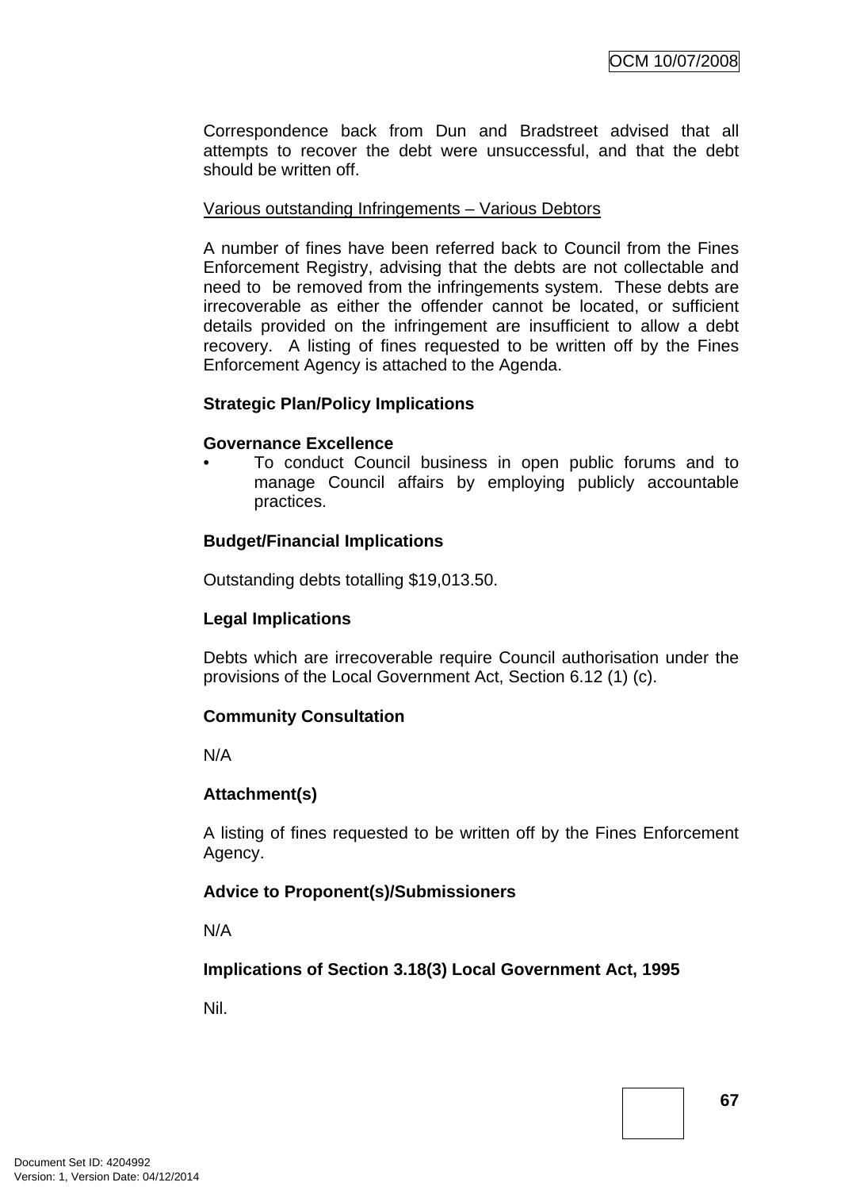Correspondence back from Dun and Bradstreet advised that all attempts to recover the debt were unsuccessful, and that the debt should be written off.

## Various outstanding Infringements – Various Debtors

A number of fines have been referred back to Council from the Fines Enforcement Registry, advising that the debts are not collectable and need to be removed from the infringements system. These debts are irrecoverable as either the offender cannot be located, or sufficient details provided on the infringement are insufficient to allow a debt recovery. A listing of fines requested to be written off by the Fines Enforcement Agency is attached to the Agenda.

## **Strategic Plan/Policy Implications**

# **Governance Excellence**

• To conduct Council business in open public forums and to manage Council affairs by employing publicly accountable practices.

# **Budget/Financial Implications**

Outstanding debts totalling \$19,013.50.

# **Legal Implications**

Debts which are irrecoverable require Council authorisation under the provisions of the Local Government Act, Section 6.12 (1) (c).

# **Community Consultation**

N/A

## **Attachment(s)**

A listing of fines requested to be written off by the Fines Enforcement Agency.

# **Advice to Proponent(s)/Submissioners**

N/A

# **Implications of Section 3.18(3) Local Government Act, 1995**

Nil.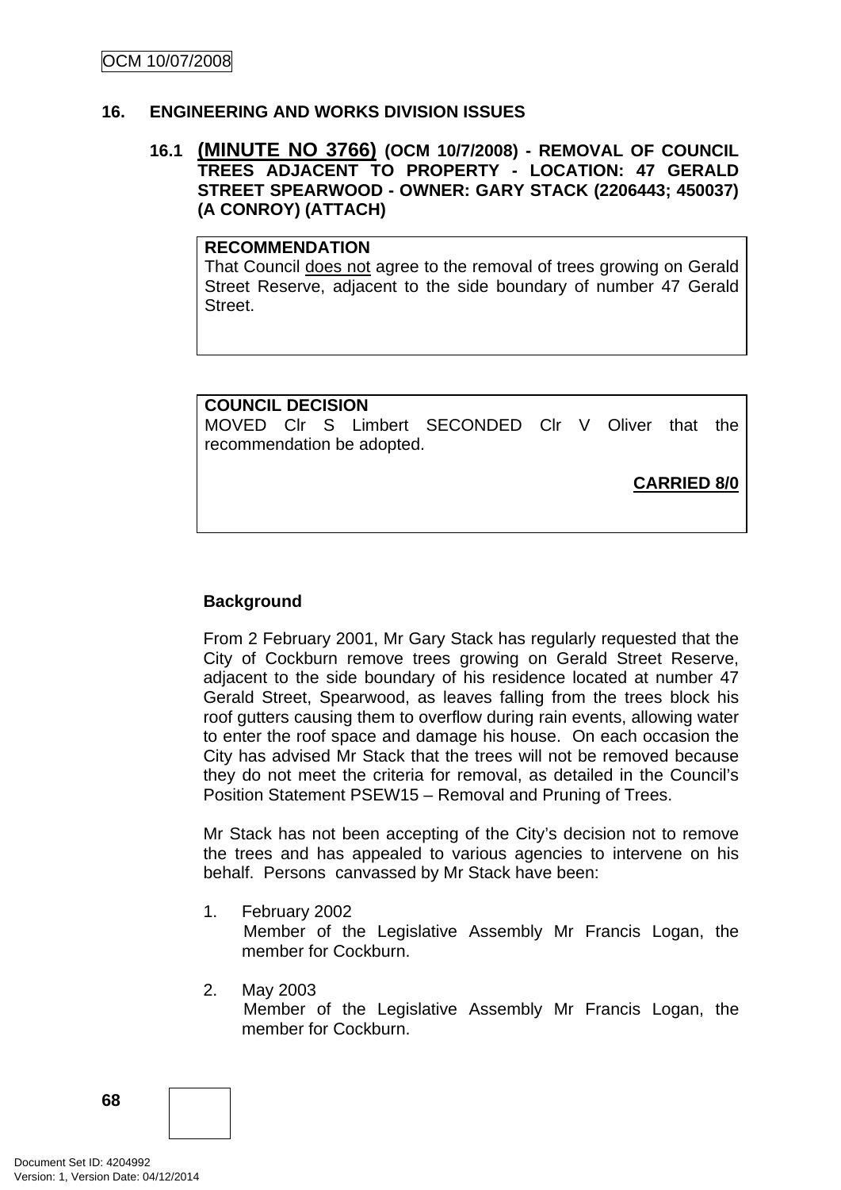## **16. ENGINEERING AND WORKS DIVISION ISSUES**

## **16.1 (MINUTE NO 3766) (OCM 10/7/2008) - REMOVAL OF COUNCIL TREES ADJACENT TO PROPERTY - LOCATION: 47 GERALD STREET SPEARWOOD - OWNER: GARY STACK (2206443; 450037) (A CONROY) (ATTACH)**

# **RECOMMENDATION**

That Council does not agree to the removal of trees growing on Gerald Street Reserve, adjacent to the side boundary of number 47 Gerald Street.

## **COUNCIL DECISION**

MOVED Clr S Limbert SECONDED Clr V Oliver that the recommendation be adopted.

**CARRIED 8/0**

## **Background**

From 2 February 2001, Mr Gary Stack has regularly requested that the City of Cockburn remove trees growing on Gerald Street Reserve, adjacent to the side boundary of his residence located at number 47 Gerald Street, Spearwood, as leaves falling from the trees block his roof gutters causing them to overflow during rain events, allowing water to enter the roof space and damage his house. On each occasion the City has advised Mr Stack that the trees will not be removed because they do not meet the criteria for removal, as detailed in the Council's Position Statement PSEW15 – Removal and Pruning of Trees.

Mr Stack has not been accepting of the City's decision not to remove the trees and has appealed to various agencies to intervene on his behalf. Persons canvassed by Mr Stack have been:

1. February 2002

Member of the Legislative Assembly Mr Francis Logan, the member for Cockburn.

2. May 2003

Member of the Legislative Assembly Mr Francis Logan, the member for Cockburn.

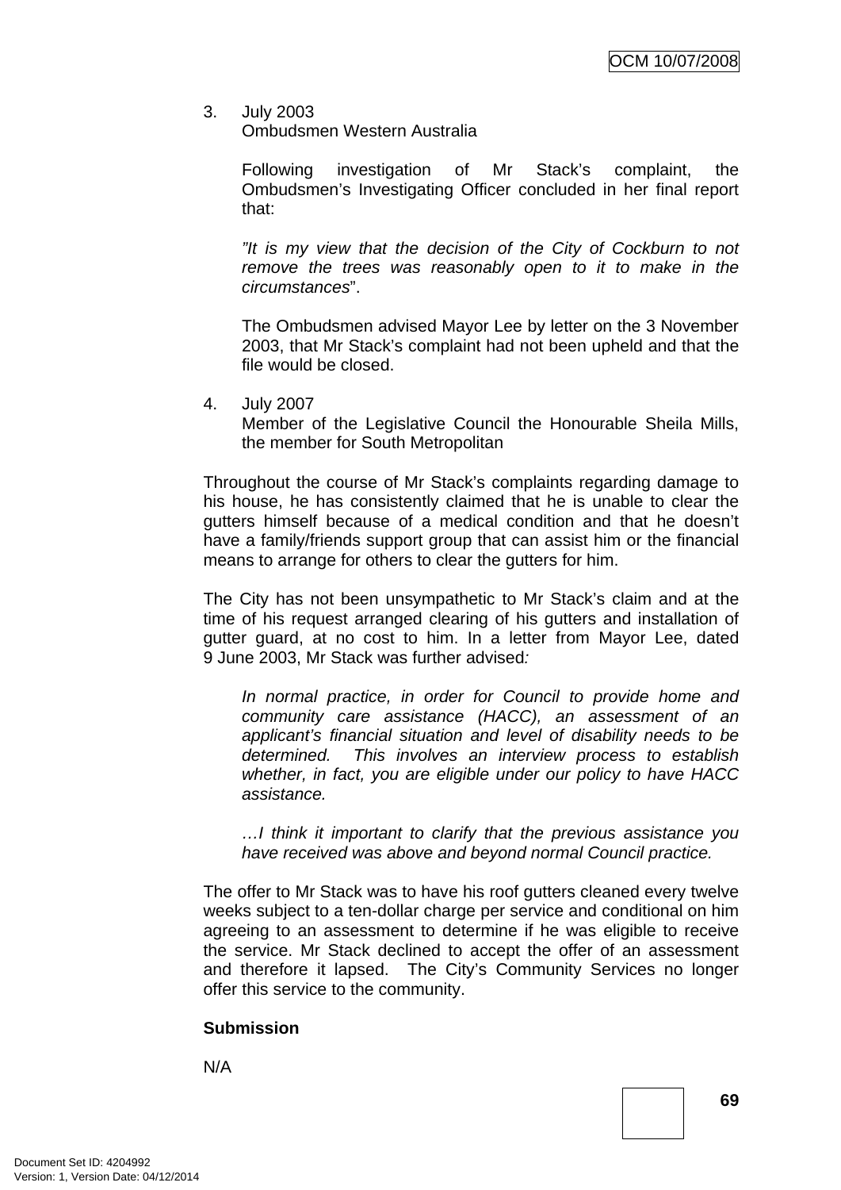3. July 2003

Ombudsmen Western Australia

Following investigation of Mr Stack's complaint, the Ombudsmen's Investigating Officer concluded in her final report that:

*"It is my view that the decision of the City of Cockburn to not remove the trees was reasonably open to it to make in the circumstances*".

The Ombudsmen advised Mayor Lee by letter on the 3 November 2003, that Mr Stack's complaint had not been upheld and that the file would be closed.

4. July 2007

Member of the Legislative Council the Honourable Sheila Mills, the member for South Metropolitan

Throughout the course of Mr Stack's complaints regarding damage to his house, he has consistently claimed that he is unable to clear the gutters himself because of a medical condition and that he doesn't have a family/friends support group that can assist him or the financial means to arrange for others to clear the gutters for him.

The City has not been unsympathetic to Mr Stack's claim and at the time of his request arranged clearing of his gutters and installation of gutter guard, at no cost to him. In a letter from Mayor Lee, dated 9 June 2003, Mr Stack was further advised*:* 

*In normal practice, in order for Council to provide home and community care assistance (HACC), an assessment of an applicant's financial situation and level of disability needs to be determined. This involves an interview process to establish whether, in fact, you are eligible under our policy to have HACC assistance.*

*…I think it important to clarify that the previous assistance you have received was above and beyond normal Council practice.* 

The offer to Mr Stack was to have his roof gutters cleaned every twelve weeks subject to a ten-dollar charge per service and conditional on him agreeing to an assessment to determine if he was eligible to receive the service. Mr Stack declined to accept the offer of an assessment and therefore it lapsed. The City's Community Services no longer offer this service to the community.

# **Submission**

N/A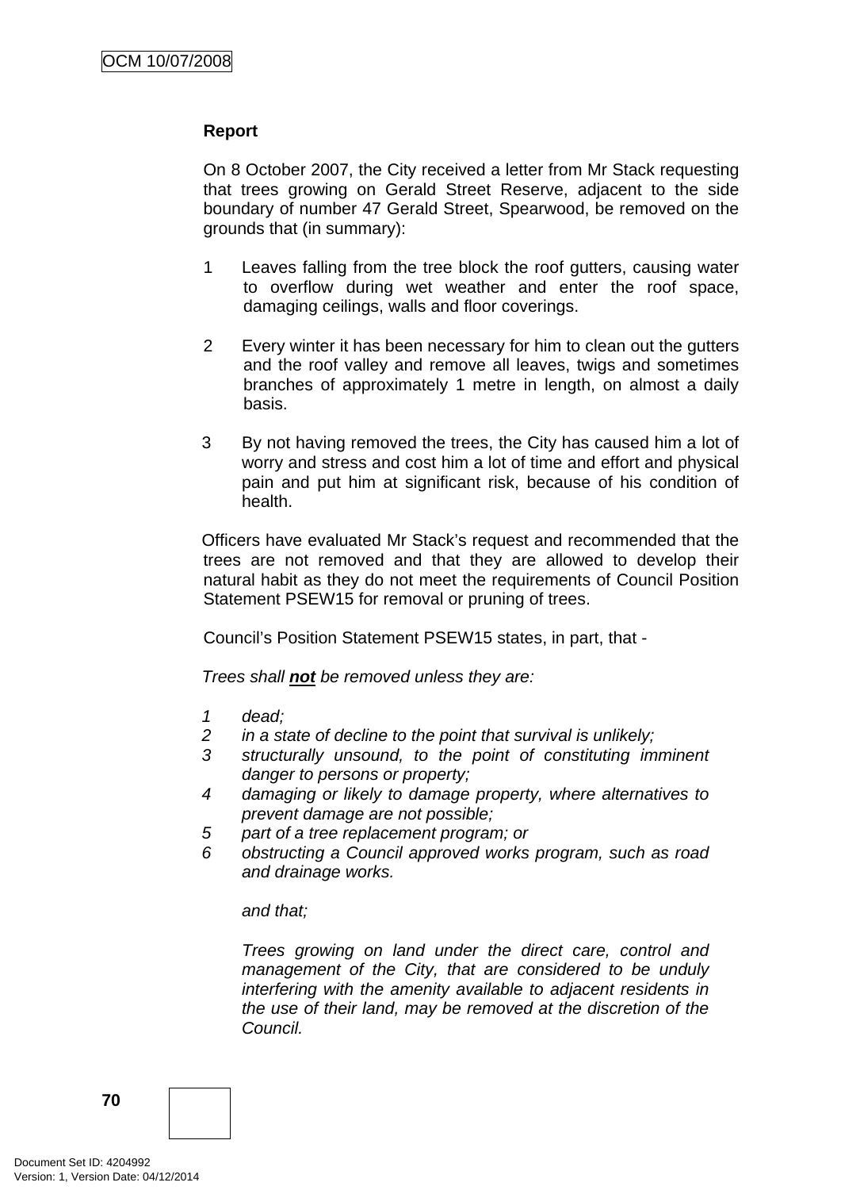## **Report**

On 8 October 2007, the City received a letter from Mr Stack requesting that trees growing on Gerald Street Reserve, adjacent to the side boundary of number 47 Gerald Street, Spearwood, be removed on the grounds that (in summary):

- 1 Leaves falling from the tree block the roof gutters, causing water to overflow during wet weather and enter the roof space, damaging ceilings, walls and floor coverings.
- 2 Every winter it has been necessary for him to clean out the gutters and the roof valley and remove all leaves, twigs and sometimes branches of approximately 1 metre in length, on almost a daily basis.
- 3 By not having removed the trees, the City has caused him a lot of worry and stress and cost him a lot of time and effort and physical pain and put him at significant risk, because of his condition of health.

Officers have evaluated Mr Stack's request and recommended that the trees are not removed and that they are allowed to develop their natural habit as they do not meet the requirements of Council Position Statement PSEW15 for removal or pruning of trees.

Council's Position Statement PSEW15 states, in part, that -

*Trees shall not be removed unless they are:* 

- *1 dead;*
- *2 in a state of decline to the point that survival is unlikely;*
- *3 structurally unsound, to the point of constituting imminent danger to persons or property;*
- *4 damaging or likely to damage property, where alternatives to prevent damage are not possible;*
- *5 part of a tree replacement program; or*
- *6 obstructing a Council approved works program, such as road and drainage works.*

*and that;* 

*Trees growing on land under the direct care, control and management of the City, that are considered to be unduly interfering with the amenity available to adjacent residents in the use of their land, may be removed at the discretion of the Council.*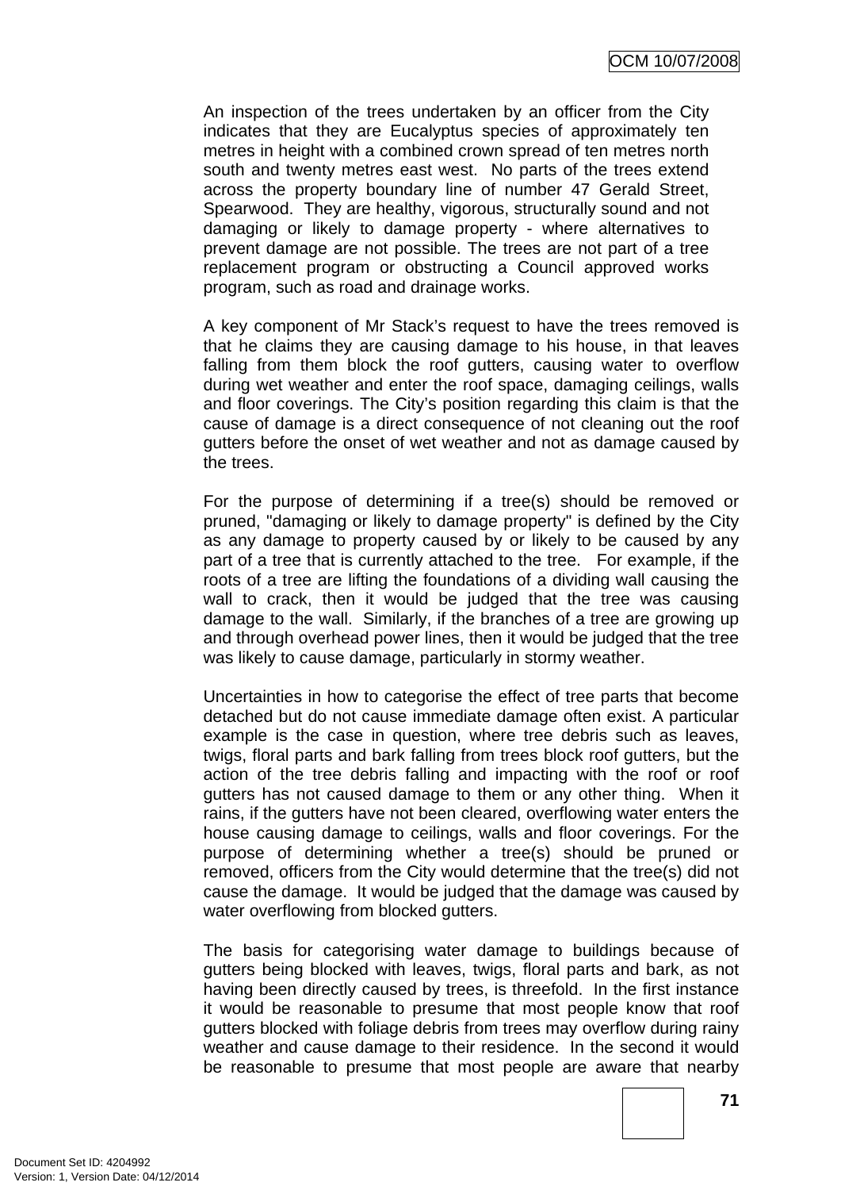An inspection of the trees undertaken by an officer from the City indicates that they are Eucalyptus species of approximately ten metres in height with a combined crown spread of ten metres north south and twenty metres east west. No parts of the trees extend across the property boundary line of number 47 Gerald Street, Spearwood. They are healthy, vigorous, structurally sound and not damaging or likely to damage property - where alternatives to prevent damage are not possible. The trees are not part of a tree replacement program or obstructing a Council approved works program, such as road and drainage works.

A key component of Mr Stack's request to have the trees removed is that he claims they are causing damage to his house, in that leaves falling from them block the roof gutters, causing water to overflow during wet weather and enter the roof space, damaging ceilings, walls and floor coverings. The City's position regarding this claim is that the cause of damage is a direct consequence of not cleaning out the roof gutters before the onset of wet weather and not as damage caused by the trees.

For the purpose of determining if a tree(s) should be removed or pruned, "damaging or likely to damage property" is defined by the City as any damage to property caused by or likely to be caused by any part of a tree that is currently attached to the tree. For example, if the roots of a tree are lifting the foundations of a dividing wall causing the wall to crack, then it would be judged that the tree was causing damage to the wall. Similarly, if the branches of a tree are growing up and through overhead power lines, then it would be judged that the tree was likely to cause damage, particularly in stormy weather.

Uncertainties in how to categorise the effect of tree parts that become detached but do not cause immediate damage often exist. A particular example is the case in question, where tree debris such as leaves, twigs, floral parts and bark falling from trees block roof gutters, but the action of the tree debris falling and impacting with the roof or roof gutters has not caused damage to them or any other thing. When it rains, if the gutters have not been cleared, overflowing water enters the house causing damage to ceilings, walls and floor coverings. For the purpose of determining whether a tree(s) should be pruned or removed, officers from the City would determine that the tree(s) did not cause the damage. It would be judged that the damage was caused by water overflowing from blocked gutters.

The basis for categorising water damage to buildings because of gutters being blocked with leaves, twigs, floral parts and bark, as not having been directly caused by trees, is threefold. In the first instance it would be reasonable to presume that most people know that roof gutters blocked with foliage debris from trees may overflow during rainy weather and cause damage to their residence. In the second it would be reasonable to presume that most people are aware that nearby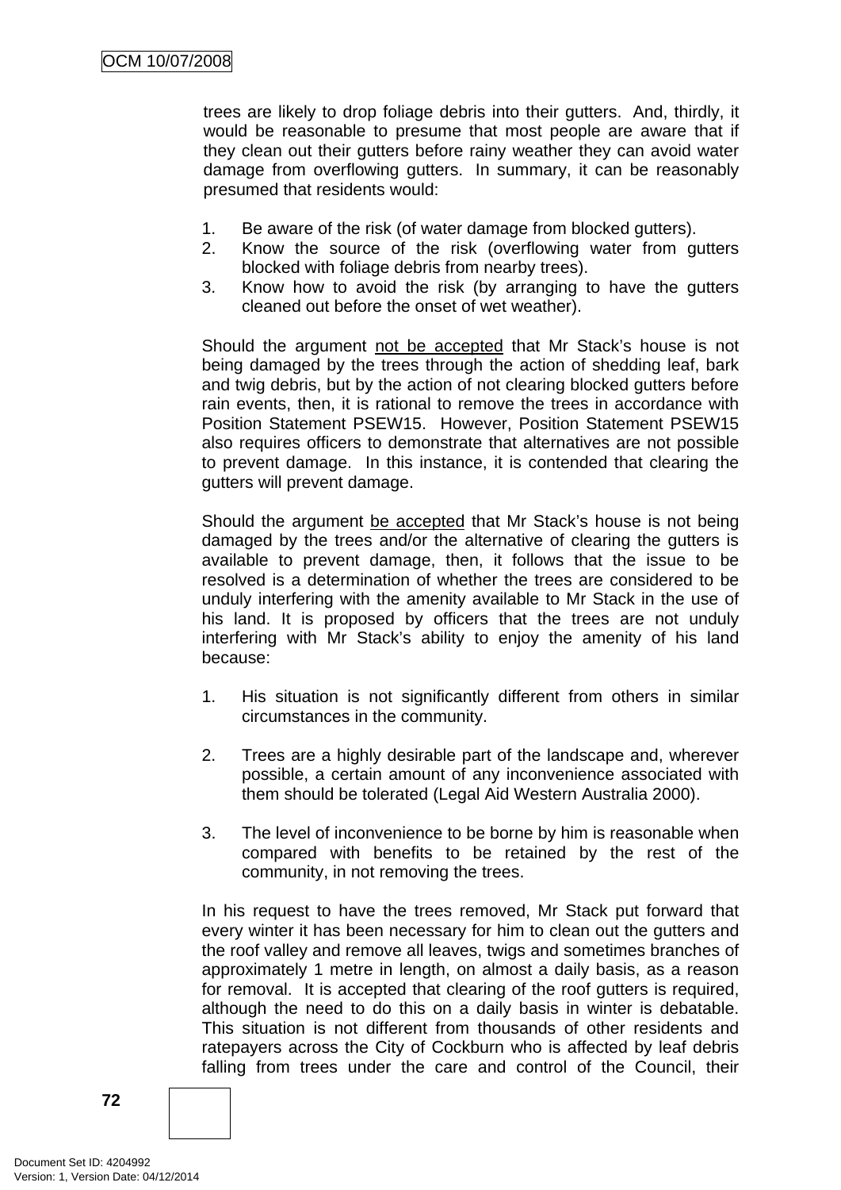trees are likely to drop foliage debris into their gutters. And, thirdly, it would be reasonable to presume that most people are aware that if they clean out their gutters before rainy weather they can avoid water damage from overflowing gutters. In summary, it can be reasonably presumed that residents would:

- 1. Be aware of the risk (of water damage from blocked gutters).
- 2. Know the source of the risk (overflowing water from gutters blocked with foliage debris from nearby trees).
- 3. Know how to avoid the risk (by arranging to have the gutters cleaned out before the onset of wet weather).

Should the argument not be accepted that Mr Stack's house is not being damaged by the trees through the action of shedding leaf, bark and twig debris, but by the action of not clearing blocked gutters before rain events, then, it is rational to remove the trees in accordance with Position Statement PSEW15. However, Position Statement PSEW15 also requires officers to demonstrate that alternatives are not possible to prevent damage. In this instance, it is contended that clearing the gutters will prevent damage.

Should the argument be accepted that Mr Stack's house is not being damaged by the trees and/or the alternative of clearing the gutters is available to prevent damage, then, it follows that the issue to be resolved is a determination of whether the trees are considered to be unduly interfering with the amenity available to Mr Stack in the use of his land. It is proposed by officers that the trees are not unduly interfering with Mr Stack's ability to enjoy the amenity of his land because:

- 1. His situation is not significantly different from others in similar circumstances in the community.
- 2. Trees are a highly desirable part of the landscape and, wherever possible, a certain amount of any inconvenience associated with them should be tolerated (Legal Aid Western Australia 2000).
- 3. The level of inconvenience to be borne by him is reasonable when compared with benefits to be retained by the rest of the community, in not removing the trees.

In his request to have the trees removed, Mr Stack put forward that every winter it has been necessary for him to clean out the gutters and the roof valley and remove all leaves, twigs and sometimes branches of approximately 1 metre in length, on almost a daily basis, as a reason for removal. It is accepted that clearing of the roof gutters is required, although the need to do this on a daily basis in winter is debatable. This situation is not different from thousands of other residents and ratepayers across the City of Cockburn who is affected by leaf debris falling from trees under the care and control of the Council, their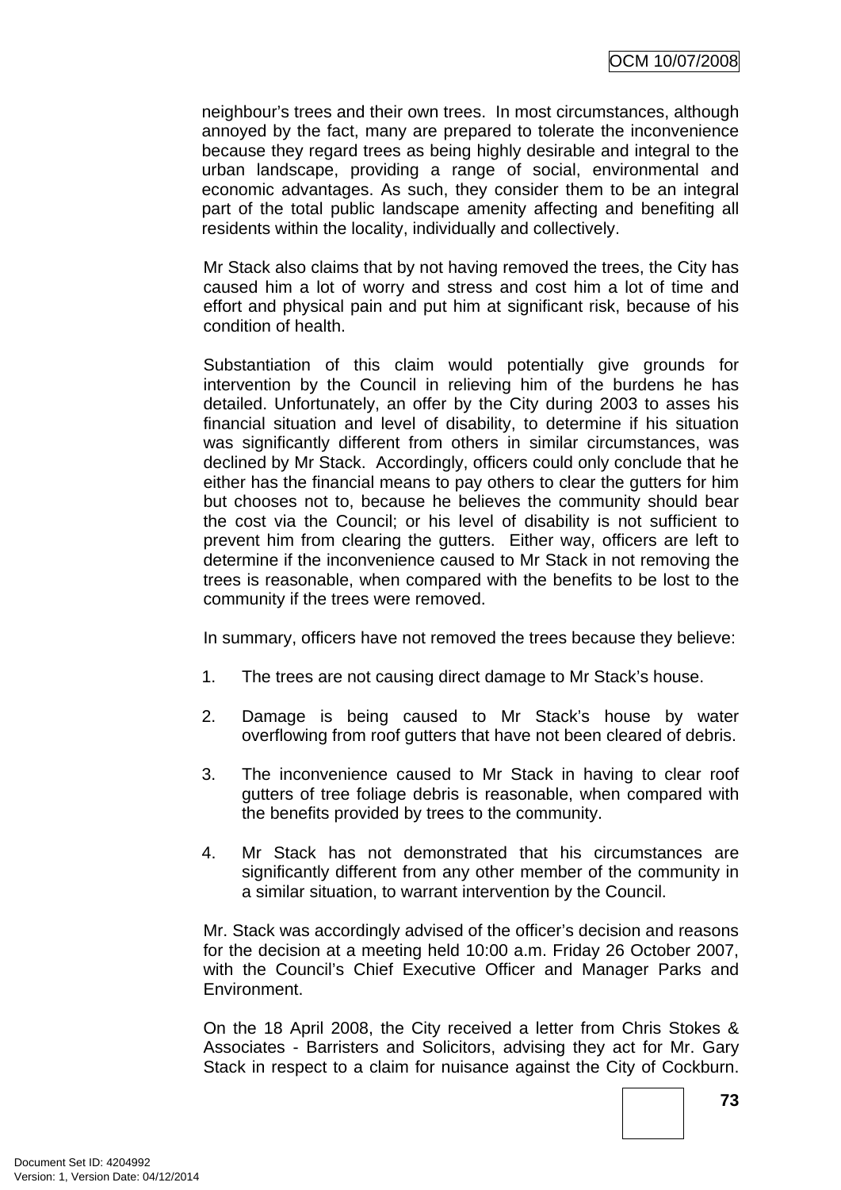neighbour's trees and their own trees. In most circumstances, although annoyed by the fact, many are prepared to tolerate the inconvenience because they regard trees as being highly desirable and integral to the urban landscape, providing a range of social, environmental and economic advantages. As such, they consider them to be an integral part of the total public landscape amenity affecting and benefiting all residents within the locality, individually and collectively.

Mr Stack also claims that by not having removed the trees, the City has caused him a lot of worry and stress and cost him a lot of time and effort and physical pain and put him at significant risk, because of his condition of health.

Substantiation of this claim would potentially give grounds for intervention by the Council in relieving him of the burdens he has detailed. Unfortunately, an offer by the City during 2003 to asses his financial situation and level of disability, to determine if his situation was significantly different from others in similar circumstances, was declined by Mr Stack. Accordingly, officers could only conclude that he either has the financial means to pay others to clear the gutters for him but chooses not to, because he believes the community should bear the cost via the Council; or his level of disability is not sufficient to prevent him from clearing the gutters. Either way, officers are left to determine if the inconvenience caused to Mr Stack in not removing the trees is reasonable, when compared with the benefits to be lost to the community if the trees were removed.

In summary, officers have not removed the trees because they believe:

- 1. The trees are not causing direct damage to Mr Stack's house.
- 2. Damage is being caused to Mr Stack's house by water overflowing from roof gutters that have not been cleared of debris.
- 3. The inconvenience caused to Mr Stack in having to clear roof gutters of tree foliage debris is reasonable, when compared with the benefits provided by trees to the community.
- 4. Mr Stack has not demonstrated that his circumstances are significantly different from any other member of the community in a similar situation, to warrant intervention by the Council.

Mr. Stack was accordingly advised of the officer's decision and reasons for the decision at a meeting held 10:00 a.m. Friday 26 October 2007, with the Council's Chief Executive Officer and Manager Parks and Environment.

On the 18 April 2008, the City received a letter from Chris Stokes & Associates - Barristers and Solicitors, advising they act for Mr. Gary Stack in respect to a claim for nuisance against the City of Cockburn.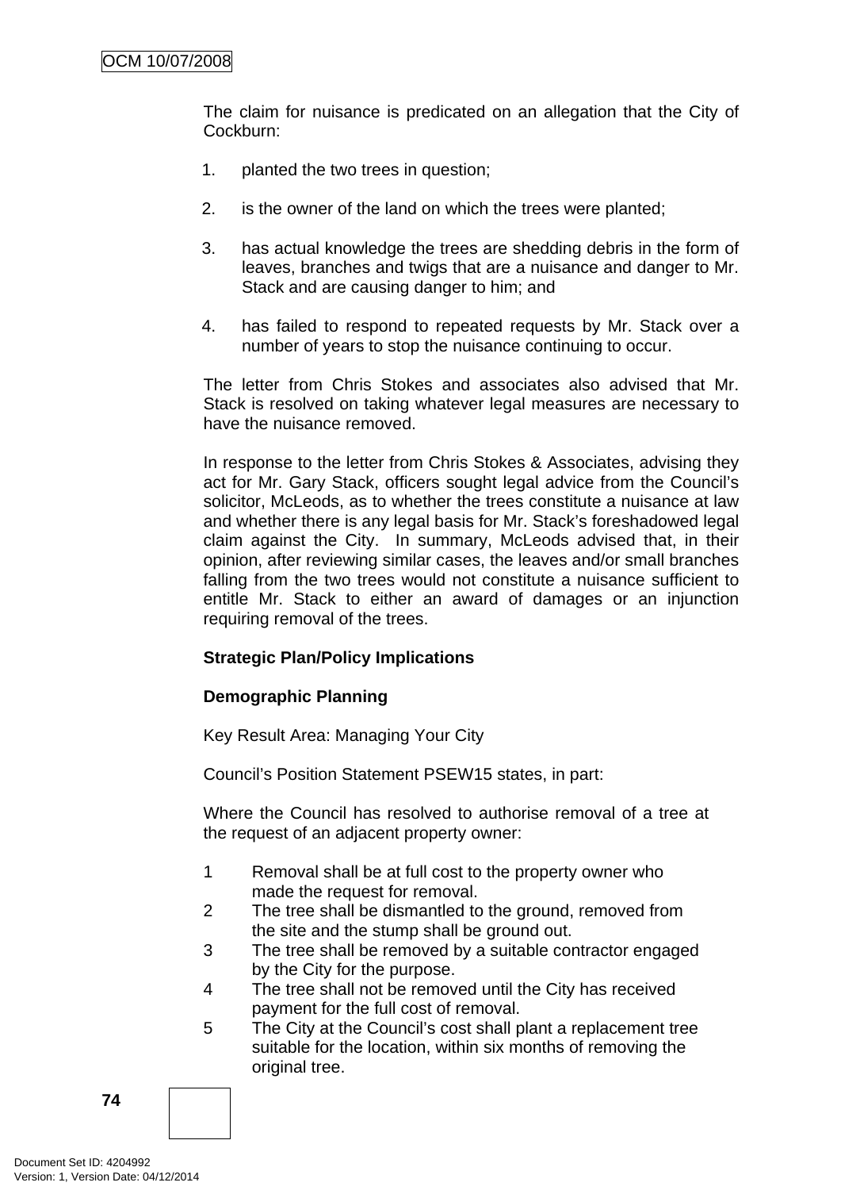The claim for nuisance is predicated on an allegation that the City of Cockburn:

- 1. planted the two trees in question;
- 2. is the owner of the land on which the trees were planted;
- 3. has actual knowledge the trees are shedding debris in the form of leaves, branches and twigs that are a nuisance and danger to Mr. Stack and are causing danger to him; and
- 4. has failed to respond to repeated requests by Mr. Stack over a number of years to stop the nuisance continuing to occur.

The letter from Chris Stokes and associates also advised that Mr. Stack is resolved on taking whatever legal measures are necessary to have the nuisance removed.

In response to the letter from Chris Stokes & Associates, advising they act for Mr. Gary Stack, officers sought legal advice from the Council's solicitor, McLeods, as to whether the trees constitute a nuisance at law and whether there is any legal basis for Mr. Stack's foreshadowed legal claim against the City. In summary, McLeods advised that, in their opinion, after reviewing similar cases, the leaves and/or small branches falling from the two trees would not constitute a nuisance sufficient to entitle Mr. Stack to either an award of damages or an injunction requiring removal of the trees.

# **Strategic Plan/Policy Implications**

# **Demographic Planning**

Key Result Area: Managing Your City

Council's Position Statement PSEW15 states, in part:

Where the Council has resolved to authorise removal of a tree at the request of an adjacent property owner:

- 1 Removal shall be at full cost to the property owner who made the request for removal.
- 2 The tree shall be dismantled to the ground, removed from the site and the stump shall be ground out.
- 3 The tree shall be removed by a suitable contractor engaged by the City for the purpose.
- 4 The tree shall not be removed until the City has received payment for the full cost of removal.
- 5 The City at the Council's cost shall plant a replacement tree suitable for the location, within six months of removing the original tree.

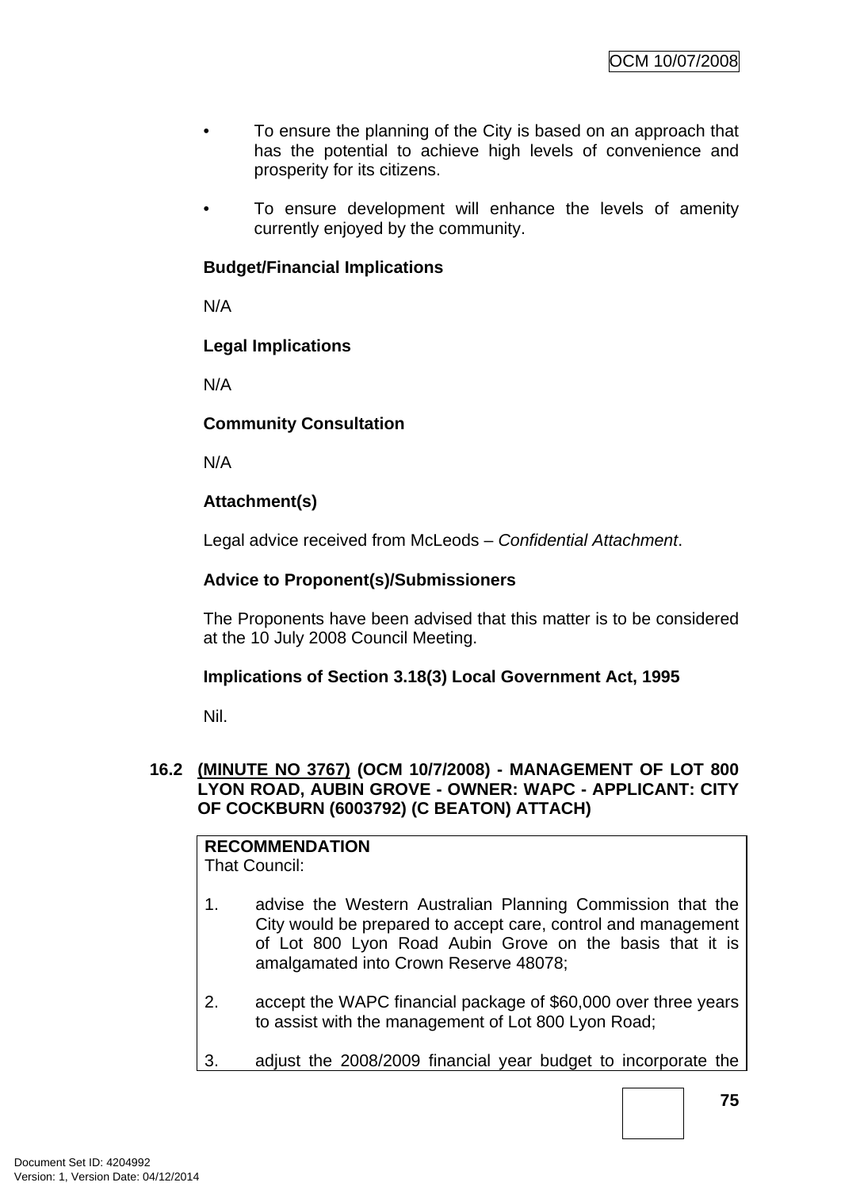- To ensure the planning of the City is based on an approach that has the potential to achieve high levels of convenience and prosperity for its citizens.
- To ensure development will enhance the levels of amenity currently enjoyed by the community.

# **Budget/Financial Implications**

N/A

## **Legal Implications**

N/A

## **Community Consultation**

N/A

# **Attachment(s)**

Legal advice received from McLeods – *Confidential Attachment*.

# **Advice to Proponent(s)/Submissioners**

The Proponents have been advised that this matter is to be considered at the 10 July 2008 Council Meeting.

## **Implications of Section 3.18(3) Local Government Act, 1995**

Nil.

## **16.2 (MINUTE NO 3767) (OCM 10/7/2008) - MANAGEMENT OF LOT 800 LYON ROAD, AUBIN GROVE - OWNER: WAPC - APPLICANT: CITY OF COCKBURN (6003792) (C BEATON) ATTACH)**

**RECOMMENDATION** That Council:

- 1. advise the Western Australian Planning Commission that the City would be prepared to accept care, control and management of Lot 800 Lyon Road Aubin Grove on the basis that it is amalgamated into Crown Reserve 48078;
- 2. accept the WAPC financial package of \$60,000 over three years to assist with the management of Lot 800 Lyon Road;
- 3. adjust the 2008/2009 financial year budget to incorporate the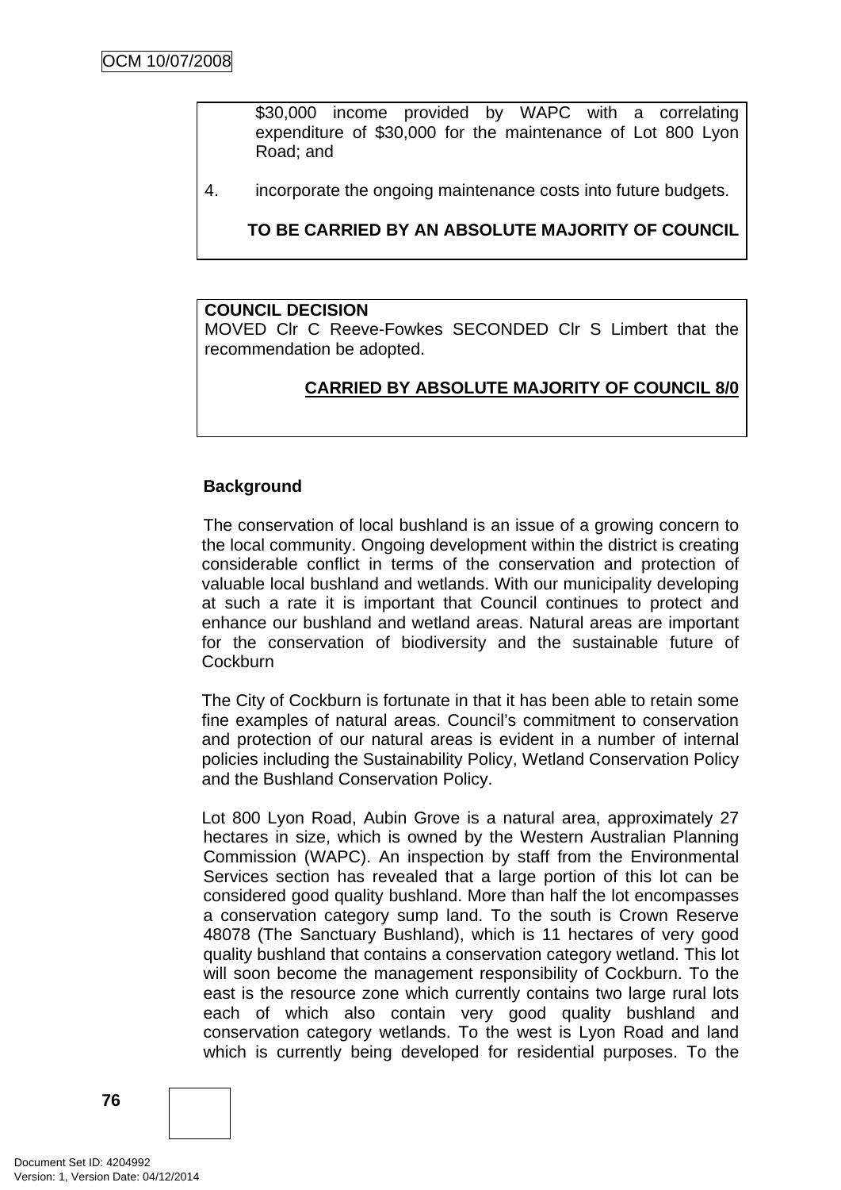\$30,000 income provided by WAPC with a correlating expenditure of \$30,000 for the maintenance of Lot 800 Lyon Road; and

4. incorporate the ongoing maintenance costs into future budgets.

# **TO BE CARRIED BY AN ABSOLUTE MAJORITY OF COUNCIL**

#### **COUNCIL DECISION**

MOVED Clr C Reeve-Fowkes SECONDED Clr S Limbert that the recommendation be adopted.

# **CARRIED BY ABSOLUTE MAJORITY OF COUNCIL 8/0**

## **Background**

The conservation of local bushland is an issue of a growing concern to the local community. Ongoing development within the district is creating considerable conflict in terms of the conservation and protection of valuable local bushland and wetlands. With our municipality developing at such a rate it is important that Council continues to protect and enhance our bushland and wetland areas. Natural areas are important for the conservation of biodiversity and the sustainable future of **Cockburn** 

The City of Cockburn is fortunate in that it has been able to retain some fine examples of natural areas. Council's commitment to conservation and protection of our natural areas is evident in a number of internal policies including the Sustainability Policy, Wetland Conservation Policy and the Bushland Conservation Policy.

Lot 800 Lyon Road, Aubin Grove is a natural area, approximately 27 hectares in size, which is owned by the Western Australian Planning Commission (WAPC). An inspection by staff from the Environmental Services section has revealed that a large portion of this lot can be considered good quality bushland. More than half the lot encompasses a conservation category sump land. To the south is Crown Reserve 48078 (The Sanctuary Bushland), which is 11 hectares of very good quality bushland that contains a conservation category wetland. This lot will soon become the management responsibility of Cockburn. To the east is the resource zone which currently contains two large rural lots each of which also contain very good quality bushland and conservation category wetlands. To the west is Lyon Road and land which is currently being developed for residential purposes. To the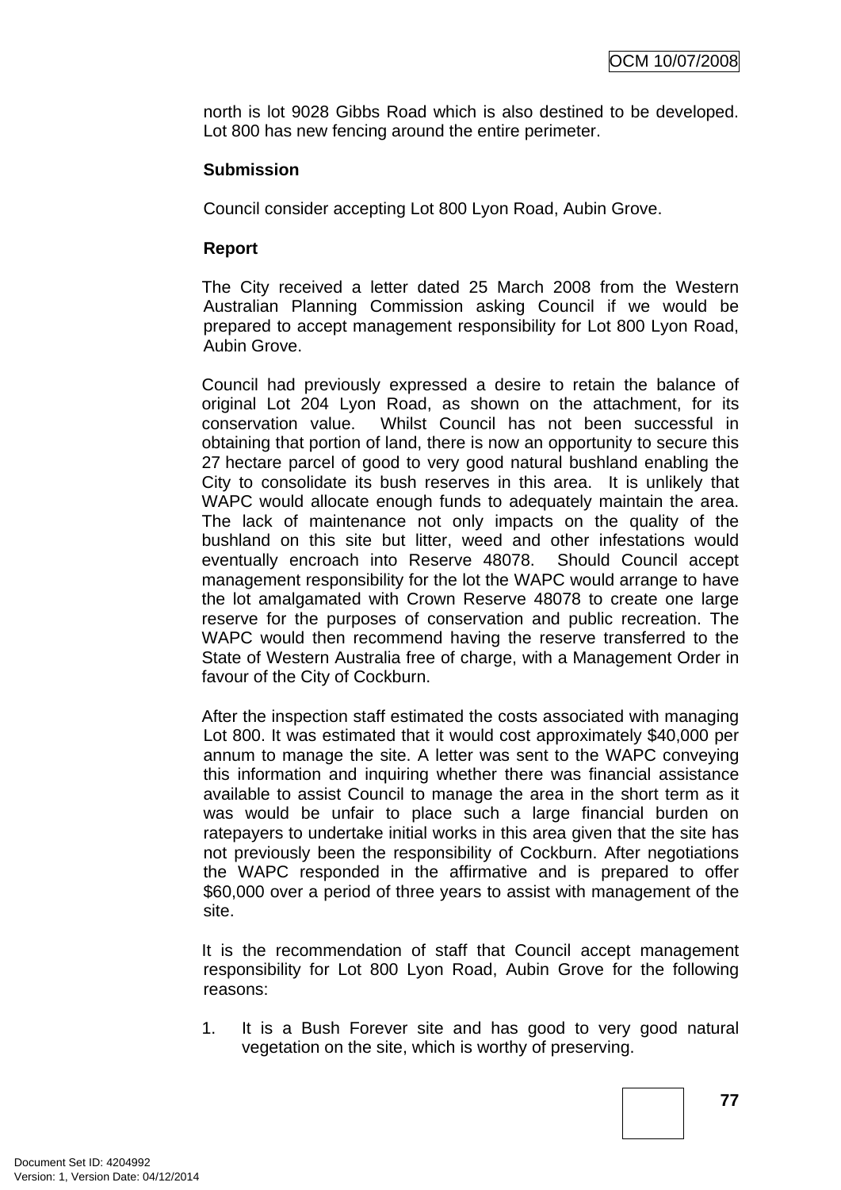north is lot 9028 Gibbs Road which is also destined to be developed. Lot 800 has new fencing around the entire perimeter.

## **Submission**

Council consider accepting Lot 800 Lyon Road, Aubin Grove.

# **Report**

The City received a letter dated 25 March 2008 from the Western Australian Planning Commission asking Council if we would be prepared to accept management responsibility for Lot 800 Lyon Road, Aubin Grove.

Council had previously expressed a desire to retain the balance of original Lot 204 Lyon Road, as shown on the attachment, for its conservation value. Whilst Council has not been successful in obtaining that portion of land, there is now an opportunity to secure this 27 hectare parcel of good to very good natural bushland enabling the City to consolidate its bush reserves in this area. It is unlikely that WAPC would allocate enough funds to adequately maintain the area. The lack of maintenance not only impacts on the quality of the bushland on this site but litter, weed and other infestations would eventually encroach into Reserve 48078. Should Council accept management responsibility for the lot the WAPC would arrange to have the lot amalgamated with Crown Reserve 48078 to create one large reserve for the purposes of conservation and public recreation. The WAPC would then recommend having the reserve transferred to the State of Western Australia free of charge, with a Management Order in favour of the City of Cockburn.

After the inspection staff estimated the costs associated with managing Lot 800. It was estimated that it would cost approximately \$40,000 per annum to manage the site. A letter was sent to the WAPC conveying this information and inquiring whether there was financial assistance available to assist Council to manage the area in the short term as it was would be unfair to place such a large financial burden on ratepayers to undertake initial works in this area given that the site has not previously been the responsibility of Cockburn. After negotiations the WAPC responded in the affirmative and is prepared to offer \$60,000 over a period of three years to assist with management of the site.

It is the recommendation of staff that Council accept management responsibility for Lot 800 Lyon Road, Aubin Grove for the following reasons:

1. It is a Bush Forever site and has good to very good natural vegetation on the site, which is worthy of preserving.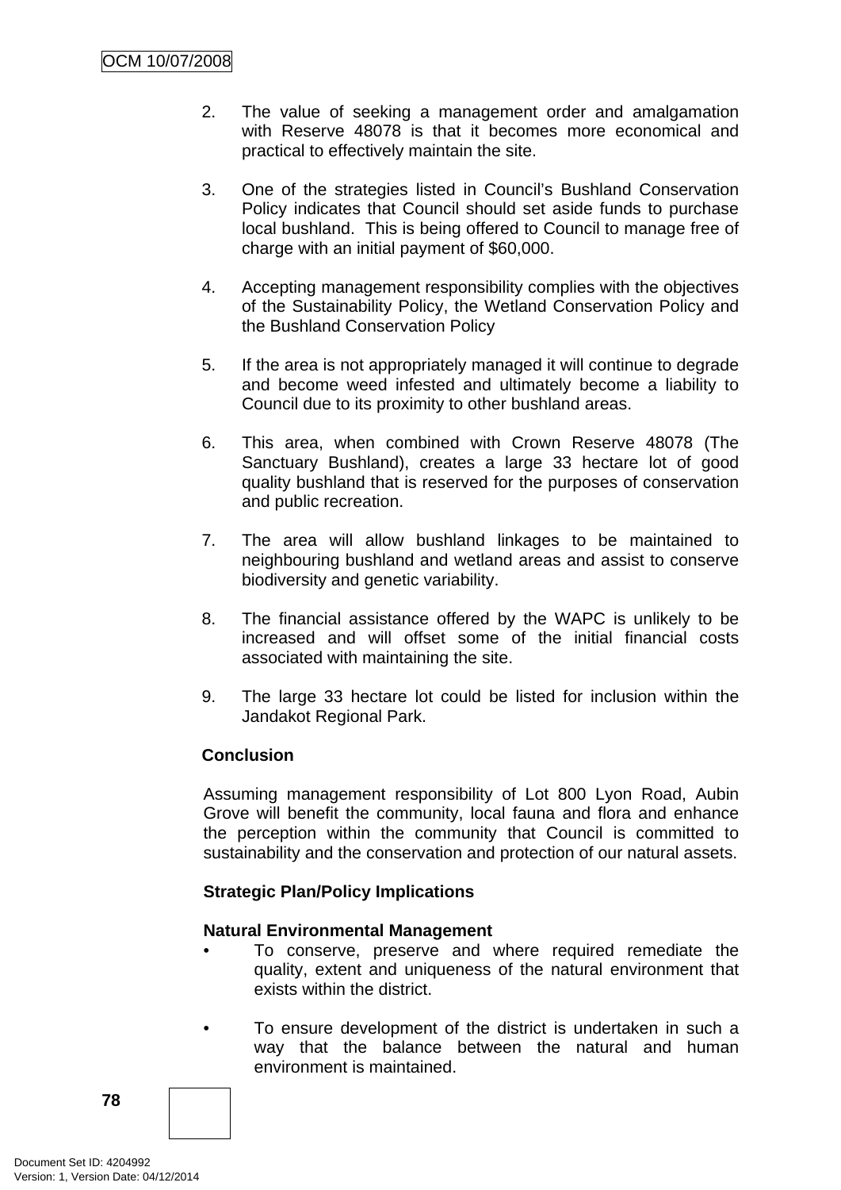- 2. The value of seeking a management order and amalgamation with Reserve 48078 is that it becomes more economical and practical to effectively maintain the site.
- 3. One of the strategies listed in Council's Bushland Conservation Policy indicates that Council should set aside funds to purchase local bushland. This is being offered to Council to manage free of charge with an initial payment of \$60,000.
- 4. Accepting management responsibility complies with the objectives of the Sustainability Policy, the Wetland Conservation Policy and the Bushland Conservation Policy
- 5. If the area is not appropriately managed it will continue to degrade and become weed infested and ultimately become a liability to Council due to its proximity to other bushland areas.
- 6. This area, when combined with Crown Reserve 48078 (The Sanctuary Bushland), creates a large 33 hectare lot of good quality bushland that is reserved for the purposes of conservation and public recreation.
- 7. The area will allow bushland linkages to be maintained to neighbouring bushland and wetland areas and assist to conserve biodiversity and genetic variability.
- 8. The financial assistance offered by the WAPC is unlikely to be increased and will offset some of the initial financial costs associated with maintaining the site.
- 9. The large 33 hectare lot could be listed for inclusion within the Jandakot Regional Park.

# **Conclusion**

Assuming management responsibility of Lot 800 Lyon Road, Aubin Grove will benefit the community, local fauna and flora and enhance the perception within the community that Council is committed to sustainability and the conservation and protection of our natural assets.

# **Strategic Plan/Policy Implications**

## **Natural Environmental Management**

- To conserve, preserve and where required remediate the quality, extent and uniqueness of the natural environment that exists within the district.
- To ensure development of the district is undertaken in such a way that the balance between the natural and human environment is maintained.

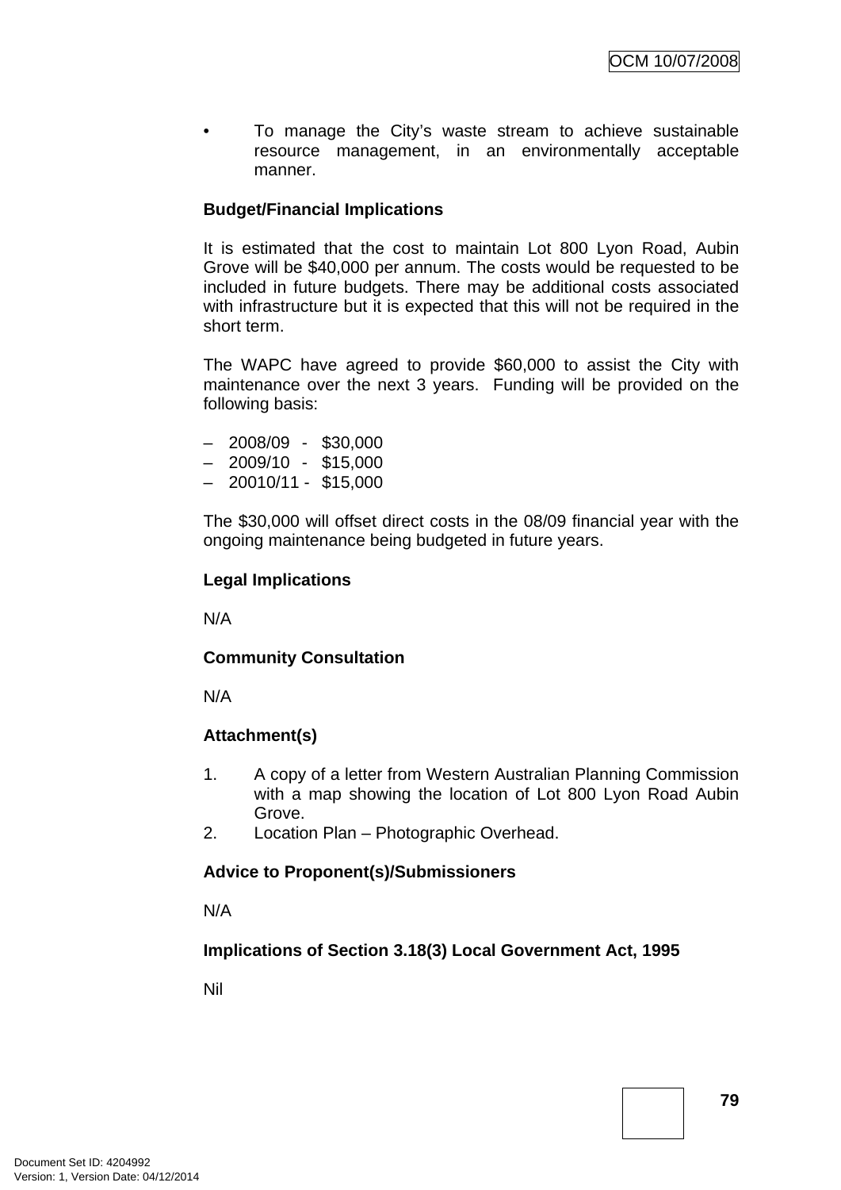• To manage the City's waste stream to achieve sustainable resource management, in an environmentally acceptable manner.

# **Budget/Financial Implications**

It is estimated that the cost to maintain Lot 800 Lyon Road, Aubin Grove will be \$40,000 per annum. The costs would be requested to be included in future budgets. There may be additional costs associated with infrastructure but it is expected that this will not be required in the short term.

The WAPC have agreed to provide \$60,000 to assist the City with maintenance over the next 3 years. Funding will be provided on the following basis:

- 2008/09 \$30,000
- 2009/10 \$15,000
- 20010/11 \$15,000

The \$30,000 will offset direct costs in the 08/09 financial year with the ongoing maintenance being budgeted in future years.

# **Legal Implications**

N/A

# **Community Consultation**

N/A

# **Attachment(s)**

- 1. A copy of a letter from Western Australian Planning Commission with a map showing the location of Lot 800 Lyon Road Aubin Grove.
- 2. Location Plan Photographic Overhead.

# **Advice to Proponent(s)/Submissioners**

N/A

# **Implications of Section 3.18(3) Local Government Act, 1995**

Nil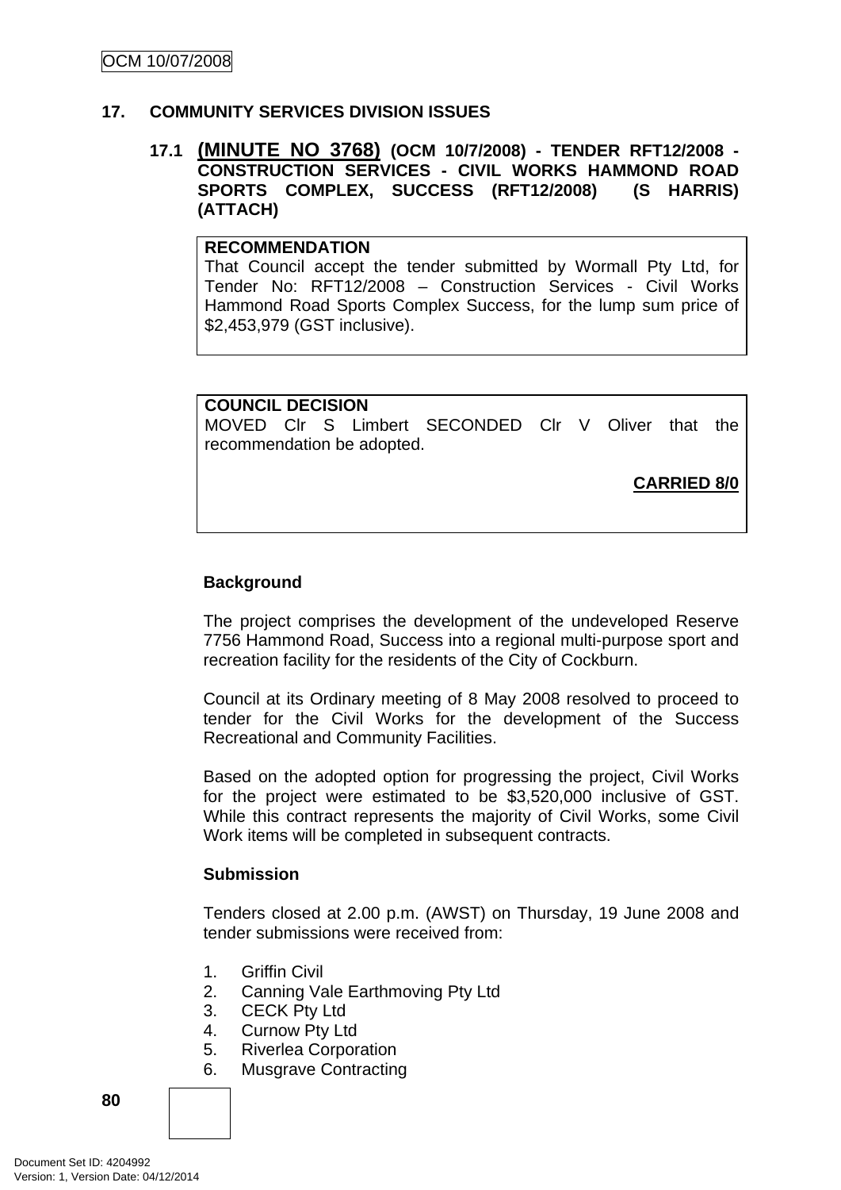## **17. COMMUNITY SERVICES DIVISION ISSUES**

## **17.1 (MINUTE NO 3768) (OCM 10/7/2008) - TENDER RFT12/2008 - CONSTRUCTION SERVICES - CIVIL WORKS HAMMOND ROAD SPORTS COMPLEX, SUCCESS (RFT12/2008) (S HARRIS) (ATTACH)**

#### **RECOMMENDATION**

That Council accept the tender submitted by Wormall Pty Ltd, for Tender No: RFT12/2008 – Construction Services - Civil Works Hammond Road Sports Complex Success, for the lump sum price of \$2,453,979 (GST inclusive).

## **COUNCIL DECISION**

MOVED Clr S Limbert SECONDED Clr V Oliver that the recommendation be adopted.

**CARRIED 8/0**

# **Background**

The project comprises the development of the undeveloped Reserve 7756 Hammond Road, Success into a regional multi-purpose sport and recreation facility for the residents of the City of Cockburn.

Council at its Ordinary meeting of 8 May 2008 resolved to proceed to tender for the Civil Works for the development of the Success Recreational and Community Facilities.

Based on the adopted option for progressing the project, Civil Works for the project were estimated to be \$3,520,000 inclusive of GST. While this contract represents the majority of Civil Works, some Civil Work items will be completed in subsequent contracts.

#### **Submission**

Tenders closed at 2.00 p.m. (AWST) on Thursday, 19 June 2008 and tender submissions were received from:

- 1. Griffin Civil
- 2. Canning Vale Earthmoving Pty Ltd
- 3. CECK Pty Ltd
- 4. Curnow Pty Ltd
- 5. Riverlea Corporation
- 6. Musgrave Contracting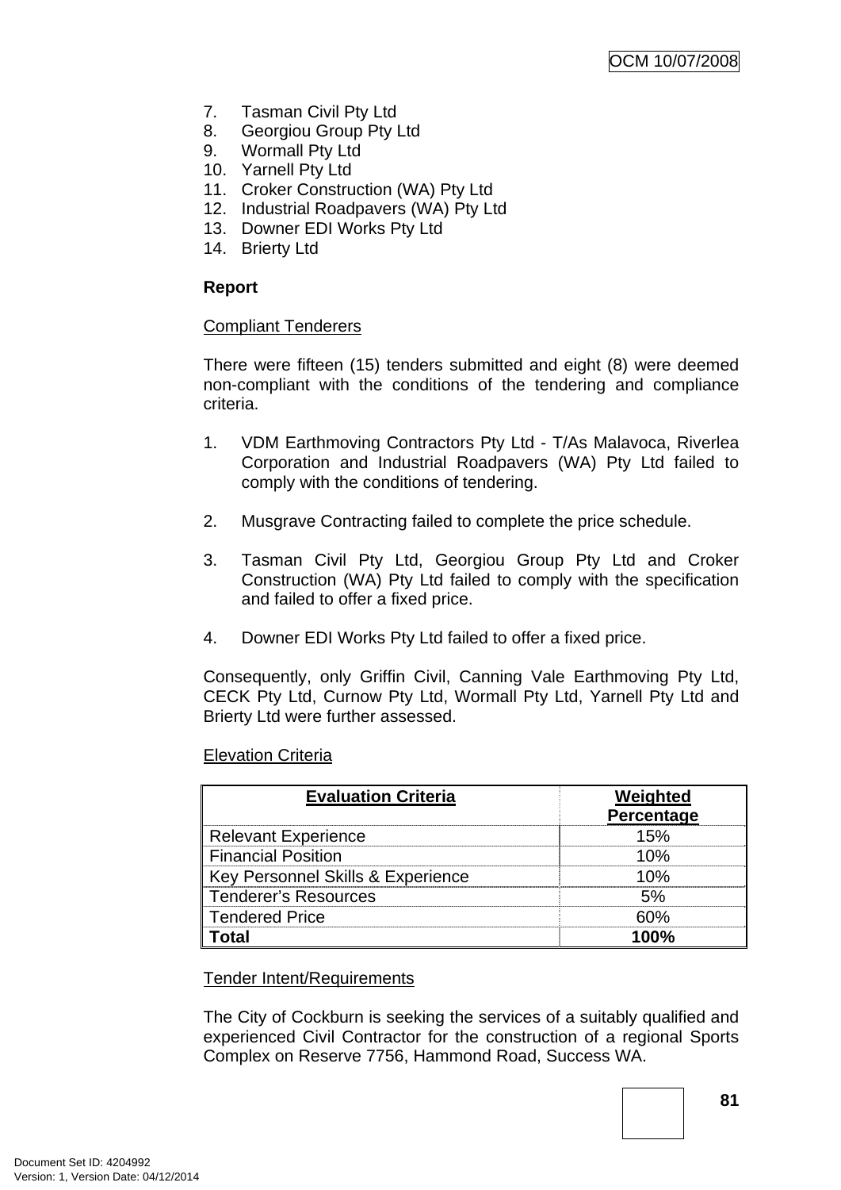- 7. Tasman Civil Pty Ltd
- 8. Georgiou Group Pty Ltd
- 9. Wormall Pty Ltd
- 10. Yarnell Pty Ltd
- 11. Croker Construction (WA) Pty Ltd
- 12. Industrial Roadpavers (WA) Pty Ltd
- 13. Downer EDI Works Pty Ltd
- 14. Brierty Ltd

## **Report**

## Compliant Tenderers

There were fifteen (15) tenders submitted and eight (8) were deemed non-compliant with the conditions of the tendering and compliance criteria.

- 1. VDM Earthmoving Contractors Pty Ltd T/As Malavoca, Riverlea Corporation and Industrial Roadpavers (WA) Pty Ltd failed to comply with the conditions of tendering.
- 2. Musgrave Contracting failed to complete the price schedule.
- 3. Tasman Civil Pty Ltd, Georgiou Group Pty Ltd and Croker Construction (WA) Pty Ltd failed to comply with the specification and failed to offer a fixed price.
- 4. Downer EDI Works Pty Ltd failed to offer a fixed price.

Consequently, only Griffin Civil, Canning Vale Earthmoving Pty Ltd, CECK Pty Ltd, Curnow Pty Ltd, Wormall Pty Ltd, Yarnell Pty Ltd and Brierty Ltd were further assessed.

## Elevation Criteria

| <b>Evaluation Criteria</b>        | Weighted<br>Percentage |  |
|-----------------------------------|------------------------|--|
| <b>Relevant Experience</b>        | 15%                    |  |
| <b>Financial Position</b>         | 10%                    |  |
| Key Personnel Skills & Experience | 10%                    |  |
| <b>Tenderer's Resources</b>       | 5%                     |  |
| <b>Tendered Price</b>             | ናበ%                    |  |
| ็กtal                             | 1በበ%                   |  |

#### Tender Intent/Requirements

The City of Cockburn is seeking the services of a suitably qualified and experienced Civil Contractor for the construction of a regional Sports Complex on Reserve 7756, Hammond Road, Success WA.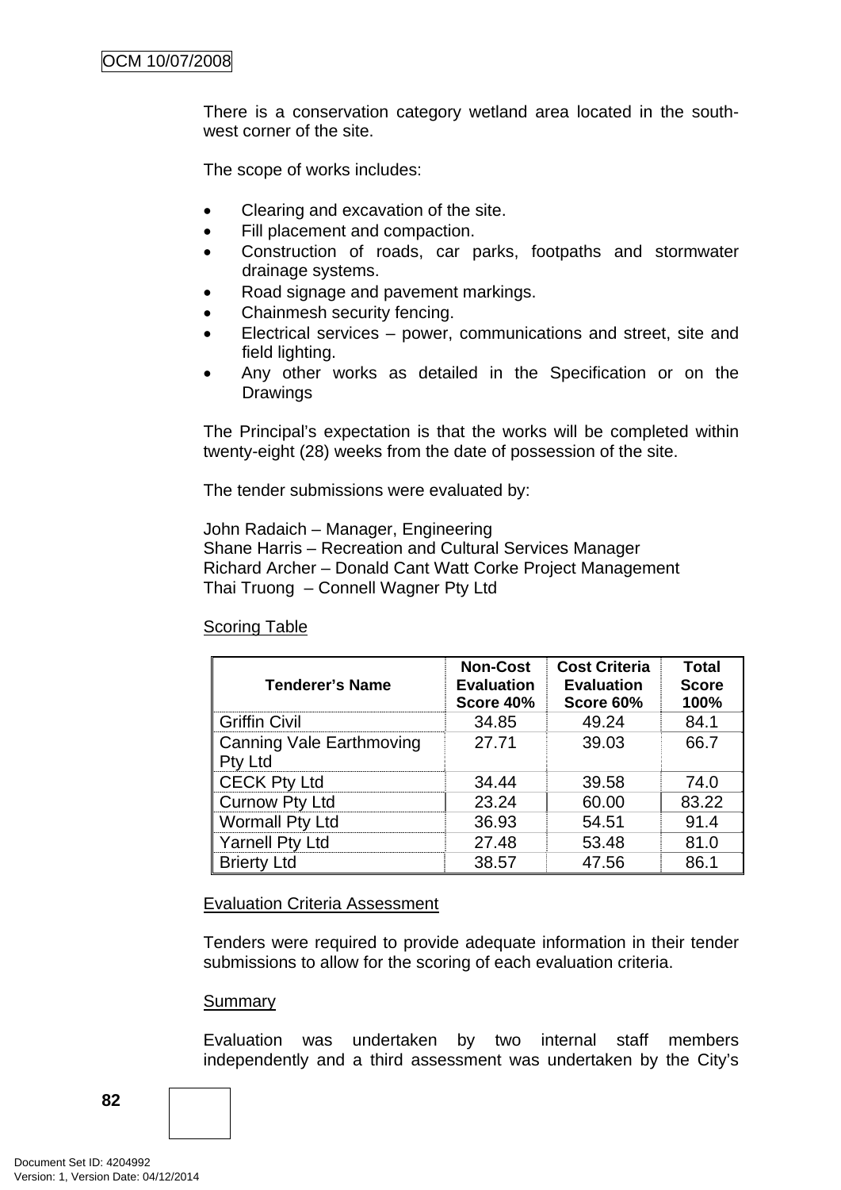There is a conservation category wetland area located in the southwest corner of the site.

The scope of works includes:

- Clearing and excavation of the site.
- Fill placement and compaction.
- Construction of roads, car parks, footpaths and stormwater drainage systems.
- Road signage and pavement markings.
- Chainmesh security fencing.
- Electrical services power, communications and street, site and field lighting.
- Any other works as detailed in the Specification or on the Drawings

The Principal's expectation is that the works will be completed within twenty-eight (28) weeks from the date of possession of the site.

The tender submissions were evaluated by:

John Radaich – Manager, Engineering Shane Harris – Recreation and Cultural Services Manager Richard Archer – Donald Cant Watt Corke Project Management Thai Truong – Connell Wagner Pty Ltd

| <b>Tenderer's Name</b>                     | <b>Non-Cost</b><br><b>Evaluation</b><br>Score 40% | <b>Cost Criteria</b><br><b>Evaluation</b><br>Score 60% | <b>Total</b><br><b>Score</b><br>100% |
|--------------------------------------------|---------------------------------------------------|--------------------------------------------------------|--------------------------------------|
| <b>Griffin Civil</b>                       | 34.85                                             | 49.24                                                  | 84.1                                 |
| <b>Canning Vale Earthmoving</b><br>Pty Ltd | 27.71                                             | 39.03                                                  | 66.7                                 |
| <b>CECK Pty Ltd</b>                        | 34.44                                             | 39.58                                                  | 74.0                                 |
| <b>Curnow Pty Ltd</b>                      | 23.24                                             | 60.00                                                  | 83.22                                |
| <b>Wormall Pty Ltd</b>                     | 36.93                                             | 54.51                                                  | 91.4                                 |
| <b>Yarnell Pty Ltd</b>                     | 27.48                                             | 53.48                                                  | 81.0                                 |
| <b>Brierty</b><br>Ltd                      | 38.57                                             | 47.56                                                  | 86.1                                 |

## Scoring Table

#### Evaluation Criteria Assessment

Tenders were required to provide adequate information in their tender submissions to allow for the scoring of each evaluation criteria.

#### Summary

Evaluation was undertaken by two internal staff members independently and a third assessment was undertaken by the City's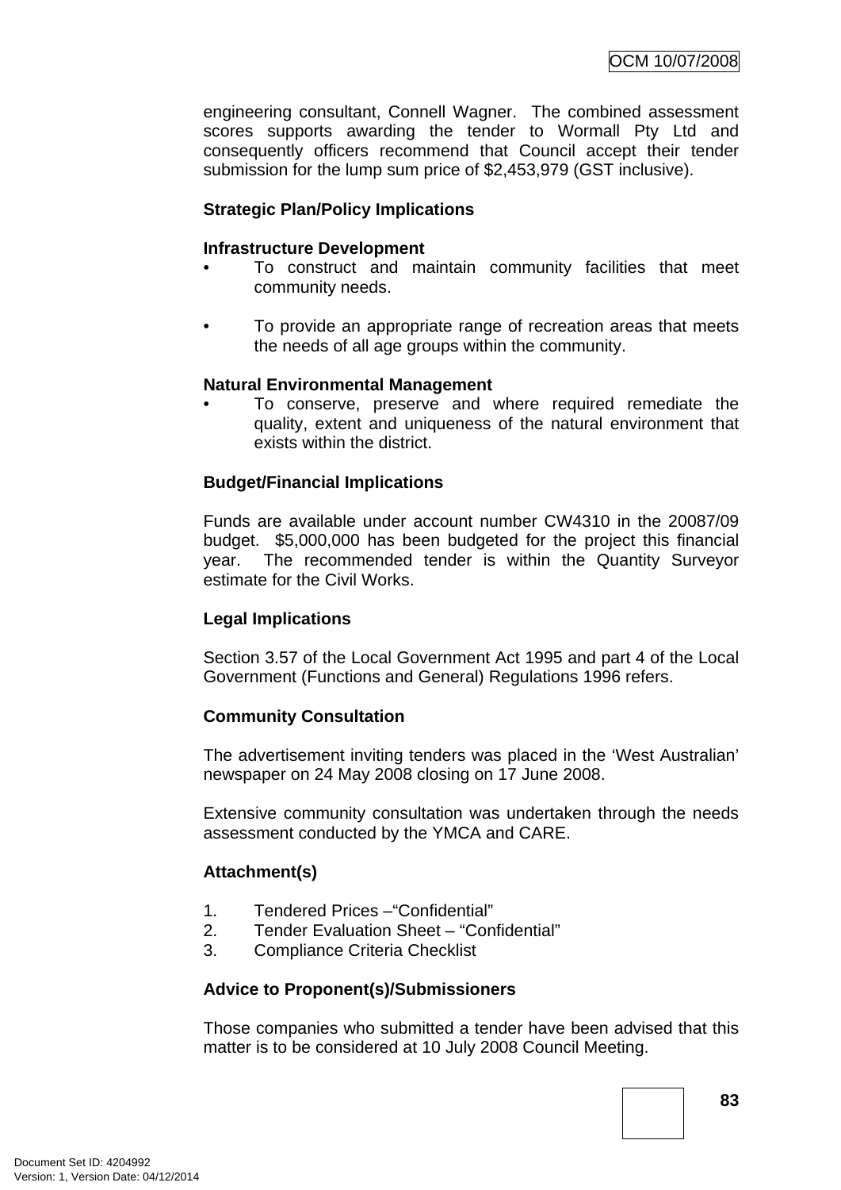engineering consultant, Connell Wagner. The combined assessment scores supports awarding the tender to Wormall Pty Ltd and consequently officers recommend that Council accept their tender submission for the lump sum price of \$2,453,979 (GST inclusive).

# **Strategic Plan/Policy Implications**

## **Infrastructure Development**

- To construct and maintain community facilities that meet community needs.
- To provide an appropriate range of recreation areas that meets the needs of all age groups within the community.

#### **Natural Environmental Management**

• To conserve, preserve and where required remediate the quality, extent and uniqueness of the natural environment that exists within the district.

## **Budget/Financial Implications**

Funds are available under account number CW4310 in the 20087/09 budget. \$5,000,000 has been budgeted for the project this financial year. The recommended tender is within the Quantity Surveyor estimate for the Civil Works.

## **Legal Implications**

Section 3.57 of the Local Government Act 1995 and part 4 of the Local Government (Functions and General) Regulations 1996 refers.

## **Community Consultation**

The advertisement inviting tenders was placed in the 'West Australian' newspaper on 24 May 2008 closing on 17 June 2008.

Extensive community consultation was undertaken through the needs assessment conducted by the YMCA and CARE.

## **Attachment(s)**

- 1. Tendered Prices –"Confidential"
- 2. Tender Evaluation Sheet "Confidential"
- 3. Compliance Criteria Checklist

#### **Advice to Proponent(s)/Submissioners**

Those companies who submitted a tender have been advised that this matter is to be considered at 10 July 2008 Council Meeting.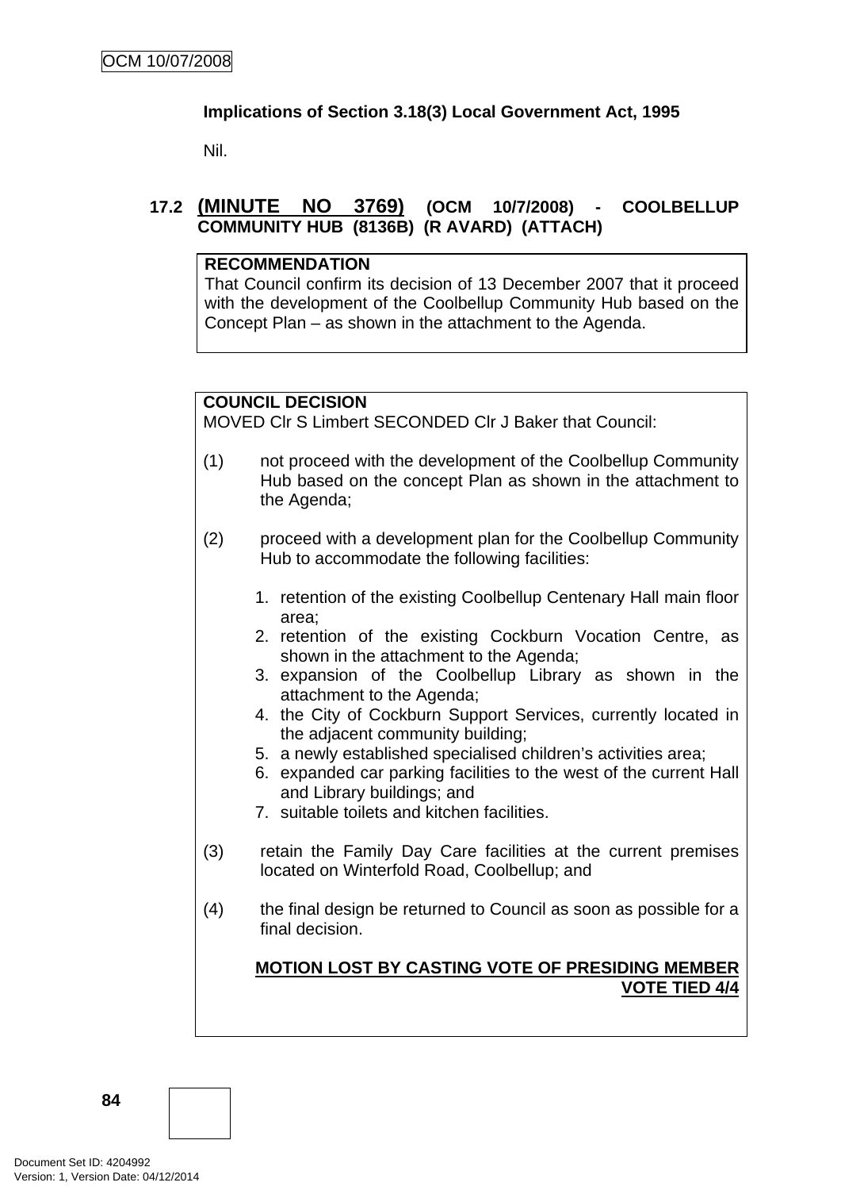# **Implications of Section 3.18(3) Local Government Act, 1995**

Nil.

# **17.2 (MINUTE NO 3769) (OCM 10/7/2008) - COOLBELLUP COMMUNITY HUB (8136B) (R AVARD) (ATTACH)**

#### **RECOMMENDATION**

That Council confirm its decision of 13 December 2007 that it proceed with the development of the Coolbellup Community Hub based on the Concept Plan – as shown in the attachment to the Agenda.

# **COUNCIL DECISION**

MOVED Clr S Limbert SECONDED Clr J Baker that Council:

- (1) not proceed with the development of the Coolbellup Community Hub based on the concept Plan as shown in the attachment to the Agenda;
- (2) proceed with a development plan for the Coolbellup Community Hub to accommodate the following facilities:
	- 1. retention of the existing Coolbellup Centenary Hall main floor area;
	- 2. retention of the existing Cockburn Vocation Centre, as shown in the attachment to the Agenda;
	- 3. expansion of the Coolbellup Library as shown in the attachment to the Agenda;
	- 4. the City of Cockburn Support Services, currently located in the adjacent community building;
	- 5. a newly established specialised children's activities area;
	- 6. expanded car parking facilities to the west of the current Hall and Library buildings; and
	- 7. suitable toilets and kitchen facilities.
- (3) retain the Family Day Care facilities at the current premises located on Winterfold Road, Coolbellup; and
- (4) the final design be returned to Council as soon as possible for a final decision.

# **MOTION LOST BY CASTING VOTE OF PRESIDING MEMBER VOTE TIED 4/4**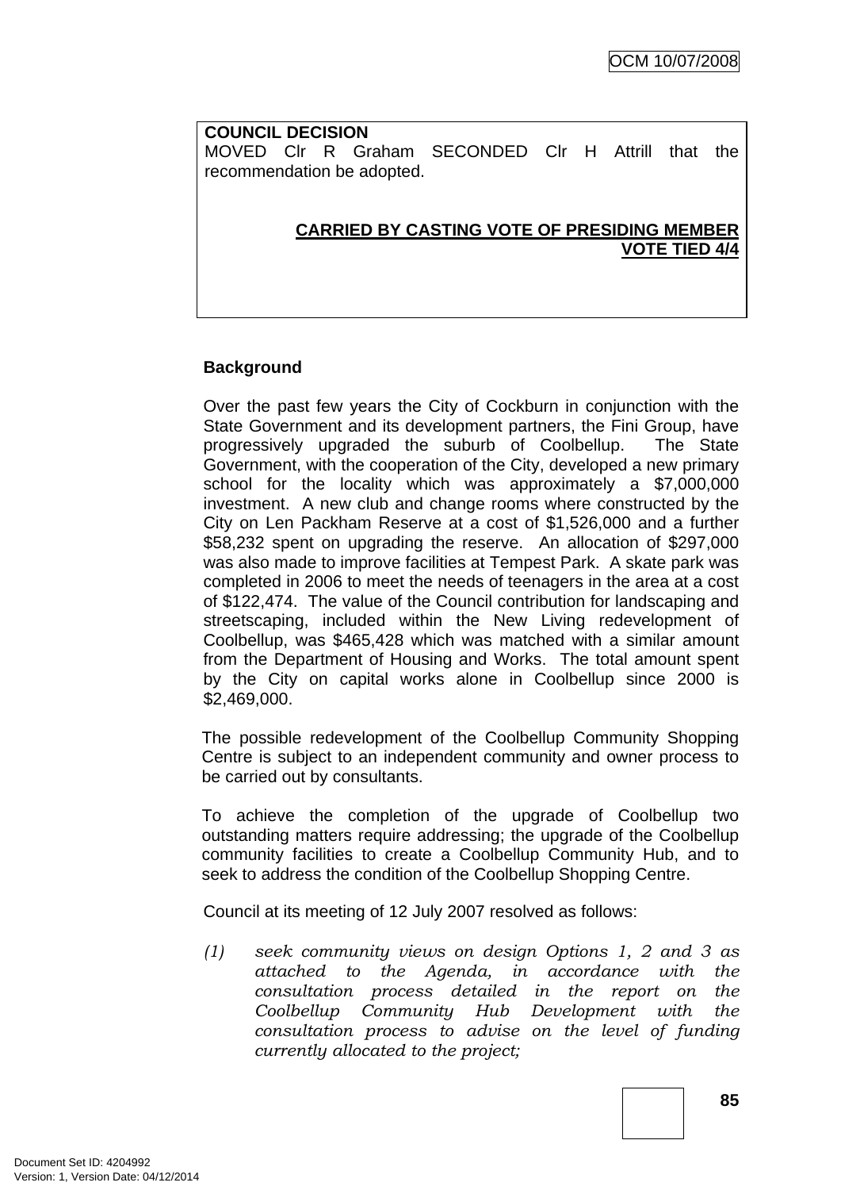**COUNCIL DECISION**  MOVED Clr R Graham SECONDED Clr H Attrill that the recommendation be adopted.

# **CARRIED BY CASTING VOTE OF PRESIDING MEMBER VOTE TIED 4/4**

# **Background**

Over the past few years the City of Cockburn in conjunction with the State Government and its development partners, the Fini Group, have progressively upgraded the suburb of Coolbellup. The State Government, with the cooperation of the City, developed a new primary school for the locality which was approximately a \$7,000,000 investment. A new club and change rooms where constructed by the City on Len Packham Reserve at a cost of \$1,526,000 and a further \$58,232 spent on upgrading the reserve. An allocation of \$297,000 was also made to improve facilities at Tempest Park. A skate park was completed in 2006 to meet the needs of teenagers in the area at a cost of \$122,474. The value of the Council contribution for landscaping and streetscaping, included within the New Living redevelopment of Coolbellup, was \$465,428 which was matched with a similar amount from the Department of Housing and Works. The total amount spent by the City on capital works alone in Coolbellup since 2000 is \$2,469,000.

The possible redevelopment of the Coolbellup Community Shopping Centre is subject to an independent community and owner process to be carried out by consultants.

To achieve the completion of the upgrade of Coolbellup two outstanding matters require addressing; the upgrade of the Coolbellup community facilities to create a Coolbellup Community Hub, and to seek to address the condition of the Coolbellup Shopping Centre.

Council at its meeting of 12 July 2007 resolved as follows:

*(1) seek community views on design Options 1, 2 and 3 as attached to the Agenda, in accordance with the consultation process detailed in the report on the Coolbellup Community Hub Development with the consultation process to advise on the level of funding currently allocated to the project;*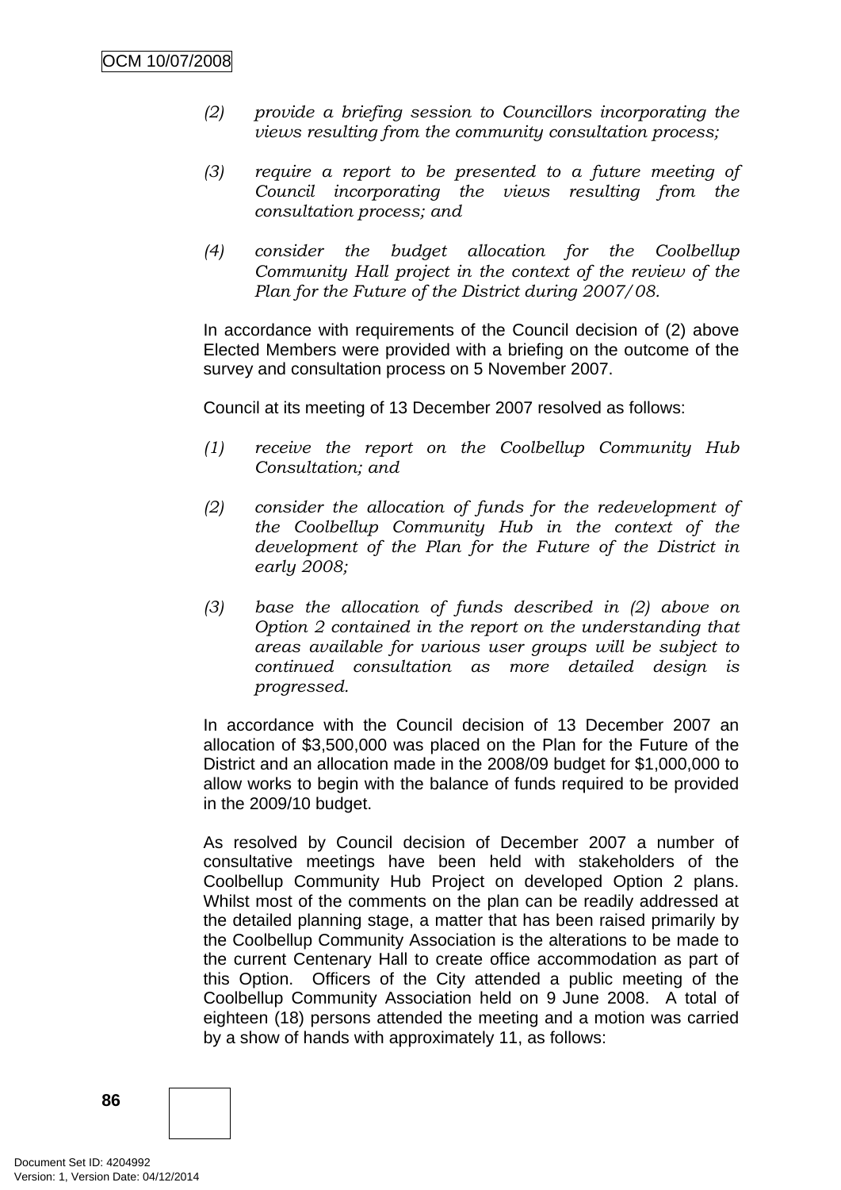- *(2) provide a briefing session to Councillors incorporating the views resulting from the community consultation process;*
- *(3) require a report to be presented to a future meeting of Council incorporating the views resulting from the consultation process; and*
- *(4) consider the budget allocation for the Coolbellup Community Hall project in the context of the review of the Plan for the Future of the District during 2007/08.*

In accordance with requirements of the Council decision of (2) above Elected Members were provided with a briefing on the outcome of the survey and consultation process on 5 November 2007.

Council at its meeting of 13 December 2007 resolved as follows:

- *(1) receive the report on the Coolbellup Community Hub Consultation; and*
- *(2) consider the allocation of funds for the redevelopment of the Coolbellup Community Hub in the context of the development of the Plan for the Future of the District in early 2008;*
- *(3) base the allocation of funds described in (2) above on Option 2 contained in the report on the understanding that areas available for various user groups will be subject to continued consultation as more detailed design is progressed.*

In accordance with the Council decision of 13 December 2007 an allocation of \$3,500,000 was placed on the Plan for the Future of the District and an allocation made in the 2008/09 budget for \$1,000,000 to allow works to begin with the balance of funds required to be provided in the 2009/10 budget.

As resolved by Council decision of December 2007 a number of consultative meetings have been held with stakeholders of the Coolbellup Community Hub Project on developed Option 2 plans. Whilst most of the comments on the plan can be readily addressed at the detailed planning stage, a matter that has been raised primarily by the Coolbellup Community Association is the alterations to be made to the current Centenary Hall to create office accommodation as part of this Option. Officers of the City attended a public meeting of the Coolbellup Community Association held on 9 June 2008. A total of eighteen (18) persons attended the meeting and a motion was carried by a show of hands with approximately 11, as follows: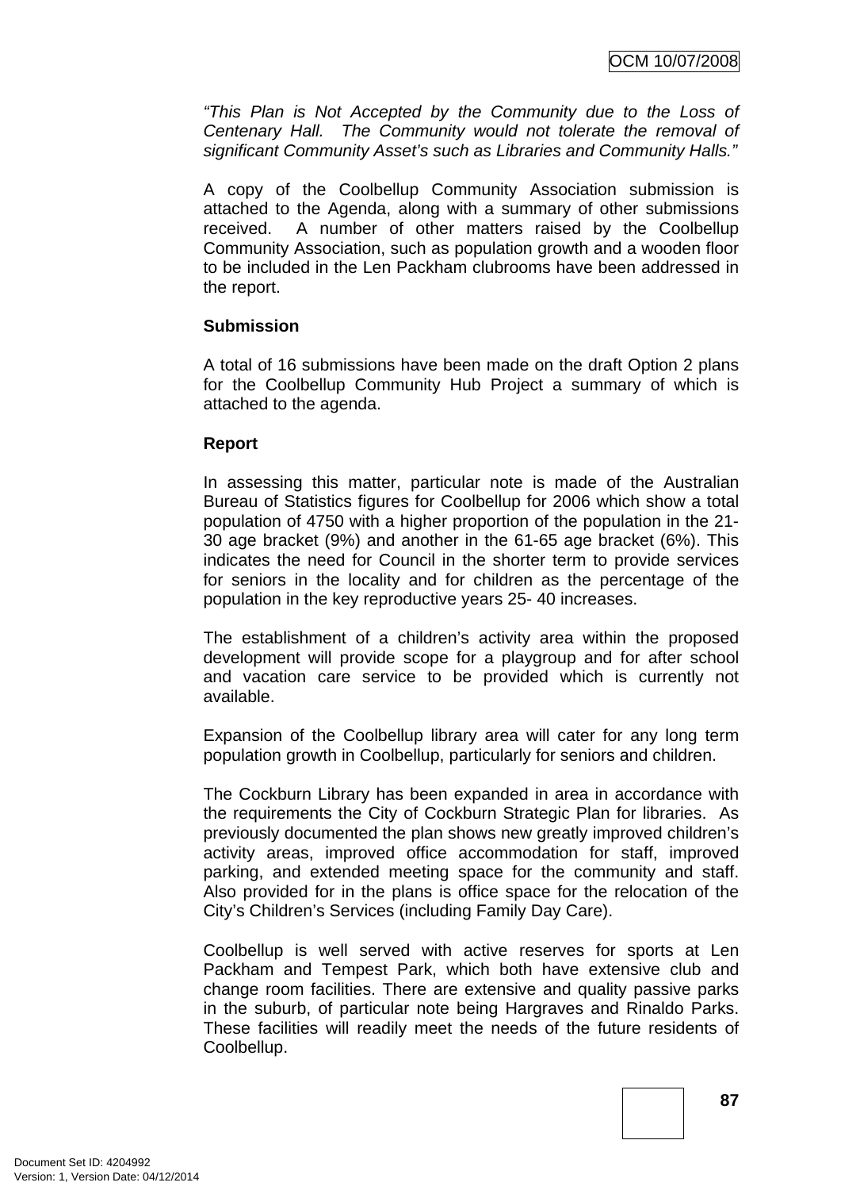*"This Plan is Not Accepted by the Community due to the Loss of Centenary Hall. The Community would not tolerate the removal of significant Community Asset's such as Libraries and Community Halls."* 

A copy of the Coolbellup Community Association submission is attached to the Agenda, along with a summary of other submissions received. A number of other matters raised by the Coolbellup Community Association, such as population growth and a wooden floor to be included in the Len Packham clubrooms have been addressed in the report.

## **Submission**

A total of 16 submissions have been made on the draft Option 2 plans for the Coolbellup Community Hub Project a summary of which is attached to the agenda.

# **Report**

In assessing this matter, particular note is made of the Australian Bureau of Statistics figures for Coolbellup for 2006 which show a total population of 4750 with a higher proportion of the population in the 21- 30 age bracket (9%) and another in the 61-65 age bracket (6%). This indicates the need for Council in the shorter term to provide services for seniors in the locality and for children as the percentage of the population in the key reproductive years 25- 40 increases.

The establishment of a children's activity area within the proposed development will provide scope for a playgroup and for after school and vacation care service to be provided which is currently not available.

Expansion of the Coolbellup library area will cater for any long term population growth in Coolbellup, particularly for seniors and children.

The Cockburn Library has been expanded in area in accordance with the requirements the City of Cockburn Strategic Plan for libraries. As previously documented the plan shows new greatly improved children's activity areas, improved office accommodation for staff, improved parking, and extended meeting space for the community and staff. Also provided for in the plans is office space for the relocation of the City's Children's Services (including Family Day Care).

Coolbellup is well served with active reserves for sports at Len Packham and Tempest Park, which both have extensive club and change room facilities. There are extensive and quality passive parks in the suburb, of particular note being Hargraves and Rinaldo Parks. These facilities will readily meet the needs of the future residents of Coolbellup.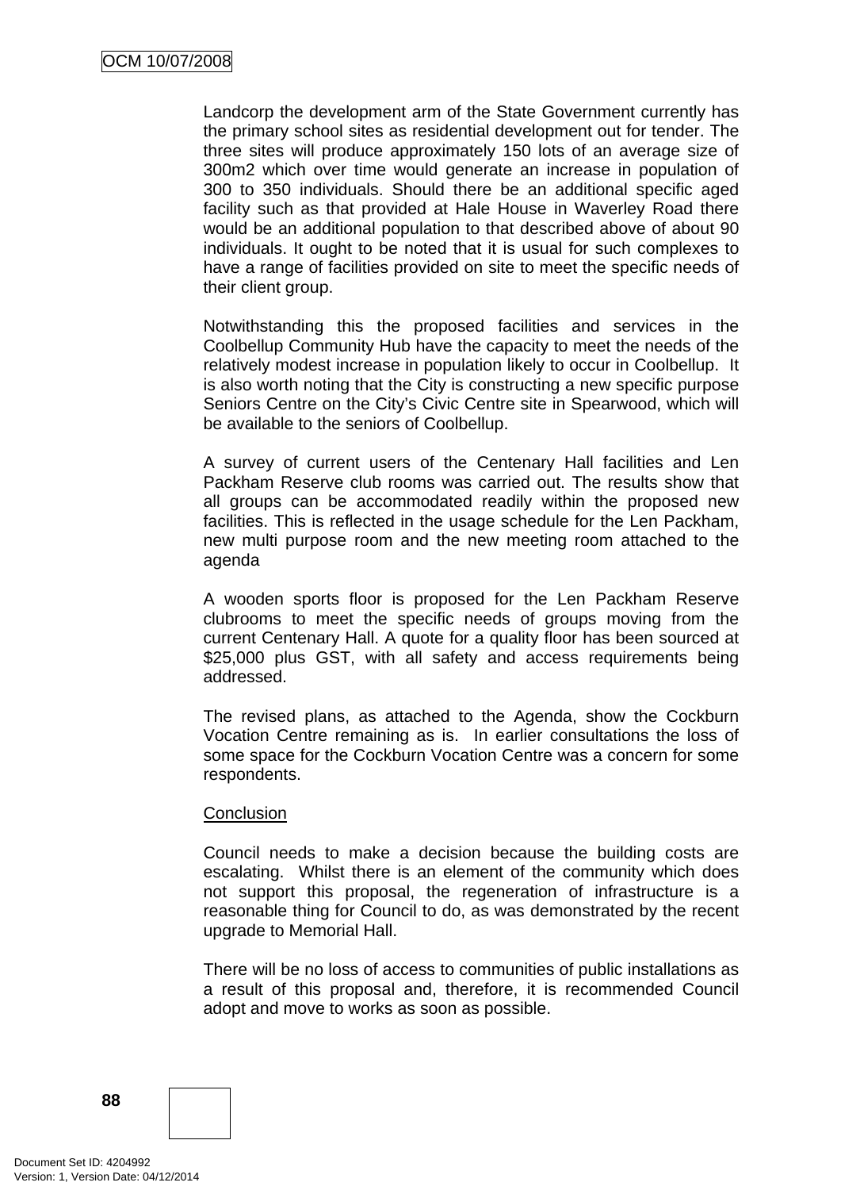Landcorp the development arm of the State Government currently has the primary school sites as residential development out for tender. The three sites will produce approximately 150 lots of an average size of 300m2 which over time would generate an increase in population of 300 to 350 individuals. Should there be an additional specific aged facility such as that provided at Hale House in Waverley Road there would be an additional population to that described above of about 90 individuals. It ought to be noted that it is usual for such complexes to have a range of facilities provided on site to meet the specific needs of their client group.

Notwithstanding this the proposed facilities and services in the Coolbellup Community Hub have the capacity to meet the needs of the relatively modest increase in population likely to occur in Coolbellup. It is also worth noting that the City is constructing a new specific purpose Seniors Centre on the City's Civic Centre site in Spearwood, which will be available to the seniors of Coolbellup.

A survey of current users of the Centenary Hall facilities and Len Packham Reserve club rooms was carried out. The results show that all groups can be accommodated readily within the proposed new facilities. This is reflected in the usage schedule for the Len Packham, new multi purpose room and the new meeting room attached to the agenda

A wooden sports floor is proposed for the Len Packham Reserve clubrooms to meet the specific needs of groups moving from the current Centenary Hall. A quote for a quality floor has been sourced at \$25,000 plus GST, with all safety and access requirements being addressed.

The revised plans, as attached to the Agenda, show the Cockburn Vocation Centre remaining as is. In earlier consultations the loss of some space for the Cockburn Vocation Centre was a concern for some respondents.

## **Conclusion**

Council needs to make a decision because the building costs are escalating. Whilst there is an element of the community which does not support this proposal, the regeneration of infrastructure is a reasonable thing for Council to do, as was demonstrated by the recent upgrade to Memorial Hall.

There will be no loss of access to communities of public installations as a result of this proposal and, therefore, it is recommended Council adopt and move to works as soon as possible.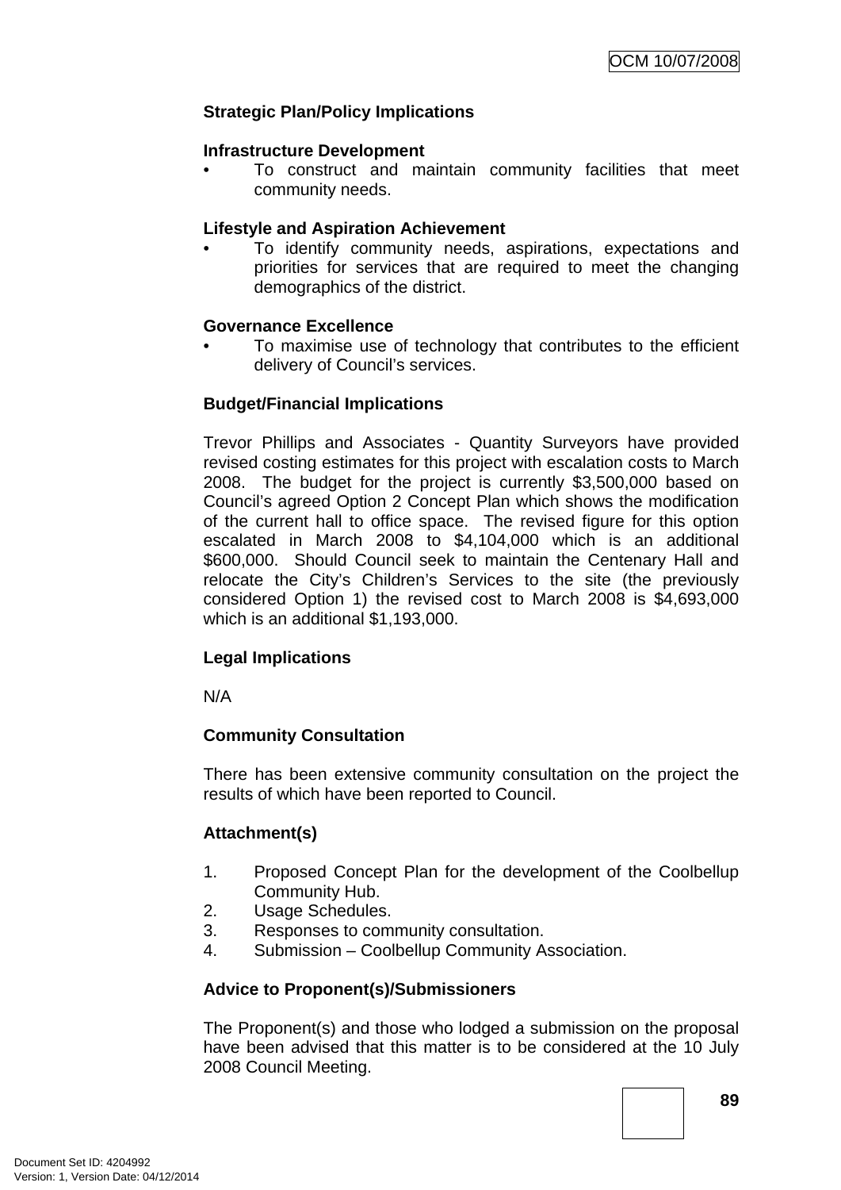# **Strategic Plan/Policy Implications**

#### **Infrastructure Development**

• To construct and maintain community facilities that meet community needs.

## **Lifestyle and Aspiration Achievement**

• To identify community needs, aspirations, expectations and priorities for services that are required to meet the changing demographics of the district.

#### **Governance Excellence**

• To maximise use of technology that contributes to the efficient delivery of Council's services.

## **Budget/Financial Implications**

Trevor Phillips and Associates - Quantity Surveyors have provided revised costing estimates for this project with escalation costs to March 2008. The budget for the project is currently \$3,500,000 based on Council's agreed Option 2 Concept Plan which shows the modification of the current hall to office space. The revised figure for this option escalated in March 2008 to \$4,104,000 which is an additional \$600,000. Should Council seek to maintain the Centenary Hall and relocate the City's Children's Services to the site (the previously considered Option 1) the revised cost to March 2008 is \$4,693,000 which is an additional \$1,193,000.

## **Legal Implications**

N/A

## **Community Consultation**

There has been extensive community consultation on the project the results of which have been reported to Council.

## **Attachment(s)**

- 1. Proposed Concept Plan for the development of the Coolbellup Community Hub.
- 2. Usage Schedules.
- 3. Responses to community consultation.
- 4. Submission Coolbellup Community Association.

## **Advice to Proponent(s)/Submissioners**

The Proponent(s) and those who lodged a submission on the proposal have been advised that this matter is to be considered at the 10 July 2008 Council Meeting.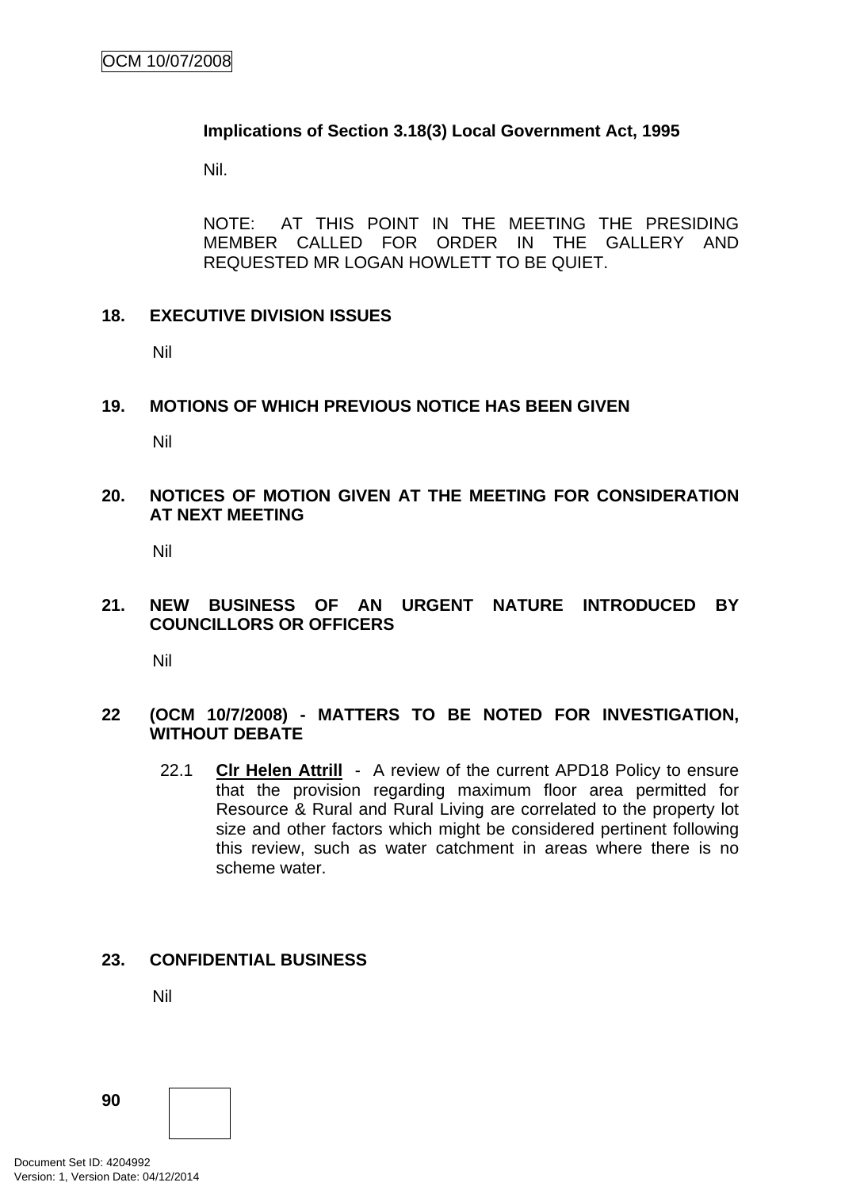## **Implications of Section 3.18(3) Local Government Act, 1995**

Nil.

NOTE: AT THIS POINT IN THE MEETING THE PRESIDING MEMBER CALLED FOR ORDER IN THE GALLERY AND REQUESTED MR LOGAN HOWLETT TO BE QUIET.

#### **18. EXECUTIVE DIVISION ISSUES**

Nil

#### **19. MOTIONS OF WHICH PREVIOUS NOTICE HAS BEEN GIVEN**

Nil

## **20. NOTICES OF MOTION GIVEN AT THE MEETING FOR CONSIDERATION AT NEXT MEETING**

Nil

#### **21. NEW BUSINESS OF AN URGENT NATURE INTRODUCED BY COUNCILLORS OR OFFICERS**

Nil

#### **22 (OCM 10/7/2008) - MATTERS TO BE NOTED FOR INVESTIGATION, WITHOUT DEBATE**

22.1 **Clr Helen Attrill** - A review of the current APD18 Policy to ensure that the provision regarding maximum floor area permitted for Resource & Rural and Rural Living are correlated to the property lot size and other factors which might be considered pertinent following this review, such as water catchment in areas where there is no scheme water.

## **23. CONFIDENTIAL BUSINESS**

Nil